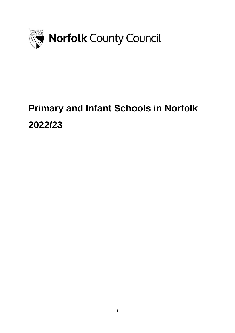

# **Primary and Infant Schools in Norfolk 2022/23**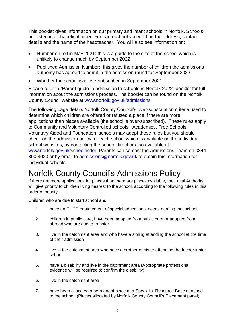This booklet gives information on our primary and infant schools in Norfolk. Schools are listed in alphabetical order. For each school you will find the address, contact details and the name of the headteacher. You will also see information on:

- Number on roll in May 2021: this is a guide to the size of the school which is unlikely to change much by September 2022
- Published Admission Number: this gives the number of children the admissions authority has agreed to admit in the admission round for September 2022
- Whether the school was oversubscribed in September 2021.

Please refer to "Parent guide to admission to schools in Norfolk 2022" booklet for full information about the admissions process. The booklet can be found on the Norfolk County Council website at [www.norfolk.gov.uk/admissions.](https://www.norfolk.gov.uk/admissions)

The following page details Norfolk County Council's over-subscription criteria used to determine which children are offered or refused a place if there are more applications than places available (the school is over-subscribed). These rules apply to Community and Voluntary Controlled schools. Academies, Free Schools, Voluntary Aided and Foundation schools may adopt these rules but you should check on the admission policy for each school which is available on the individual school websites, by contacting the school direct or also available at www.norfolk.gov.uk/schoolfinder Parents can contact the Admissions Team on 0344 800 8020 or by email to [admissions@norfolk.gov.uk](mailto:admissions@norfolk.gov.uk) to obtain this information for individual schools.

### Norfolk County Council's Admissions Policy

If there are more applications for places than there are places available, the Local Authority will give priority to children living nearest to the school, according to the following rules in this order of priority:

Children who are due to start school and:

- 1. have an EHCP or statement of special educational needs naming that school
- 2. children in public care, have been adopted from public care or adopted from abroad who are due to transfer
- 3. live in the catchment area and who have a sibling attending the school at the time of their admission
- 4. live in the catchment area who have a brother or sister attending the feeder junior school
- 5. have a disability and live in the catchment area (Appropriate professional evidence will be required to confirm the disability)
- 6. live in the catchment area
- 7. have been allocated a permanent place at a Specialist Resource Base attached to the school. (Places allocated by Norfolk County Council's Placement panel)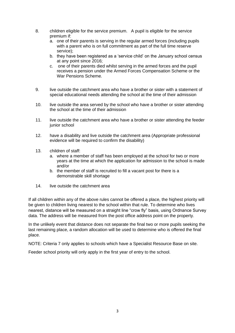- 8. children eligible for the service premium. A pupil is eligible for the service premium if:
	- a. one of their parents is serving in the regular armed forces (including pupils with a parent who is on full commitment as part of the full time reserve service);
	- b. they have been registered as a 'service child' on the January school census at any point since 2016;
	- c. one of their parents died whilst serving in the armed forces and the pupil receives a pension under the Armed Forces Compensation Scheme or the War Pensions Scheme*.*
- 9. live outside the catchment area who have a brother or sister with a statement of special educational needs attending the school at the time of their admission
- 10. live outside the area served by the school who have a brother or sister attending the school at the time of their admission
- 11. live outside the catchment area who have a brother or sister attending the feeder junior school
- 12. have a disability and live outside the catchment area (Appropriate professional evidence will be required to confirm the disability)
- 13. children of staff:
	- a. where a member of staff has been employed at the school for two or more years at the time at which the application for admission to the school is made and/or
	- b. the member of staff is recruited to fill a vacant post for there is a demonstrable skill shortage
- 14. live outside the catchment area

If all children within any of the above rules cannot be offered a place, the highest priority will be given to children living nearest to the school within that rule. To determine who lives nearest, distance will be measured on a straight line "crow fly" basis, using Ordnance Survey data. The address will be measured from the post office address point on the property.

In the unlikely event that distance does not separate the final two or more pupils seeking the last remaining place, a random allocation will be used to determine who is offered the final place.

NOTE: Criteria 7 only applies to schools which have a Specialist Resource Base on site.

Feeder school priority will only apply in the first year of entry to the school.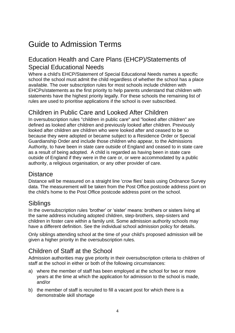## Guide to Admission Terms

#### Education Health and Care Plans (EHCP)/Statements of Special Educational Needs

Where a child's EHCP/Statement of Special Educational Needs names a specific school the school must admit the child regardless of whether the school has a place available. The over subscription rules for most schools include children with EHCPs/statements as the first priority to help parents understand that children with statements have the highest priority legally. For these schools the remaining list of rules are used to prioritise applications if the school is over subscribed.

#### Children in Public Care and Looked After Children

In oversubscription rules "children in public care" and "looked after children" are defined as looked after children and previously looked after children. Previously looked after children are children who were looked after and ceased to be so because they were adopted or became subject to a Residence Order or Special Guardianship Order and include those children who appear, to the Admissions Authority, to have been in state care outside of England and ceased to in state care as a result of being adopted. A child is regarded as having been in state care outside of England if they were in the care or, or were accommodated by a public authority, a religious organisation, or any other provider of care.

#### **Distance**

Distance will be measured on a straight line 'crow flies' basis using Ordnance Survey data. The measurement will be taken from the Post Office postcode address point on the child's home to the Post Office postcode address point on the school.

#### Siblings

In the oversubscription rules 'brother' or 'sister' means: brothers or sisters living at the same address including adopted children, step-brothers, step-sisters and children in foster care within a family unit. Some admission authority schools may have a different definition. See the individual school admission policy for details.

Only siblings attending school at the time of your child's proposed admission will be given a higher priority in the oversubscription rules.

#### Children of Staff at the School

Admission authorities may give priority in their oversubscription criteria to children of staff at the school in either or both of the following circumstances:

- a) where the member of staff has been employed at the school for two or more years at the time at which the application for admission to the school is made, and/or
- b) the member of staff is recruited to fill a vacant post for which there is a demonstrable skill shortage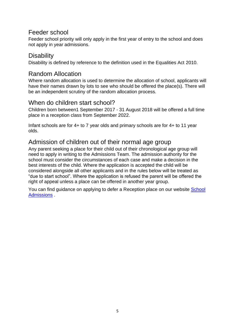#### Feeder school

Feeder school priority will only apply in the first year of entry to the school and does not apply in year admissions.

#### **Disability**

Disability is defined by reference to the definition used in the Equalities Act 2010.

#### Random Allocation

Where random allocation is used to determine the allocation of school, applicants will have their names drawn by lots to see who should be offered the place(s). There will be an independent scrutiny of the random allocation process.

#### When do children start school?

Children born between1 September 2017 - 31 August 2018 will be offered a full time place in a reception class from September 2022.

Infant schools are for 4+ to 7 year olds and primary schools are for 4+ to 11 year olds.

#### Admission of children out of their normal age group

Any parent seeking a place for their child out of their chronological age group will need to apply in writing to the Admissions Team. The admission authority for the school must consider the circumstances of each case and make a decision in the best interests of the child. Where the application is accepted the child will be considered alongside all other applicants and in the rules below will be treated as "due to start school". Where the application is refused the parent will be offered the right of appeal unless a place can be offered in another year group.

You can find guidance on applying to defer a Reception place on our website [School](http://www.norfolk.gov.uk/admissions)  [Admissions](http://www.norfolk.gov.uk/admissions) .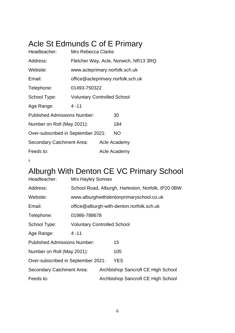## Acle St Edmunds C of E Primary

| Headteacher:                        | Mrs Rebecca Clarke                 |                                       |                                   |  |  |
|-------------------------------------|------------------------------------|---------------------------------------|-----------------------------------|--|--|
| Address:                            |                                    | Fletcher Way, Acle, Norwich, NR13 3RQ |                                   |  |  |
| Website:                            | www.acleprimary.norfolk.sch.uk     |                                       |                                   |  |  |
| Email:                              |                                    |                                       | office@acleprimary.norfolk.sch.uk |  |  |
| Telephone:                          | 01493-750322                       |                                       |                                   |  |  |
| School Type:                        | <b>Voluntary Controlled School</b> |                                       |                                   |  |  |
| Age Range:                          | $4 - 11$                           |                                       |                                   |  |  |
| <b>Published Admissions Number:</b> |                                    |                                       | 30                                |  |  |
| Number on Roll (May 2021):          |                                    |                                       | 184                               |  |  |
| Over-subscribed in September 2021:  |                                    |                                       | NO                                |  |  |
| Secondary Catchment Area:           |                                    |                                       | Acle Academy                      |  |  |
| Feeds to:                           |                                    |                                       | Acle Academy                      |  |  |
|                                     |                                    |                                       |                                   |  |  |

s

## Alburgh With Denton CE VC Primary School

| Headteacher:                        | <b>Mrs Hayley Sonnex</b>           |  |                                                    |  |  |
|-------------------------------------|------------------------------------|--|----------------------------------------------------|--|--|
| Address:                            |                                    |  | School Road, Alburgh, Harleston, Norfolk, IP20 0BW |  |  |
| Website:                            |                                    |  | www.alburghwithdentonprimaryschool.co.uk           |  |  |
| Email:                              |                                    |  | office@alburgh-with-denton.norfolk.sch.uk          |  |  |
| Telephone:                          | 01986-788678                       |  |                                                    |  |  |
| School Type:                        | <b>Voluntary Controlled School</b> |  |                                                    |  |  |
| Age Range:                          | $4 - 11$                           |  |                                                    |  |  |
| <b>Published Admissions Number:</b> |                                    |  | 15                                                 |  |  |
| Number on Roll (May 2021):          |                                    |  | 105                                                |  |  |
| Over-subscribed in September 2021:  |                                    |  | <b>YES</b>                                         |  |  |
| Secondary Catchment Area:           |                                    |  | Archbishop Sancroft CE High School                 |  |  |
| Feeds to:                           |                                    |  | Archbishop Sancroft CE High School                 |  |  |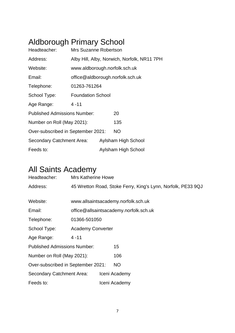## Aldborough Primary School

| Headteacher:                        | Mrs Suzanne Robertson            |  |                                             |  |  |
|-------------------------------------|----------------------------------|--|---------------------------------------------|--|--|
| Address:                            |                                  |  | Alby Hill, Alby, Norwich, Norfolk, NR11 7PH |  |  |
| Website:                            | www.aldborough.norfolk.sch.uk    |  |                                             |  |  |
| Email:                              | office@aldborough.norfolk.sch.uk |  |                                             |  |  |
| Telephone:                          | 01263-761264                     |  |                                             |  |  |
| School Type:                        | <b>Foundation School</b>         |  |                                             |  |  |
| Age Range:                          | $4 - 11$                         |  |                                             |  |  |
| <b>Published Admissions Number:</b> |                                  |  | 20                                          |  |  |
| Number on Roll (May 2021):          |                                  |  | 135                                         |  |  |
| Over-subscribed in September 2021:  |                                  |  | NO.                                         |  |  |
| Secondary Catchment Area:           |                                  |  | Aylsham High School                         |  |  |
| Feeds to:                           |                                  |  | Aylsham High School                         |  |  |

## All Saints Academy

| Headteacher:                        | <b>Mrs Katherine Howe</b> |  |                                                              |  |  |
|-------------------------------------|---------------------------|--|--------------------------------------------------------------|--|--|
| Address:                            |                           |  | 45 Wretton Road, Stoke Ferry, King's Lynn, Norfolk, PE33 9QJ |  |  |
|                                     |                           |  |                                                              |  |  |
| Website:                            |                           |  | www.allsaintsacademy.norfolk.sch.uk                          |  |  |
| Email:                              |                           |  | office@allsaintsacademy.norfolk.sch.uk                       |  |  |
| Telephone:                          | 01366-501050              |  |                                                              |  |  |
| School Type:                        | <b>Academy Converter</b>  |  |                                                              |  |  |
| Age Range:                          | $4 - 11$                  |  |                                                              |  |  |
| <b>Published Admissions Number:</b> |                           |  | 15                                                           |  |  |
| Number on Roll (May 2021):          |                           |  | 106                                                          |  |  |
| Over-subscribed in September 2021:  |                           |  | <b>NO</b>                                                    |  |  |
| Secondary Catchment Area:           |                           |  | Iceni Academy                                                |  |  |
| Feeds to:                           |                           |  | Iceni Academy                                                |  |  |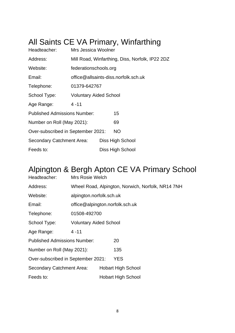## All Saints CE VA Primary, Winfarthing

| Headteacher:                        | Mrs Jessica Woolner           |  |                                                 |  |  |
|-------------------------------------|-------------------------------|--|-------------------------------------------------|--|--|
| Address:                            |                               |  | Mill Road, Winfarthing, Diss, Norfolk, IP22 2DZ |  |  |
| Website:                            | federationschools.org         |  |                                                 |  |  |
| Email:                              |                               |  | office@allsaints-diss.norfolk.sch.uk            |  |  |
| Telephone:                          | 01379-642767                  |  |                                                 |  |  |
| School Type:                        | <b>Voluntary Aided School</b> |  |                                                 |  |  |
| Age Range:                          | $4 - 11$                      |  |                                                 |  |  |
| <b>Published Admissions Number:</b> |                               |  | 15                                              |  |  |
| Number on Roll (May 2021):          |                               |  | 69                                              |  |  |
| Over-subscribed in September 2021:  |                               |  | <b>NO</b>                                       |  |  |
| Secondary Catchment Area:           |                               |  | Diss High School                                |  |  |
| Feeds to:                           |                               |  | Diss High School                                |  |  |

## Alpington & Bergh Apton CE VA Primary School

| Headteacher:                        | Mrs Rosie Welch                 |  |                                                   |  |  |
|-------------------------------------|---------------------------------|--|---------------------------------------------------|--|--|
| Address:                            |                                 |  | Wheel Road, Alpington, Norwich, Norfolk, NR14 7NH |  |  |
| Website:                            | alpington.norfolk.sch.uk        |  |                                                   |  |  |
| Email:                              | office@alpington.norfolk.sch.uk |  |                                                   |  |  |
| Telephone:                          | 01508-492700                    |  |                                                   |  |  |
| School Type:                        | <b>Voluntary Aided School</b>   |  |                                                   |  |  |
| Age Range:                          | $4 - 11$                        |  |                                                   |  |  |
| <b>Published Admissions Number:</b> |                                 |  | 20                                                |  |  |
| Number on Roll (May 2021):          |                                 |  | 135                                               |  |  |
| Over-subscribed in September 2021:  |                                 |  | YES                                               |  |  |
| Secondary Catchment Area:           |                                 |  | <b>Hobart High School</b>                         |  |  |
| Feeds to:                           |                                 |  | <b>Hobart High School</b>                         |  |  |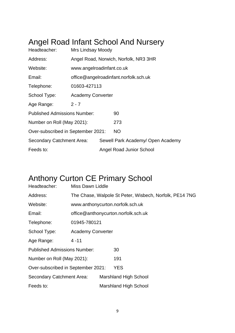### Angel Road Infant School And Nursery

| Headteacher:                        | <b>Mrs Lindsay Moody</b>  |  |                                       |  |
|-------------------------------------|---------------------------|--|---------------------------------------|--|
| Address:                            |                           |  | Angel Road, Norwich, Norfolk, NR3 3HR |  |
| Website:                            | www.angelroadinfant.co.uk |  |                                       |  |
| Email:                              |                           |  | office@angelroadinfant.norfolk.sch.uk |  |
| Telephone:                          | 01603-427113              |  |                                       |  |
| School Type:                        | <b>Academy Converter</b>  |  |                                       |  |
| Age Range:                          | $2 - 7$                   |  |                                       |  |
| <b>Published Admissions Number:</b> |                           |  | 90                                    |  |
| Number on Roll (May 2021):          |                           |  | 273                                   |  |
| Over-subscribed in September 2021:  |                           |  | <b>NO</b>                             |  |
| <b>Secondary Catchment Area:</b>    |                           |  | Sewell Park Academy/ Open Academy     |  |
| Feeds to:                           |                           |  | <b>Angel Road Junior School</b>       |  |

## Anthony Curton CE Primary School

| Headteacher:                        | Miss Dawn Liddle         |  |                                                         |  |  |
|-------------------------------------|--------------------------|--|---------------------------------------------------------|--|--|
| Address:                            |                          |  | The Chase, Walpole St Peter, Wisbech, Norfolk, PE14 7NG |  |  |
| Website:                            |                          |  | www.anthonycurton.norfolk.sch.uk                        |  |  |
| Email:                              |                          |  | office@anthonycurton.norfolk.sch.uk                     |  |  |
| Telephone:                          | 01945-780121             |  |                                                         |  |  |
| School Type:                        | <b>Academy Converter</b> |  |                                                         |  |  |
| Age Range:                          | $4 - 11$                 |  |                                                         |  |  |
| <b>Published Admissions Number:</b> |                          |  | 30                                                      |  |  |
| Number on Roll (May 2021):          |                          |  | 191                                                     |  |  |
| Over-subscribed in September 2021:  |                          |  | <b>YES</b>                                              |  |  |
| <b>Secondary Catchment Area:</b>    |                          |  | <b>Marshland High School</b>                            |  |  |
| Feeds to:                           |                          |  | <b>Marshland High School</b>                            |  |  |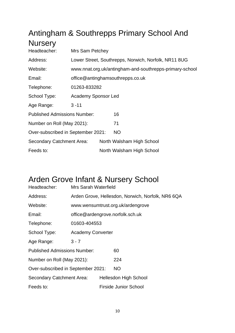## Antingham & Southrepps Primary School And **Nursery**

| Headteacher:                        | Mrs Sam Petchey     |  |                                                         |  |
|-------------------------------------|---------------------|--|---------------------------------------------------------|--|
| Address:                            |                     |  | Lower Street, Southrepps, Norwich, Norfolk, NR11 8UG    |  |
| Website:                            |                     |  | www.nnat.org.uk/antingham-and-southrepps-primary-school |  |
| Email:                              |                     |  | office@antinghamsouthrepps.co.uk                        |  |
| Telephone:                          | 01263-833282        |  |                                                         |  |
| School Type:                        | Academy Sponsor Led |  |                                                         |  |
| Age Range:                          | $3 - 11$            |  |                                                         |  |
| <b>Published Admissions Number:</b> |                     |  | 16                                                      |  |
| Number on Roll (May 2021):          |                     |  | 71                                                      |  |
| Over-subscribed in September 2021:  |                     |  | NO                                                      |  |
| <b>Secondary Catchment Area:</b>    |                     |  | North Walsham High School                               |  |
| Feeds to:                           |                     |  | North Walsham High School                               |  |

### Arden Grove Infant & Nursery School

| Headteacher:                        | Mrs Sarah Waterfield     |  |                                                   |  |  |
|-------------------------------------|--------------------------|--|---------------------------------------------------|--|--|
| Address:                            |                          |  | Arden Grove, Hellesdon, Norwich, Norfolk, NR6 6QA |  |  |
| Website:                            |                          |  | www.wensumtrust.org.uk/ardengrove                 |  |  |
| Email:                              |                          |  | office@ardengrove.norfolk.sch.uk                  |  |  |
| Telephone:                          | 01603-404553             |  |                                                   |  |  |
| School Type:                        | <b>Academy Converter</b> |  |                                                   |  |  |
| Age Range:                          | $3 - 7$                  |  |                                                   |  |  |
| <b>Published Admissions Number:</b> |                          |  | 60                                                |  |  |
| Number on Roll (May 2021):          |                          |  | 224                                               |  |  |
| Over-subscribed in September 2021:  |                          |  | <b>NO</b>                                         |  |  |
| Secondary Catchment Area:           |                          |  | <b>Hellesdon High School</b>                      |  |  |
| Feeds to:                           |                          |  | <b>Firside Junior School</b>                      |  |  |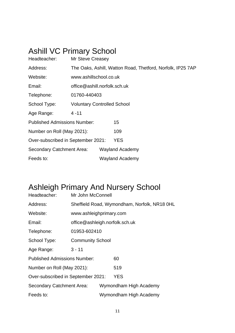## Ashill VC Primary School

| Headteacher:                        | <b>Mr Steve Creasey</b>            |  |                        |                                                            |  |
|-------------------------------------|------------------------------------|--|------------------------|------------------------------------------------------------|--|
| Address:                            |                                    |  |                        | The Oaks, Ashill, Watton Road, Thetford, Norfolk, IP25 7AP |  |
| Website:                            | www.ashillschool.co.uk             |  |                        |                                                            |  |
| Email:                              | office@ashill.norfolk.sch.uk       |  |                        |                                                            |  |
| Telephone:                          | 01760-440403                       |  |                        |                                                            |  |
| School Type:                        | <b>Voluntary Controlled School</b> |  |                        |                                                            |  |
| Age Range:                          | $4 - 11$                           |  |                        |                                                            |  |
| <b>Published Admissions Number:</b> |                                    |  | 15                     |                                                            |  |
| Number on Roll (May 2021):          |                                    |  | 109                    |                                                            |  |
| Over-subscribed in September 2021:  |                                    |  | <b>YES</b>             |                                                            |  |
| <b>Secondary Catchment Area:</b>    |                                    |  | <b>Wayland Academy</b> |                                                            |  |
| Feeds to:                           |                                    |  | <b>Wayland Academy</b> |                                                            |  |

## Ashleigh Primary And Nursery School

| Headteacher:                        | Mr John McConnell              |  |                                              |  |  |
|-------------------------------------|--------------------------------|--|----------------------------------------------|--|--|
| Address:                            |                                |  | Sheffield Road, Wymondham, Norfolk, NR18 OHL |  |  |
| Website:                            | www.ashleighprimary.com        |  |                                              |  |  |
| Email:                              | office@ashleigh.norfolk.sch.uk |  |                                              |  |  |
| Telephone:                          | 01953-602410                   |  |                                              |  |  |
| School Type:                        | <b>Community School</b>        |  |                                              |  |  |
| Age Range:                          | $3 - 11$                       |  |                                              |  |  |
| <b>Published Admissions Number:</b> |                                |  | 60                                           |  |  |
| Number on Roll (May 2021):          |                                |  | 519                                          |  |  |
| Over-subscribed in September 2021:  |                                |  | YES                                          |  |  |
| <b>Secondary Catchment Area:</b>    |                                |  | Wymondham High Academy                       |  |  |
| Feeds to:                           |                                |  | Wymondham High Academy                       |  |  |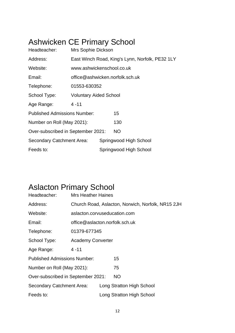### Ashwicken CE Primary School

| Headteacher:                        | Mrs Sophie Dickson            |                                 |                                                 |  |  |  |
|-------------------------------------|-------------------------------|---------------------------------|-------------------------------------------------|--|--|--|
| Address:                            |                               |                                 | East Winch Road, King's Lynn, Norfolk, PE32 1LY |  |  |  |
| Website:                            | www.ashwickenschool.co.uk     |                                 |                                                 |  |  |  |
| Email:                              |                               | office@ashwicken.norfolk.sch.uk |                                                 |  |  |  |
| Telephone:                          | 01553-630352                  |                                 |                                                 |  |  |  |
| School Type:                        | <b>Voluntary Aided School</b> |                                 |                                                 |  |  |  |
| Age Range:                          | $4 - 11$                      |                                 |                                                 |  |  |  |
| <b>Published Admissions Number:</b> |                               |                                 | 15                                              |  |  |  |
| Number on Roll (May 2021):          |                               |                                 | 130                                             |  |  |  |
| Over-subscribed in September 2021:  |                               |                                 | NO.                                             |  |  |  |
| Secondary Catchment Area:           |                               |                                 | Springwood High School                          |  |  |  |
| Feeds to:                           |                               |                                 | Springwood High School                          |  |  |  |

## Aslacton Primary School

| Headteacher:                        | <b>Mrs Heather Haines</b>                         |                                |                           |  |  |  |  |
|-------------------------------------|---------------------------------------------------|--------------------------------|---------------------------|--|--|--|--|
| Address:                            | Church Road, Aslacton, Norwich, Norfolk, NR15 2JH |                                |                           |  |  |  |  |
| Website:                            | aslacton.corvuseducation.com                      |                                |                           |  |  |  |  |
| Email:                              |                                                   | office@aslacton.norfolk.sch.uk |                           |  |  |  |  |
| Telephone:                          | 01379-677345                                      |                                |                           |  |  |  |  |
| School Type:                        | <b>Academy Converter</b>                          |                                |                           |  |  |  |  |
| Age Range:                          | $4 - 11$                                          |                                |                           |  |  |  |  |
| <b>Published Admissions Number:</b> |                                                   |                                | 15                        |  |  |  |  |
| Number on Roll (May 2021):          |                                                   |                                | 75                        |  |  |  |  |
| Over-subscribed in September 2021:  |                                                   |                                | NO.                       |  |  |  |  |
| <b>Secondary Catchment Area:</b>    |                                                   |                                | Long Stratton High School |  |  |  |  |
| Feeds to:                           |                                                   |                                | Long Stratton High School |  |  |  |  |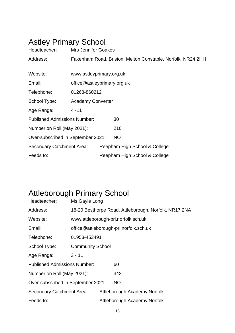## Astley Primary School

| Headteacher:                        | <b>Mrs Jennifer Goakes</b>                                  |  |                               |  |  |  |
|-------------------------------------|-------------------------------------------------------------|--|-------------------------------|--|--|--|
| Address:                            | Fakenham Road, Briston, Melton Constable, Norfolk, NR24 2HH |  |                               |  |  |  |
|                                     |                                                             |  |                               |  |  |  |
| Website:                            | www.astleyprimary.org.uk                                    |  |                               |  |  |  |
| Email:                              | office@astleyprimary.org.uk                                 |  |                               |  |  |  |
| Telephone:                          | 01263-860212                                                |  |                               |  |  |  |
| School Type:                        | <b>Academy Converter</b>                                    |  |                               |  |  |  |
| Age Range:                          | 4 - 11                                                      |  |                               |  |  |  |
| <b>Published Admissions Number:</b> |                                                             |  | 30                            |  |  |  |
| Number on Roll (May 2021):          |                                                             |  | 210                           |  |  |  |
| Over-subscribed in September 2021:  |                                                             |  | <b>NO</b>                     |  |  |  |
| Secondary Catchment Area:           |                                                             |  | Reepham High School & College |  |  |  |
| Feeds to:                           |                                                             |  | Reepham High School & College |  |  |  |

## Attleborough Primary School

| Headteacher:                        | Ms Gayle Long                                         |  |                                        |  |  |
|-------------------------------------|-------------------------------------------------------|--|----------------------------------------|--|--|
| Address:                            | 18-20 Besthorpe Road, Attleborough, Norfolk, NR17 2NA |  |                                        |  |  |
| Website:                            |                                                       |  | www.attleborough-pri.norfolk.sch.uk    |  |  |
| Email:                              |                                                       |  | office@attleborough-pri.norfolk.sch.uk |  |  |
| Telephone:                          | 01953-453491                                          |  |                                        |  |  |
| School Type:                        | <b>Community School</b>                               |  |                                        |  |  |
| Age Range:                          | $3 - 11$                                              |  |                                        |  |  |
| <b>Published Admissions Number:</b> |                                                       |  | 60                                     |  |  |
| Number on Roll (May 2021):          |                                                       |  | 343                                    |  |  |
| Over-subscribed in September 2021:  |                                                       |  | NO.                                    |  |  |
| <b>Secondary Catchment Area:</b>    |                                                       |  | Attleborough Academy Norfolk           |  |  |
| Feeds to:                           |                                                       |  | Attleborough Academy Norfolk           |  |  |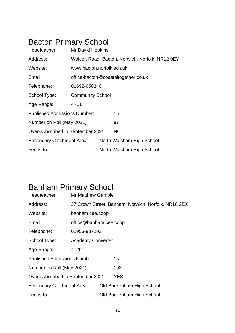## Bacton Primary School

| Headteacher:                        | Mr David Hopkins                    |  |                                                  |  |  |
|-------------------------------------|-------------------------------------|--|--------------------------------------------------|--|--|
| Address:                            |                                     |  | Walcott Road, Bacton, Norwich, Norfolk, NR12 0EY |  |  |
| Website:                            | www.bacton.norfolk.sch.uk           |  |                                                  |  |  |
| Email:                              | office-bacton@coastaltogether.co.uk |  |                                                  |  |  |
| Telephone:                          | 01692-650240                        |  |                                                  |  |  |
| School Type:                        | <b>Community School</b>             |  |                                                  |  |  |
| Age Range:                          | $4 - 11$                            |  |                                                  |  |  |
| <b>Published Admissions Number:</b> |                                     |  | 15                                               |  |  |
| Number on Roll (May 2021):          |                                     |  | 87                                               |  |  |
| Over-subscribed in September 2021:  |                                     |  | <b>NO</b>                                        |  |  |
| Secondary Catchment Area:           |                                     |  | North Walsham High School                        |  |  |
| Feeds to:                           |                                     |  | North Walsham High School                        |  |  |

## Banham Primary School

| Headteacher:                        | <b>Mr Matthew Gamble</b> |  |                                                     |  |  |
|-------------------------------------|--------------------------|--|-----------------------------------------------------|--|--|
| Address:                            |                          |  | 37 Crown Street, Banham, Norwich, Norfolk, NR16 2EX |  |  |
| Website:                            | banham.cee.coop          |  |                                                     |  |  |
| Email:                              | office@banham.cee.coop   |  |                                                     |  |  |
| Telephone:                          | 01953-887293             |  |                                                     |  |  |
| School Type:                        | <b>Academy Converter</b> |  |                                                     |  |  |
| Age Range:                          | $4 - 11$                 |  |                                                     |  |  |
| <b>Published Admissions Number:</b> |                          |  | 15                                                  |  |  |
| Number on Roll (May 2021):          |                          |  | 103                                                 |  |  |
| Over-subscribed in September 2021:  |                          |  | YES                                                 |  |  |
| Secondary Catchment Area:           |                          |  | Old Buckenham High School                           |  |  |
| Feeds to:                           |                          |  | Old Buckenham High School                           |  |  |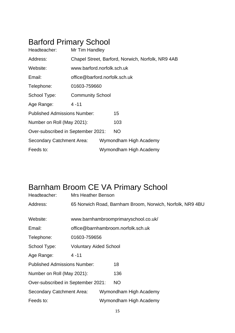## Barford Primary School

| Headteacher:                        | Mr Tim Handley                |                            |                                                   |  |  |  |
|-------------------------------------|-------------------------------|----------------------------|---------------------------------------------------|--|--|--|
| Address:                            |                               |                            | Chapel Street, Barford, Norwich, Norfolk, NR9 4AB |  |  |  |
| Website:                            |                               | www.barford.norfolk.sch.uk |                                                   |  |  |  |
| Email:                              | office@barford.norfolk.sch.uk |                            |                                                   |  |  |  |
| Telephone:                          | 01603-759660                  |                            |                                                   |  |  |  |
| School Type:                        | <b>Community School</b>       |                            |                                                   |  |  |  |
| Age Range:                          | $4 - 11$                      |                            |                                                   |  |  |  |
| <b>Published Admissions Number:</b> |                               |                            | 15                                                |  |  |  |
| Number on Roll (May 2021):          |                               |                            | 103                                               |  |  |  |
| Over-subscribed in September 2021:  |                               |                            | NO.                                               |  |  |  |
| Secondary Catchment Area:           |                               |                            | Wymondham High Academy                            |  |  |  |
| Feeds to:                           |                               |                            | Wymondham High Academy                            |  |  |  |

## Barnham Broom CE VA Primary School

| Headteacher:                        | <b>Mrs Heather Benson</b>                                 |  |                        |  |  |  |
|-------------------------------------|-----------------------------------------------------------|--|------------------------|--|--|--|
| Address:                            | 65 Norwich Road, Barnham Broom, Norwich, Norfolk, NR9 4BU |  |                        |  |  |  |
|                                     |                                                           |  |                        |  |  |  |
| Website:                            | www.barnhambroomprimaryschool.co.uk/                      |  |                        |  |  |  |
| Email:                              | office@barnhambroom.norfolk.sch.uk                        |  |                        |  |  |  |
| Telephone:                          | 01603-759656                                              |  |                        |  |  |  |
| School Type:                        | <b>Voluntary Aided School</b>                             |  |                        |  |  |  |
| Age Range:                          | $4 - 11$                                                  |  |                        |  |  |  |
| <b>Published Admissions Number:</b> |                                                           |  | 18                     |  |  |  |
| Number on Roll (May 2021):          |                                                           |  | 136                    |  |  |  |
| Over-subscribed in September 2021:  |                                                           |  | NO.                    |  |  |  |
| Secondary Catchment Area:           |                                                           |  | Wymondham High Academy |  |  |  |
| Feeds to:                           |                                                           |  | Wymondham High Academy |  |  |  |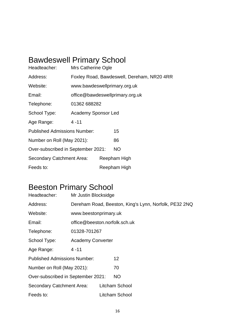## Bawdeswell Primary School

| Headteacher:                        | Mrs Catherine Ogle                         |  |              |  |  |  |
|-------------------------------------|--------------------------------------------|--|--------------|--|--|--|
| Address:                            | Foxley Road, Bawdeswell, Dereham, NR20 4RR |  |              |  |  |  |
| Website:                            | www.bawdeswellprimary.org.uk               |  |              |  |  |  |
| Email:                              | office@bawdeswellprimary.org.uk            |  |              |  |  |  |
| Telephone:                          | 01362 688282                               |  |              |  |  |  |
| School Type:                        | <b>Academy Sponsor Led</b>                 |  |              |  |  |  |
| Age Range:                          | $4 - 11$                                   |  |              |  |  |  |
| <b>Published Admissions Number:</b> |                                            |  | 15           |  |  |  |
| Number on Roll (May 2021):          |                                            |  | 86           |  |  |  |
| Over-subscribed in September 2021:  |                                            |  | <b>NO</b>    |  |  |  |
| Secondary Catchment Area:           |                                            |  | Reepham High |  |  |  |
| Feeds to:                           |                                            |  | Reepham High |  |  |  |

### Beeston Primary School

| Headteacher:                        | Mr Justin Blocksidge          |  |                                                       |  |
|-------------------------------------|-------------------------------|--|-------------------------------------------------------|--|
| Address:                            |                               |  | Dereham Road, Beeston, King's Lynn, Norfolk, PE32 2NQ |  |
| Website:                            | www.beestonprimary.uk         |  |                                                       |  |
| Email:                              | office@beeston.norfolk.sch.uk |  |                                                       |  |
| Telephone:                          | 01328-701267                  |  |                                                       |  |
| School Type:                        | <b>Academy Converter</b>      |  |                                                       |  |
| Age Range:                          | $4 - 11$                      |  |                                                       |  |
| <b>Published Admissions Number:</b> |                               |  | 12 <sup>2</sup>                                       |  |
| Number on Roll (May 2021):          |                               |  | 70                                                    |  |
| Over-subscribed in September 2021:  |                               |  | <b>NO</b>                                             |  |
| Secondary Catchment Area:           |                               |  | Litcham School                                        |  |
| Feeds to:                           |                               |  | Litcham School                                        |  |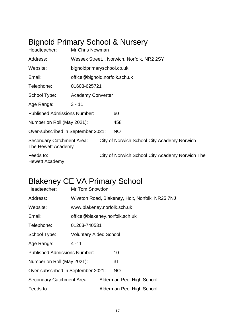## Bignold Primary School & Nursery

| Headteacher:                                    | Mr Chris Newman                            |                               |                                                 |  |  |  |  |
|-------------------------------------------------|--------------------------------------------|-------------------------------|-------------------------------------------------|--|--|--|--|
| Address:                                        | Wessex Street, , Norwich, Norfolk, NR2 2SY |                               |                                                 |  |  |  |  |
| Website:                                        |                                            | bignoldprimaryschool.co.uk    |                                                 |  |  |  |  |
| Email:                                          |                                            | office@bignold.norfolk.sch.uk |                                                 |  |  |  |  |
| Telephone:                                      | 01603-625721                               |                               |                                                 |  |  |  |  |
| School Type:                                    | <b>Academy Converter</b>                   |                               |                                                 |  |  |  |  |
| Age Range:                                      | $3 - 11$                                   |                               |                                                 |  |  |  |  |
| <b>Published Admissions Number:</b>             |                                            |                               | 60                                              |  |  |  |  |
| Number on Roll (May 2021):                      |                                            |                               | 458                                             |  |  |  |  |
| Over-subscribed in September 2021:              |                                            |                               | <b>NO</b>                                       |  |  |  |  |
| Secondary Catchment Area:<br>The Hewett Academy |                                            |                               | City of Norwich School City Academy Norwich     |  |  |  |  |
| Feeds to:<br>Hewett Academy                     |                                            |                               | City of Norwich School City Academy Norwich The |  |  |  |  |

## Blakeney CE VA Primary School

| Headteacher:                        | Mr Tom Snowdon                                  |  |                           |  |  |  |
|-------------------------------------|-------------------------------------------------|--|---------------------------|--|--|--|
| Address:                            | Wiveton Road, Blakeney, Holt, Norfolk, NR25 7NJ |  |                           |  |  |  |
| Website:                            | www.blakeney.norfolk.sch.uk                     |  |                           |  |  |  |
| Email:                              | office@blakeney.norfolk.sch.uk                  |  |                           |  |  |  |
| Telephone:                          | 01263-740531                                    |  |                           |  |  |  |
| School Type:                        | <b>Voluntary Aided School</b>                   |  |                           |  |  |  |
| Age Range:                          | $4 - 11$                                        |  |                           |  |  |  |
| <b>Published Admissions Number:</b> |                                                 |  | 10                        |  |  |  |
| Number on Roll (May 2021):          |                                                 |  | 31                        |  |  |  |
| Over-subscribed in September 2021:  |                                                 |  | <b>NO</b>                 |  |  |  |
| <b>Secondary Catchment Area:</b>    |                                                 |  | Alderman Peel High School |  |  |  |
| Feeds to:                           |                                                 |  | Alderman Peel High School |  |  |  |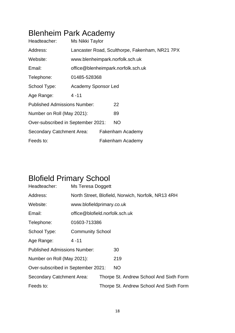## Blenheim Park Academy

| Headteacher:                        | Ms Nikki Taylor            |  |                                                |  |  |
|-------------------------------------|----------------------------|--|------------------------------------------------|--|--|
| Address:                            |                            |  | Lancaster Road, Sculthorpe, Fakenham, NR21 7PX |  |  |
| Website:                            |                            |  | www.blenheimpark.norfolk.sch.uk                |  |  |
| Email:                              |                            |  | office@blenheimpark.norfolk.sch.uk             |  |  |
| Telephone:                          | 01485-528368               |  |                                                |  |  |
| School Type:                        | <b>Academy Sponsor Led</b> |  |                                                |  |  |
| Age Range:                          | $4 - 11$                   |  |                                                |  |  |
| <b>Published Admissions Number:</b> |                            |  | 22                                             |  |  |
| Number on Roll (May 2021):          |                            |  | 89                                             |  |  |
| Over-subscribed in September 2021:  |                            |  | <b>NO</b>                                      |  |  |
| Secondary Catchment Area:           |                            |  | Fakenham Academy                               |  |  |
| Feeds to:                           |                            |  | Fakenham Academy                               |  |  |

## Blofield Primary School

| Headteacher:                        | Ms Teresa Doggett                                  |  |           |  |                                         |
|-------------------------------------|----------------------------------------------------|--|-----------|--|-----------------------------------------|
| Address:                            | North Street, Blofield, Norwich, Norfolk, NR13 4RH |  |           |  |                                         |
| Website:                            | www.blofieldprimary.co.uk                          |  |           |  |                                         |
| Email:                              | office@blofield.norfolk.sch.uk                     |  |           |  |                                         |
| Telephone:                          | 01603-713386                                       |  |           |  |                                         |
| School Type:                        | <b>Community School</b>                            |  |           |  |                                         |
| Age Range:                          | 4 - 11                                             |  |           |  |                                         |
| <b>Published Admissions Number:</b> |                                                    |  | 30        |  |                                         |
| Number on Roll (May 2021):          |                                                    |  | 219       |  |                                         |
| Over-subscribed in September 2021:  |                                                    |  | <b>NO</b> |  |                                         |
| Secondary Catchment Area:           |                                                    |  |           |  | Thorpe St. Andrew School And Sixth Form |
| Feeds to:                           |                                                    |  |           |  | Thorpe St. Andrew School And Sixth Form |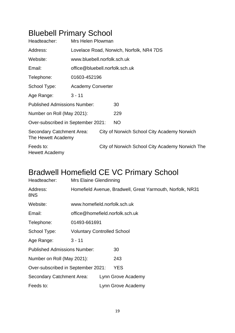## Bluebell Primary School

| Headteacher:                                    | Mrs Helen Plowman              |  |                                                 |  |  |  |
|-------------------------------------------------|--------------------------------|--|-------------------------------------------------|--|--|--|
| Address:                                        |                                |  | Lovelace Road, Norwich, Norfolk, NR4 7DS        |  |  |  |
| Website:                                        | www.bluebell.norfolk.sch.uk    |  |                                                 |  |  |  |
| Email:                                          | office@bluebell.norfolk.sch.uk |  |                                                 |  |  |  |
| Telephone:                                      | 01603-452196                   |  |                                                 |  |  |  |
| School Type:                                    | <b>Academy Converter</b>       |  |                                                 |  |  |  |
| Age Range:                                      | $3 - 11$                       |  |                                                 |  |  |  |
| <b>Published Admissions Number:</b>             |                                |  | 30                                              |  |  |  |
| Number on Roll (May 2021):                      |                                |  | 229                                             |  |  |  |
| Over-subscribed in September 2021:              |                                |  | NO                                              |  |  |  |
| Secondary Catchment Area:<br>The Hewett Academy |                                |  | City of Norwich School City Academy Norwich     |  |  |  |
| Feeds to:<br>Hewett Academy                     |                                |  | City of Norwich School City Academy Norwich The |  |  |  |

### Bradwell Homefield CE VC Primary School

| Headteacher:                        | Mrs Elaine Glendinning                                    |                                 |                    |  |  |  |
|-------------------------------------|-----------------------------------------------------------|---------------------------------|--------------------|--|--|--|
| Address:<br>8NS                     | Homefield Avenue, Bradwell, Great Yarmouth, Norfolk, NR31 |                                 |                    |  |  |  |
| Website:                            | www.homefield.norfolk.sch.uk                              |                                 |                    |  |  |  |
| Email:                              |                                                           | office@homefield.norfolk.sch.uk |                    |  |  |  |
| Telephone:                          | 01493-661691                                              |                                 |                    |  |  |  |
| School Type:                        | <b>Voluntary Controlled School</b>                        |                                 |                    |  |  |  |
| Age Range:                          | $3 - 11$                                                  |                                 |                    |  |  |  |
| <b>Published Admissions Number:</b> |                                                           |                                 | 30                 |  |  |  |
| Number on Roll (May 2021):          |                                                           |                                 | 243                |  |  |  |
| Over-subscribed in September 2021:  |                                                           |                                 | <b>YES</b>         |  |  |  |
| Secondary Catchment Area:           |                                                           |                                 | Lynn Grove Academy |  |  |  |
| Feeds to:                           |                                                           |                                 | Lynn Grove Academy |  |  |  |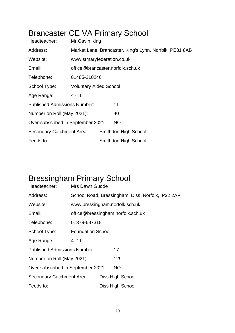## Brancaster CE VA Primary School

| Headteacher:                        | Mr Gavin King                                           |  |                                  |  |  |
|-------------------------------------|---------------------------------------------------------|--|----------------------------------|--|--|
| Address:                            | Market Lane, Brancaster, King's Lynn, Norfolk, PE31 8AB |  |                                  |  |  |
| Website:                            | www.stmaryfederation.co.uk                              |  |                                  |  |  |
| Email:                              |                                                         |  | office@brancaster.norfolk.sch.uk |  |  |
| Telephone:                          | 01485-210246                                            |  |                                  |  |  |
| School Type:                        | <b>Voluntary Aided School</b>                           |  |                                  |  |  |
| Age Range:                          | $4 - 11$                                                |  |                                  |  |  |
| <b>Published Admissions Number:</b> |                                                         |  | 11                               |  |  |
| Number on Roll (May 2021):          |                                                         |  | 40                               |  |  |
| Over-subscribed in September 2021:  |                                                         |  | NO.                              |  |  |
| <b>Secondary Catchment Area:</b>    |                                                         |  | Smithdon High School             |  |  |
| Feeds to:                           |                                                         |  | Smithdon High School             |  |  |

## Bressingham Primary School

| Headteacher:                        | Mrs Dawn Gudde           |  |                                                   |  |  |
|-------------------------------------|--------------------------|--|---------------------------------------------------|--|--|
| Address:                            |                          |  | School Road, Bressingham, Diss, Norfolk, IP22 2AR |  |  |
| Website:                            |                          |  | www.bressingham.norfolk.sch.uk                    |  |  |
| Email:                              |                          |  | office@bressingham.norfolk.sch.uk                 |  |  |
| Telephone:                          | 01379-687318             |  |                                                   |  |  |
| School Type:                        | <b>Foundation School</b> |  |                                                   |  |  |
| Age Range:                          | $4 - 11$                 |  |                                                   |  |  |
| <b>Published Admissions Number:</b> |                          |  | 17                                                |  |  |
| Number on Roll (May 2021):          |                          |  | 129                                               |  |  |
| Over-subscribed in September 2021:  |                          |  | <b>NO</b>                                         |  |  |
| <b>Secondary Catchment Area:</b>    |                          |  | Diss High School                                  |  |  |
| Feeds to:                           |                          |  | Diss High School                                  |  |  |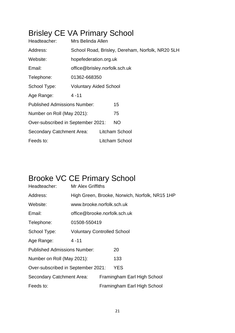## Brisley CE VA Primary School

| Headteacher:                        | Mrs Belinda Allen             |  |                                                  |  |  |
|-------------------------------------|-------------------------------|--|--------------------------------------------------|--|--|
| Address:                            |                               |  | School Road, Brisley, Dereham, Norfolk, NR20 5LH |  |  |
| Website:                            | hopefederation.org.uk         |  |                                                  |  |  |
| Email:                              | office@brisley.norfolk.sch.uk |  |                                                  |  |  |
| Telephone:                          | 01362-668350                  |  |                                                  |  |  |
| School Type:                        | <b>Voluntary Aided School</b> |  |                                                  |  |  |
| Age Range:                          | $4 - 11$                      |  |                                                  |  |  |
| <b>Published Admissions Number:</b> |                               |  | 15                                               |  |  |
| Number on Roll (May 2021):          |                               |  | 75                                               |  |  |
| Over-subscribed in September 2021:  |                               |  | <b>NO</b>                                        |  |  |
| Secondary Catchment Area:           |                               |  | Litcham School                                   |  |  |
| Feeds to:                           |                               |  | Litcham School                                   |  |  |

## Brooke VC CE Primary School

| Headteacher:                        | Mr Alex Griffiths                  |                                                |                             |  |  |  |
|-------------------------------------|------------------------------------|------------------------------------------------|-----------------------------|--|--|--|
| Address:                            |                                    | High Green, Brooke, Norwich, Norfolk, NR15 1HP |                             |  |  |  |
| Website:                            | www.brooke.norfolk.sch.uk          |                                                |                             |  |  |  |
| Email:                              |                                    | office@brooke.norfolk.sch.uk                   |                             |  |  |  |
| Telephone:                          | 01508-550419                       |                                                |                             |  |  |  |
| School Type:                        | <b>Voluntary Controlled School</b> |                                                |                             |  |  |  |
| Age Range:                          | $4 - 11$                           |                                                |                             |  |  |  |
| <b>Published Admissions Number:</b> |                                    |                                                | 20                          |  |  |  |
| Number on Roll (May 2021):          |                                    |                                                | 133                         |  |  |  |
| Over-subscribed in September 2021:  |                                    |                                                | <b>YES</b>                  |  |  |  |
| Secondary Catchment Area:           |                                    |                                                | Framingham Earl High School |  |  |  |
| Feeds to:                           |                                    |                                                | Framingham Earl High School |  |  |  |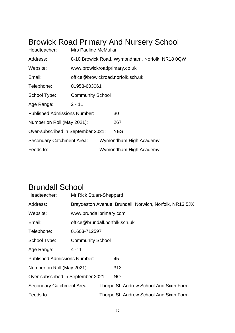## Browick Road Primary And Nursery School

| Headteacher:                        | Mrs Pauline McMullan                      |  |                                                 |  |
|-------------------------------------|-------------------------------------------|--|-------------------------------------------------|--|
| Address:                            |                                           |  | 8-10 Browick Road, Wymondham, Norfolk, NR18 0QW |  |
| Website:                            | www.browickroadprimary.co.uk              |  |                                                 |  |
| Email:                              |                                           |  | office@browickroad.norfolk.sch.uk               |  |
| Telephone:                          | 01953-603061                              |  |                                                 |  |
| School Type:                        | <b>Community School</b>                   |  |                                                 |  |
| Age Range:                          | $2 - 11$                                  |  |                                                 |  |
| <b>Published Admissions Number:</b> |                                           |  | 30                                              |  |
| Number on Roll (May 2021):          |                                           |  | 267                                             |  |
|                                     | YES<br>Over-subscribed in September 2021: |  |                                                 |  |
| Secondary Catchment Area:           | Wymondham High Academy                    |  |                                                 |  |
| Feeds to:                           |                                           |  | Wymondham High Academy                          |  |

### Brundall School

| Headteacher:                        | Mr Rick Stuart-Sheppard        |  |                                                         |  |
|-------------------------------------|--------------------------------|--|---------------------------------------------------------|--|
| Address:                            |                                |  | Braydeston Avenue, Brundall, Norwich, Norfolk, NR13 5JX |  |
| Website:                            | www.brundallprimary.com        |  |                                                         |  |
| Email:                              | office@brundall.norfolk.sch.uk |  |                                                         |  |
| Telephone:                          | 01603-712597                   |  |                                                         |  |
| School Type:                        | <b>Community School</b>        |  |                                                         |  |
| Age Range:                          | $4 - 11$                       |  |                                                         |  |
| <b>Published Admissions Number:</b> |                                |  | 45                                                      |  |
| Number on Roll (May 2021):          |                                |  | 313                                                     |  |
| Over-subscribed in September 2021:  |                                |  | <b>NO</b>                                               |  |
| Secondary Catchment Area:           |                                |  | Thorpe St. Andrew School And Sixth Form                 |  |
| Feeds to:                           |                                |  | Thorpe St. Andrew School And Sixth Form                 |  |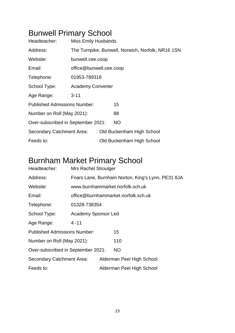## Bunwell Primary School

| Headteacher:                        | <b>Miss Emily Husbands</b>                        |  |                           |  |  |
|-------------------------------------|---------------------------------------------------|--|---------------------------|--|--|
| Address:                            | The Turnpike, Bunwell, Norwich, Norfolk, NR16 1SN |  |                           |  |  |
| Website:                            | bunwell.cee.coop                                  |  |                           |  |  |
| Email:                              | office@bunwell.cee.coop                           |  |                           |  |  |
| Telephone:                          | 01953-789318                                      |  |                           |  |  |
| School Type:                        | <b>Academy Converter</b>                          |  |                           |  |  |
| Age Range:                          | $3 - 11$                                          |  |                           |  |  |
| <b>Published Admissions Number:</b> |                                                   |  | 15                        |  |  |
| Number on Roll (May 2021):          |                                                   |  | 88                        |  |  |
| Over-subscribed in September 2021:  |                                                   |  | <b>NO</b>                 |  |  |
| Secondary Catchment Area:           |                                                   |  | Old Buckenham High School |  |  |
| Feeds to:                           |                                                   |  | Old Buckenham High School |  |  |

## Burnham Market Primary School

| Headteacher:                        | <b>Mrs Rachel Stroulger</b> |  |                                                    |  |  |
|-------------------------------------|-----------------------------|--|----------------------------------------------------|--|--|
| Address:                            |                             |  | Friars Lane, Burnham Norton, King's Lynn, PE31 8JA |  |  |
| Website:                            |                             |  | www.burnhammarket.norfolk.sch.uk                   |  |  |
| Email:                              |                             |  | office@burnhammarket.norfolk.sch.uk                |  |  |
| Telephone:                          | 01328-738354                |  |                                                    |  |  |
| School Type:                        | <b>Academy Sponsor Led</b>  |  |                                                    |  |  |
| Age Range:                          | $4 - 11$                    |  |                                                    |  |  |
| <b>Published Admissions Number:</b> |                             |  | 15                                                 |  |  |
| Number on Roll (May 2021):          |                             |  | 110                                                |  |  |
| Over-subscribed in September 2021:  |                             |  | NO.                                                |  |  |
| Secondary Catchment Area:           |                             |  | Alderman Peel High School                          |  |  |
| Feeds to:                           |                             |  | Alderman Peel High School                          |  |  |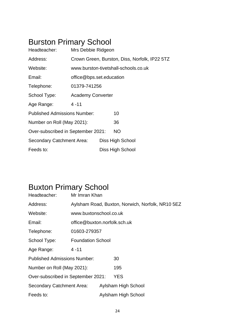## Burston Primary School

| Headteacher:                        | Mrs Debbie Ridgeon       |  |                                               |  |  |
|-------------------------------------|--------------------------|--|-----------------------------------------------|--|--|
| Address:                            |                          |  | Crown Green, Burston, Diss, Norfolk, IP22 5TZ |  |  |
| Website:                            |                          |  | www.burston-tivetshall-schools.co.uk          |  |  |
| Email:                              | office@bps.set.education |  |                                               |  |  |
| Telephone:                          | 01379-741256             |  |                                               |  |  |
| School Type:                        | <b>Academy Converter</b> |  |                                               |  |  |
| Age Range:                          | $4 - 11$                 |  |                                               |  |  |
| <b>Published Admissions Number:</b> |                          |  | 10                                            |  |  |
| Number on Roll (May 2021):          |                          |  | 36                                            |  |  |
| Over-subscribed in September 2021:  |                          |  | <b>NO</b>                                     |  |  |
| Secondary Catchment Area:           |                          |  | Diss High School                              |  |  |
| Feeds to:                           |                          |  | Diss High School                              |  |  |

## Buxton Primary School

| Headteacher:                        | Mr Imran Khan                                    |  |                     |  |
|-------------------------------------|--------------------------------------------------|--|---------------------|--|
| Address:                            | Aylsham Road, Buxton, Norwich, Norfolk, NR10 5EZ |  |                     |  |
| Website:                            | www.buxtonschool.co.uk                           |  |                     |  |
| Email:                              | office@buxton.norfolk.sch.uk                     |  |                     |  |
| Telephone:                          | 01603-279357                                     |  |                     |  |
| School Type:                        | <b>Foundation School</b>                         |  |                     |  |
| Age Range:                          | $4 - 11$                                         |  |                     |  |
| <b>Published Admissions Number:</b> |                                                  |  | 30                  |  |
| Number on Roll (May 2021):          |                                                  |  | 195                 |  |
| Over-subscribed in September 2021:  |                                                  |  | <b>YES</b>          |  |
| Secondary Catchment Area:           |                                                  |  | Aylsham High School |  |
| Feeds to:                           |                                                  |  | Aylsham High School |  |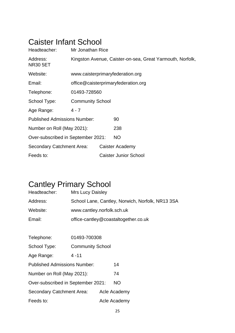#### Caister Infant School

| Headteacher:                        | Mr Jonathan Rice                                          |  |                                  |  |  |
|-------------------------------------|-----------------------------------------------------------|--|----------------------------------|--|--|
| Address:<br><b>NR30 5ET</b>         | Kingston Avenue, Caister-on-sea, Great Yarmouth, Norfolk, |  |                                  |  |  |
| Website:                            |                                                           |  | www.caisterprimaryfederation.org |  |  |
| Email:                              | office@caisterprimaryfederation.org                       |  |                                  |  |  |
| Telephone:                          | 01493-728560                                              |  |                                  |  |  |
| School Type:                        | <b>Community School</b>                                   |  |                                  |  |  |
| Age Range:                          | $4 - 7$                                                   |  |                                  |  |  |
| <b>Published Admissions Number:</b> |                                                           |  | 90                               |  |  |
| Number on Roll (May 2021):          |                                                           |  | 238                              |  |  |
| Over-subscribed in September 2021:  |                                                           |  | NO.                              |  |  |
| Secondary Catchment Area:           |                                                           |  | Caister Academy                  |  |  |
| Feeds to:                           |                                                           |  | <b>Caister Junior School</b>     |  |  |

### Cantley Primary School

| Headteacher:                        | <b>Mrs Lucy Daisley</b> |                                                  |                                      |  |  |  |
|-------------------------------------|-------------------------|--------------------------------------------------|--------------------------------------|--|--|--|
| Address:                            |                         | School Lane, Cantley, Norwich, Norfolk, NR13 3SA |                                      |  |  |  |
| Website:                            |                         | www.cantley.norfolk.sch.uk                       |                                      |  |  |  |
| Email:                              |                         |                                                  | office-cantley@coastaltogether.co.uk |  |  |  |
|                                     |                         |                                                  |                                      |  |  |  |
| Telephone:                          | 01493-700308            |                                                  |                                      |  |  |  |
| School Type:                        | <b>Community School</b> |                                                  |                                      |  |  |  |
| Age Range:                          | $4 - 11$                |                                                  |                                      |  |  |  |
| <b>Published Admissions Number:</b> |                         |                                                  | 14                                   |  |  |  |
| Number on Roll (May 2021):          |                         |                                                  | 74                                   |  |  |  |
| Over-subscribed in September 2021:  |                         |                                                  | <b>NO</b>                            |  |  |  |
| Secondary Catchment Area:           |                         |                                                  | Acle Academy                         |  |  |  |
| Feeds to:                           |                         |                                                  | Acle Academy                         |  |  |  |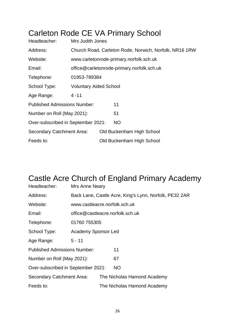## Carleton Rode CE VA Primary School

| Headteacher:                        | Mrs Judith Jones                                       |                                         |                                            |  |  |  |
|-------------------------------------|--------------------------------------------------------|-----------------------------------------|--------------------------------------------|--|--|--|
| Address:                            | Church Road, Carleton Rode, Norwich, Norfolk, NR16 1RW |                                         |                                            |  |  |  |
| Website:                            |                                                        | www.carletonrode-primary.norfolk.sch.uk |                                            |  |  |  |
| Email:                              |                                                        |                                         | office@carletonrode-primary.norfolk.sch.uk |  |  |  |
| Telephone:                          | 01953-789384                                           |                                         |                                            |  |  |  |
| School Type:                        | <b>Voluntary Aided School</b>                          |                                         |                                            |  |  |  |
| Age Range:                          | $4 - 11$                                               |                                         |                                            |  |  |  |
| <b>Published Admissions Number:</b> |                                                        |                                         | 11                                         |  |  |  |
| Number on Roll (May 2021):          |                                                        |                                         | 51                                         |  |  |  |
| Over-subscribed in September 2021:  |                                                        |                                         | NO.                                        |  |  |  |
| <b>Secondary Catchment Area:</b>    |                                                        |                                         | Old Buckenham High School                  |  |  |  |
| Feeds to:                           |                                                        |                                         | Old Buckenham High School                  |  |  |  |

## Castle Acre Church of England Primary Academy

| Headteacher:                        | Mrs Anne Neary                                         |  |                             |  |  |
|-------------------------------------|--------------------------------------------------------|--|-----------------------------|--|--|
| Address:                            | Back Lane, Castle Acre, King's Lynn, Norfolk, PE32 2AR |  |                             |  |  |
| Website:                            | www.castleacre.norfolk.sch.uk                          |  |                             |  |  |
| Email:                              | office@castleacre.norfolk.sch.uk                       |  |                             |  |  |
| Telephone:                          | 01760 755305                                           |  |                             |  |  |
| School Type:                        | Academy Sponsor Led                                    |  |                             |  |  |
| Age Range:                          | $5 - 11$                                               |  |                             |  |  |
| <b>Published Admissions Number:</b> |                                                        |  | 11                          |  |  |
| Number on Roll (May 2021):          |                                                        |  | 67                          |  |  |
| Over-subscribed in September 2021:  |                                                        |  | <b>NO</b>                   |  |  |
| <b>Secondary Catchment Area:</b>    |                                                        |  | The Nicholas Hamond Academy |  |  |
| Feeds to:                           |                                                        |  | The Nicholas Hamond Academy |  |  |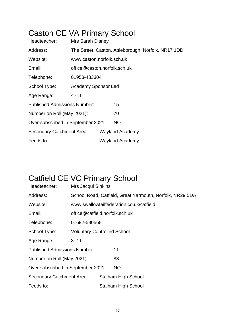## Caston CE VA Primary School

| Headteacher:                        | <b>Mrs Sarah Disney</b>                             |  |                        |  |
|-------------------------------------|-----------------------------------------------------|--|------------------------|--|
| Address:                            | The Street, Caston, Attleborough, Norfolk, NR17 1DD |  |                        |  |
| Website:                            | www.caston.norfolk.sch.uk                           |  |                        |  |
| Email:                              | office@caston.norfolk.sch.uk                        |  |                        |  |
| Telephone:                          | 01953-483304                                        |  |                        |  |
| School Type:                        | <b>Academy Sponsor Led</b>                          |  |                        |  |
| Age Range:                          | $4 - 11$                                            |  |                        |  |
| <b>Published Admissions Number:</b> |                                                     |  | 15                     |  |
| Number on Roll (May 2021):          |                                                     |  | 70                     |  |
| Over-subscribed in September 2021:  |                                                     |  | <b>NO</b>              |  |
| <b>Secondary Catchment Area:</b>    |                                                     |  | <b>Wayland Academy</b> |  |
| Feeds to:                           |                                                     |  | <b>Wayland Academy</b> |  |

## Catfield CE VC Primary School

| Headteacher:                        | <b>Mrs Jacqui Sinkins</b>          |                                                          |                            |  |  |
|-------------------------------------|------------------------------------|----------------------------------------------------------|----------------------------|--|--|
| Address:                            |                                    | School Road, Catfield, Great Yarmouth, Norfolk, NR29 5DA |                            |  |  |
| Website:                            |                                    | www.swallowtailfederation.co.uk/catfield                 |                            |  |  |
| Email:                              | office@catfield.norfolk.sch.uk     |                                                          |                            |  |  |
| Telephone:                          | 01692-580568                       |                                                          |                            |  |  |
| School Type:                        | <b>Voluntary Controlled School</b> |                                                          |                            |  |  |
| Age Range:                          | $3 - 11$                           |                                                          |                            |  |  |
| <b>Published Admissions Number:</b> |                                    |                                                          | 11                         |  |  |
| Number on Roll (May 2021):          |                                    |                                                          | 88                         |  |  |
| Over-subscribed in September 2021:  |                                    |                                                          | <b>NO</b>                  |  |  |
| Secondary Catchment Area:           |                                    |                                                          | <b>Stalham High School</b> |  |  |
| Feeds to:                           |                                    |                                                          | <b>Stalham High School</b> |  |  |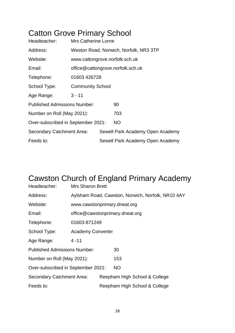## Catton Grove Primary School

| Headteacher:                        | <b>Mrs Catherine Lorne</b>             |  |                                  |  |  |
|-------------------------------------|----------------------------------------|--|----------------------------------|--|--|
| Address:                            | Weston Road, Norwich, Norfolk, NR3 3TP |  |                                  |  |  |
| Website:                            | www.cattongrove.norfolk.sch.uk         |  |                                  |  |  |
| Email:                              | office@cattongrove.norfolk.sch.uk      |  |                                  |  |  |
| Telephone:                          | 01603 426728                           |  |                                  |  |  |
| School Type:                        | <b>Community School</b>                |  |                                  |  |  |
| Age Range:                          | $3 - 11$                               |  |                                  |  |  |
| <b>Published Admissions Number:</b> |                                        |  | 90                               |  |  |
| Number on Roll (May 2021):          |                                        |  | 703                              |  |  |
| Over-subscribed in September 2021:  |                                        |  | <b>NO</b>                        |  |  |
| Secondary Catchment Area:           |                                        |  | Sewell Park Academy Open Academy |  |  |
| Feeds to:                           |                                        |  | Sewell Park Academy Open Academy |  |  |

## Cawston Church of England Primary Academy

| Headteacher:                        | <b>Mrs Sharon Brett</b>                           |  |                                 |  |  |
|-------------------------------------|---------------------------------------------------|--|---------------------------------|--|--|
| Address:                            | Aylsham Road, Cawston, Norwich, Norfolk, NR10 4AY |  |                                 |  |  |
| Website:                            | www.cawstonprimary.dneat.org                      |  |                                 |  |  |
| Email:                              |                                                   |  | office@cawstonprimary.dneat.org |  |  |
| Telephone:                          | 01603-871249                                      |  |                                 |  |  |
| School Type:                        | <b>Academy Converter</b>                          |  |                                 |  |  |
| Age Range:                          | $4 - 11$                                          |  |                                 |  |  |
| <b>Published Admissions Number:</b> |                                                   |  | 30                              |  |  |
| Number on Roll (May 2021):          |                                                   |  | 153                             |  |  |
| Over-subscribed in September 2021:  |                                                   |  | NO.                             |  |  |
| <b>Secondary Catchment Area:</b>    |                                                   |  | Reepham High School & College   |  |  |
| Feeds to:                           |                                                   |  | Reepham High School & College   |  |  |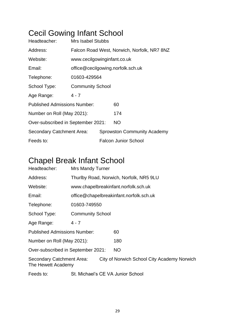## Cecil Gowing Infant School

| Headteacher:                        | Mrs Isabel Stubbs                           |  |                                    |  |  |
|-------------------------------------|---------------------------------------------|--|------------------------------------|--|--|
| Address:                            | Falcon Road West, Norwich, Norfolk, NR7 8NZ |  |                                    |  |  |
| Website:                            | www.cecilgowinginfant.co.uk                 |  |                                    |  |  |
| Email:                              | office@cecilgowing.norfolk.sch.uk           |  |                                    |  |  |
| Telephone:                          | 01603-429564                                |  |                                    |  |  |
| School Type:                        | <b>Community School</b>                     |  |                                    |  |  |
| Age Range:                          | 4 - 7                                       |  |                                    |  |  |
| <b>Published Admissions Number:</b> |                                             |  | 60                                 |  |  |
| Number on Roll (May 2021):          |                                             |  | 174                                |  |  |
| Over-subscribed in September 2021:  |                                             |  | <b>NO</b>                          |  |  |
| Secondary Catchment Area:           |                                             |  | <b>Sprowston Community Academy</b> |  |  |
| Feeds to:                           |                                             |  | <b>Falcon Junior School</b>        |  |  |

## Chapel Break Infant School

| Headteacher:                                    | Mrs Mandy Turner                        |                                         |                                             |  |  |  |
|-------------------------------------------------|-----------------------------------------|-----------------------------------------|---------------------------------------------|--|--|--|
| Address:                                        | Thurlby Road, Norwich, Norfolk, NR5 9LU |                                         |                                             |  |  |  |
| Website:                                        |                                         | www.chapelbreakinfant.norfolk.sch.uk    |                                             |  |  |  |
| Email:                                          |                                         | office@chapelbreakinfant.norfolk.sch.uk |                                             |  |  |  |
| Telephone:                                      | 01603-749550                            |                                         |                                             |  |  |  |
| School Type:                                    | <b>Community School</b>                 |                                         |                                             |  |  |  |
| Age Range:                                      | $4 - 7$                                 |                                         |                                             |  |  |  |
| <b>Published Admissions Number:</b>             |                                         |                                         | 60                                          |  |  |  |
| Number on Roll (May 2021):                      |                                         |                                         | 180                                         |  |  |  |
| Over-subscribed in September 2021:              |                                         |                                         | <b>NO</b>                                   |  |  |  |
| Secondary Catchment Area:<br>The Hewett Academy |                                         |                                         | City of Norwich School City Academy Norwich |  |  |  |
| Feeds to:                                       | St. Michael's CE VA Junior School       |                                         |                                             |  |  |  |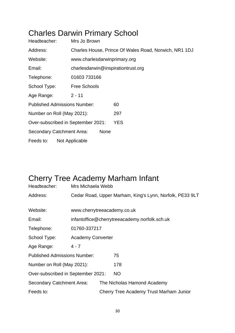## Charles Darwin Primary School

| Headteacher:                        | Mrs Jo Brown                       |                                                       |  |  |  |
|-------------------------------------|------------------------------------|-------------------------------------------------------|--|--|--|
| Address:                            |                                    | Charles House, Prince Of Wales Road, Norwich, NR1 1DJ |  |  |  |
| Website:                            | www.charlesdarwinprimary.org       |                                                       |  |  |  |
| Email:                              | charlesdarwin@inspirationtrust.org |                                                       |  |  |  |
| Telephone:                          | 01603733166                        |                                                       |  |  |  |
| School Type:                        | <b>Free Schools</b>                |                                                       |  |  |  |
| Age Range:                          | $2 - 11$                           |                                                       |  |  |  |
| <b>Published Admissions Number:</b> |                                    | 60                                                    |  |  |  |
| Number on Roll (May 2021):          |                                    | 297                                                   |  |  |  |
| Over-subscribed in September 2021:  |                                    | <b>YES</b>                                            |  |  |  |
| <b>Secondary Catchment Area:</b>    | <b>None</b>                        |                                                       |  |  |  |
| Feeds to:                           | Not Applicable                     |                                                       |  |  |  |

## Cherry Tree Academy Marham Infant

| Headteacher:                        | Mrs Michaela Webb                                        |  |                                               |  |  |
|-------------------------------------|----------------------------------------------------------|--|-----------------------------------------------|--|--|
| Address:                            | Cedar Road, Upper Marham, King's Lynn, Norfolk, PE33 9LT |  |                                               |  |  |
|                                     |                                                          |  |                                               |  |  |
| Website:                            | www.cherrytreeacademy.co.uk                              |  |                                               |  |  |
| Email:                              |                                                          |  | infantoffice@cherrytreeacademy.norfolk.sch.uk |  |  |
| Telephone:                          | 01760-337217                                             |  |                                               |  |  |
| School Type:                        | <b>Academy Converter</b>                                 |  |                                               |  |  |
| Age Range:                          | $4 - 7$                                                  |  |                                               |  |  |
| <b>Published Admissions Number:</b> |                                                          |  | 75                                            |  |  |
| Number on Roll (May 2021):          |                                                          |  | 178                                           |  |  |
| Over-subscribed in September 2021:  |                                                          |  | NO.                                           |  |  |
| Secondary Catchment Area:           |                                                          |  | The Nicholas Hamond Academy                   |  |  |
| Feeds to:                           |                                                          |  | Cherry Tree Academy Trust Marham Junior       |  |  |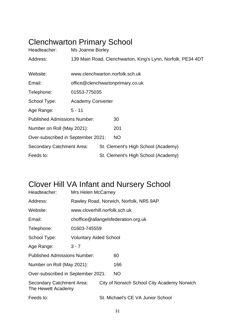## Clenchwarton Primary School

| Headteacher:                        | Ms Joanne Borley                                            |  |                                     |  |  |
|-------------------------------------|-------------------------------------------------------------|--|-------------------------------------|--|--|
| Address:                            | 139 Main Road, Clenchwarton, King's Lynn, Norfolk, PE34 4DT |  |                                     |  |  |
|                                     |                                                             |  |                                     |  |  |
| Website:                            |                                                             |  | www.clenchwarton.norfolk.sch.uk     |  |  |
| Email:                              |                                                             |  | office@clenchwartonprimary.co.uk    |  |  |
| Telephone:                          | 01553-775035                                                |  |                                     |  |  |
| School Type:                        | <b>Academy Converter</b>                                    |  |                                     |  |  |
| Age Range:                          | $5 - 11$                                                    |  |                                     |  |  |
| <b>Published Admissions Number:</b> |                                                             |  | 30                                  |  |  |
| Number on Roll (May 2021):          |                                                             |  | 201                                 |  |  |
| Over-subscribed in September 2021:  |                                                             |  | <b>NO</b>                           |  |  |
| Secondary Catchment Area:           |                                                             |  | St. Clement's High School (Academy) |  |  |
| Feeds to:                           |                                                             |  | St. Clement's High School (Academy) |  |  |

## Clover Hill VA Infant and Nursery School

| Headteacher:                                    | Mrs Helen McCarney                     |  |                                             |  |  |
|-------------------------------------------------|----------------------------------------|--|---------------------------------------------|--|--|
| Address:                                        | Rawley Road, Norwich, Norfolk, NR5 9AP |  |                                             |  |  |
| Website:                                        | www.cloverhill.norfolk.sch.uk          |  |                                             |  |  |
| Email:                                          |                                        |  | choffice@allangelsfederation.org.uk         |  |  |
| Telephone:                                      | 01603-745559                           |  |                                             |  |  |
| School Type:                                    | <b>Voluntary Aided School</b>          |  |                                             |  |  |
| Age Range:                                      | $3 - 7$                                |  |                                             |  |  |
| <b>Published Admissions Number:</b>             |                                        |  | 60                                          |  |  |
| Number on Roll (May 2021):                      |                                        |  | 166                                         |  |  |
| Over-subscribed in September 2021:              |                                        |  | <b>NO</b>                                   |  |  |
| Secondary Catchment Area:<br>The Hewett Academy |                                        |  | City of Norwich School City Academy Norwich |  |  |
| Feeds to:                                       |                                        |  | St. Michael's CE VA Junior School           |  |  |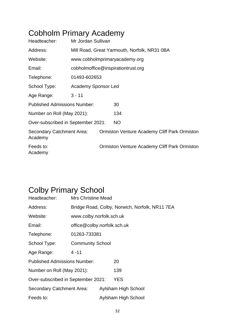## Cobholm Primary Academy

| Headteacher:                         | Mr Jordan Sullivan         |  |                                                     |  |
|--------------------------------------|----------------------------|--|-----------------------------------------------------|--|
| Address:                             |                            |  | Mill Road, Great Yarmouth, Norfolk, NR31 0BA        |  |
| Website:                             |                            |  | www.cobholmprimaryacademy.org                       |  |
| Email:                               |                            |  | cobholmoffice@inspirationtrust.org                  |  |
| Telephone:                           | 01493-602653               |  |                                                     |  |
| School Type:                         | <b>Academy Sponsor Led</b> |  |                                                     |  |
| Age Range:                           | $3 - 11$                   |  |                                                     |  |
| <b>Published Admissions Number:</b>  |                            |  | 30                                                  |  |
| Number on Roll (May 2021):           |                            |  | 134                                                 |  |
| Over-subscribed in September 2021:   |                            |  | NO                                                  |  |
| Secondary Catchment Area:<br>Academy |                            |  | <b>Ormiston Venture Academy Cliff Park Ormiston</b> |  |
| Feeds to:<br>Academy                 |                            |  | <b>Ormiston Venture Academy Cliff Park Ormiston</b> |  |

## Colby Primary School

| Headteacher:                        | <b>Mrs Christine Mead</b>                      |  |                     |  |  |
|-------------------------------------|------------------------------------------------|--|---------------------|--|--|
| Address:                            | Bridge Road, Colby, Norwich, Norfolk, NR11 7EA |  |                     |  |  |
| Website:                            | www.colby.norfolk.sch.uk                       |  |                     |  |  |
| Email:                              | office@colby.norfolk.sch.uk                    |  |                     |  |  |
| Telephone:                          | 01263-733381                                   |  |                     |  |  |
| School Type:                        | <b>Community School</b>                        |  |                     |  |  |
| Age Range:                          | $4 - 11$                                       |  |                     |  |  |
| <b>Published Admissions Number:</b> |                                                |  | 20                  |  |  |
| Number on Roll (May 2021):          |                                                |  | 139                 |  |  |
| Over-subscribed in September 2021:  |                                                |  | <b>YES</b>          |  |  |
| Secondary Catchment Area:           |                                                |  | Aylsham High School |  |  |
| Feeds to:                           |                                                |  | Aylsham High School |  |  |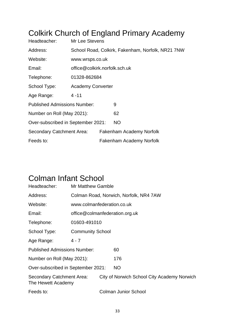## Colkirk Church of England Primary Academy

| Headteacher:                        | Mr Lee Stevens                                    |                                 |                          |  |  |  |
|-------------------------------------|---------------------------------------------------|---------------------------------|--------------------------|--|--|--|
| Address:                            | School Road, Colkirk, Fakenham, Norfolk, NR21 7NW |                                 |                          |  |  |  |
| Website:                            | www.wrsps.co.uk                                   |                                 |                          |  |  |  |
| Email:                              | office@colkirk.norfolk.sch.uk                     |                                 |                          |  |  |  |
| Telephone:                          |                                                   | 01328-862684                    |                          |  |  |  |
| School Type:                        | <b>Academy Converter</b>                          |                                 |                          |  |  |  |
| Age Range:                          | $4 - 11$                                          |                                 |                          |  |  |  |
| <b>Published Admissions Number:</b> |                                                   |                                 | 9                        |  |  |  |
| Number on Roll (May 2021):          |                                                   |                                 | 62                       |  |  |  |
| Over-subscribed in September 2021:  |                                                   |                                 | <b>NO</b>                |  |  |  |
| <b>Secondary Catchment Area:</b>    |                                                   | <b>Fakenham Academy Norfolk</b> |                          |  |  |  |
| Feeds to:                           |                                                   |                                 | Fakenham Academy Norfolk |  |  |  |

### Colman Infant School

| Headteacher:                                    | <b>Mr Matthew Gamble</b>               |  |                                             |  |  |
|-------------------------------------------------|----------------------------------------|--|---------------------------------------------|--|--|
| Address:                                        | Colman Road, Norwich, Norfolk, NR4 7AW |  |                                             |  |  |
| Website:                                        | www.colmanfederation.co.uk             |  |                                             |  |  |
| Email:                                          | office@colmanfederation.org.uk         |  |                                             |  |  |
| Telephone:                                      | 01603-491010                           |  |                                             |  |  |
| School Type:                                    | <b>Community School</b>                |  |                                             |  |  |
| Age Range:                                      | 4 - 7                                  |  |                                             |  |  |
| <b>Published Admissions Number:</b>             |                                        |  | 60                                          |  |  |
| Number on Roll (May 2021):                      |                                        |  | 176                                         |  |  |
| Over-subscribed in September 2021:              |                                        |  | <b>NO</b>                                   |  |  |
| Secondary Catchment Area:<br>The Hewett Academy |                                        |  | City of Norwich School City Academy Norwich |  |  |
| Feeds to:                                       |                                        |  | <b>Colman Junior School</b>                 |  |  |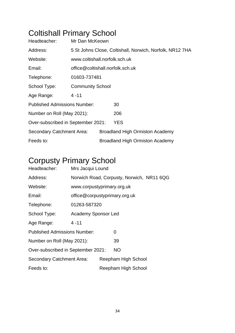## Coltishall Primary School

| Headteacher:                        | Mr Dan McKeown                                           |  |                                        |  |  |
|-------------------------------------|----------------------------------------------------------|--|----------------------------------------|--|--|
| Address:                            | 5 St Johns Close, Coltishall, Norwich, Norfolk, NR12 7HA |  |                                        |  |  |
| Website:                            | www.coltishall.norfolk.sch.uk                            |  |                                        |  |  |
| Email:                              | office@coltishall.norfolk.sch.uk                         |  |                                        |  |  |
| Telephone:                          | 01603-737481                                             |  |                                        |  |  |
| School Type:                        | <b>Community School</b>                                  |  |                                        |  |  |
| Age Range:                          | 4 - 11                                                   |  |                                        |  |  |
| <b>Published Admissions Number:</b> |                                                          |  | 30                                     |  |  |
| Number on Roll (May 2021):          |                                                          |  | 206                                    |  |  |
| Over-subscribed in September 2021:  |                                                          |  | <b>YES</b>                             |  |  |
| Secondary Catchment Area:           |                                                          |  | <b>Broadland High Ormiston Academy</b> |  |  |
| Feeds to:                           |                                                          |  | <b>Broadland High Ormiston Academy</b> |  |  |

## Corpusty Primary School

| Headteacher:                        | Mrs Jacqui Lound                          |                            |                     |                     |  |  |
|-------------------------------------|-------------------------------------------|----------------------------|---------------------|---------------------|--|--|
| Address:                            | Norwich Road, Corpusty, Norwich, NR11 6QG |                            |                     |                     |  |  |
| Website:                            |                                           | www.corpustyprimary.org.uk |                     |                     |  |  |
| Email:                              | office@corpustyprimary.org.uk             |                            |                     |                     |  |  |
| Telephone:                          | 01263-587320                              |                            |                     |                     |  |  |
| School Type:                        | <b>Academy Sponsor Led</b>                |                            |                     |                     |  |  |
| Age Range:                          | $4 - 11$                                  |                            |                     |                     |  |  |
| <b>Published Admissions Number:</b> |                                           | 0                          |                     |                     |  |  |
| Number on Roll (May 2021):          |                                           | 39                         |                     |                     |  |  |
| Over-subscribed in September 2021:  |                                           | <b>NO</b>                  |                     |                     |  |  |
| Secondary Catchment Area:           |                                           |                            | Reepham High School |                     |  |  |
| Feeds to:                           |                                           |                            |                     | Reepham High School |  |  |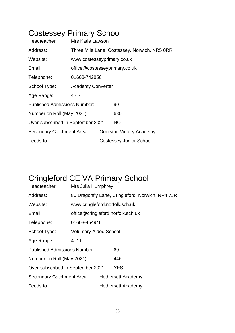## Costessey Primary School

| Headteacher:                        | Mrs Katie Lawson                             |  |                                 |  |  |
|-------------------------------------|----------------------------------------------|--|---------------------------------|--|--|
| Address:                            | Three Mile Lane, Costessey, Norwich, NR5 0RR |  |                                 |  |  |
| Website:                            | www.costesseyprimary.co.uk                   |  |                                 |  |  |
| Email:                              | office@costesseyprimary.co.uk                |  |                                 |  |  |
| Telephone:                          | 01603-742856                                 |  |                                 |  |  |
| School Type:                        | <b>Academy Converter</b>                     |  |                                 |  |  |
| Age Range:                          | $4 - 7$                                      |  |                                 |  |  |
| <b>Published Admissions Number:</b> |                                              |  | 90                              |  |  |
| Number on Roll (May 2021):          |                                              |  | 630                             |  |  |
| Over-subscribed in September 2021:  |                                              |  | NO.                             |  |  |
| Secondary Catchment Area:           |                                              |  | <b>Ormiston Victory Academy</b> |  |  |
| Feeds to:                           |                                              |  | <b>Costessey Junior School</b>  |  |  |

## Cringleford CE VA Primary School

| Headteacher:                        | Mrs Julia Humphrey                               |                    |                                   |  |  |
|-------------------------------------|--------------------------------------------------|--------------------|-----------------------------------|--|--|
| Address:                            | 80 Dragonfly Lane, Cringleford, Norwich, NR4 7JR |                    |                                   |  |  |
| Website:                            | www.cringleford.norfolk.sch.uk                   |                    |                                   |  |  |
| Email:                              |                                                  |                    | office@cringleford.norfolk.sch.uk |  |  |
| Telephone:                          | 01603-454946                                     |                    |                                   |  |  |
| School Type:                        | <b>Voluntary Aided School</b>                    |                    |                                   |  |  |
| Age Range:                          | $4 - 11$                                         |                    |                                   |  |  |
| <b>Published Admissions Number:</b> |                                                  |                    | 60                                |  |  |
| Number on Roll (May 2021):          |                                                  |                    | 446                               |  |  |
| Over-subscribed in September 2021:  |                                                  |                    | <b>YES</b>                        |  |  |
| <b>Secondary Catchment Area:</b>    |                                                  |                    | <b>Hethersett Academy</b>         |  |  |
| Feeds to:                           |                                                  | Hethersett Academy |                                   |  |  |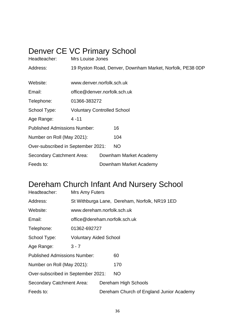### Denver CE VC Primary School

| Headteacher:                        | Mrs Louise Jones                                          |  |                        |  |  |
|-------------------------------------|-----------------------------------------------------------|--|------------------------|--|--|
| Address:                            | 19 Ryston Road, Denver, Downham Market, Norfolk, PE38 0DP |  |                        |  |  |
|                                     |                                                           |  |                        |  |  |
| Website:                            | www.denver.norfolk.sch.uk                                 |  |                        |  |  |
| Email:                              | office@denver.norfolk.sch.uk                              |  |                        |  |  |
| Telephone:                          | 01366-383272                                              |  |                        |  |  |
| School Type:                        | <b>Voluntary Controlled School</b>                        |  |                        |  |  |
| Age Range:                          | $4 - 11$                                                  |  |                        |  |  |
| <b>Published Admissions Number:</b> |                                                           |  | 16                     |  |  |
| Number on Roll (May 2021):          |                                                           |  | 104                    |  |  |
| Over-subscribed in September 2021:  |                                                           |  | NO                     |  |  |
| Secondary Catchment Area:           |                                                           |  | Downham Market Academy |  |  |
| Feeds to:                           |                                                           |  | Downham Market Academy |  |  |

## Dereham Church Infant And Nursery School

| Headteacher:                        | Mrs Amy Futers                |                      |                                               |  |  |
|-------------------------------------|-------------------------------|----------------------|-----------------------------------------------|--|--|
| Address:                            |                               |                      | St Withburga Lane, Dereham, Norfolk, NR19 1ED |  |  |
| Website:                            | www.dereham.norfolk.sch.uk    |                      |                                               |  |  |
| Email:                              | office@dereham.norfolk.sch.uk |                      |                                               |  |  |
| Telephone:                          | 01362-692727                  |                      |                                               |  |  |
| School Type:                        | <b>Voluntary Aided School</b> |                      |                                               |  |  |
| Age Range:                          | $3 - 7$                       |                      |                                               |  |  |
| <b>Published Admissions Number:</b> |                               |                      | 60                                            |  |  |
| Number on Roll (May 2021):          |                               |                      | 170                                           |  |  |
| Over-subscribed in September 2021:  |                               |                      | <b>NO</b>                                     |  |  |
| Secondary Catchment Area:           |                               | Dereham High Schools |                                               |  |  |
| Feeds to:                           |                               |                      | Dereham Church of England Junior Academy      |  |  |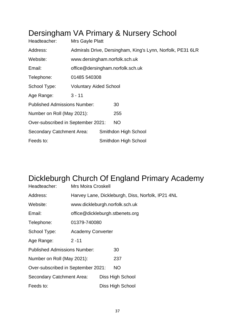#### Dersingham VA Primary & Nursery School

| Headteacher:                        | Mrs Gayle Platt                                            |                                  |                      |  |  |  |
|-------------------------------------|------------------------------------------------------------|----------------------------------|----------------------|--|--|--|
| Address:                            | Admirals Drive, Dersingham, King's Lynn, Norfolk, PE31 6LR |                                  |                      |  |  |  |
| Website:                            |                                                            | www.dersingham.norfolk.sch.uk    |                      |  |  |  |
| Email:                              |                                                            | office@dersingham.norfolk.sch.uk |                      |  |  |  |
| Telephone:                          | 01485 540308                                               |                                  |                      |  |  |  |
| School Type:                        | <b>Voluntary Aided School</b>                              |                                  |                      |  |  |  |
| Age Range:                          | $3 - 11$                                                   |                                  |                      |  |  |  |
| <b>Published Admissions Number:</b> |                                                            |                                  | 30                   |  |  |  |
| Number on Roll (May 2021):          |                                                            |                                  | 255                  |  |  |  |
| Over-subscribed in September 2021:  |                                                            |                                  | NO.                  |  |  |  |
| Secondary Catchment Area:           |                                                            |                                  | Smithdon High School |  |  |  |
| Feeds to:                           |                                                            |                                  | Smithdon High School |  |  |  |

## Dickleburgh Church Of England Primary Academy

| Headteacher:                        | <b>Mrs Moira Croskell</b>                         |                                 |                  |  |  |  |
|-------------------------------------|---------------------------------------------------|---------------------------------|------------------|--|--|--|
| Address:                            | Harvey Lane, Dickleburgh, Diss, Norfolk, IP21 4NL |                                 |                  |  |  |  |
| Website:                            | www.dickleburgh.norfolk.sch.uk                    |                                 |                  |  |  |  |
| Email:                              |                                                   | office@dickleburgh.stbenets.org |                  |  |  |  |
| Telephone:                          | 01379-740080                                      |                                 |                  |  |  |  |
| School Type:                        | <b>Academy Converter</b>                          |                                 |                  |  |  |  |
| Age Range:                          | $2 - 11$                                          |                                 |                  |  |  |  |
| <b>Published Admissions Number:</b> |                                                   |                                 | 30               |  |  |  |
| Number on Roll (May 2021):          |                                                   |                                 | 237              |  |  |  |
| Over-subscribed in September 2021:  |                                                   |                                 | NO.              |  |  |  |
| <b>Secondary Catchment Area:</b>    |                                                   |                                 | Diss High School |  |  |  |
| Feeds to:                           |                                                   |                                 | Diss High School |  |  |  |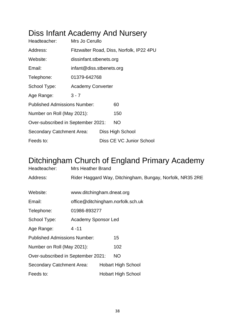#### Diss Infant Academy And Nursery

| Headteacher:                                    | Mrs Jo Cerullo                           |  |                          |  |  |
|-------------------------------------------------|------------------------------------------|--|--------------------------|--|--|
| Address:                                        | Fitzwalter Road, Diss, Norfolk, IP22 4PU |  |                          |  |  |
| Website:                                        | dissinfant.stbenets.org                  |  |                          |  |  |
| Email:                                          | infant@diss.stbenets.org                 |  |                          |  |  |
| Telephone:                                      | 01379-642768                             |  |                          |  |  |
| School Type:                                    | <b>Academy Converter</b>                 |  |                          |  |  |
| Age Range:                                      | $3 - 7$                                  |  |                          |  |  |
| <b>Published Admissions Number:</b>             |                                          |  | 60                       |  |  |
| Number on Roll (May 2021):                      |                                          |  | 150                      |  |  |
| <b>NO</b><br>Over-subscribed in September 2021: |                                          |  |                          |  |  |
| Secondary Catchment Area:                       |                                          |  | Diss High School         |  |  |
| Feeds to:                                       |                                          |  | Diss CE VC Junior School |  |  |

#### Ditchingham Church of England Primary Academy

| Headteacher:                        | <b>Mrs Heather Brand</b>                                  |                                   |                           |  |  |
|-------------------------------------|-----------------------------------------------------------|-----------------------------------|---------------------------|--|--|
| Address:                            | Rider Haggard Way, Ditchingham, Bungay, Norfolk, NR35 2RE |                                   |                           |  |  |
|                                     |                                                           |                                   |                           |  |  |
| Website:                            | www.ditchingham.dneat.org                                 |                                   |                           |  |  |
| Email:                              |                                                           | office@ditchingham.norfolk.sch.uk |                           |  |  |
| Telephone:                          | 01986-893277                                              |                                   |                           |  |  |
| School Type:                        | <b>Academy Sponsor Led</b>                                |                                   |                           |  |  |
| Age Range:                          | $4 - 11$                                                  |                                   |                           |  |  |
| <b>Published Admissions Number:</b> |                                                           |                                   | 15                        |  |  |
| Number on Roll (May 2021):          |                                                           |                                   | 102                       |  |  |
| Over-subscribed in September 2021:  |                                                           |                                   | <b>NO</b>                 |  |  |
| <b>Secondary Catchment Area:</b>    |                                                           |                                   | <b>Hobart High School</b> |  |  |
| Feeds to:                           |                                                           |                                   | <b>Hobart High School</b> |  |  |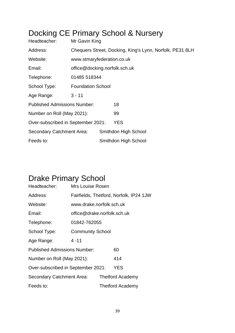## Docking CE Primary School & Nursery

| Headteacher:                        | Mr Gavin King                                            |  |                      |  |  |
|-------------------------------------|----------------------------------------------------------|--|----------------------|--|--|
| Address:                            | Chequers Street, Docking, King's Lynn, Norfolk, PE31 8LH |  |                      |  |  |
| Website:                            | www.stmaryfederation.co.uk                               |  |                      |  |  |
| Email:                              | office@docking.norfolk.sch.uk                            |  |                      |  |  |
| Telephone:                          | 01485 518344                                             |  |                      |  |  |
| School Type:                        | <b>Foundation School</b>                                 |  |                      |  |  |
| Age Range:                          | $3 - 11$                                                 |  |                      |  |  |
| <b>Published Admissions Number:</b> |                                                          |  | 18                   |  |  |
| Number on Roll (May 2021):          |                                                          |  | 99                   |  |  |
| Over-subscribed in September 2021:  |                                                          |  | <b>YES</b>           |  |  |
| <b>Secondary Catchment Area:</b>    |                                                          |  | Smithdon High School |  |  |
| Feeds to:                           |                                                          |  | Smithdon High School |  |  |

# Drake Primary School

| Headteacher:                        | Mrs Louise Rosen                        |                             |                         |  |  |
|-------------------------------------|-----------------------------------------|-----------------------------|-------------------------|--|--|
| Address:                            | Fairfields, Thetford, Norfolk, IP24 1JW |                             |                         |  |  |
| Website:                            | www.drake.norfolk.sch.uk                |                             |                         |  |  |
| Email:                              |                                         | office@drake.norfolk.sch.uk |                         |  |  |
| Telephone:                          | 01842-762055                            |                             |                         |  |  |
| School Type:                        | <b>Community School</b>                 |                             |                         |  |  |
| Age Range:                          | $4 - 11$                                |                             |                         |  |  |
| <b>Published Admissions Number:</b> |                                         | 60                          |                         |  |  |
| Number on Roll (May 2021):          |                                         |                             | 414                     |  |  |
| Over-subscribed in September 2021:  |                                         | YES                         |                         |  |  |
| Secondary Catchment Area:           |                                         |                             | <b>Thetford Academy</b> |  |  |
| Feeds to:                           |                                         |                             | Thetford Academy        |  |  |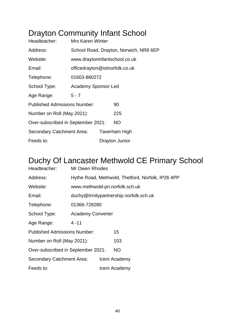## Drayton Community Infant School

| Headteacher:                        | <b>Mrs Karen Winter</b>                |  |                      |  |
|-------------------------------------|----------------------------------------|--|----------------------|--|
| Address:                            | School Road, Drayton, Norwich, NR8 6EP |  |                      |  |
| Website:                            | www.draytoninfantschool.co.uk          |  |                      |  |
| Email:                              | officedrayton@istnorfolk.co.uk         |  |                      |  |
| Telephone:                          | 01603-860272                           |  |                      |  |
| School Type:                        | <b>Academy Sponsor Led</b>             |  |                      |  |
| Age Range:                          | $5 - 7$                                |  |                      |  |
| <b>Published Admissions Number:</b> |                                        |  | 90                   |  |
| Number on Roll (May 2021):          |                                        |  | 225                  |  |
| Over-subscribed in September 2021:  |                                        |  | NO.                  |  |
| Secondary Catchment Area:           |                                        |  | <b>Taverham High</b> |  |
| Feeds to:                           |                                        |  | Drayton Junior       |  |

#### Duchy Of Lancaster Methwold CE Primary School

| Headteacher:                              | Mr Owen Rhodes           |  |                                                   |  |  |
|-------------------------------------------|--------------------------|--|---------------------------------------------------|--|--|
| Address:                                  |                          |  | Hythe Road, Methwold, Thetford, Norfolk, IP26 4PP |  |  |
| Website:                                  |                          |  | www.methwold-pri.norfolk.sch.uk                   |  |  |
| Email:                                    |                          |  | duchy@trinitypartnership.norfolk.sch.uk           |  |  |
| Telephone:                                | 01366-728280             |  |                                                   |  |  |
| School Type:                              | <b>Academy Converter</b> |  |                                                   |  |  |
| Age Range:                                | $4 - 11$                 |  |                                                   |  |  |
| <b>Published Admissions Number:</b><br>15 |                          |  |                                                   |  |  |
| Number on Roll (May 2021):                |                          |  | 103                                               |  |  |
| Over-subscribed in September 2021:        |                          |  | <b>NO</b>                                         |  |  |
| <b>Secondary Catchment Area:</b>          |                          |  | Iceni Academy                                     |  |  |
| Feeds to:                                 |                          |  | Iceni Academy                                     |  |  |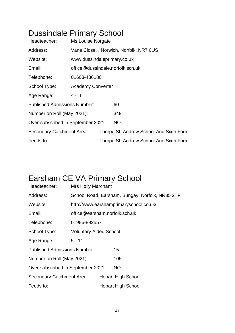## Dussindale Primary School

| Headteacher:                        | Ms Louise Norgate                      |  |                                         |  |
|-------------------------------------|----------------------------------------|--|-----------------------------------------|--|
| Address:                            | Vane Close,, Norwich, Norfolk, NR7 0US |  |                                         |  |
| Website:                            | www.dussindaleprimary.co.uk            |  |                                         |  |
| Email:                              | office@dussindale.norfolk.sch.uk       |  |                                         |  |
| Telephone:                          | 01603-436180                           |  |                                         |  |
| School Type:                        | <b>Academy Converter</b>               |  |                                         |  |
| Age Range:                          | 4 - 11                                 |  |                                         |  |
| <b>Published Admissions Number:</b> |                                        |  | 60                                      |  |
| Number on Roll (May 2021):          |                                        |  | 349                                     |  |
| Over-subscribed in September 2021:  |                                        |  | <b>NO</b>                               |  |
| Secondary Catchment Area:           |                                        |  | Thorpe St. Andrew School And Sixth Form |  |
| Feeds to:                           |                                        |  | Thorpe St. Andrew School And Sixth Form |  |

#### Earsham CE VA Primary School

| Headteacher:                        | <b>Mrs Holly Marchant</b>                       |  |                                        |  |  |
|-------------------------------------|-------------------------------------------------|--|----------------------------------------|--|--|
| Address:                            | School Road, Earsham, Bungay, Norfolk, NR35 2TF |  |                                        |  |  |
| Website:                            |                                                 |  | http://www.earshamprimaryschool.co.uk/ |  |  |
| Email:                              | office@earsham.norfolk.sch.uk                   |  |                                        |  |  |
| Telephone:                          | 01986-892557                                    |  |                                        |  |  |
| School Type:                        | <b>Voluntary Aided School</b>                   |  |                                        |  |  |
| Age Range:                          | $5 - 11$                                        |  |                                        |  |  |
| <b>Published Admissions Number:</b> |                                                 |  | 15                                     |  |  |
| Number on Roll (May 2021):          |                                                 |  | 105                                    |  |  |
| Over-subscribed in September 2021:  |                                                 |  | <b>NO</b>                              |  |  |
| Secondary Catchment Area:           |                                                 |  | <b>Hobart High School</b>              |  |  |
| Feeds to:                           |                                                 |  | <b>Hobart High School</b>              |  |  |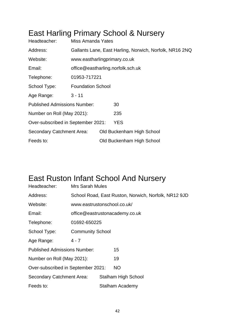#### East Harling Primary School & Nursery

| Headteacher:                        | Miss Amanda Yates                                       |                                   |                           |  |  |
|-------------------------------------|---------------------------------------------------------|-----------------------------------|---------------------------|--|--|
| Address:                            | Gallants Lane, East Harling, Norwich, Norfolk, NR16 2NQ |                                   |                           |  |  |
| Website:                            | www.eastharlingprimary.co.uk                            |                                   |                           |  |  |
| Email:                              |                                                         | office@eastharling.norfolk.sch.uk |                           |  |  |
| Telephone:                          | 01953-717221                                            |                                   |                           |  |  |
| School Type:                        | <b>Foundation School</b>                                |                                   |                           |  |  |
| Age Range:                          | $3 - 11$                                                |                                   |                           |  |  |
| <b>Published Admissions Number:</b> |                                                         |                                   | 30                        |  |  |
| Number on Roll (May 2021):          |                                                         |                                   | 235                       |  |  |
| Over-subscribed in September 2021:  |                                                         |                                   | <b>YES</b>                |  |  |
| Secondary Catchment Area:           |                                                         |                                   | Old Buckenham High School |  |  |
| Feeds to:                           |                                                         |                                   | Old Buckenham High School |  |  |

#### East Ruston Infant School And Nursery

| Headteacher:                        | <b>Mrs Sarah Mules</b>                               |                                |                            |  |  |  |
|-------------------------------------|------------------------------------------------------|--------------------------------|----------------------------|--|--|--|
| Address:                            | School Road, East Ruston, Norwich, Norfolk, NR12 9JD |                                |                            |  |  |  |
| Website:                            | www.eastrustonschool.co.uk/                          |                                |                            |  |  |  |
| Email:                              |                                                      | office@eastrustonacademy.co.uk |                            |  |  |  |
| Telephone:                          | 01692-650225                                         |                                |                            |  |  |  |
| School Type:                        | <b>Community School</b>                              |                                |                            |  |  |  |
| Age Range:                          | $4 - 7$                                              |                                |                            |  |  |  |
| <b>Published Admissions Number:</b> |                                                      |                                | 15                         |  |  |  |
| Number on Roll (May 2021):          |                                                      |                                | 19                         |  |  |  |
| Over-subscribed in September 2021:  |                                                      |                                | NO                         |  |  |  |
| <b>Secondary Catchment Area:</b>    |                                                      |                                | <b>Stalham High School</b> |  |  |  |
| Feeds to:                           |                                                      |                                | Stalham Academy            |  |  |  |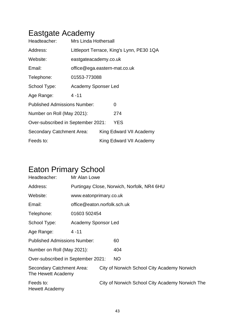## Eastgate Academy

| Headteacher:                                     | <b>Mrs Linda Hothersall</b>  |  |                                           |  |
|--------------------------------------------------|------------------------------|--|-------------------------------------------|--|
| Address:                                         |                              |  | Littleport Terrace, King's Lynn, PE30 1QA |  |
| Website:                                         | eastgateacademy.co.uk        |  |                                           |  |
| Email:                                           | office@ega.eastern-mat.co.uk |  |                                           |  |
| Telephone:                                       | 01553-773088                 |  |                                           |  |
| School Type:                                     | Academy Sponser Led          |  |                                           |  |
| Age Range:                                       | $4 - 11$                     |  |                                           |  |
| <b>Published Admissions Number:</b><br>0         |                              |  |                                           |  |
| Number on Roll (May 2021):                       |                              |  | 274                                       |  |
| <b>YES</b><br>Over-subscribed in September 2021: |                              |  |                                           |  |
| Secondary Catchment Area:                        |                              |  | King Edward VII Academy                   |  |
| Feeds to:                                        |                              |  | King Edward VII Academy                   |  |

# Eaton Primary School

| Headteacher:                                    | Mr Alan Lowe                |                                            |                                                 |  |  |  |  |
|-------------------------------------------------|-----------------------------|--------------------------------------------|-------------------------------------------------|--|--|--|--|
| Address:                                        |                             | Purtingay Close, Norwich, Norfolk, NR4 6HU |                                                 |  |  |  |  |
| Website:                                        |                             | www.eatonprimary.co.uk                     |                                                 |  |  |  |  |
| Email:                                          | office@eaton.norfolk.sch.uk |                                            |                                                 |  |  |  |  |
| Telephone:                                      | 01603 502454                |                                            |                                                 |  |  |  |  |
| School Type:                                    | Academy Sponsor Led         |                                            |                                                 |  |  |  |  |
| Age Range:                                      | $4 - 11$                    |                                            |                                                 |  |  |  |  |
| <b>Published Admissions Number:</b>             |                             |                                            | 60                                              |  |  |  |  |
| Number on Roll (May 2021):                      |                             |                                            | 404                                             |  |  |  |  |
| Over-subscribed in September 2021:              |                             |                                            | <b>NO</b>                                       |  |  |  |  |
| Secondary Catchment Area:<br>The Hewett Academy |                             |                                            | City of Norwich School City Academy Norwich     |  |  |  |  |
| Feeds to:<br>Hewett Academy                     |                             |                                            | City of Norwich School City Academy Norwich The |  |  |  |  |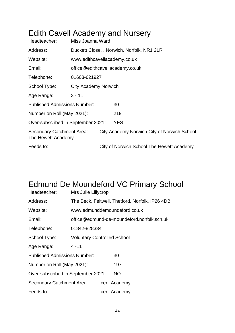#### Edith Cavell Academy and Nursery

| Headteacher:                                    | Miss Joanna Ward     |                                            |                                             |  |  |  |
|-------------------------------------------------|----------------------|--------------------------------------------|---------------------------------------------|--|--|--|
| Address:                                        |                      | Duckett Close, , Norwich, Norfolk, NR1 2LR |                                             |  |  |  |
| Website:                                        |                      | www.edithcavellacademy.co.uk               |                                             |  |  |  |
| Email:                                          |                      |                                            | office@edithcavellacademy.co.uk             |  |  |  |
| Telephone:                                      | 01603-621927         |                                            |                                             |  |  |  |
| School Type:                                    | City Academy Norwich |                                            |                                             |  |  |  |
| Age Range:                                      | $3 - 11$             |                                            |                                             |  |  |  |
| <b>Published Admissions Number:</b>             |                      |                                            | 30                                          |  |  |  |
| Number on Roll (May 2021):                      |                      |                                            | 219                                         |  |  |  |
| Over-subscribed in September 2021:              |                      |                                            | YES                                         |  |  |  |
| Secondary Catchment Area:<br>The Hewett Academy |                      |                                            | City Academy Norwich City of Norwich School |  |  |  |
| Feeds to:                                       |                      |                                            | City of Norwich School The Hewett Academy   |  |  |  |

#### Edmund De Moundeford VC Primary School

| Headteacher:                        | Mrs Julie Lillycrop                |                                                 |
|-------------------------------------|------------------------------------|-------------------------------------------------|
| Address:                            |                                    | The Beck, Feltwell, Thetford, Norfolk, IP26 4DB |
| Website:                            |                                    | www.edmunddemoundeford.co.uk                    |
| Email:                              |                                    | office@edmund-de-moundeford.norfolk.sch.uk      |
| Telephone:                          | 01842-828334                       |                                                 |
| School Type:                        | <b>Voluntary Controlled School</b> |                                                 |
| Age Range:                          | $4 - 11$                           |                                                 |
| <b>Published Admissions Number:</b> |                                    | 30                                              |
| Number on Roll (May 2021):          |                                    | 197                                             |
| Over-subscribed in September 2021:  |                                    | NO.                                             |
| Secondary Catchment Area:           |                                    | Iceni Academy                                   |
| Feeds to:                           |                                    | Iceni Academy                                   |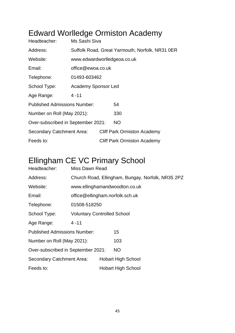## Edward Worlledge Ormiston Academy

| Headteacher:                        | Ms Sashi Siva                                   |  |                                    |  |
|-------------------------------------|-------------------------------------------------|--|------------------------------------|--|
| Address:                            | Suffolk Road, Great Yarmouth, Norfolk, NR31 0ER |  |                                    |  |
| Website:                            | www.edwardworlledgeoa.co.uk                     |  |                                    |  |
| Email:                              | office@ewoa.co.uk                               |  |                                    |  |
| Telephone:                          | 01493-603462                                    |  |                                    |  |
| School Type:                        | <b>Academy Sponsor Led</b>                      |  |                                    |  |
| Age Range:                          | $4 - 11$                                        |  |                                    |  |
| <b>Published Admissions Number:</b> |                                                 |  | 54                                 |  |
| Number on Roll (May 2021):          |                                                 |  | 330                                |  |
| Over-subscribed in September 2021:  |                                                 |  | NO.                                |  |
| Secondary Catchment Area:           |                                                 |  | <b>Cliff Park Ormiston Academy</b> |  |
| Feeds to:                           |                                                 |  | <b>Cliff Park Ormiston Academy</b> |  |

## Ellingham CE VC Primary School

| Headteacher:                        | Miss Dawn Read                     |                                                   |                               |  |  |
|-------------------------------------|------------------------------------|---------------------------------------------------|-------------------------------|--|--|
| Address:                            |                                    | Church Road, Ellingham, Bungay, Norfolk, NR35 2PZ |                               |  |  |
| Website:                            |                                    |                                                   | www.ellinghamandwoodton.co.uk |  |  |
| Email:                              | office@ellingham.norfolk.sch.uk    |                                                   |                               |  |  |
| Telephone:                          | 01508-518250                       |                                                   |                               |  |  |
| School Type:                        | <b>Voluntary Controlled School</b> |                                                   |                               |  |  |
| Age Range:                          | $4 - 11$                           |                                                   |                               |  |  |
| <b>Published Admissions Number:</b> |                                    |                                                   | 15                            |  |  |
| Number on Roll (May 2021):          |                                    |                                                   | 103                           |  |  |
| Over-subscribed in September 2021:  |                                    |                                                   | NO.                           |  |  |
| Secondary Catchment Area:           |                                    |                                                   | <b>Hobart High School</b>     |  |  |
| Feeds to:                           |                                    |                                                   | <b>Hobart High School</b>     |  |  |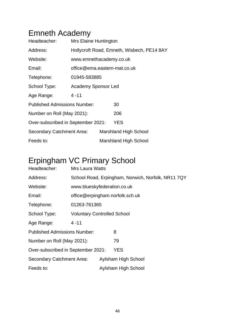#### Emneth Academy

| Headteacher:                        | Mrs Elaine Huntington        |                                            |
|-------------------------------------|------------------------------|--------------------------------------------|
| Address:                            |                              | Hollycroft Road, Emneth, Wisbech, PE14 8AY |
| Website:                            | www.emnethacademy.co.uk      |                                            |
| Email:                              | office@ema.eastern-mat.co.uk |                                            |
| Telephone:                          | 01945-583885                 |                                            |
| School Type:                        | Academy Sponsor Led          |                                            |
| Age Range:                          | $4 - 11$                     |                                            |
| <b>Published Admissions Number:</b> |                              | 30                                         |
| Number on Roll (May 2021):          |                              | 206                                        |
| Over-subscribed in September 2021:  |                              | <b>YES</b>                                 |
| Secondary Catchment Area:           |                              | <b>Marshland High School</b>               |
| Feeds to:                           |                              | <b>Marshland High School</b>               |

## Erpingham VC Primary School

| Headteacher:                        | <b>Mrs Laura Watts</b>             |  |                                                    |  |  |
|-------------------------------------|------------------------------------|--|----------------------------------------------------|--|--|
| Address:                            |                                    |  | School Road, Erpingham, Norwich, Norfolk, NR11 7QY |  |  |
| Website:                            | www.blueskyfederation.co.uk        |  |                                                    |  |  |
| Email:                              |                                    |  | office@erpingham.norfolk.sch.uk                    |  |  |
| Telephone:                          | 01263-761365                       |  |                                                    |  |  |
| School Type:                        | <b>Voluntary Controlled School</b> |  |                                                    |  |  |
| Age Range:                          | $4 - 11$                           |  |                                                    |  |  |
| <b>Published Admissions Number:</b> |                                    |  | 8                                                  |  |  |
| Number on Roll (May 2021):          |                                    |  | 79                                                 |  |  |
| Over-subscribed in September 2021:  |                                    |  | YES                                                |  |  |
| Secondary Catchment Area:           |                                    |  | Aylsham High School                                |  |  |
| Feeds to:                           |                                    |  | Aylsham High School                                |  |  |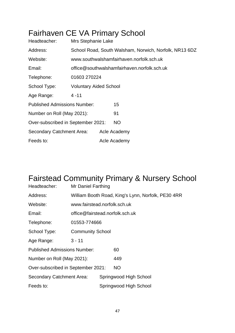#### Fairhaven CE VA Primary School

| Headteacher:                        | Mrs Stephanie Lake            |              |                                                        |  |  |
|-------------------------------------|-------------------------------|--------------|--------------------------------------------------------|--|--|
| Address:                            |                               |              | School Road, South Walsham, Norwich, Norfolk, NR13 6DZ |  |  |
| Website:                            |                               |              | www.southwalshamfairhaven.norfolk.sch.uk               |  |  |
| Email:                              |                               |              | office@southwalshamfairhaven.norfolk.sch.uk            |  |  |
| Telephone:                          | 01603 270224                  |              |                                                        |  |  |
| School Type:                        | <b>Voluntary Aided School</b> |              |                                                        |  |  |
| Age Range:                          | $4 - 11$                      |              |                                                        |  |  |
| <b>Published Admissions Number:</b> |                               |              | 15                                                     |  |  |
| Number on Roll (May 2021):          |                               |              | 91                                                     |  |  |
| Over-subscribed in September 2021:  |                               |              | <b>NO</b>                                              |  |  |
| Secondary Catchment Area:           |                               | Acle Academy |                                                        |  |  |
| Feeds to:                           |                               | Acle Academy |                                                        |  |  |

## Fairstead Community Primary & Nursery School

| Headteacher:                        | Mr Daniel Farthing              |                                                    |                        |  |  |
|-------------------------------------|---------------------------------|----------------------------------------------------|------------------------|--|--|
| Address:                            |                                 | William Booth Road, King's Lynn, Norfolk, PE30 4RR |                        |  |  |
| Website:                            | www.fairstead.norfolk.sch.uk    |                                                    |                        |  |  |
| Email:                              | office@fairstead.norfolk.sch.uk |                                                    |                        |  |  |
| Telephone:                          | 01553-774666                    |                                                    |                        |  |  |
| School Type:                        | <b>Community School</b>         |                                                    |                        |  |  |
| Age Range:                          | $3 - 11$                        |                                                    |                        |  |  |
| <b>Published Admissions Number:</b> |                                 |                                                    | 60                     |  |  |
| Number on Roll (May 2021):          |                                 |                                                    | 449                    |  |  |
| Over-subscribed in September 2021:  |                                 |                                                    | <b>NO</b>              |  |  |
| Secondary Catchment Area:           |                                 |                                                    | Springwood High School |  |  |
| Feeds to:                           |                                 |                                                    | Springwood High School |  |  |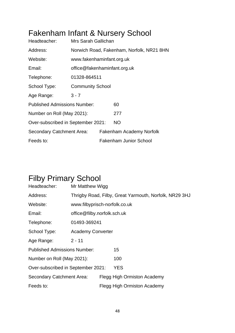## Fakenham Infant & Nursery School

| Headteacher:                        | Mrs Sarah Gallichan          |                                           |
|-------------------------------------|------------------------------|-------------------------------------------|
| Address:                            |                              | Norwich Road, Fakenham, Norfolk, NR21 8HN |
| Website:                            | www.fakenhaminfant.org.uk    |                                           |
| Email:                              | office@fakenhaminfant.org.uk |                                           |
| Telephone:                          | 01328-864511                 |                                           |
| School Type:                        | <b>Community School</b>      |                                           |
| Age Range:                          | $3 - 7$                      |                                           |
| <b>Published Admissions Number:</b> |                              | 60                                        |
| Number on Roll (May 2021):          |                              | 277                                       |
| Over-subscribed in September 2021:  |                              | <b>NO</b>                                 |
| Secondary Catchment Area:           |                              | Fakenham Academy Norfolk                  |
| Feeds to:                           |                              | <b>Fakenham Junior School</b>             |

#### Filby Primary School

| Headteacher:                        | Mr Matthew Wigg               |                                                        |                                    |  |  |
|-------------------------------------|-------------------------------|--------------------------------------------------------|------------------------------------|--|--|
| Address:                            |                               | Thrigby Road, Filby, Great Yarmouth, Norfolk, NR29 3HJ |                                    |  |  |
| Website:                            | www.filbyprisch-norfolk.co.uk |                                                        |                                    |  |  |
| Email:                              | office@filby.norfolk.sch.uk   |                                                        |                                    |  |  |
| Telephone:                          | 01493-369241                  |                                                        |                                    |  |  |
| School Type:                        | <b>Academy Converter</b>      |                                                        |                                    |  |  |
| Age Range:                          | $2 - 11$                      |                                                        |                                    |  |  |
| <b>Published Admissions Number:</b> |                               |                                                        | 15                                 |  |  |
| Number on Roll (May 2021):          |                               |                                                        | 100                                |  |  |
| Over-subscribed in September 2021:  |                               |                                                        | <b>YES</b>                         |  |  |
| <b>Secondary Catchment Area:</b>    |                               |                                                        | Flegg High Ormiston Academy        |  |  |
| Feeds to:                           |                               |                                                        | <b>Flegg High Ormiston Academy</b> |  |  |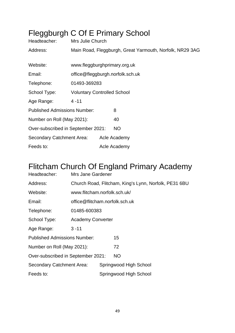## Fleggburgh C Of E Primary School

| Headteacher:                        | Mrs Julie Church                   |              |                                                          |
|-------------------------------------|------------------------------------|--------------|----------------------------------------------------------|
| Address:                            |                                    |              | Main Road, Fleggburgh, Great Yarmouth, Norfolk, NR29 3AG |
|                                     |                                    |              |                                                          |
| Website:                            | www.fleggburghprimary.org.uk       |              |                                                          |
| Email:                              | office@fleggburgh.norfolk.sch.uk   |              |                                                          |
| Telephone:                          | 01493-369283                       |              |                                                          |
| School Type:                        | <b>Voluntary Controlled School</b> |              |                                                          |
| Age Range:                          | $4 - 11$                           |              |                                                          |
| <b>Published Admissions Number:</b> |                                    | 8            |                                                          |
| Number on Roll (May 2021):          |                                    |              | 40                                                       |
| Over-subscribed in September 2021:  |                                    |              | <b>NO</b>                                                |
| Secondary Catchment Area:           |                                    | Acle Academy |                                                          |
| Feeds to:                           |                                    | Acle Academy |                                                          |

#### Flitcham Church Of England Primary Academy

| Headteacher:                        | Mrs Jane Gardener              |              |                        |                                                       |  |  |
|-------------------------------------|--------------------------------|--------------|------------------------|-------------------------------------------------------|--|--|
| Address:                            |                                |              |                        | Church Road, Flitcham, King's Lynn, Norfolk, PE31 6BU |  |  |
| Website:                            | www.flitcham.norfolk.sch.uk/   |              |                        |                                                       |  |  |
| Email:                              | office@flitcham.norfolk.sch.uk |              |                        |                                                       |  |  |
| Telephone:                          |                                | 01485-600383 |                        |                                                       |  |  |
| School Type:                        | <b>Academy Converter</b>       |              |                        |                                                       |  |  |
| Age Range:                          | $3 - 11$                       |              |                        |                                                       |  |  |
| <b>Published Admissions Number:</b> |                                |              | 15                     |                                                       |  |  |
| Number on Roll (May 2021):          |                                |              | 72                     |                                                       |  |  |
| Over-subscribed in September 2021:  |                                |              | NO.                    |                                                       |  |  |
| <b>Secondary Catchment Area:</b>    |                                |              | Springwood High School |                                                       |  |  |
| Feeds to:                           |                                |              | Springwood High School |                                                       |  |  |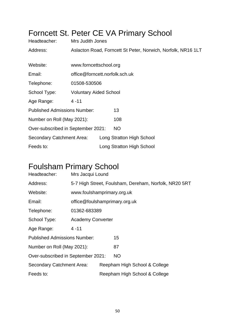# Forncett St. Peter CE VA Primary School

| Headteacher:                        | Mrs Judith Jones               |                           |                                                              |  |  |  |
|-------------------------------------|--------------------------------|---------------------------|--------------------------------------------------------------|--|--|--|
| Address:                            |                                |                           | Aslacton Road, Forncett St Peter, Norwich, Norfolk, NR16 1LT |  |  |  |
|                                     |                                |                           |                                                              |  |  |  |
| Website:                            | www.forncettschool.org         |                           |                                                              |  |  |  |
| Email:                              | office@forncett.norfolk.sch.uk |                           |                                                              |  |  |  |
| Telephone:                          | 01508-530506                   |                           |                                                              |  |  |  |
| School Type:                        | <b>Voluntary Aided School</b>  |                           |                                                              |  |  |  |
| Age Range:                          | $4 - 11$                       |                           |                                                              |  |  |  |
| <b>Published Admissions Number:</b> |                                | 13                        |                                                              |  |  |  |
| Number on Roll (May 2021):          |                                | 108                       |                                                              |  |  |  |
| Over-subscribed in September 2021:  |                                | <b>NO</b>                 |                                                              |  |  |  |
| <b>Secondary Catchment Area:</b>    |                                | Long Stratton High School |                                                              |  |  |  |
| Feeds to:                           |                                | Long Stratton High School |                                                              |  |  |  |

#### Foulsham Primary School

| Headteacher:                        | Mrs Jacqui Lound              |  |                                                       |  |
|-------------------------------------|-------------------------------|--|-------------------------------------------------------|--|
| Address:                            |                               |  | 5-7 High Street, Foulsham, Dereham, Norfolk, NR20 5RT |  |
| Website:                            | www.foulshamprimary.org.uk    |  |                                                       |  |
| Email:                              | office@foulshamprimary.org.uk |  |                                                       |  |
| Telephone:                          | 01362-683389                  |  |                                                       |  |
| School Type:                        | <b>Academy Converter</b>      |  |                                                       |  |
| Age Range:                          | $4 - 11$                      |  |                                                       |  |
| <b>Published Admissions Number:</b> |                               |  | 15                                                    |  |
| Number on Roll (May 2021):          |                               |  | 87                                                    |  |
| Over-subscribed in September 2021:  |                               |  | <b>NO</b>                                             |  |
| Secondary Catchment Area:           |                               |  | Reepham High School & College                         |  |
| Feeds to:                           |                               |  | Reepham High School & College                         |  |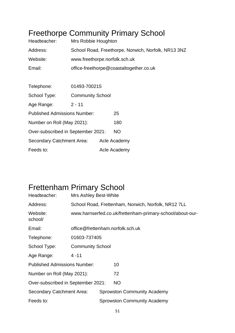#### Freethorpe Community Primary School

| Headteacher:                        | Mrs Robbie Houghton           |  |                                                     |  |  |
|-------------------------------------|-------------------------------|--|-----------------------------------------------------|--|--|
| Address:                            |                               |  | School Road, Freethorpe, Norwich, Norfolk, NR13 3NZ |  |  |
| Website:                            | www.freethorpe.norfolk.sch.uk |  |                                                     |  |  |
| Email:                              |                               |  | office-freethorpe@coastaltogether.co.uk             |  |  |
|                                     |                               |  |                                                     |  |  |
| Telephone:                          | 01493-700215                  |  |                                                     |  |  |
| School Type:                        | <b>Community School</b>       |  |                                                     |  |  |
| Age Range:                          | $2 - 11$                      |  |                                                     |  |  |
| <b>Published Admissions Number:</b> |                               |  | 25                                                  |  |  |
| Number on Roll (May 2021):          |                               |  | 180                                                 |  |  |
| Over-subscribed in September 2021:  |                               |  | <b>NO</b>                                           |  |  |
| Secondary Catchment Area:           |                               |  | Acle Academy                                        |  |  |
| Feeds to:                           |                               |  | Acle Academy                                        |  |  |

#### Frettenham Primary School

| Headteacher:                        | <b>Mrs Ashley Best-White</b>     |                                                           |                                                     |  |  |
|-------------------------------------|----------------------------------|-----------------------------------------------------------|-----------------------------------------------------|--|--|
| Address:                            |                                  |                                                           | School Road, Frettenham, Norwich, Norfolk, NR12 7LL |  |  |
| Website:<br>school/                 |                                  | www.harnserfed.co.uk/frettenham-primary-school/about-our- |                                                     |  |  |
| Email:                              | office@frettenham.norfolk.sch.uk |                                                           |                                                     |  |  |
| Telephone:                          | 01603-737405                     |                                                           |                                                     |  |  |
| School Type:                        | <b>Community School</b>          |                                                           |                                                     |  |  |
| Age Range:                          | $4 - 11$                         |                                                           |                                                     |  |  |
| <b>Published Admissions Number:</b> |                                  |                                                           | 10                                                  |  |  |
| Number on Roll (May 2021):          |                                  |                                                           | 72                                                  |  |  |
| Over-subscribed in September 2021:  |                                  |                                                           | <b>NO</b>                                           |  |  |
| Secondary Catchment Area:           |                                  |                                                           | <b>Sprowston Community Academy</b>                  |  |  |
| Feeds to:                           |                                  |                                                           | <b>Sprowston Community Academy</b>                  |  |  |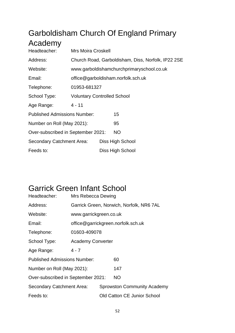## Garboldisham Church Of England Primary Academy

| Headteacher:                        | <b>Mrs Moira Croskell</b>          |                                    |                                                    |  |  |  |
|-------------------------------------|------------------------------------|------------------------------------|----------------------------------------------------|--|--|--|
| Address:                            |                                    |                                    | Church Road, Garboldisham, Diss, Norfolk, IP22 2SE |  |  |  |
| Website:                            |                                    |                                    | www.garboldishamchurchprimaryschool.co.uk          |  |  |  |
| Email:                              |                                    | office@garboldisham.norfolk.sch.uk |                                                    |  |  |  |
| Telephone:                          | 01953-681327                       |                                    |                                                    |  |  |  |
| School Type:                        | <b>Voluntary Controlled School</b> |                                    |                                                    |  |  |  |
| Age Range:                          | $4 - 11$                           |                                    |                                                    |  |  |  |
| <b>Published Admissions Number:</b> |                                    |                                    | 15                                                 |  |  |  |
| Number on Roll (May 2021):          |                                    |                                    | 95                                                 |  |  |  |
| Over-subscribed in September 2021:  |                                    |                                    | <b>NO</b>                                          |  |  |  |
| Secondary Catchment Area:           |                                    |                                    | Diss High School                                   |  |  |  |
| Feeds to:                           |                                    |                                    | Diss High School                                   |  |  |  |

#### Garrick Green Infant School

| Headteacher:                        | Mrs Rebecca Dewing       |  |                                          |  |  |
|-------------------------------------|--------------------------|--|------------------------------------------|--|--|
| Address:                            |                          |  | Garrick Green, Norwich, Norfolk, NR6 7AL |  |  |
| Website:                            | www.garrickgreen.co.uk   |  |                                          |  |  |
| Email:                              |                          |  | office@garrickgreen.norfolk.sch.uk       |  |  |
| Telephone:                          | 01603-409078             |  |                                          |  |  |
| School Type:                        | <b>Academy Converter</b> |  |                                          |  |  |
| Age Range:                          | $4 - 7$                  |  |                                          |  |  |
| <b>Published Admissions Number:</b> |                          |  | 60                                       |  |  |
| Number on Roll (May 2021):          |                          |  | 147                                      |  |  |
| Over-subscribed in September 2021:  |                          |  | <b>NO</b>                                |  |  |
| Secondary Catchment Area:           |                          |  | <b>Sprowston Community Academy</b>       |  |  |
| Feeds to:                           |                          |  | <b>Old Catton CE Junior School</b>       |  |  |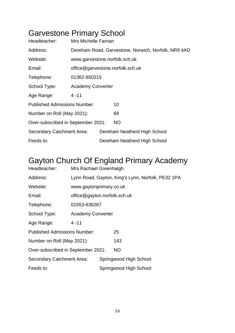## Garvestone Primary School

| Headteacher:                        | Mrs Michelle Farnan                                 |                                  |                              |  |  |
|-------------------------------------|-----------------------------------------------------|----------------------------------|------------------------------|--|--|
| Address:                            | Dereham Road, Garvestone, Norwich, Norfolk, NR9 4AD |                                  |                              |  |  |
| Website:                            | www.garvestone.norfolk.sch.uk                       |                                  |                              |  |  |
| Email:                              |                                                     | office@garvestone.norfolk.sch.uk |                              |  |  |
| Telephone:                          | 01362-850315                                        |                                  |                              |  |  |
| School Type:                        | <b>Academy Converter</b>                            |                                  |                              |  |  |
| Age Range:                          | $4 - 11$                                            |                                  |                              |  |  |
| <b>Published Admissions Number:</b> |                                                     |                                  | 10                           |  |  |
| Number on Roll (May 2021):          |                                                     |                                  | 69                           |  |  |
| Over-subscribed in September 2021:  |                                                     | <b>NO</b>                        |                              |  |  |
| Secondary Catchment Area:           |                                                     |                                  | Dereham Neatherd High School |  |  |
| Feeds to:                           |                                                     |                                  | Dereham Neatherd High School |  |  |

#### Gayton Church Of England Primary Academy

| Headteacher:                        | Mrs Rachael Greenhalgh       |                        |                                                   |  |  |
|-------------------------------------|------------------------------|------------------------|---------------------------------------------------|--|--|
| Address:                            |                              |                        | Lynn Road, Gayton, King's Lynn, Norfolk, PE32 1PA |  |  |
| Website:                            | www.gaytonprimary.co.uk      |                        |                                                   |  |  |
| Email:                              | office@gayton.norfolk.sch.uk |                        |                                                   |  |  |
| Telephone:                          | 01553-636267                 |                        |                                                   |  |  |
| School Type:                        | <b>Academy Converter</b>     |                        |                                                   |  |  |
| Age Range:                          | $4 - 11$                     |                        |                                                   |  |  |
| <b>Published Admissions Number:</b> |                              |                        | 25                                                |  |  |
| Number on Roll (May 2021):          |                              |                        | 143                                               |  |  |
| Over-subscribed in September 2021:  |                              |                        | NO.                                               |  |  |
| Secondary Catchment Area:           |                              |                        | Springwood High School                            |  |  |
| Feeds to:                           |                              | Springwood High School |                                                   |  |  |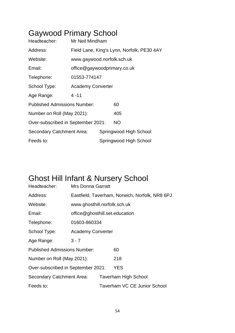## Gaywood Primary School

| Headteacher:                        | Mr Neil Mindham                            |  |                        |  |  |
|-------------------------------------|--------------------------------------------|--|------------------------|--|--|
| Address:                            | Field Lane, King's Lynn, Norfolk, PE30 4AY |  |                        |  |  |
| Website:                            | www.gaywood.norfolk.sch.uk                 |  |                        |  |  |
| Email:                              | office@gaywoodprimary.co.uk                |  |                        |  |  |
| Telephone:                          | 01553-774147                               |  |                        |  |  |
| School Type:                        | <b>Academy Converter</b>                   |  |                        |  |  |
| Age Range:                          | $4 - 11$                                   |  |                        |  |  |
| <b>Published Admissions Number:</b> |                                            |  | 60                     |  |  |
| Number on Roll (May 2021):          |                                            |  | 405                    |  |  |
| Over-subscribed in September 2021:  |                                            |  | NO.                    |  |  |
| Secondary Catchment Area:           |                                            |  | Springwood High School |  |  |
| Feeds to:                           |                                            |  | Springwood High School |  |  |

## Ghost Hill Infant & Nursery School

| Headteacher:                        | Mrs Donna Garratt                              |  |                                     |  |  |
|-------------------------------------|------------------------------------------------|--|-------------------------------------|--|--|
| Address:                            | Eastfield, Taverham, Norwich, Norfolk, NR8 6PJ |  |                                     |  |  |
| Website:                            | www.ghosthill.norfolk.sch.uk                   |  |                                     |  |  |
| Email:                              | office@ghosthill.set.education                 |  |                                     |  |  |
| Telephone:                          | 01603-860334                                   |  |                                     |  |  |
| School Type:                        | <b>Academy Converter</b>                       |  |                                     |  |  |
| Age Range:                          | $3 - 7$                                        |  |                                     |  |  |
| <b>Published Admissions Number:</b> |                                                |  | 60                                  |  |  |
| Number on Roll (May 2021):          |                                                |  | 218                                 |  |  |
| Over-subscribed in September 2021:  |                                                |  | YES                                 |  |  |
| Secondary Catchment Area:           |                                                |  | <b>Taverham High School</b>         |  |  |
| Feeds to:                           |                                                |  | <b>Taverham VC CE Junior School</b> |  |  |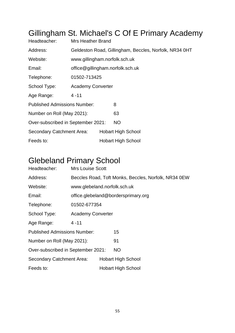# Gillingham St. Michael's C Of E Primary Academy

| Headteacher:                        | <b>Mrs Heather Brand</b>                               |  |                           |  |  |
|-------------------------------------|--------------------------------------------------------|--|---------------------------|--|--|
| Address:                            | Geldeston Road, Gillingham, Beccles, Norfolk, NR34 0HT |  |                           |  |  |
| Website:                            | www.gillingham.norfolk.sch.uk                          |  |                           |  |  |
| Email:                              | office@gillingham.norfolk.sch.uk                       |  |                           |  |  |
| Telephone:                          | 01502-713425                                           |  |                           |  |  |
| School Type:                        | <b>Academy Converter</b>                               |  |                           |  |  |
| Age Range:                          | $4 - 11$                                               |  |                           |  |  |
| <b>Published Admissions Number:</b> |                                                        |  | 8                         |  |  |
| Number on Roll (May 2021):          |                                                        |  | 63                        |  |  |
| Over-subscribed in September 2021:  |                                                        |  | <b>NO</b>                 |  |  |
| <b>Secondary Catchment Area:</b>    |                                                        |  | <b>Hobart High School</b> |  |  |
| Feeds to:                           |                                                        |  | <b>Hobart High School</b> |  |  |

## Glebeland Primary School

| Headteacher:                        | <b>Mrs Louise Scott</b>      |  |                                                      |  |
|-------------------------------------|------------------------------|--|------------------------------------------------------|--|
| Address:                            |                              |  | Beccles Road, Toft Monks, Beccles, Norfolk, NR34 0EW |  |
| Website:                            | www.glebeland.norfolk.sch.uk |  |                                                      |  |
| Email:                              |                              |  | office.glebeland@bordersprimary.org                  |  |
| Telephone:                          | 01502-677354                 |  |                                                      |  |
| School Type:                        | <b>Academy Converter</b>     |  |                                                      |  |
| Age Range:                          | $4 - 11$                     |  |                                                      |  |
| <b>Published Admissions Number:</b> |                              |  | 15                                                   |  |
| Number on Roll (May 2021):          |                              |  | 91                                                   |  |
| Over-subscribed in September 2021:  |                              |  | <b>NO</b>                                            |  |
| Secondary Catchment Area:           |                              |  | <b>Hobart High School</b>                            |  |
| Feeds to:                           |                              |  | <b>Hobart High School</b>                            |  |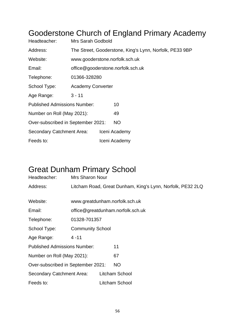#### Gooderstone Church of England Primary Academy

| Headteacher:                        | <b>Mrs Sarah Godbold</b>                                |  |                                   |  |  |
|-------------------------------------|---------------------------------------------------------|--|-----------------------------------|--|--|
| Address:                            | The Street, Gooderstone, King's Lynn, Norfolk, PE33 9BP |  |                                   |  |  |
| Website:                            |                                                         |  | www.gooderstone.norfolk.sch.uk    |  |  |
| Email:                              |                                                         |  | office@gooderstone.norfolk.sch.uk |  |  |
| Telephone:                          | 01366-328280                                            |  |                                   |  |  |
| School Type:                        | <b>Academy Converter</b>                                |  |                                   |  |  |
| Age Range:                          | $3 - 11$                                                |  |                                   |  |  |
| <b>Published Admissions Number:</b> |                                                         |  | 10                                |  |  |
| Number on Roll (May 2021):          |                                                         |  | 49                                |  |  |
| Over-subscribed in September 2021:  |                                                         |  | <b>NO</b>                         |  |  |
| Secondary Catchment Area:           |                                                         |  | Iceni Academy                     |  |  |
| Feeds to:                           |                                                         |  | Iceni Academy                     |  |  |

## Great Dunham Primary School

| Headteacher:                        | <b>Mrs Sharon Nour</b>  |                                                            |
|-------------------------------------|-------------------------|------------------------------------------------------------|
| Address:                            |                         | Litcham Road, Great Dunham, King's Lynn, Norfolk, PE32 2LQ |
|                                     |                         |                                                            |
| Website:                            |                         | www.greatdunham.norfolk.sch.uk                             |
| Email:                              |                         | office@greatdunham.norfolk.sch.uk                          |
| Telephone:                          | 01328-701357            |                                                            |
| School Type:                        | <b>Community School</b> |                                                            |
| Age Range:                          | $4 - 11$                |                                                            |
| <b>Published Admissions Number:</b> |                         | 11                                                         |
| Number on Roll (May 2021):          |                         | 67                                                         |
| Over-subscribed in September 2021:  |                         | <b>NO</b>                                                  |
| Secondary Catchment Area:           |                         | Litcham School                                             |
| Feeds to:                           |                         | Litcham School                                             |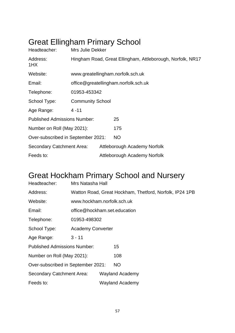## Great Ellingham Primary School

| Headteacher:                        | Mrs Julie Dekker                                           |  |                                   |  |  |
|-------------------------------------|------------------------------------------------------------|--|-----------------------------------|--|--|
| Address:<br>1HX                     | Hingham Road, Great Ellingham, Attleborough, Norfolk, NR17 |  |                                   |  |  |
| Website:                            |                                                            |  | www.greatellingham.norfolk.sch.uk |  |  |
| Email:                              | office@greatellingham.norfolk.sch.uk                       |  |                                   |  |  |
| Telephone:                          | 01953-453342                                               |  |                                   |  |  |
| School Type:                        | <b>Community School</b>                                    |  |                                   |  |  |
| Age Range:                          | $4 - 11$                                                   |  |                                   |  |  |
| <b>Published Admissions Number:</b> |                                                            |  | 25                                |  |  |
| Number on Roll (May 2021):          |                                                            |  | 175                               |  |  |
| Over-subscribed in September 2021:  |                                                            |  | <b>NO</b>                         |  |  |
| Secondary Catchment Area:           |                                                            |  | Attleborough Academy Norfolk      |  |  |
| Feeds to:                           |                                                            |  | Attleborough Academy Norfolk      |  |  |

## Great Hockham Primary School and Nursery

| Headteacher:                        | Mrs Natasha Hall                                        |  |                        |  |
|-------------------------------------|---------------------------------------------------------|--|------------------------|--|
| Address:                            | Watton Road, Great Hockham, Thetford, Norfolk, IP24 1PB |  |                        |  |
| Website:                            | www.hockham.norfolk.sch.uk                              |  |                        |  |
| Email:                              | office@hockham.set.education                            |  |                        |  |
| Telephone:                          | 01953-498302                                            |  |                        |  |
| School Type:                        | <b>Academy Converter</b>                                |  |                        |  |
| Age Range:                          | $3 - 11$                                                |  |                        |  |
| <b>Published Admissions Number:</b> |                                                         |  | 15                     |  |
| Number on Roll (May 2021):          |                                                         |  | 108                    |  |
| Over-subscribed in September 2021:  |                                                         |  | <b>NO</b>              |  |
| <b>Secondary Catchment Area:</b>    |                                                         |  | <b>Wayland Academy</b> |  |
| Feeds to:                           |                                                         |  | <b>Wayland Academy</b> |  |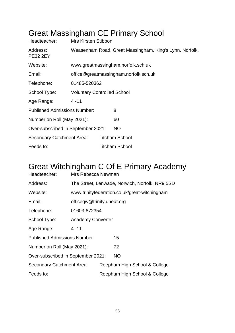## Great Massingham CE Primary School

| Headteacher:                        | <b>Mrs Kirsten Stibbon</b>                              |                                    |                |  |  |  |
|-------------------------------------|---------------------------------------------------------|------------------------------------|----------------|--|--|--|
| Address:<br><b>PE32 2EY</b>         | Weasenham Road, Great Massingham, King's Lynn, Norfolk, |                                    |                |  |  |  |
| Website:                            |                                                         | www.greatmassingham.norfolk.sch.uk |                |  |  |  |
| Email:                              | office@greatmassingham.norfolk.sch.uk                   |                                    |                |  |  |  |
| Telephone:                          | 01485-520362                                            |                                    |                |  |  |  |
| School Type:                        | <b>Voluntary Controlled School</b>                      |                                    |                |  |  |  |
| Age Range:                          | $4 - 11$                                                |                                    |                |  |  |  |
| <b>Published Admissions Number:</b> |                                                         |                                    | 8              |  |  |  |
| Number on Roll (May 2021):          |                                                         |                                    | 60             |  |  |  |
| Over-subscribed in September 2021:  |                                                         |                                    | <b>NO</b>      |  |  |  |
| Secondary Catchment Area:           |                                                         |                                    | Litcham School |  |  |  |
| Feeds to:                           |                                                         |                                    | Litcham School |  |  |  |

## Great Witchingham C Of E Primary Academy

| Headteacher:                        | Mrs Rebecca Newman                             |                               |                                               |  |  |  |
|-------------------------------------|------------------------------------------------|-------------------------------|-----------------------------------------------|--|--|--|
| Address:                            | The Street, Lenwade, Norwich, Norfolk, NR9 5SD |                               |                                               |  |  |  |
| Website:                            |                                                |                               | www.trinityfederation.co.uk/great-witchingham |  |  |  |
| Email:                              | officegw@trinity.dneat.org                     |                               |                                               |  |  |  |
| Telephone:                          | 01603-872354                                   |                               |                                               |  |  |  |
| School Type:                        | <b>Academy Converter</b>                       |                               |                                               |  |  |  |
| Age Range:                          | $4 - 11$                                       |                               |                                               |  |  |  |
| <b>Published Admissions Number:</b> |                                                |                               | 15                                            |  |  |  |
| Number on Roll (May 2021):          |                                                |                               | 72                                            |  |  |  |
| Over-subscribed in September 2021:  |                                                |                               | <b>NO</b>                                     |  |  |  |
| Secondary Catchment Area:           |                                                | Reepham High School & College |                                               |  |  |  |
| Feeds to:                           |                                                |                               | Reepham High School & College                 |  |  |  |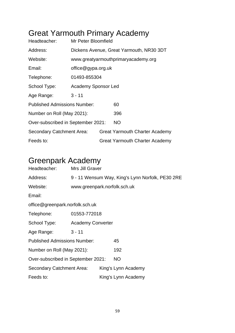## Great Yarmouth Primary Academy

| Headteacher:                        | Mr Peter Bloomfield                      |  |                                       |  |  |  |
|-------------------------------------|------------------------------------------|--|---------------------------------------|--|--|--|
| Address:                            | Dickens Avenue, Great Yarmouth, NR30 3DT |  |                                       |  |  |  |
| Website:                            | www.greatyarmouthprimaryacademy.org      |  |                                       |  |  |  |
| Email:                              | office@gypa.org.uk                       |  |                                       |  |  |  |
| Telephone:                          | 01493-855304                             |  |                                       |  |  |  |
| School Type:                        | <b>Academy Sponsor Led</b>               |  |                                       |  |  |  |
| Age Range:                          | $3 - 11$                                 |  |                                       |  |  |  |
| <b>Published Admissions Number:</b> |                                          |  | 60                                    |  |  |  |
| Number on Roll (May 2021):          |                                          |  | 396                                   |  |  |  |
| Over-subscribed in September 2021:  |                                          |  | <b>NO</b>                             |  |  |  |
| Secondary Catchment Area:           |                                          |  | <b>Great Yarmouth Charter Academy</b> |  |  |  |
| Feeds to:                           |                                          |  | <b>Great Yarmouth Charter Academy</b> |  |  |  |

## Greenpark Academy

| Headteacher:                        | Mrs Jill Graver                                  |  |                     |  |  |  |
|-------------------------------------|--------------------------------------------------|--|---------------------|--|--|--|
| Address:                            | 9 - 11 Wensum Way, King's Lynn Norfolk, PE30 2RE |  |                     |  |  |  |
| Website:                            | www.greenpark.norfolk.sch.uk                     |  |                     |  |  |  |
| Email:                              |                                                  |  |                     |  |  |  |
| office@greenpark.norfolk.sch.uk     |                                                  |  |                     |  |  |  |
| Telephone:                          | 01553-772018                                     |  |                     |  |  |  |
| School Type:                        | <b>Academy Converter</b>                         |  |                     |  |  |  |
| Age Range:                          | $3 - 11$                                         |  |                     |  |  |  |
| <b>Published Admissions Number:</b> |                                                  |  | 45                  |  |  |  |
| Number on Roll (May 2021):          |                                                  |  | 192                 |  |  |  |
| Over-subscribed in September 2021:  |                                                  |  | <b>NO</b>           |  |  |  |
| Secondary Catchment Area:           |                                                  |  | King's Lynn Academy |  |  |  |
| Feeds to:                           |                                                  |  | King's Lynn Academy |  |  |  |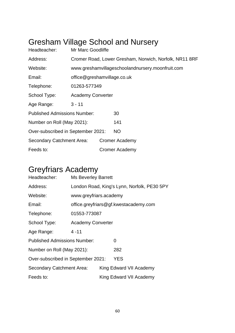# Gresham Village School and Nursery

| Headteacher:                        | Mr Marc Goodliffe                                      |                             |                                                  |  |  |  |
|-------------------------------------|--------------------------------------------------------|-----------------------------|--------------------------------------------------|--|--|--|
| Address:                            | Cromer Road, Lower Gresham, Norwich, Norfolk, NR11 8RF |                             |                                                  |  |  |  |
| Website:                            |                                                        |                             | www.greshamvillageschoolandnursery.moonfruit.com |  |  |  |
| Email:                              |                                                        | office@greshamvillage.co.uk |                                                  |  |  |  |
| Telephone:                          | 01263-577349                                           |                             |                                                  |  |  |  |
| School Type:                        | <b>Academy Converter</b>                               |                             |                                                  |  |  |  |
| Age Range:                          | $3 - 11$                                               |                             |                                                  |  |  |  |
| <b>Published Admissions Number:</b> |                                                        |                             | 30                                               |  |  |  |
| Number on Roll (May 2021):          |                                                        |                             | 141                                              |  |  |  |
| Over-subscribed in September 2021:  |                                                        |                             | <b>NO</b>                                        |  |  |  |
| Secondary Catchment Area:           |                                                        |                             | <b>Cromer Academy</b>                            |  |  |  |
| Feeds to:                           |                                                        |                             | Cromer Academy                                   |  |  |  |

## Greyfriars Academy

| Headteacher:                                     | <b>Ms Beverley Barrett</b>                  |                         |                                       |  |  |  |
|--------------------------------------------------|---------------------------------------------|-------------------------|---------------------------------------|--|--|--|
| Address:                                         | London Road, King's Lynn, Norfolk, PE30 5PY |                         |                                       |  |  |  |
| Website:                                         | www.greyfriars.academy                      |                         |                                       |  |  |  |
| Email:                                           |                                             |                         | office.greyfriars@gf.kwestacademy.com |  |  |  |
| Telephone:                                       | 01553-773087                                |                         |                                       |  |  |  |
| School Type:                                     | <b>Academy Converter</b>                    |                         |                                       |  |  |  |
| Age Range:                                       | $4 - 11$                                    |                         |                                       |  |  |  |
| <b>Published Admissions Number:</b>              |                                             |                         | 0                                     |  |  |  |
| Number on Roll (May 2021):                       |                                             |                         | 282                                   |  |  |  |
| <b>YES</b><br>Over-subscribed in September 2021: |                                             |                         |                                       |  |  |  |
| <b>Secondary Catchment Area:</b>                 |                                             | King Edward VII Academy |                                       |  |  |  |
| Feeds to:                                        |                                             |                         | King Edward VII Academy               |  |  |  |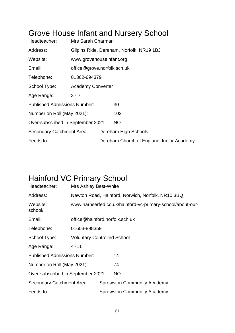#### Grove House Infant and Nursery School

| Headteacher:                        | Mrs Sarah Charman                        |  |                                          |  |  |
|-------------------------------------|------------------------------------------|--|------------------------------------------|--|--|
| Address:                            | Gilpins Ride, Dereham, Norfolk, NR19 1BJ |  |                                          |  |  |
| Website:                            | www.grovehouseinfant.org                 |  |                                          |  |  |
| Email:                              | office@grove.norfolk.sch.uk              |  |                                          |  |  |
| Telephone:                          | 01362-694379                             |  |                                          |  |  |
| School Type:                        | <b>Academy Converter</b>                 |  |                                          |  |  |
| Age Range:                          | $3 - 7$                                  |  |                                          |  |  |
| <b>Published Admissions Number:</b> |                                          |  | 30                                       |  |  |
| Number on Roll (May 2021):          |                                          |  | 102                                      |  |  |
| Over-subscribed in September 2021:  |                                          |  | NO.                                      |  |  |
| Secondary Catchment Area:           |                                          |  | Dereham High Schools                     |  |  |
| Feeds to:                           |                                          |  | Dereham Church of England Junior Academy |  |  |

#### Hainford VC Primary School

| Headteacher:                        | Mrs Ashley Best-White                                      |                                                   |                                    |  |  |
|-------------------------------------|------------------------------------------------------------|---------------------------------------------------|------------------------------------|--|--|
| Address:                            |                                                            | Newton Road, Hainford, Norwich, Norfolk, NR10 3BQ |                                    |  |  |
| Website:<br>school/                 | www.harnserfed.co.uk/hainford-vc-primary-school/about-our- |                                                   |                                    |  |  |
| Email:                              | office@hainford.norfolk.sch.uk                             |                                                   |                                    |  |  |
| Telephone:                          | 01603-898359                                               |                                                   |                                    |  |  |
| School Type:                        | <b>Voluntary Controlled School</b>                         |                                                   |                                    |  |  |
| Age Range:                          | $4 - 11$                                                   |                                                   |                                    |  |  |
| <b>Published Admissions Number:</b> |                                                            |                                                   | 14                                 |  |  |
| Number on Roll (May 2021):          |                                                            |                                                   | 74                                 |  |  |
| Over-subscribed in September 2021:  |                                                            |                                                   | <b>NO</b>                          |  |  |
| Secondary Catchment Area:           |                                                            |                                                   | <b>Sprowston Community Academy</b> |  |  |
| Feeds to:                           |                                                            |                                                   | <b>Sprowston Community Academy</b> |  |  |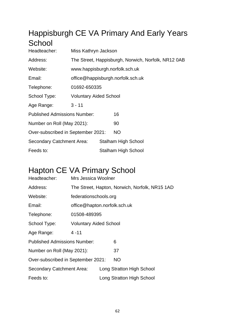## Happisburgh CE VA Primary And Early Years **School**

| Headteacher:                        | Miss Kathryn Jackson                                |                            |                                   |  |
|-------------------------------------|-----------------------------------------------------|----------------------------|-----------------------------------|--|
| Address:                            | The Street, Happisburgh, Norwich, Norfolk, NR12 0AB |                            |                                   |  |
| Website:                            |                                                     |                            | www.happisburgh.norfolk.sch.uk    |  |
| Email:                              |                                                     |                            | office@happisburgh.norfolk.sch.uk |  |
| Telephone:                          | 01692-650335                                        |                            |                                   |  |
| School Type:                        | <b>Voluntary Aided School</b>                       |                            |                                   |  |
| Age Range:                          | $3 - 11$                                            |                            |                                   |  |
| <b>Published Admissions Number:</b> |                                                     |                            | 16                                |  |
| Number on Roll (May 2021):          |                                                     |                            | 90                                |  |
| Over-subscribed in September 2021:  |                                                     |                            | NO.                               |  |
| Secondary Catchment Area:           |                                                     | <b>Stalham High School</b> |                                   |  |
| Feeds to:                           |                                                     |                            | <b>Stalham High School</b>        |  |

#### Hapton CE VA Primary School

| Headteacher:                        | Mrs Jessica Woolner                            |  |                           |  |  |
|-------------------------------------|------------------------------------------------|--|---------------------------|--|--|
| Address:                            | The Street, Hapton, Norwich, Norfolk, NR15 1AD |  |                           |  |  |
| Website:                            | federationschools.org                          |  |                           |  |  |
| Email:                              | office@hapton.norfolk.sch.uk                   |  |                           |  |  |
| Telephone:                          | 01508-489395                                   |  |                           |  |  |
| School Type:                        | <b>Voluntary Aided School</b>                  |  |                           |  |  |
| Age Range:                          | $4 - 11$                                       |  |                           |  |  |
| <b>Published Admissions Number:</b> |                                                |  | 6                         |  |  |
| Number on Roll (May 2021):          |                                                |  | 37                        |  |  |
| Over-subscribed in September 2021:  |                                                |  | <b>NO</b>                 |  |  |
| Secondary Catchment Area:           |                                                |  | Long Stratton High School |  |  |
| Feeds to:                           |                                                |  | Long Stratton High School |  |  |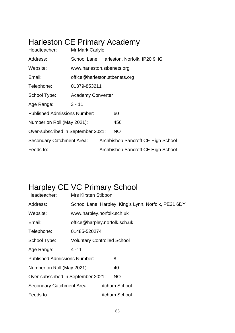# Harleston CE Primary Academy

| Headteacher:                        | Mr Mark Carlyle               |  |                                           |  |  |
|-------------------------------------|-------------------------------|--|-------------------------------------------|--|--|
| Address:                            |                               |  | School Lane, Harleston, Norfolk, IP20 9HG |  |  |
| Website:                            | www.harleston.stbenets.org    |  |                                           |  |  |
| Email:                              | office@harleston.stbenets.org |  |                                           |  |  |
| Telephone:                          | 01379-853211                  |  |                                           |  |  |
| School Type:                        | <b>Academy Converter</b>      |  |                                           |  |  |
| Age Range:                          | $3 - 11$                      |  |                                           |  |  |
| <b>Published Admissions Number:</b> |                               |  | 60                                        |  |  |
| Number on Roll (May 2021):          |                               |  | 456                                       |  |  |
| Over-subscribed in September 2021:  |                               |  | <b>NO</b>                                 |  |  |
| Secondary Catchment Area:           |                               |  | Archbishop Sancroft CE High School        |  |  |
| Feeds to:                           |                               |  | Archbishop Sancroft CE High School        |  |  |

## Harpley CE VC Primary School

| Headteacher:                        | <b>Mrs Kirsten Stibbon</b>                           |                               |                |  |  |
|-------------------------------------|------------------------------------------------------|-------------------------------|----------------|--|--|
| Address:                            | School Lane, Harpley, King's Lynn, Norfolk, PE31 6DY |                               |                |  |  |
| Website:                            | www.harpley.norfolk.sch.uk                           |                               |                |  |  |
| Email:                              |                                                      | office@harpley.norfolk.sch.uk |                |  |  |
| Telephone:                          | 01485-520274                                         |                               |                |  |  |
| School Type:                        | <b>Voluntary Controlled School</b>                   |                               |                |  |  |
| Age Range:                          | $4 - 11$                                             |                               |                |  |  |
| <b>Published Admissions Number:</b> |                                                      |                               | 8              |  |  |
| Number on Roll (May 2021):          |                                                      |                               | 40             |  |  |
| Over-subscribed in September 2021:  |                                                      |                               | <b>NO</b>      |  |  |
| <b>Secondary Catchment Area:</b>    |                                                      |                               | Litcham School |  |  |
| Feeds to:                           |                                                      |                               | Litcham School |  |  |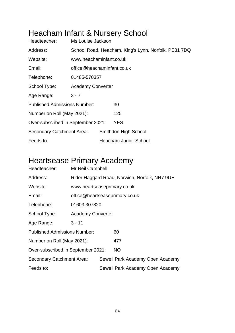#### Heacham Infant & Nursery School

| Headteacher:                        | Ms Louise Jackson                                    |  |                              |  |  |
|-------------------------------------|------------------------------------------------------|--|------------------------------|--|--|
| Address:                            | School Road, Heacham, King's Lynn, Norfolk, PE31 7DQ |  |                              |  |  |
| Website:                            | www.heachaminfant.co.uk                              |  |                              |  |  |
| Email:                              | office@heachaminfant.co.uk                           |  |                              |  |  |
| Telephone:                          | 01485-570357                                         |  |                              |  |  |
| School Type:                        | <b>Academy Converter</b>                             |  |                              |  |  |
| Age Range:                          | $3 - 7$                                              |  |                              |  |  |
| <b>Published Admissions Number:</b> |                                                      |  | 30                           |  |  |
| Number on Roll (May 2021):          |                                                      |  | 125                          |  |  |
| Over-subscribed in September 2021:  |                                                      |  | <b>YES</b>                   |  |  |
| Secondary Catchment Area:           |                                                      |  | Smithdon High School         |  |  |
| Feeds to:                           |                                                      |  | <b>Heacham Junior School</b> |  |  |

#### Heartsease Primary Academy

| Headteacher:                        | Mr Neil Campbell                              |  |                                  |  |  |
|-------------------------------------|-----------------------------------------------|--|----------------------------------|--|--|
| Address:                            | Rider Haggard Road, Norwich, Norfolk, NR7 9UE |  |                                  |  |  |
| Website:                            | www.heartseaseprimary.co.uk                   |  |                                  |  |  |
| Email:                              | office@heartseaseprimary.co.uk                |  |                                  |  |  |
| Telephone:                          | 01603 307820                                  |  |                                  |  |  |
| School Type:                        | <b>Academy Converter</b>                      |  |                                  |  |  |
| Age Range:                          | $3 - 11$                                      |  |                                  |  |  |
| <b>Published Admissions Number:</b> |                                               |  | 60                               |  |  |
| Number on Roll (May 2021):          |                                               |  | 477                              |  |  |
| Over-subscribed in September 2021:  |                                               |  | <b>NO</b>                        |  |  |
| Secondary Catchment Area:           |                                               |  | Sewell Park Academy Open Academy |  |  |
| Feeds to:                           |                                               |  | Sewell Park Academy Open Academy |  |  |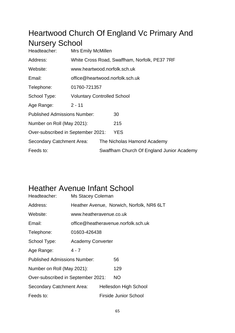#### Heartwood Church Of England Vc Primary And Nursery School

| <b>Voluntary Controlled School</b>        |  |  |  |
|-------------------------------------------|--|--|--|
| $2 - 11$                                  |  |  |  |
|                                           |  |  |  |
|                                           |  |  |  |
|                                           |  |  |  |
| The Nicholas Hamond Academy               |  |  |  |
| Swaffham Church Of England Junior Academy |  |  |  |
|                                           |  |  |  |

#### Heather Avenue Infant School

| Headteacher:                        | Ms Stacey Coleman                   |  |                                           |  |  |
|-------------------------------------|-------------------------------------|--|-------------------------------------------|--|--|
| Address:                            |                                     |  | Heather Avenue, Norwich, Norfolk, NR6 6LT |  |  |
| Website:                            | www.heatheravenue.co.uk             |  |                                           |  |  |
| Email:                              | office@heatheravenue.norfolk.sch.uk |  |                                           |  |  |
| Telephone:                          | 01603-426438                        |  |                                           |  |  |
| School Type:                        | <b>Academy Converter</b>            |  |                                           |  |  |
| Age Range:                          | $4 - 7$                             |  |                                           |  |  |
| <b>Published Admissions Number:</b> |                                     |  | 56                                        |  |  |
| Number on Roll (May 2021):          |                                     |  | 129                                       |  |  |
| Over-subscribed in September 2021:  |                                     |  | NO.                                       |  |  |
| Secondary Catchment Area:           |                                     |  | <b>Hellesdon High School</b>              |  |  |
| Feeds to:                           |                                     |  | <b>Firside Junior School</b>              |  |  |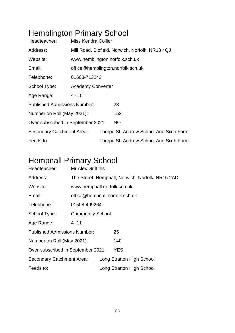## Hemblington Primary School

| Headteacher:                        | <b>Miss Kendra Collier</b>                      |  |                                         |  |  |
|-------------------------------------|-------------------------------------------------|--|-----------------------------------------|--|--|
| Address:                            | Mill Road, Blofield, Norwich, Norfolk, NR13 4QJ |  |                                         |  |  |
| Website:                            | www.hemblington.norfolk.sch.uk                  |  |                                         |  |  |
| Email:                              | office@hemblington.norfolk.sch.uk               |  |                                         |  |  |
| Telephone:                          | 01603-713243                                    |  |                                         |  |  |
| School Type:                        | <b>Academy Converter</b>                        |  |                                         |  |  |
| Age Range:                          | $4 - 11$                                        |  |                                         |  |  |
| <b>Published Admissions Number:</b> |                                                 |  | 28                                      |  |  |
| Number on Roll (May 2021):          |                                                 |  | 152                                     |  |  |
| Over-subscribed in September 2021:  |                                                 |  | <b>NO</b>                               |  |  |
| <b>Secondary Catchment Area:</b>    |                                                 |  | Thorpe St. Andrew School And Sixth Form |  |  |
| Feeds to:                           |                                                 |  | Thorpe St. Andrew School And Sixth Form |  |  |

## Hempnall Primary School

| Headteacher:                        | <b>Mr Alex Griffiths</b>                         |  |                           |  |  |
|-------------------------------------|--------------------------------------------------|--|---------------------------|--|--|
| Address:                            | The Street, Hempnall, Norwich, Norfolk, NR15 2AD |  |                           |  |  |
| Website:                            | www.hempnall.norfolk.sch.uk                      |  |                           |  |  |
| Email:                              | office@hempnall.norfolk.sch.uk                   |  |                           |  |  |
| Telephone:                          | 01508-499264                                     |  |                           |  |  |
| School Type:                        | <b>Community School</b>                          |  |                           |  |  |
| Age Range:                          | $4 - 11$                                         |  |                           |  |  |
| <b>Published Admissions Number:</b> |                                                  |  | 25                        |  |  |
| Number on Roll (May 2021):          |                                                  |  | 140                       |  |  |
| Over-subscribed in September 2021:  |                                                  |  | <b>YES</b>                |  |  |
| Secondary Catchment Area:           |                                                  |  | Long Stratton High School |  |  |
| Feeds to:                           |                                                  |  | Long Stratton High School |  |  |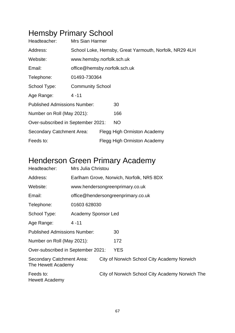## Hemsby Primary School

| Headteacher:                        | Mrs Sian Harmer                                        |                              |                             |  |  |  |  |
|-------------------------------------|--------------------------------------------------------|------------------------------|-----------------------------|--|--|--|--|
| Address:                            | School Loke, Hemsby, Great Yarmouth, Norfolk, NR29 4LH |                              |                             |  |  |  |  |
| Website:                            | www.hemsby.norfolk.sch.uk                              |                              |                             |  |  |  |  |
| Email:                              |                                                        | office@hemsby.norfolk.sch.uk |                             |  |  |  |  |
| Telephone:                          | 01493-730364                                           |                              |                             |  |  |  |  |
| School Type:                        | <b>Community School</b>                                |                              |                             |  |  |  |  |
| Age Range:                          | $4 - 11$                                               |                              |                             |  |  |  |  |
| <b>Published Admissions Number:</b> |                                                        |                              | 30                          |  |  |  |  |
| Number on Roll (May 2021):          |                                                        |                              | 166                         |  |  |  |  |
| Over-subscribed in September 2021:  |                                                        |                              | NO.                         |  |  |  |  |
| Secondary Catchment Area:           |                                                        |                              | Flegg High Ormiston Academy |  |  |  |  |
| Feeds to:                           |                                                        |                              | Flegg High Ormiston Academy |  |  |  |  |

## Henderson Green Primary Academy

| Headteacher:                                    | Mrs Julia Christou                       |                                 |                                                 |  |  |  |  |
|-------------------------------------------------|------------------------------------------|---------------------------------|-------------------------------------------------|--|--|--|--|
| Address:                                        | Earlham Grove, Norwich, Norfolk, NR5 8DX |                                 |                                                 |  |  |  |  |
| Website:                                        |                                          | www.hendersongreenprimary.co.uk |                                                 |  |  |  |  |
| Email:                                          |                                          |                                 | office@hendersongreenprimary.co.uk              |  |  |  |  |
| Telephone:                                      | 01603 628030                             |                                 |                                                 |  |  |  |  |
| School Type:                                    | <b>Academy Sponsor Led</b>               |                                 |                                                 |  |  |  |  |
| Age Range:                                      | $4 - 11$                                 |                                 |                                                 |  |  |  |  |
| <b>Published Admissions Number:</b>             |                                          |                                 | 30                                              |  |  |  |  |
| Number on Roll (May 2021):                      |                                          |                                 | 172                                             |  |  |  |  |
| Over-subscribed in September 2021:              |                                          |                                 | <b>YES</b>                                      |  |  |  |  |
| Secondary Catchment Area:<br>The Hewett Academy |                                          |                                 | City of Norwich School City Academy Norwich     |  |  |  |  |
| Feeds to:<br>Hewett Academy                     |                                          |                                 | City of Norwich School City Academy Norwich The |  |  |  |  |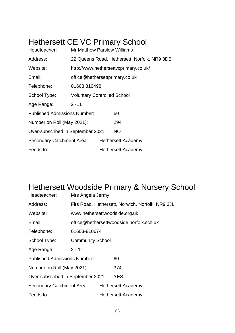## Hethersett CE VC Primary School

| Headteacher:                        | <b>Mr Matthew Parslow Williams</b>           |  |                           |  |  |
|-------------------------------------|----------------------------------------------|--|---------------------------|--|--|
| Address:                            | 22 Queens Road, Hethersett, Norfolk, NR9 3DB |  |                           |  |  |
| Website:                            | http://www.hethersettvcprimary.co.uk/        |  |                           |  |  |
| Email:                              | office@hethersettprimary.co.uk               |  |                           |  |  |
| Telephone:                          | 01603810498                                  |  |                           |  |  |
| School Type:                        | <b>Voluntary Controlled School</b>           |  |                           |  |  |
| Age Range:                          | $2 - 11$                                     |  |                           |  |  |
| <b>Published Admissions Number:</b> |                                              |  | 60                        |  |  |
| Number on Roll (May 2021):          |                                              |  | 294                       |  |  |
| Over-subscribed in September 2021:  |                                              |  | <b>NO</b>                 |  |  |
| Secondary Catchment Area:           |                                              |  | <b>Hethersett Academy</b> |  |  |
| Feeds to:                           |                                              |  | Hethersett Academy        |  |  |

#### Hethersett Woodside Primary & Nursery School

| Headteacher:                        | Mrs Angela Jermy                                 |  |                           |  |  |
|-------------------------------------|--------------------------------------------------|--|---------------------------|--|--|
| Address:                            | Firs Road, Hethersett, Norwich, Norfolk, NR9 3JL |  |                           |  |  |
| Website:                            | www.hethersettwoodside.org.uk                    |  |                           |  |  |
| Email:                              | office@hethersettwoodside.norfolk.sch.uk         |  |                           |  |  |
| Telephone:                          | 01603-810674                                     |  |                           |  |  |
| School Type:                        | <b>Community School</b>                          |  |                           |  |  |
| Age Range:                          | $2 - 11$                                         |  |                           |  |  |
| <b>Published Admissions Number:</b> |                                                  |  | 60                        |  |  |
| Number on Roll (May 2021):          |                                                  |  | 374                       |  |  |
| Over-subscribed in September 2021:  |                                                  |  | <b>YES</b>                |  |  |
| Secondary Catchment Area:           |                                                  |  | <b>Hethersett Academy</b> |  |  |
| Feeds to:                           |                                                  |  | Hethersett Academy        |  |  |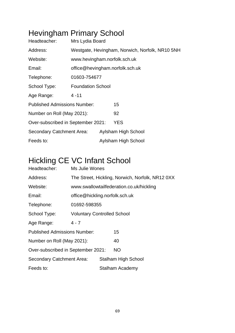## Hevingham Primary School

| Headteacher:                        | Mrs Lydia Board                                 |                              |                     |  |  |  |
|-------------------------------------|-------------------------------------------------|------------------------------|---------------------|--|--|--|
| Address:                            | Westgate, Hevingham, Norwich, Norfolk, NR10 5NH |                              |                     |  |  |  |
| Website:                            |                                                 | www.hevingham.norfolk.sch.uk |                     |  |  |  |
| Email:                              | office@hevingham.norfolk.sch.uk                 |                              |                     |  |  |  |
| Telephone:                          | 01603-754677                                    |                              |                     |  |  |  |
| School Type:                        | <b>Foundation School</b>                        |                              |                     |  |  |  |
| Age Range:                          | $4 - 11$                                        |                              |                     |  |  |  |
| <b>Published Admissions Number:</b> |                                                 |                              | 15                  |  |  |  |
| Number on Roll (May 2021):          |                                                 |                              | 92                  |  |  |  |
| Over-subscribed in September 2021:  |                                                 |                              | YES                 |  |  |  |
| Secondary Catchment Area:           |                                                 |                              | Aylsham High School |  |  |  |
| Feeds to:                           |                                                 |                              | Aylsham High School |  |  |  |

## Hickling CE VC Infant School

| Headteacher:                        | Ms Julie Wones                                   |                                          |                            |  |  |  |
|-------------------------------------|--------------------------------------------------|------------------------------------------|----------------------------|--|--|--|
| Address:                            | The Street, Hickling, Norwich, Norfolk, NR12 0XX |                                          |                            |  |  |  |
| Website:                            |                                                  | www.swallowtailfederation.co.uk/hickling |                            |  |  |  |
| Email:                              | office@hickling.norfolk.sch.uk                   |                                          |                            |  |  |  |
| Telephone:                          | 01692-598355                                     |                                          |                            |  |  |  |
| School Type:                        | <b>Voluntary Controlled School</b>               |                                          |                            |  |  |  |
| Age Range:                          | $4 - 7$                                          |                                          |                            |  |  |  |
| <b>Published Admissions Number:</b> |                                                  |                                          | 15                         |  |  |  |
| Number on Roll (May 2021):          |                                                  |                                          | 40                         |  |  |  |
| Over-subscribed in September 2021:  |                                                  |                                          | <b>NO</b>                  |  |  |  |
| Secondary Catchment Area:           |                                                  |                                          | <b>Stalham High School</b> |  |  |  |
| Feeds to:                           |                                                  |                                          | Stalham Academy            |  |  |  |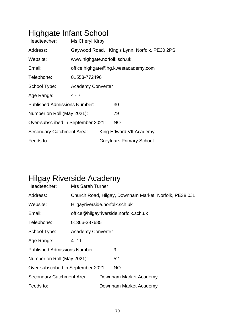# Highgate Infant School

| Headteacher:                        | Ms Cheryl Kirby                               |  |                                  |  |  |  |
|-------------------------------------|-----------------------------------------------|--|----------------------------------|--|--|--|
| Address:                            | Gaywood Road,, King's Lynn, Norfolk, PE30 2PS |  |                                  |  |  |  |
| Website:                            | www.highgate.norfolk.sch.uk                   |  |                                  |  |  |  |
| Email:                              | office.highgate@hg.kwestacademy.com           |  |                                  |  |  |  |
| Telephone:                          | 01553-772496                                  |  |                                  |  |  |  |
| School Type:                        | <b>Academy Converter</b>                      |  |                                  |  |  |  |
| Age Range:                          | $4 - 7$                                       |  |                                  |  |  |  |
| <b>Published Admissions Number:</b> |                                               |  | 30                               |  |  |  |
| Number on Roll (May 2021):          |                                               |  | 79                               |  |  |  |
| Over-subscribed in September 2021:  |                                               |  | <b>NO</b>                        |  |  |  |
| Secondary Catchment Area:           |                                               |  | King Edward VII Academy          |  |  |  |
| Feeds to:                           |                                               |  | <b>Greyfriars Primary School</b> |  |  |  |

## Hilgay Riverside Academy

| Headteacher:                        | <b>Mrs Sarah Turner</b>                                |  |                        |  |  |
|-------------------------------------|--------------------------------------------------------|--|------------------------|--|--|
| Address:                            | Church Road, Hilgay, Downham Market, Norfolk, PE38 0JL |  |                        |  |  |
| Website:                            | Hilgayriverside.norfolk.sch.uk                         |  |                        |  |  |
| Email:                              | office@hilgayriverside.norfolk.sch.uk                  |  |                        |  |  |
| Telephone:                          | 01366-387685                                           |  |                        |  |  |
| School Type:                        | <b>Academy Converter</b>                               |  |                        |  |  |
| Age Range:                          | $4 - 11$                                               |  |                        |  |  |
| <b>Published Admissions Number:</b> |                                                        |  | 9                      |  |  |
| Number on Roll (May 2021):          |                                                        |  | 52                     |  |  |
| Over-subscribed in September 2021:  |                                                        |  | <b>NO</b>              |  |  |
| Secondary Catchment Area:           |                                                        |  | Downham Market Academy |  |  |
| Feeds to:                           |                                                        |  | Downham Market Academy |  |  |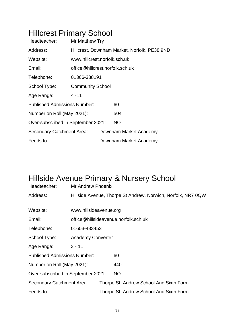## Hillcrest Primary School

| Headteacher:                        | Mr Matthew Try                               |  |                        |  |  |
|-------------------------------------|----------------------------------------------|--|------------------------|--|--|
| Address:                            | Hillcrest, Downham Market, Norfolk, PE38 9ND |  |                        |  |  |
| Website:                            | www.hillcrest.norfolk.sch.uk                 |  |                        |  |  |
| Email:                              | office@hillcrest.norfolk.sch.uk              |  |                        |  |  |
| Telephone:                          | 01366-388191                                 |  |                        |  |  |
| School Type:                        | <b>Community School</b>                      |  |                        |  |  |
| Age Range:                          | $4 - 11$                                     |  |                        |  |  |
| <b>Published Admissions Number:</b> |                                              |  | 60                     |  |  |
| Number on Roll (May 2021):          |                                              |  | 504                    |  |  |
| Over-subscribed in September 2021:  |                                              |  | <b>NO</b>              |  |  |
| Secondary Catchment Area:           |                                              |  | Downham Market Academy |  |  |
| Feeds to:                           |                                              |  | Downham Market Academy |  |  |

#### Hillside Avenue Primary & Nursery School

| Headteacher:                        | Mr Andrew Phoenix                                            |                                      |                                         |  |  |  |
|-------------------------------------|--------------------------------------------------------------|--------------------------------------|-----------------------------------------|--|--|--|
| Address:                            | Hillside Avenue, Thorpe St Andrew, Norwich, Norfolk, NR7 0QW |                                      |                                         |  |  |  |
| Website:                            | www.hillsideavenue.org                                       |                                      |                                         |  |  |  |
|                                     |                                                              |                                      |                                         |  |  |  |
| Email:                              |                                                              | office@hillsideavenue.norfolk.sch.uk |                                         |  |  |  |
| Telephone:                          | 01603-433453                                                 |                                      |                                         |  |  |  |
| School Type:                        | <b>Academy Converter</b>                                     |                                      |                                         |  |  |  |
| Age Range:                          | $3 - 11$                                                     |                                      |                                         |  |  |  |
| <b>Published Admissions Number:</b> |                                                              |                                      | 60                                      |  |  |  |
| Number on Roll (May 2021):          |                                                              |                                      | 440                                     |  |  |  |
| Over-subscribed in September 2021:  |                                                              |                                      | <b>NO</b>                               |  |  |  |
| Secondary Catchment Area:           |                                                              |                                      | Thorpe St. Andrew School And Sixth Form |  |  |  |
| Feeds to:                           |                                                              |                                      | Thorpe St. Andrew School And Sixth Form |  |  |  |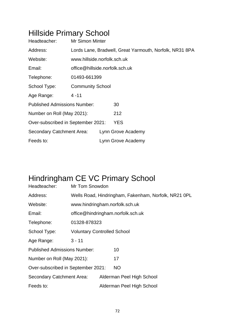## Hillside Primary School

| Headteacher:                        | <b>Mr Simon Minter</b>                                  |  |                    |  |  |
|-------------------------------------|---------------------------------------------------------|--|--------------------|--|--|
| Address:                            | Lords Lane, Bradwell, Great Yarmouth, Norfolk, NR31 8PA |  |                    |  |  |
| Website:                            | www.hillside.norfolk.sch.uk                             |  |                    |  |  |
| Email:                              | office@hillside.norfolk.sch.uk                          |  |                    |  |  |
| Telephone:                          | 01493-661399                                            |  |                    |  |  |
| School Type:                        | <b>Community School</b>                                 |  |                    |  |  |
| Age Range:                          | $4 - 11$                                                |  |                    |  |  |
| <b>Published Admissions Number:</b> |                                                         |  | 30                 |  |  |
| Number on Roll (May 2021):          |                                                         |  | 212                |  |  |
| Over-subscribed in September 2021:  |                                                         |  | <b>YES</b>         |  |  |
| <b>Secondary Catchment Area:</b>    |                                                         |  | Lynn Grove Academy |  |  |
| Feeds to:                           |                                                         |  | Lynn Grove Academy |  |  |

## Hindringham CE VC Primary School

| Headteacher:                        | Mr Tom Snowdon                                       |  |                           |  |  |
|-------------------------------------|------------------------------------------------------|--|---------------------------|--|--|
| Address:                            | Wells Road, Hindringham, Fakenham, Norfolk, NR21 OPL |  |                           |  |  |
| Website:                            | www.hindringham.norfolk.sch.uk                       |  |                           |  |  |
| Email:                              | office@hindringham.norfolk.sch.uk                    |  |                           |  |  |
| Telephone:                          | 01328-878323                                         |  |                           |  |  |
| School Type:                        | <b>Voluntary Controlled School</b>                   |  |                           |  |  |
| Age Range:                          | $3 - 11$                                             |  |                           |  |  |
| <b>Published Admissions Number:</b> |                                                      |  | 10                        |  |  |
| Number on Roll (May 2021):          |                                                      |  | 17                        |  |  |
| Over-subscribed in September 2021:  |                                                      |  | NO.                       |  |  |
| <b>Secondary Catchment Area:</b>    |                                                      |  | Alderman Peel High School |  |  |
| Feeds to:                           |                                                      |  | Alderman Peel High School |  |  |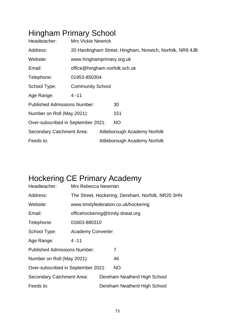## Hingham Primary School

| Headteacher:                        | <b>Mrs Vickie Newrick</b>                                |                              |                              |  |  |
|-------------------------------------|----------------------------------------------------------|------------------------------|------------------------------|--|--|
| Address:                            | 20 Hardingham Street, Hingham, Norwich, Norfolk, NR9 4JB |                              |                              |  |  |
| Website:                            | www.hinghamprimary.org.uk                                |                              |                              |  |  |
| Email:                              | office@hingham.norfolk.sch.uk                            |                              |                              |  |  |
| Telephone:                          | 01953-850304                                             |                              |                              |  |  |
| School Type:                        | <b>Community School</b>                                  |                              |                              |  |  |
| Age Range:                          | $4 - 11$                                                 |                              |                              |  |  |
| <b>Published Admissions Number:</b> |                                                          |                              | 30                           |  |  |
| Number on Roll (May 2021):          |                                                          |                              | 151                          |  |  |
| Over-subscribed in September 2021:  |                                                          |                              | <b>NO</b>                    |  |  |
| <b>Secondary Catchment Area:</b>    |                                                          | Attleborough Academy Norfolk |                              |  |  |
| Feeds to:                           |                                                          |                              | Attleborough Academy Norfolk |  |  |

# Hockering CE Primary Academy

| Headteacher:                        | Mrs Rebecca Newman                                |                              |                                       |  |  |
|-------------------------------------|---------------------------------------------------|------------------------------|---------------------------------------|--|--|
| Address:                            | The Street, Hockering, Dereham, Norfolk, NR20 3HN |                              |                                       |  |  |
| Website:                            |                                                   |                              | www.trinityfederation.co.uk/hockering |  |  |
| Email:                              |                                                   |                              | officehockering@trinity.dneat.org     |  |  |
| Telephone:                          | 01603-880310                                      |                              |                                       |  |  |
| School Type:                        | <b>Academy Converter</b>                          |                              |                                       |  |  |
| Age Range:                          | $4 - 11$                                          |                              |                                       |  |  |
| <b>Published Admissions Number:</b> |                                                   |                              | 7                                     |  |  |
| Number on Roll (May 2021):          |                                                   |                              | 46                                    |  |  |
| Over-subscribed in September 2021:  |                                                   |                              | <b>NO</b>                             |  |  |
| Secondary Catchment Area:           |                                                   | Dereham Neatherd High School |                                       |  |  |
| Feeds to:                           |                                                   |                              | Dereham Neatherd High School          |  |  |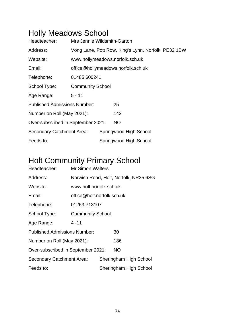## Holly Meadows School

| Headteacher:                        | Mrs Jennie Wildsmith-Garton                         |                                    |                                 |  |  |  |  |
|-------------------------------------|-----------------------------------------------------|------------------------------------|---------------------------------|--|--|--|--|
| Address:                            | Vong Lane, Pott Row, King's Lynn, Norfolk, PE32 1BW |                                    |                                 |  |  |  |  |
| Website:                            |                                                     |                                    | www.hollymeadows.norfolk.sch.uk |  |  |  |  |
| Email:                              |                                                     | office@hollymeadows.norfolk.sch.uk |                                 |  |  |  |  |
| Telephone:                          | 01485 600241                                        |                                    |                                 |  |  |  |  |
| School Type:                        | <b>Community School</b>                             |                                    |                                 |  |  |  |  |
| Age Range:                          | $5 - 11$                                            |                                    |                                 |  |  |  |  |
| <b>Published Admissions Number:</b> |                                                     |                                    | 25                              |  |  |  |  |
| Number on Roll (May 2021):          |                                                     |                                    | 142                             |  |  |  |  |
| Over-subscribed in September 2021:  |                                                     |                                    | <b>NO</b>                       |  |  |  |  |
| <b>Secondary Catchment Area:</b>    |                                                     | Springwood High School             |                                 |  |  |  |  |
| Feeds to:                           |                                                     |                                    | Springwood High School          |  |  |  |  |

## Holt Community Primary School

| Headteacher:                        | <b>Mr Simon Walters</b>    |                        |                                       |  |
|-------------------------------------|----------------------------|------------------------|---------------------------------------|--|
| Address:                            |                            |                        | Norwich Road, Holt, Norfolk, NR25 6SG |  |
| Website:                            | www.holt.norfolk.sch.uk    |                        |                                       |  |
| Email:                              | office@holt.norfolk.sch.uk |                        |                                       |  |
| Telephone:                          | 01263-713107               |                        |                                       |  |
| School Type:                        | <b>Community School</b>    |                        |                                       |  |
| Age Range:                          | $4 - 11$                   |                        |                                       |  |
| <b>Published Admissions Number:</b> |                            |                        | 30                                    |  |
| Number on Roll (May 2021):          |                            |                        | 186                                   |  |
| Over-subscribed in September 2021:  |                            |                        | NO.                                   |  |
| Secondary Catchment Area:           |                            |                        | Sheringham High School                |  |
| Feeds to:                           |                            | Sheringham High School |                                       |  |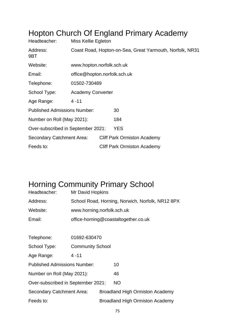| Headteacher:                        | Miss Kellie Egleton                                      |  |                                    |  |  |
|-------------------------------------|----------------------------------------------------------|--|------------------------------------|--|--|
| Address:<br>9BT                     | Coast Road, Hopton-on-Sea, Great Yarmouth, Norfolk, NR31 |  |                                    |  |  |
| Website:                            | www.hopton.norfolk.sch.uk                                |  |                                    |  |  |
| Email:                              | office@hopton.norfolk.sch.uk                             |  |                                    |  |  |
| Telephone:                          | 01502-730489                                             |  |                                    |  |  |
| School Type:                        | <b>Academy Converter</b>                                 |  |                                    |  |  |
| Age Range:                          | $4 - 11$                                                 |  |                                    |  |  |
| <b>Published Admissions Number:</b> |                                                          |  | 30                                 |  |  |
| Number on Roll (May 2021):          |                                                          |  | 184                                |  |  |
| Over-subscribed in September 2021:  |                                                          |  | <b>YES</b>                         |  |  |
| Secondary Catchment Area:           |                                                          |  | <b>Cliff Park Ormiston Academy</b> |  |  |
| Feeds to:                           |                                                          |  | <b>Cliff Park Ormiston Academy</b> |  |  |

#### Hopton Church Of England Primary Academy

## Horning Community Primary School

| Headteacher:                        | Mr David Hopkins                                 |                                        |                                      |  |  |  |
|-------------------------------------|--------------------------------------------------|----------------------------------------|--------------------------------------|--|--|--|
| Address:                            | School Road, Horning, Norwich, Norfolk, NR12 8PX |                                        |                                      |  |  |  |
| Website:                            | www.horning.norfolk.sch.uk                       |                                        |                                      |  |  |  |
| Email:                              |                                                  |                                        | office-horning@coastaltogether.co.uk |  |  |  |
|                                     |                                                  |                                        |                                      |  |  |  |
| Telephone:                          | 01692-630470                                     |                                        |                                      |  |  |  |
| School Type:                        | <b>Community School</b>                          |                                        |                                      |  |  |  |
| Age Range:                          | $4 - 11$                                         |                                        |                                      |  |  |  |
| <b>Published Admissions Number:</b> |                                                  |                                        | 10                                   |  |  |  |
| Number on Roll (May 2021):          |                                                  |                                        | 46                                   |  |  |  |
| Over-subscribed in September 2021:  |                                                  |                                        | <b>NO</b>                            |  |  |  |
| Secondary Catchment Area:           |                                                  | <b>Broadland High Ormiston Academy</b> |                                      |  |  |  |
| Feeds to:                           |                                                  | <b>Broadland High Ormiston Academy</b> |                                      |  |  |  |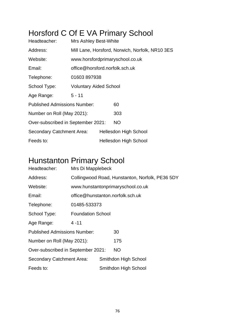## Horsford C Of E VA Primary School

| Headteacher:                        | <b>Mrs Ashley Best-White</b>                    |  |                              |  |  |  |
|-------------------------------------|-------------------------------------------------|--|------------------------------|--|--|--|
| Address:                            | Mill Lane, Horsford, Norwich, Norfolk, NR10 3ES |  |                              |  |  |  |
| Website:                            | www.horsfordprimaryschool.co.uk                 |  |                              |  |  |  |
| Email:                              | office@horsford.norfolk.sch.uk                  |  |                              |  |  |  |
| Telephone:                          | 01603897938                                     |  |                              |  |  |  |
| School Type:                        | <b>Voluntary Aided School</b>                   |  |                              |  |  |  |
| Age Range:                          | $5 - 11$                                        |  |                              |  |  |  |
| <b>Published Admissions Number:</b> |                                                 |  | 60                           |  |  |  |
| Number on Roll (May 2021):          |                                                 |  | 303                          |  |  |  |
| Over-subscribed in September 2021:  |                                                 |  | <b>NO</b>                    |  |  |  |
| Secondary Catchment Area:           |                                                 |  | <b>Hellesdon High School</b> |  |  |  |
| Feeds to:                           |                                                 |  | <b>Hellesdon High School</b> |  |  |  |

#### Hunstanton Primary School

| Headteacher:                        | Mrs Di Mapplebeck        |                                                 |                                   |  |  |  |
|-------------------------------------|--------------------------|-------------------------------------------------|-----------------------------------|--|--|--|
| Address:                            |                          | Collingwood Road, Hunstanton, Norfolk, PE36 5DY |                                   |  |  |  |
| Website:                            |                          |                                                 | www.hunstantonprimaryschool.co.uk |  |  |  |
| Email:                              |                          |                                                 | office@hunstanton.norfolk.sch.uk  |  |  |  |
| Telephone:                          | 01485-533373             |                                                 |                                   |  |  |  |
| School Type:                        | <b>Foundation School</b> |                                                 |                                   |  |  |  |
| Age Range:                          | $4 - 11$                 |                                                 |                                   |  |  |  |
| <b>Published Admissions Number:</b> |                          |                                                 | 30                                |  |  |  |
| Number on Roll (May 2021):          |                          |                                                 | 175                               |  |  |  |
| Over-subscribed in September 2021:  |                          |                                                 | <b>NO</b>                         |  |  |  |
| Secondary Catchment Area:           |                          |                                                 | Smithdon High School              |  |  |  |
| Feeds to:                           |                          |                                                 | Smithdon High School              |  |  |  |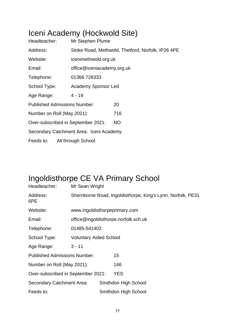### Iceni Academy (Hockwold Site)

| Headteacher:                            | Mr Stephen Plume                                  |           |  |  |  |
|-----------------------------------------|---------------------------------------------------|-----------|--|--|--|
| Address:                                | Stoke Road, Methwold, Thetford, Norfolk, IP26 4PE |           |  |  |  |
| Website:                                | icenimethwold.org.uk                              |           |  |  |  |
| Email:                                  | office@iceniacademy.org.uk                        |           |  |  |  |
| Telephone:                              | 01366 728333                                      |           |  |  |  |
| School Type:                            | <b>Academy Sponsor Led</b>                        |           |  |  |  |
| Age Range:                              | $4 - 19$                                          |           |  |  |  |
| <b>Published Admissions Number:</b>     |                                                   | 20        |  |  |  |
| Number on Roll (May 2021):              |                                                   | 716       |  |  |  |
| Over-subscribed in September 2021:      |                                                   | <b>NO</b> |  |  |  |
| Secondary Catchment Area: Iceni Academy |                                                   |           |  |  |  |
| Feeds to:                               | All through School                                |           |  |  |  |

### Ingoldisthorpe CE VA Primary School

| Headteacher:                        | Mr Sean Wright                                              |  |                                      |  |  |  |
|-------------------------------------|-------------------------------------------------------------|--|--------------------------------------|--|--|--|
| Address:<br>6PE                     | Shernborne Road, Ingoldisthorpe, King's Lynn, Norfolk, PE31 |  |                                      |  |  |  |
| Website:                            | www.ingoldisthorpeprimary.com                               |  |                                      |  |  |  |
| Email:                              |                                                             |  | office@ingoldisthorpe.norfolk.sch.uk |  |  |  |
| Telephone:                          | 01485-541402                                                |  |                                      |  |  |  |
| School Type:                        | <b>Voluntary Aided School</b>                               |  |                                      |  |  |  |
| Age Range:                          | $3 - 11$                                                    |  |                                      |  |  |  |
| <b>Published Admissions Number:</b> |                                                             |  | 15                                   |  |  |  |
| Number on Roll (May 2021):          |                                                             |  | 146                                  |  |  |  |
| Over-subscribed in September 2021:  |                                                             |  | <b>YES</b>                           |  |  |  |
| Secondary Catchment Area:           |                                                             |  | Smithdon High School                 |  |  |  |
| Feeds to:                           |                                                             |  | Smithdon High School                 |  |  |  |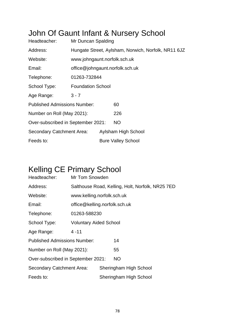### John Of Gaunt Infant & Nursery School

| Headteacher:                        | Mr Duncan Spalding                                  |                     |                           |  |  |  |
|-------------------------------------|-----------------------------------------------------|---------------------|---------------------------|--|--|--|
| Address:                            | Hungate Street, Aylsham, Norwich, Norfolk, NR11 6JZ |                     |                           |  |  |  |
| Website:                            | www.johngaunt.norfolk.sch.uk                        |                     |                           |  |  |  |
| Email:                              | office@johngaunt.norfolk.sch.uk                     |                     |                           |  |  |  |
| Telephone:                          | 01263-732844                                        |                     |                           |  |  |  |
| School Type:                        | <b>Foundation School</b>                            |                     |                           |  |  |  |
| Age Range:                          | $3 - 7$                                             |                     |                           |  |  |  |
| <b>Published Admissions Number:</b> |                                                     |                     | 60                        |  |  |  |
| Number on Roll (May 2021):          |                                                     |                     | 226                       |  |  |  |
| Over-subscribed in September 2021:  |                                                     |                     | <b>NO</b>                 |  |  |  |
| <b>Secondary Catchment Area:</b>    |                                                     | Aylsham High School |                           |  |  |  |
| Feeds to:                           |                                                     |                     | <b>Bure Valley School</b> |  |  |  |

### Kelling CE Primary School

| Headteacher:                        | Mr Tom Snowden                                   |  |                        |  |  |  |
|-------------------------------------|--------------------------------------------------|--|------------------------|--|--|--|
| Address:                            | Salthouse Road, Kelling, Holt, Norfolk, NR25 7ED |  |                        |  |  |  |
| Website:                            | www.kelling.norfolk.sch.uk                       |  |                        |  |  |  |
| Email:                              | office@kelling.norfolk.sch.uk                    |  |                        |  |  |  |
| Telephone:                          | 01263-588230                                     |  |                        |  |  |  |
| School Type:                        | <b>Voluntary Aided School</b>                    |  |                        |  |  |  |
| Age Range:                          | $4 - 11$                                         |  |                        |  |  |  |
| <b>Published Admissions Number:</b> |                                                  |  | 14                     |  |  |  |
| Number on Roll (May 2021):          |                                                  |  | 55                     |  |  |  |
| Over-subscribed in September 2021:  |                                                  |  | <b>NO</b>              |  |  |  |
| <b>Secondary Catchment Area:</b>    |                                                  |  | Sheringham High School |  |  |  |
| Feeds to:                           |                                                  |  | Sheringham High School |  |  |  |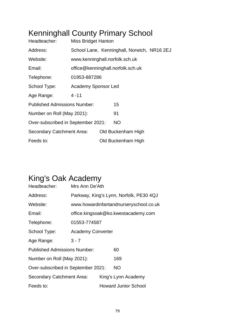## Kenninghall County Primary School

| Headteacher:                        | <b>Miss Bridget Hanton</b>     |  |                                             |  |  |  |
|-------------------------------------|--------------------------------|--|---------------------------------------------|--|--|--|
| Address:                            |                                |  | School Lane, Kenninghall, Norwich, NR16 2EJ |  |  |  |
| Website:                            | www.kenninghall.norfolk.sch.uk |  |                                             |  |  |  |
| Email:                              |                                |  | office@kenninghall.norfolk.sch.uk           |  |  |  |
| Telephone:                          | 01953-887286                   |  |                                             |  |  |  |
| School Type:                        | <b>Academy Sponsor Led</b>     |  |                                             |  |  |  |
| Age Range:                          | $4 - 11$                       |  |                                             |  |  |  |
| <b>Published Admissions Number:</b> |                                |  | 15                                          |  |  |  |
| Number on Roll (May 2021):          |                                |  | 91                                          |  |  |  |
| Over-subscribed in September 2021:  |                                |  | <b>NO</b>                                   |  |  |  |
| Secondary Catchment Area:           |                                |  | Old Buckenham High                          |  |  |  |
| Feeds to:                           |                                |  | Old Buckenham High                          |  |  |  |

## King's Oak Academy

| Headteacher:                        | Mrs Ann De'Ath                          |                             |                                     |  |  |
|-------------------------------------|-----------------------------------------|-----------------------------|-------------------------------------|--|--|
| Address:                            | Parkway, King's Lynn, Norfolk, PE30 4QJ |                             |                                     |  |  |
| Website:                            | www.howardinfantandnurseryschool.co.uk  |                             |                                     |  |  |
| Email:                              |                                         |                             | office.kingsoak@ko.kwestacademy.com |  |  |
| Telephone:                          | 01553-774587                            |                             |                                     |  |  |
| School Type:                        | <b>Academy Converter</b>                |                             |                                     |  |  |
| Age Range:                          | $3 - 7$                                 |                             |                                     |  |  |
| <b>Published Admissions Number:</b> |                                         |                             | 60                                  |  |  |
| Number on Roll (May 2021):          |                                         |                             | 169                                 |  |  |
| Over-subscribed in September 2021:  |                                         |                             | <b>NO</b>                           |  |  |
| <b>Secondary Catchment Area:</b>    |                                         |                             | King's Lynn Academy                 |  |  |
| Feeds to:                           |                                         | <b>Howard Junior School</b> |                                     |  |  |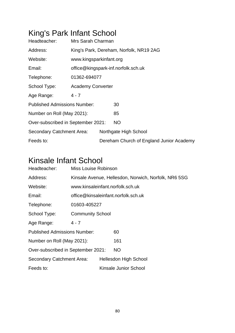## King's Park Infant School

| Headteacher:                        | Mrs Sarah Charman                   |  |                                          |  |  |
|-------------------------------------|-------------------------------------|--|------------------------------------------|--|--|
| Address:                            |                                     |  | King's Park, Dereham, Norfolk, NR19 2AG  |  |  |
| Website:                            | www.kingsparkinfant.org             |  |                                          |  |  |
| Email:                              | office@kingspark-inf.norfolk.sch.uk |  |                                          |  |  |
| Telephone:                          | 01362-694077                        |  |                                          |  |  |
| School Type:                        | <b>Academy Converter</b>            |  |                                          |  |  |
| Age Range:                          | $4 - 7$                             |  |                                          |  |  |
| <b>Published Admissions Number:</b> |                                     |  | 30                                       |  |  |
| Number on Roll (May 2021):          |                                     |  | 85                                       |  |  |
| Over-subscribed in September 2021:  |                                     |  | <b>NO</b>                                |  |  |
| <b>Secondary Catchment Area:</b>    |                                     |  | Northgate High School                    |  |  |
| Feeds to:                           |                                     |  | Dereham Church of England Junior Academy |  |  |

## Kinsale Infant School

| Headteacher:                        | Miss Louise Robinson      |                                     |                                                      |  |  |
|-------------------------------------|---------------------------|-------------------------------------|------------------------------------------------------|--|--|
| Address:                            |                           |                                     | Kinsale Avenue, Hellesdon, Norwich, Norfolk, NR6 5SG |  |  |
| Website:                            |                           |                                     | www.kinsaleinfant.norfolk.sch.uk                     |  |  |
| Email:                              |                           | office@kinsaleinfant.norfolk.sch.uk |                                                      |  |  |
| Telephone:                          | 01603-405227              |                                     |                                                      |  |  |
| School Type:                        | <b>Community School</b>   |                                     |                                                      |  |  |
| Age Range:                          | $4 - 7$                   |                                     |                                                      |  |  |
| <b>Published Admissions Number:</b> |                           |                                     | 60                                                   |  |  |
| Number on Roll (May 2021):          |                           | 161                                 |                                                      |  |  |
| Over-subscribed in September 2021:  |                           |                                     | NO.                                                  |  |  |
|                                     | Secondary Catchment Area: |                                     | <b>Hellesdon High School</b>                         |  |  |
| Feeds to:                           |                           |                                     | Kinsale Junior School                                |  |  |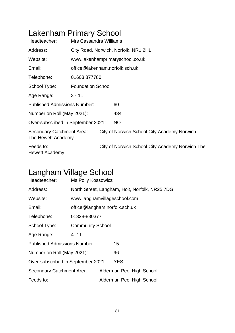## Lakenham Primary School

| Headteacher:                                    | Mrs Cassandra Williams   |                                |                                                 |  |  |  |  |
|-------------------------------------------------|--------------------------|--------------------------------|-------------------------------------------------|--|--|--|--|
| Address:                                        |                          |                                | City Road, Norwich, Norfolk, NR1 2HL            |  |  |  |  |
| Website:                                        |                          |                                | www.lakenhamprimaryschool.co.uk                 |  |  |  |  |
| Email:                                          |                          | office@lakenham.norfolk.sch.uk |                                                 |  |  |  |  |
| Telephone:                                      | 01603877780              |                                |                                                 |  |  |  |  |
| School Type:                                    | <b>Foundation School</b> |                                |                                                 |  |  |  |  |
| Age Range:                                      | $3 - 11$                 |                                |                                                 |  |  |  |  |
| <b>Published Admissions Number:</b>             |                          |                                | 60                                              |  |  |  |  |
| Number on Roll (May 2021):                      |                          |                                | 434                                             |  |  |  |  |
| Over-subscribed in September 2021:              |                          |                                | NO                                              |  |  |  |  |
| Secondary Catchment Area:<br>The Hewett Academy |                          |                                | City of Norwich School City Academy Norwich     |  |  |  |  |
| Feeds to:<br><b>Hewett Academy</b>              |                          |                                | City of Norwich School City Academy Norwich The |  |  |  |  |

### Langham Village School

| Headteacher:                        | <b>Ms Polly Kossowicz</b>     |                           |                                                |  |  |  |
|-------------------------------------|-------------------------------|---------------------------|------------------------------------------------|--|--|--|
| Address:                            |                               |                           | North Street, Langham, Holt, Norfolk, NR25 7DG |  |  |  |
| Website:                            | www.langhamvillageschool.com  |                           |                                                |  |  |  |
| Email:                              | office@langham.norfolk.sch.uk |                           |                                                |  |  |  |
| Telephone:                          | 01328-830377                  |                           |                                                |  |  |  |
| School Type:                        | <b>Community School</b>       |                           |                                                |  |  |  |
| Age Range:                          | $4 - 11$                      |                           |                                                |  |  |  |
| <b>Published Admissions Number:</b> |                               |                           | 15                                             |  |  |  |
| Number on Roll (May 2021):          |                               |                           | 96                                             |  |  |  |
| Over-subscribed in September 2021:  |                               |                           | <b>YES</b>                                     |  |  |  |
| <b>Secondary Catchment Area:</b>    |                               |                           | Alderman Peel High School                      |  |  |  |
| Feeds to:                           |                               | Alderman Peel High School |                                                |  |  |  |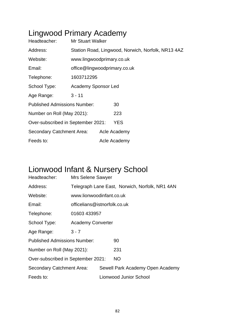# Lingwood Primary Academy

| Headteacher:                        | <b>Mr Stuart Walker</b>                            |  |              |  |  |
|-------------------------------------|----------------------------------------------------|--|--------------|--|--|
| Address:                            | Station Road, Lingwood, Norwich, Norfolk, NR13 4AZ |  |              |  |  |
| Website:                            | www.lingwoodprimary.co.uk                          |  |              |  |  |
| Email:                              | office@lingwoodprimary.co.uk                       |  |              |  |  |
| Telephone:                          | 1603712295                                         |  |              |  |  |
| School Type:                        | <b>Academy Sponsor Led</b>                         |  |              |  |  |
| Age Range:                          | $3 - 11$                                           |  |              |  |  |
| <b>Published Admissions Number:</b> |                                                    |  | 30           |  |  |
| Number on Roll (May 2021):          |                                                    |  | 223          |  |  |
| Over-subscribed in September 2021:  |                                                    |  | <b>YES</b>   |  |  |
| Secondary Catchment Area:           |                                                    |  | Acle Academy |  |  |
| Feeds to:                           |                                                    |  | Acle Academy |  |  |

## Lionwood Infant & Nursery School

| Headteacher:                        | <b>Mrs Selene Sawyer</b>                       |  |                                  |  |  |
|-------------------------------------|------------------------------------------------|--|----------------------------------|--|--|
| Address:                            | Telegraph Lane East, Norwich, Norfolk, NR1 4AN |  |                                  |  |  |
| Website:                            | www.lionwoodinfant.co.uk                       |  |                                  |  |  |
| Email:                              | officelians@istnorfolk.co.uk                   |  |                                  |  |  |
| Telephone:                          | 01603 433957                                   |  |                                  |  |  |
| School Type:                        | <b>Academy Converter</b>                       |  |                                  |  |  |
| Age Range:                          | $3 - 7$                                        |  |                                  |  |  |
| <b>Published Admissions Number:</b> |                                                |  | 90                               |  |  |
| Number on Roll (May 2021):          |                                                |  | 231                              |  |  |
| Over-subscribed in September 2021:  |                                                |  | <b>NO</b>                        |  |  |
| Secondary Catchment Area:           |                                                |  | Sewell Park Academy Open Academy |  |  |
| Feeds to:                           |                                                |  | Lionwood Junior School           |  |  |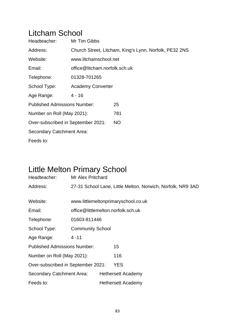### Litcham School

| Headteacher:                        | Mr Tim Gibbs                  |                                                        |  |  |  |
|-------------------------------------|-------------------------------|--------------------------------------------------------|--|--|--|
| Address:                            |                               | Church Street, Litcham, King's Lynn, Norfolk, PE32 2NS |  |  |  |
| Website:                            | www.litchamschool.net         |                                                        |  |  |  |
| Email:                              | office@litcham.norfolk.sch.uk |                                                        |  |  |  |
| Telephone:                          | 01328-701265                  |                                                        |  |  |  |
| School Type:                        | <b>Academy Converter</b>      |                                                        |  |  |  |
| Age Range:                          | $4 - 16$                      |                                                        |  |  |  |
| <b>Published Admissions Number:</b> |                               | 25                                                     |  |  |  |
| Number on Roll (May 2021):          |                               | 781                                                    |  |  |  |
| Over-subscribed in September 2021:  |                               | <b>NO</b>                                              |  |  |  |
| Secondary Catchment Area:           |                               |                                                        |  |  |  |
| Feeds to:                           |                               |                                                        |  |  |  |

## Little Melton Primary School

| Headteacher:                        | Mr Alex Pritchard                  |                                     |                           |                                                             |  |  |
|-------------------------------------|------------------------------------|-------------------------------------|---------------------------|-------------------------------------------------------------|--|--|
| Address:                            |                                    |                                     |                           | 27-31 School Lane, Little Melton, Norwich, Norfolk, NR9 3AD |  |  |
|                                     |                                    |                                     |                           |                                                             |  |  |
| Website:                            |                                    | www.littlemeltonprimaryschool.co.uk |                           |                                                             |  |  |
| Email:                              | office@littlemelton.norfolk.sch.uk |                                     |                           |                                                             |  |  |
| Telephone:                          | 01603-811446                       |                                     |                           |                                                             |  |  |
| School Type:                        | <b>Community School</b>            |                                     |                           |                                                             |  |  |
| Age Range:                          | $4 - 11$                           |                                     |                           |                                                             |  |  |
| <b>Published Admissions Number:</b> |                                    |                                     | 15                        |                                                             |  |  |
| Number on Roll (May 2021):          |                                    |                                     | 116                       |                                                             |  |  |
| Over-subscribed in September 2021:  |                                    |                                     | <b>YES</b>                |                                                             |  |  |
| Secondary Catchment Area:           |                                    |                                     | <b>Hethersett Academy</b> |                                                             |  |  |
| Feeds to:                           |                                    |                                     | <b>Hethersett Academy</b> |                                                             |  |  |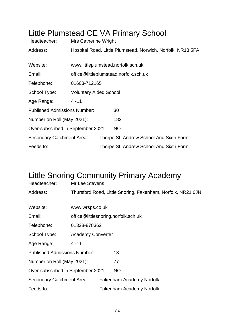### Little Plumstead CE VA Primary School

| Headteacher:                        | Mrs Catherine Wright                  |  |                                                             |  |  |
|-------------------------------------|---------------------------------------|--|-------------------------------------------------------------|--|--|
| Address:                            |                                       |  | Hospital Road, Little Plumstead, Norwich, Norfolk, NR13 5FA |  |  |
|                                     |                                       |  |                                                             |  |  |
| Website:                            |                                       |  | www.littleplumstead.norfolk.sch.uk                          |  |  |
| Email:                              | office@littleplumstead.norfolk.sch.uk |  |                                                             |  |  |
| Telephone:                          | 01603-712165                          |  |                                                             |  |  |
| School Type:                        | <b>Voluntary Aided School</b>         |  |                                                             |  |  |
| Age Range:                          | $4 - 11$                              |  |                                                             |  |  |
| <b>Published Admissions Number:</b> |                                       |  | 30                                                          |  |  |
| Number on Roll (May 2021):          |                                       |  | 182                                                         |  |  |
| Over-subscribed in September 2021:  |                                       |  | NO                                                          |  |  |
| Secondary Catchment Area:           |                                       |  | Thorpe St. Andrew School And Sixth Form                     |  |  |
| Feeds to:                           |                                       |  | Thorpe St. Andrew School And Sixth Form                     |  |  |

## Little Snoring Community Primary Academy

| Headteacher:                        | Mr Lee Stevens                      |  |                                                             |  |  |
|-------------------------------------|-------------------------------------|--|-------------------------------------------------------------|--|--|
| Address:                            |                                     |  | Thursford Road, Little Snoring, Fakenham, Norfolk, NR21 0JN |  |  |
|                                     |                                     |  |                                                             |  |  |
| Website:                            | www.wrsps.co.uk                     |  |                                                             |  |  |
| Email:                              | office@littlesnoring.norfolk.sch.uk |  |                                                             |  |  |
| Telephone:                          | 01328-878362                        |  |                                                             |  |  |
| School Type:                        | <b>Academy Converter</b>            |  |                                                             |  |  |
| Age Range:                          | $4 - 11$                            |  |                                                             |  |  |
| <b>Published Admissions Number:</b> |                                     |  | 13                                                          |  |  |
| Number on Roll (May 2021):          |                                     |  | 77                                                          |  |  |
| Over-subscribed in September 2021:  |                                     |  | <b>NO</b>                                                   |  |  |
| Secondary Catchment Area:           |                                     |  | Fakenham Academy Norfolk                                    |  |  |
| Feeds to:                           |                                     |  | <b>Fakenham Academy Norfolk</b>                             |  |  |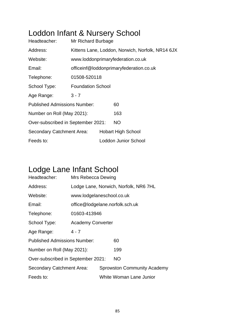## Loddon Infant & Nursery School

| Headteacher:                        | Mr Richard Burbage       |                                                  |     |  |  |  |  |
|-------------------------------------|--------------------------|--------------------------------------------------|-----|--|--|--|--|
| Address:                            |                          | Kittens Lane, Loddon, Norwich, Norfolk, NR14 6JX |     |  |  |  |  |
| Website:                            |                          | www.loddonprimaryfederation.co.uk                |     |  |  |  |  |
| Email:                              |                          | officeinf@loddonprimaryfederation.co.uk          |     |  |  |  |  |
| Telephone:                          | 01508-520118             |                                                  |     |  |  |  |  |
| School Type:                        | <b>Foundation School</b> |                                                  |     |  |  |  |  |
| Age Range:                          | $3 - 7$                  |                                                  |     |  |  |  |  |
| <b>Published Admissions Number:</b> |                          |                                                  | 60  |  |  |  |  |
| Number on Roll (May 2021):          |                          |                                                  | 163 |  |  |  |  |
| Over-subscribed in September 2021:  |                          |                                                  | NO. |  |  |  |  |
| Secondary Catchment Area:           |                          | <b>Hobart High School</b>                        |     |  |  |  |  |
| Feeds to:                           |                          | Loddon Junior School                             |     |  |  |  |  |

## Lodge Lane Infant School

| Headteacher:                        | Mrs Rebecca Dewing              |                                       |                         |  |  |  |  |
|-------------------------------------|---------------------------------|---------------------------------------|-------------------------|--|--|--|--|
| Address:                            |                                 | Lodge Lane, Norwich, Norfolk, NR6 7HL |                         |  |  |  |  |
| Website:                            | www.lodgelaneschool.co.uk       |                                       |                         |  |  |  |  |
| Email:                              | office@lodgelane.norfolk.sch.uk |                                       |                         |  |  |  |  |
| Telephone:                          | 01603-413946                    |                                       |                         |  |  |  |  |
| School Type:                        | <b>Academy Converter</b>        |                                       |                         |  |  |  |  |
| Age Range:                          | $4 - 7$                         |                                       |                         |  |  |  |  |
| <b>Published Admissions Number:</b> |                                 |                                       | 60                      |  |  |  |  |
| Number on Roll (May 2021):          |                                 |                                       | 199                     |  |  |  |  |
| Over-subscribed in September 2021:  |                                 |                                       | <b>NO</b>               |  |  |  |  |
| Secondary Catchment Area:           |                                 | <b>Sprowston Community Academy</b>    |                         |  |  |  |  |
| Feeds to:                           |                                 |                                       | White Woman Lane Junior |  |  |  |  |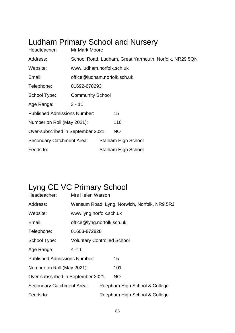## Ludham Primary School and Nursery

| Headteacher:                        | Mr Mark Moore                |  |                                                        |  |  |
|-------------------------------------|------------------------------|--|--------------------------------------------------------|--|--|
| Address:                            |                              |  | School Road, Ludham, Great Yarmouth, Norfolk, NR29 5QN |  |  |
| Website:                            | www.ludham.norfolk.sch.uk    |  |                                                        |  |  |
| Email:                              | office@ludham.norfolk.sch.uk |  |                                                        |  |  |
| Telephone:                          | 01692-678293                 |  |                                                        |  |  |
| School Type:                        | <b>Community School</b>      |  |                                                        |  |  |
| Age Range:                          | $3 - 11$                     |  |                                                        |  |  |
| <b>Published Admissions Number:</b> |                              |  | 15                                                     |  |  |
| Number on Roll (May 2021):          |                              |  | 110                                                    |  |  |
| Over-subscribed in September 2021:  |                              |  | <b>NO</b>                                              |  |  |
| <b>Secondary Catchment Area:</b>    |                              |  | <b>Stalham High School</b>                             |  |  |
| Feeds to:                           |                              |  | <b>Stalham High School</b>                             |  |  |

## Lyng CE VC Primary School

| Headteacher:                        | Mrs Helen Watson                   |                               |                                              |  |  |  |
|-------------------------------------|------------------------------------|-------------------------------|----------------------------------------------|--|--|--|
| Address:                            |                                    |                               | Wensum Road, Lyng, Norwich, Norfolk, NR9 5RJ |  |  |  |
| Website:                            | www.lyng.norfolk.sch.uk            |                               |                                              |  |  |  |
| Email:                              | office@lyng.norfolk.sch.uk         |                               |                                              |  |  |  |
| Telephone:                          | 01603-872828                       |                               |                                              |  |  |  |
| School Type:                        | <b>Voluntary Controlled School</b> |                               |                                              |  |  |  |
| Age Range:                          | $4 - 11$                           |                               |                                              |  |  |  |
| <b>Published Admissions Number:</b> |                                    |                               | 15                                           |  |  |  |
| Number on Roll (May 2021):          |                                    |                               | 101                                          |  |  |  |
| Over-subscribed in September 2021:  |                                    |                               | <b>NO</b>                                    |  |  |  |
| Secondary Catchment Area:           |                                    | Reepham High School & College |                                              |  |  |  |
| Feeds to:                           |                                    | Reepham High School & College |                                              |  |  |  |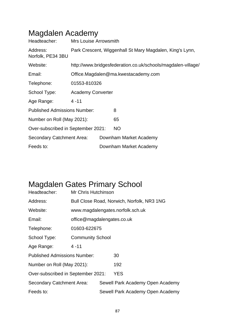| Headteacher:                        | <b>Mrs Louise Arrowsmith</b>                             |                                     |                                                              |  |  |  |  |
|-------------------------------------|----------------------------------------------------------|-------------------------------------|--------------------------------------------------------------|--|--|--|--|
| Address:<br>Norfolk, PE34 3BU       | Park Crescent, Wiggenhall St Mary Magdalen, King's Lynn, |                                     |                                                              |  |  |  |  |
| Website:                            |                                                          |                                     | http://www.bridgesfederation.co.uk/schools/magdalen-village/ |  |  |  |  |
| Email:                              |                                                          | Office.Magdalen@ma.kwestacademy.com |                                                              |  |  |  |  |
| Telephone:                          |                                                          | 01553-810326                        |                                                              |  |  |  |  |
| School Type:                        |                                                          | <b>Academy Converter</b>            |                                                              |  |  |  |  |
| Age Range:                          | 4 - 11                                                   |                                     |                                                              |  |  |  |  |
| <b>Published Admissions Number:</b> |                                                          |                                     | 8                                                            |  |  |  |  |
| Number on Roll (May 2021):          |                                                          |                                     | 65                                                           |  |  |  |  |
| Over-subscribed in September 2021:  |                                                          |                                     | <b>NO</b>                                                    |  |  |  |  |
| Secondary Catchment Area:           |                                                          |                                     | Downham Market Academy                                       |  |  |  |  |
| Feeds to:                           |                                                          |                                     | Downham Market Academy                                       |  |  |  |  |

#### Magdalen Academy

## Magdalen Gates Primary School

| Headteacher:                        | Mr Chris Hutchinson        |                                            |                                  |  |  |  |  |  |
|-------------------------------------|----------------------------|--------------------------------------------|----------------------------------|--|--|--|--|--|
| Address:                            |                            | Bull Close Road, Norwich, Norfolk, NR3 1NG |                                  |  |  |  |  |  |
| Website:                            |                            |                                            | www.magdalengates.norfolk.sch.uk |  |  |  |  |  |
| Email:                              | office@magdalengates.co.uk |                                            |                                  |  |  |  |  |  |
| Telephone:                          | 01603-622675               |                                            |                                  |  |  |  |  |  |
| School Type:                        | <b>Community School</b>    |                                            |                                  |  |  |  |  |  |
| Age Range:                          | $4 - 11$                   |                                            |                                  |  |  |  |  |  |
| <b>Published Admissions Number:</b> |                            |                                            | 30                               |  |  |  |  |  |
| Number on Roll (May 2021):          |                            |                                            | 192                              |  |  |  |  |  |
| Over-subscribed in September 2021:  |                            |                                            | YES                              |  |  |  |  |  |
| Secondary Catchment Area:           |                            |                                            | Sewell Park Academy Open Academy |  |  |  |  |  |
| Feeds to:                           |                            |                                            | Sewell Park Academy Open Academy |  |  |  |  |  |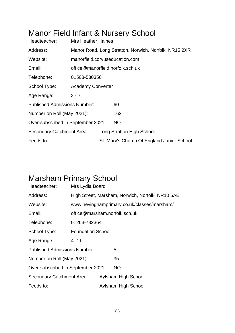### Manor Field Infant & Nursery School

| Headteacher:                        | <b>Mrs Heather Haines</b>      |  |                                                       |  |  |
|-------------------------------------|--------------------------------|--|-------------------------------------------------------|--|--|
| Address:                            |                                |  | Manor Road, Long Stratton, Norwich, Norfolk, NR15 2XR |  |  |
| Website:                            | manorfield.corvuseducation.com |  |                                                       |  |  |
| Email:                              |                                |  | office@manorfield.norfolk.sch.uk                      |  |  |
| Telephone:                          | 01508-530356                   |  |                                                       |  |  |
| School Type:                        | <b>Academy Converter</b>       |  |                                                       |  |  |
| Age Range:                          | $3 - 7$                        |  |                                                       |  |  |
| <b>Published Admissions Number:</b> |                                |  | 60                                                    |  |  |
| Number on Roll (May 2021):          |                                |  | 162                                                   |  |  |
| Over-subscribed in September 2021:  |                                |  | NO                                                    |  |  |
| Secondary Catchment Area:           |                                |  | Long Stratton High School                             |  |  |
| Feeds to:                           |                                |  | St. Mary's Church Of England Junior School            |  |  |

### Marsham Primary School

| Headteacher:                        | Mrs Lydia Board               |                     |                                                  |  |  |  |
|-------------------------------------|-------------------------------|---------------------|--------------------------------------------------|--|--|--|
| Address:                            |                               |                     | High Street, Marsham, Norwich, Norfolk, NR10 5AE |  |  |  |
| Website:                            |                               |                     | www.hevinghamprimary.co.uk/classes/marsham/      |  |  |  |
| Email:                              | office@marsham.norfolk.sch.uk |                     |                                                  |  |  |  |
| Telephone:                          | 01263-732364                  |                     |                                                  |  |  |  |
| School Type:                        | <b>Foundation School</b>      |                     |                                                  |  |  |  |
| Age Range:                          | $4 - 11$                      |                     |                                                  |  |  |  |
| <b>Published Admissions Number:</b> |                               |                     | 5                                                |  |  |  |
| Number on Roll (May 2021):          |                               |                     | 35                                               |  |  |  |
| Over-subscribed in September 2021:  |                               |                     | <b>NO</b>                                        |  |  |  |
| Secondary Catchment Area:           |                               | Aylsham High School |                                                  |  |  |  |
| Feeds to:                           |                               | Aylsham High School |                                                  |  |  |  |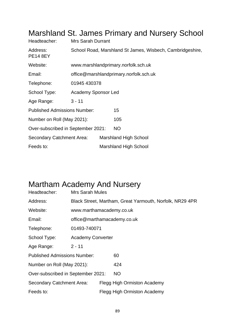| Headteacher:                        | <b>Mrs Sarah Durrant</b>                                  |                                        |                                     |  |  |  |  |
|-------------------------------------|-----------------------------------------------------------|----------------------------------------|-------------------------------------|--|--|--|--|
| Address:<br><b>PE14 8EY</b>         | School Road, Marshland St James, Wisbech, Cambridgeshire, |                                        |                                     |  |  |  |  |
| Website:                            |                                                           |                                        | www.marshlandprimary.norfolk.sch.uk |  |  |  |  |
| Email:                              |                                                           | office@marshlandprimary.norfolk.sch.uk |                                     |  |  |  |  |
| Telephone:                          | 01945 430378                                              |                                        |                                     |  |  |  |  |
| School Type:                        | <b>Academy Sponsor Led</b>                                |                                        |                                     |  |  |  |  |
| Age Range:                          | $3 - 11$                                                  |                                        |                                     |  |  |  |  |
| <b>Published Admissions Number:</b> |                                                           |                                        | 15                                  |  |  |  |  |
| Number on Roll (May 2021):          |                                                           |                                        | 105                                 |  |  |  |  |
| Over-subscribed in September 2021:  |                                                           |                                        | NO                                  |  |  |  |  |
| Secondary Catchment Area:           |                                                           |                                        | <b>Marshland High School</b>        |  |  |  |  |
| Feeds to:                           |                                                           |                                        | <b>Marshland High School</b>        |  |  |  |  |

#### Marshland St. James Primary and Nursery School

#### Martham Academy And Nursery

| Headteacher:                        | <b>Mrs Sarah Mules</b>      |  |                                                          |  |  |
|-------------------------------------|-----------------------------|--|----------------------------------------------------------|--|--|
| Address:                            |                             |  | Black Street, Martham, Great Yarmouth, Norfolk, NR29 4PR |  |  |
| Website:                            | www.marthamacademy.co.uk    |  |                                                          |  |  |
| Email:                              | office@marthamacademy.co.uk |  |                                                          |  |  |
| Telephone:                          | 01493-740071                |  |                                                          |  |  |
| School Type:                        | <b>Academy Converter</b>    |  |                                                          |  |  |
| Age Range:                          | $2 - 11$                    |  |                                                          |  |  |
| <b>Published Admissions Number:</b> |                             |  | 60                                                       |  |  |
| Number on Roll (May 2021):          |                             |  | 424                                                      |  |  |
| Over-subscribed in September 2021:  |                             |  | <b>NO</b>                                                |  |  |
| <b>Secondary Catchment Area:</b>    |                             |  | Flegg High Ormiston Academy                              |  |  |
| Feeds to:                           |                             |  | Flegg High Ormiston Academy                              |  |  |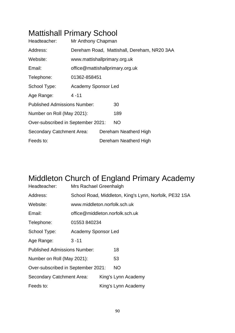## Mattishall Primary School

| Headteacher:                        | Mr Anthony Chapman           |                                 |           |                                             |  |  |  |
|-------------------------------------|------------------------------|---------------------------------|-----------|---------------------------------------------|--|--|--|
| Address:                            |                              |                                 |           | Dereham Road, Mattishall, Dereham, NR20 3AA |  |  |  |
| Website:                            | www.mattishallprimary.org.uk |                                 |           |                                             |  |  |  |
| Email:                              |                              | office@mattishallprimary.org.uk |           |                                             |  |  |  |
| Telephone:                          | 01362-858451                 |                                 |           |                                             |  |  |  |
| School Type:                        | <b>Academy Sponsor Led</b>   |                                 |           |                                             |  |  |  |
| Age Range:                          | $4 - 11$                     |                                 |           |                                             |  |  |  |
| <b>Published Admissions Number:</b> |                              |                                 | 30        |                                             |  |  |  |
| Number on Roll (May 2021):          |                              |                                 |           | 189                                         |  |  |  |
| Over-subscribed in September 2021:  |                              |                                 | <b>NO</b> |                                             |  |  |  |
| Secondary Catchment Area:           |                              |                                 |           | Dereham Neatherd High                       |  |  |  |
| Feeds to:                           |                              | Dereham Neatherd High           |           |                                             |  |  |  |

## Middleton Church of England Primary Academy

| Headteacher:                        | Mrs Rachael Greenhalgh          |                                                        |           |                     |  |  |  |  |
|-------------------------------------|---------------------------------|--------------------------------------------------------|-----------|---------------------|--|--|--|--|
| Address:                            |                                 | School Road, Middleton, King's Lynn, Norfolk, PE32 1SA |           |                     |  |  |  |  |
| Website:                            | www.middleton.norfolk.sch.uk    |                                                        |           |                     |  |  |  |  |
| Email:                              | office@middleton.norfolk.sch.uk |                                                        |           |                     |  |  |  |  |
| Telephone:                          | 01553 840234                    |                                                        |           |                     |  |  |  |  |
| School Type:                        | Academy Sponsor Led             |                                                        |           |                     |  |  |  |  |
| Age Range:                          | $3 - 11$                        |                                                        |           |                     |  |  |  |  |
| <b>Published Admissions Number:</b> |                                 |                                                        | 18        |                     |  |  |  |  |
| Number on Roll (May 2021):          |                                 |                                                        | 53        |                     |  |  |  |  |
| Over-subscribed in September 2021:  |                                 |                                                        | <b>NO</b> |                     |  |  |  |  |
| Secondary Catchment Area:           |                                 |                                                        |           | King's Lynn Academy |  |  |  |  |
| Feeds to:                           |                                 |                                                        |           | King's Lynn Academy |  |  |  |  |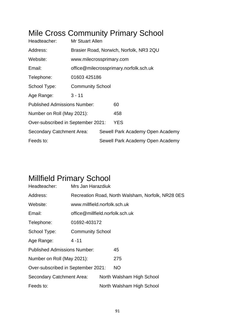### Mile Cross Community Primary School

| Headteacher:                        | Mr Stuart Allen                         |  |                                  |  |  |
|-------------------------------------|-----------------------------------------|--|----------------------------------|--|--|
| Address:                            | Brasier Road, Norwich, Norfolk, NR3 2QU |  |                                  |  |  |
| Website:                            | www.milecrossprimary.com                |  |                                  |  |  |
| Email:                              | office@milecrossprimary.norfolk.sch.uk  |  |                                  |  |  |
| Telephone:                          | 01603 425186                            |  |                                  |  |  |
| School Type:                        | <b>Community School</b>                 |  |                                  |  |  |
| Age Range:                          | $3 - 11$                                |  |                                  |  |  |
| <b>Published Admissions Number:</b> |                                         |  | 60                               |  |  |
| Number on Roll (May 2021):          |                                         |  | 458                              |  |  |
| Over-subscribed in September 2021:  |                                         |  | <b>YES</b>                       |  |  |
| Secondary Catchment Area:           |                                         |  | Sewell Park Academy Open Academy |  |  |
| Feeds to:                           |                                         |  | Sewell Park Academy Open Academy |  |  |

## Millfield Primary School

| Headteacher:                        | Mrs Jan Harazdiuk                                 |  |                           |  |
|-------------------------------------|---------------------------------------------------|--|---------------------------|--|
| Address:                            | Recreation Road, North Walsham, Norfolk, NR28 0ES |  |                           |  |
| Website:                            | www.millfield.norfolk.sch.uk                      |  |                           |  |
| Email:                              | office@millfield.norfolk.sch.uk                   |  |                           |  |
| Telephone:                          | 01692-403172                                      |  |                           |  |
| School Type:                        | <b>Community School</b>                           |  |                           |  |
| Age Range:                          | $4 - 11$                                          |  |                           |  |
| <b>Published Admissions Number:</b> |                                                   |  | 45                        |  |
| Number on Roll (May 2021):          |                                                   |  | 275                       |  |
| Over-subscribed in September 2021:  |                                                   |  | NO.                       |  |
| Secondary Catchment Area:           |                                                   |  | North Walsham High School |  |
| Feeds to:                           |                                                   |  | North Walsham High School |  |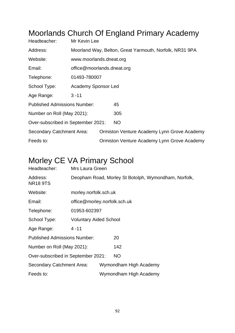## Moorlands Church Of England Primary Academy

| Headteacher:                        | Mr Kevin Lee                                            |  |                                             |  |  |
|-------------------------------------|---------------------------------------------------------|--|---------------------------------------------|--|--|
| Address:                            | Moorland Way, Belton, Great Yarmouth, Norfolk, NR31 9PA |  |                                             |  |  |
| Website:                            | www.moorlands.dneat.org                                 |  |                                             |  |  |
| Email:                              | office@moorlands.dneat.org                              |  |                                             |  |  |
| Telephone:                          | 01493-780007                                            |  |                                             |  |  |
| School Type:                        | <b>Academy Sponsor Led</b>                              |  |                                             |  |  |
| Age Range:                          | $3 - 11$                                                |  |                                             |  |  |
| <b>Published Admissions Number:</b> |                                                         |  | 45                                          |  |  |
| Number on Roll (May 2021):          |                                                         |  | 305                                         |  |  |
| Over-subscribed in September 2021:  |                                                         |  | <b>NO</b>                                   |  |  |
| Secondary Catchment Area:           |                                                         |  | Ormiston Venture Academy Lynn Grove Academy |  |  |
| Feeds to:                           |                                                         |  | Ormiston Venture Academy Lynn Grove Academy |  |  |

### Morley CE VA Primary School

| Headteacher:                        | Mrs Laura Green                                      |                              |                        |  |  |
|-------------------------------------|------------------------------------------------------|------------------------------|------------------------|--|--|
| Address:<br><b>NR18 9TS</b>         | Deopham Road, Morley St Botolph, Wymondham, Norfolk, |                              |                        |  |  |
| Website:                            | morley.norfolk.sch.uk                                |                              |                        |  |  |
| Email:                              |                                                      | office@morley.norfolk.sch.uk |                        |  |  |
| Telephone:                          | 01953-602397                                         |                              |                        |  |  |
| School Type:                        | <b>Voluntary Aided School</b>                        |                              |                        |  |  |
| Age Range:                          | $4 - 11$                                             |                              |                        |  |  |
| <b>Published Admissions Number:</b> |                                                      |                              | 20                     |  |  |
| Number on Roll (May 2021):          |                                                      |                              | 142                    |  |  |
| Over-subscribed in September 2021:  |                                                      |                              | <b>NO</b>              |  |  |
| Secondary Catchment Area:           |                                                      |                              | Wymondham High Academy |  |  |
| Feeds to:                           |                                                      |                              | Wymondham High Academy |  |  |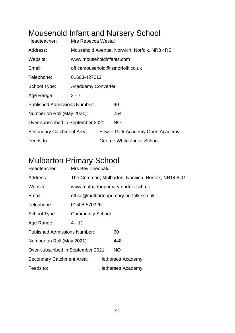### Mousehold Infant and Nursery School

| Headteacher:                        | <b>Mrs Rebecca Westall</b>                  |  |                                  |  |
|-------------------------------------|---------------------------------------------|--|----------------------------------|--|
| Address:                            | Mousehold Avenue, Norwich, Norfolk, NR3 4RS |  |                                  |  |
| Website:                            | www.mouseholdinfants.com                    |  |                                  |  |
| Email:                              | officemousehold@istnorfolk.co.uk            |  |                                  |  |
| Telephone:                          | 01603-427012                                |  |                                  |  |
| School Type:                        | <b>Acaddemy Converter</b>                   |  |                                  |  |
| Age Range:                          | $3 - 7$                                     |  |                                  |  |
| <b>Published Admissions Number:</b> |                                             |  | 90                               |  |
| Number on Roll (May 2021):          |                                             |  | 254                              |  |
| Over-subscribed in September 2021:  |                                             |  | <b>NO</b>                        |  |
| Secondary Catchment Area:           |                                             |  | Sewell Park Academy Open Academy |  |
| Feeds to:                           |                                             |  | George White Junior School       |  |

#### Mulbarton Primary School

| Headteacher:                        | Mrs Bev Theobald        |                                                   |                                        |  |  |
|-------------------------------------|-------------------------|---------------------------------------------------|----------------------------------------|--|--|
| Address:                            |                         | The Common, Mulbarton, Norwich, Norfolk, NR14 8JG |                                        |  |  |
| Website:                            |                         |                                                   | www.mulbartonprimary.norfolk.sch.uk    |  |  |
| Email:                              |                         |                                                   | office@mulbartonprimary.norfolk.sch.uk |  |  |
| Telephone:                          |                         | 01508-570326                                      |                                        |  |  |
| School Type:                        | <b>Community School</b> |                                                   |                                        |  |  |
| Age Range:                          | $4 - 11$                |                                                   |                                        |  |  |
| <b>Published Admissions Number:</b> |                         |                                                   | 60                                     |  |  |
| Number on Roll (May 2021):          |                         |                                                   | 448                                    |  |  |
| Over-subscribed in September 2021:  |                         |                                                   | <b>NO</b>                              |  |  |
| Secondary Catchment Area:           |                         |                                                   | Hethersett Academy                     |  |  |
| Feeds to:                           |                         |                                                   | <b>Hethersett Academy</b>              |  |  |
|                                     |                         |                                                   |                                        |  |  |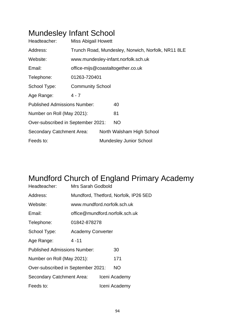### Mundesley Infant School

| Headteacher:                        | <b>Miss Abigail Howett</b>                         |  |                                     |  |
|-------------------------------------|----------------------------------------------------|--|-------------------------------------|--|
| Address:                            | Trunch Road, Mundesley, Norwich, Norfolk, NR11 8LE |  |                                     |  |
| Website:                            |                                                    |  | www.mundesley-infant.norfolk.sch.uk |  |
| Email:                              |                                                    |  | office-mijs@coastaltogether.co.uk   |  |
| Telephone:                          | 01263-720401                                       |  |                                     |  |
| School Type:                        | <b>Community School</b>                            |  |                                     |  |
| Age Range:                          | $4 - 7$                                            |  |                                     |  |
| <b>Published Admissions Number:</b> |                                                    |  | 40                                  |  |
| Number on Roll (May 2021):          |                                                    |  | 81                                  |  |
| Over-subscribed in September 2021:  |                                                    |  | <b>NO</b>                           |  |
| Secondary Catchment Area:           |                                                    |  | North Walsham High School           |  |
| Feeds to:                           |                                                    |  | <b>Mundesley Junior School</b>      |  |

# Mundford Church of England Primary Academy

| Headteacher:                        | Mrs Sarah Godbold                     |               |               |  |  |
|-------------------------------------|---------------------------------------|---------------|---------------|--|--|
| Address:                            | Mundford, Thetford, Norfolk, IP26 5ED |               |               |  |  |
| Website:                            | www.mundford.norfolk.sch.uk           |               |               |  |  |
| Email:                              | office@mundford.norfolk.sch.uk        |               |               |  |  |
| Telephone:                          | 01842-878278                          |               |               |  |  |
| School Type:                        | <b>Academy Converter</b>              |               |               |  |  |
| Age Range:                          | $4 - 11$                              |               |               |  |  |
| <b>Published Admissions Number:</b> |                                       | 30            |               |  |  |
| Number on Roll (May 2021):          |                                       | 171           |               |  |  |
| Over-subscribed in September 2021:  |                                       |               | NO.           |  |  |
| Secondary Catchment Area:           |                                       | Iceni Academy |               |  |  |
| Feeds to:                           |                                       |               | Iceni Academy |  |  |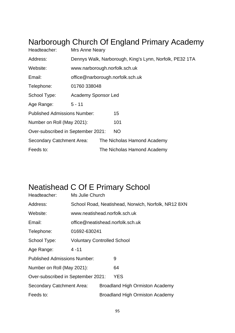## Narborough Church Of England Primary Academy

| Headteacher:                        | Mrs Anne Neary                                          |  |                                  |  |
|-------------------------------------|---------------------------------------------------------|--|----------------------------------|--|
| Address:                            | Dennys Walk, Narborough, King's Lynn, Norfolk, PE32 1TA |  |                                  |  |
| Website:                            | www.narborough.norfolk.sch.uk                           |  |                                  |  |
| Email:                              |                                                         |  | office@narborough.norfolk.sch.uk |  |
| Telephone:                          | 01760 338048                                            |  |                                  |  |
| School Type:                        | Academy Sponsor Led                                     |  |                                  |  |
| Age Range:                          | $5 - 11$                                                |  |                                  |  |
| <b>Published Admissions Number:</b> |                                                         |  | 15                               |  |
| Number on Roll (May 2021):          |                                                         |  | 101                              |  |
| Over-subscribed in September 2021:  |                                                         |  | NO.                              |  |
| <b>Secondary Catchment Area:</b>    |                                                         |  | The Nicholas Hamond Academy      |  |
| Feeds to:                           |                                                         |  | The Nicholas Hamond Academy      |  |

### Neatishead C Of E Primary School

| Headteacher:                        | Ms Julie Church                                     |                                        |                                        |  |  |
|-------------------------------------|-----------------------------------------------------|----------------------------------------|----------------------------------------|--|--|
| Address:                            | School Road, Neatishead, Norwich, Norfolk, NR12 8XN |                                        |                                        |  |  |
| Website:                            | www.neatishead.norfolk.sch.uk                       |                                        |                                        |  |  |
| Email:                              |                                                     |                                        | office@neatishead.norfolk.sch.uk       |  |  |
| Telephone:                          |                                                     | 01692-630241                           |                                        |  |  |
| School Type:                        | <b>Voluntary Controlled School</b>                  |                                        |                                        |  |  |
| Age Range:                          | $4 - 11$                                            |                                        |                                        |  |  |
| <b>Published Admissions Number:</b> |                                                     |                                        | 9                                      |  |  |
| Number on Roll (May 2021):          |                                                     |                                        | 64                                     |  |  |
| Over-subscribed in September 2021:  |                                                     |                                        | <b>YES</b>                             |  |  |
| Secondary Catchment Area:           |                                                     | <b>Broadland High Ormiston Academy</b> |                                        |  |  |
| Feeds to:                           |                                                     |                                        | <b>Broadland High Ormiston Academy</b> |  |  |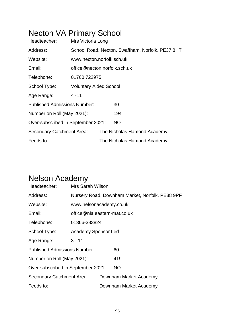## Necton VA Primary School

| Headteacher:                        | Mrs Victoria Long                                |  |                             |  |  |
|-------------------------------------|--------------------------------------------------|--|-----------------------------|--|--|
| Address:                            | School Road, Necton, Swaffham, Norfolk, PE37 8HT |  |                             |  |  |
| Website:                            | www.necton.norfolk.sch.uk                        |  |                             |  |  |
| Email:                              | office@necton.norfolk.sch.uk                     |  |                             |  |  |
| Telephone:                          | 01760 722975                                     |  |                             |  |  |
| School Type:                        | <b>Voluntary Aided School</b>                    |  |                             |  |  |
| Age Range:                          | $4 - 11$                                         |  |                             |  |  |
| <b>Published Admissions Number:</b> |                                                  |  | 30                          |  |  |
| Number on Roll (May 2021):          |                                                  |  | 194                         |  |  |
| Over-subscribed in September 2021:  |                                                  |  | <b>NO</b>                   |  |  |
| <b>Secondary Catchment Area:</b>    |                                                  |  | The Nicholas Hamond Academy |  |  |
| Feeds to:                           |                                                  |  | The Nicholas Hamond Academy |  |  |

### Nelson Academy

| Headteacher:                        | Mrs Sarah Wilson                                |  |                        |  |
|-------------------------------------|-------------------------------------------------|--|------------------------|--|
| Address:                            | Nursery Road, Downham Market, Norfolk, PE38 9PF |  |                        |  |
| Website:                            | www.nelsonacademy.co.uk                         |  |                        |  |
| Email:                              | office@nla.eastern-mat.co.uk                    |  |                        |  |
| Telephone:                          | 01366-383824                                    |  |                        |  |
| School Type:                        | <b>Academy Sponsor Led</b>                      |  |                        |  |
| Age Range:                          | $3 - 11$                                        |  |                        |  |
| <b>Published Admissions Number:</b> |                                                 |  | 60                     |  |
| Number on Roll (May 2021):          |                                                 |  | 419                    |  |
| Over-subscribed in September 2021:  |                                                 |  | <b>NO</b>              |  |
| <b>Secondary Catchment Area:</b>    |                                                 |  | Downham Market Academy |  |
| Feeds to:                           |                                                 |  | Downham Market Academy |  |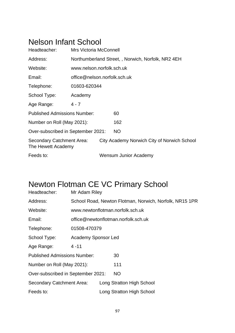#### Nelson Infant School

| Headteacher:                                    | Mrs Victoria McConnell       |  |                                                   |  |  |
|-------------------------------------------------|------------------------------|--|---------------------------------------------------|--|--|
| Address:                                        |                              |  | Northumberland Street,, Norwich, Norfolk, NR2 4EH |  |  |
| Website:                                        | www.nelson.norfolk.sch.uk    |  |                                                   |  |  |
| Email:                                          | office@nelson.norfolk.sch.uk |  |                                                   |  |  |
| Telephone:                                      | 01603-620344                 |  |                                                   |  |  |
| School Type:                                    | Academy                      |  |                                                   |  |  |
| Age Range:                                      | 4 - 7                        |  |                                                   |  |  |
| <b>Published Admissions Number:</b>             |                              |  | 60                                                |  |  |
| Number on Roll (May 2021):                      |                              |  | 162                                               |  |  |
| Over-subscribed in September 2021:              |                              |  | <b>NO</b>                                         |  |  |
| Secondary Catchment Area:<br>The Hewett Academy |                              |  | City Academy Norwich City of Norwich School       |  |  |
| Feeds to:                                       |                              |  | Wensum Junior Academy                             |  |  |

## Newton Flotman CE VC Primary School

| Headteacher:                        | Mr Adam Riley              |  |                                                         |  |  |
|-------------------------------------|----------------------------|--|---------------------------------------------------------|--|--|
| Address:                            |                            |  | School Road, Newton Flotman, Norwich, Norfolk, NR15 1PR |  |  |
| Website:                            |                            |  | www.newtonflotman.norfolk.sch.uk                        |  |  |
| Email:                              |                            |  | office@newtonflotman.norfolk.sch.uk                     |  |  |
| Telephone:                          | 01508-470379               |  |                                                         |  |  |
| School Type:                        | <b>Academy Sponsor Led</b> |  |                                                         |  |  |
| Age Range:                          | 4 - 11                     |  |                                                         |  |  |
| <b>Published Admissions Number:</b> |                            |  | 30                                                      |  |  |
| Number on Roll (May 2021):          |                            |  | 111                                                     |  |  |
| Over-subscribed in September 2021:  |                            |  | NO.                                                     |  |  |
| Secondary Catchment Area:           |                            |  | Long Stratton High School                               |  |  |
| Feeds to:                           |                            |  | Long Stratton High School                               |  |  |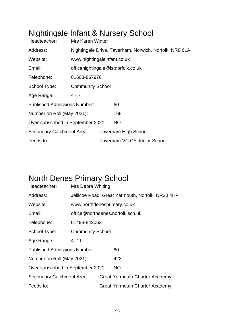## Nightingale Infant & Nursery School

| Headteacher:                        | <b>Mrs Karen Winter</b>                                |                             |                                     |  |  |  |
|-------------------------------------|--------------------------------------------------------|-----------------------------|-------------------------------------|--|--|--|
| Address:                            | Nightingale Drive, Taverham, Norwich, Norfolk, NR8 6LA |                             |                                     |  |  |  |
| Website:                            |                                                        | www.nightingaleinfant.co.uk |                                     |  |  |  |
| Email:                              | officenightingale@istnorfolk.co.uk                     |                             |                                     |  |  |  |
| Telephone:                          | 01603-867976                                           |                             |                                     |  |  |  |
| School Type:                        | <b>Community School</b>                                |                             |                                     |  |  |  |
| Age Range:                          | $4 - 7$                                                |                             |                                     |  |  |  |
| <b>Published Admissions Number:</b> |                                                        |                             | 60                                  |  |  |  |
| Number on Roll (May 2021):          |                                                        |                             | 168                                 |  |  |  |
| Over-subscribed in September 2021:  |                                                        |                             | <b>NO</b>                           |  |  |  |
| Secondary Catchment Area:           |                                                        |                             | <b>Taverham High School</b>         |  |  |  |
| Feeds to:                           |                                                        |                             | <b>Taverham VC CE Junior School</b> |  |  |  |

### North Denes Primary School

| Headteacher:                        | Mrs Debra Whiting           |  |                                                  |  |  |
|-------------------------------------|-----------------------------|--|--------------------------------------------------|--|--|
| Address:                            |                             |  | Jellicoe Road, Great Yarmouth, Norfolk, NR30 4HF |  |  |
| Website:                            | www.northdenesprimary.co.uk |  |                                                  |  |  |
| Email:                              |                             |  | office@northdenes.norfolk.sch.uk                 |  |  |
| Telephone:                          | 01493-842063                |  |                                                  |  |  |
| School Type:                        | <b>Community School</b>     |  |                                                  |  |  |
| Age Range:                          | $4 - 11$                    |  |                                                  |  |  |
| <b>Published Admissions Number:</b> |                             |  | 60                                               |  |  |
| Number on Roll (May 2021):          |                             |  | 423                                              |  |  |
| Over-subscribed in September 2021:  |                             |  | <b>NO</b>                                        |  |  |
| Secondary Catchment Area:           |                             |  | <b>Great Yarmouth Charter Academy</b>            |  |  |
| Feeds to:                           |                             |  | Great Yarmouth Charter Academy                   |  |  |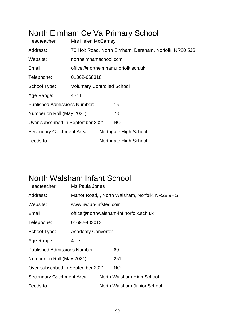### North Elmham Ce Va Primary School

| Headteacher:                        | <b>Mrs Helen McCarney</b>          |                                                        |                                   |  |  |  |
|-------------------------------------|------------------------------------|--------------------------------------------------------|-----------------------------------|--|--|--|
| Address:                            |                                    | 70 Holt Road, North Elmham, Dereham, Norfolk, NR20 5JS |                                   |  |  |  |
| Website:                            | northelmhamschool.com              |                                                        |                                   |  |  |  |
| Email:                              |                                    |                                                        | office@northelmham.norfolk.sch.uk |  |  |  |
| Telephone:                          |                                    | 01362-668318                                           |                                   |  |  |  |
| School Type:                        | <b>Voluntary Controlled School</b> |                                                        |                                   |  |  |  |
| Age Range:                          | $4 - 11$                           |                                                        |                                   |  |  |  |
| <b>Published Admissions Number:</b> |                                    |                                                        | 15                                |  |  |  |
| Number on Roll (May 2021):          |                                    |                                                        | 78                                |  |  |  |
| Over-subscribed in September 2021:  |                                    |                                                        | NO.                               |  |  |  |
| Secondary Catchment Area:           |                                    |                                                        | Northgate High School             |  |  |  |
| Feeds to:                           |                                    |                                                        | Northgate High School             |  |  |  |

#### North Walsham Infant School

| Headteacher:                        | Ms Paula Jones                                |                                        |                             |  |  |  |
|-------------------------------------|-----------------------------------------------|----------------------------------------|-----------------------------|--|--|--|
| Address:                            | Manor Road,, North Walsham, Norfolk, NR28 9HG |                                        |                             |  |  |  |
| Website:                            | www.nwjun-infsfed.com                         |                                        |                             |  |  |  |
| Email:                              |                                               | office@northwalsham-inf.norfolk.sch.uk |                             |  |  |  |
| Telephone:                          | 01692-403013                                  |                                        |                             |  |  |  |
| School Type:                        | <b>Academy Converter</b>                      |                                        |                             |  |  |  |
| Age Range:                          | $4 - 7$                                       |                                        |                             |  |  |  |
| <b>Published Admissions Number:</b> |                                               |                                        | 60                          |  |  |  |
| Number on Roll (May 2021):          |                                               |                                        | 251                         |  |  |  |
| Over-subscribed in September 2021:  |                                               |                                        | <b>NO</b>                   |  |  |  |
| Secondary Catchment Area:           |                                               |                                        | North Walsham High School   |  |  |  |
| Feeds to:                           |                                               |                                        | North Walsham Junior School |  |  |  |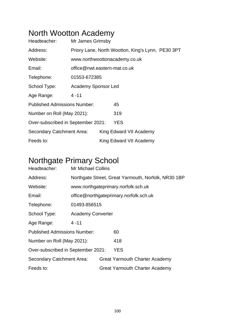## North Wootton Academy

| Headteacher:                        | Mr James Grimsby                                  |  |                               |  |  |
|-------------------------------------|---------------------------------------------------|--|-------------------------------|--|--|
| Address:                            | Priory Lane, North Wootton, King's Lynn, PE30 3PT |  |                               |  |  |
| Website:                            |                                                   |  | www.northwoottonacademy.co.uk |  |  |
| Email:                              | office@nwt.eastern-mat.co.uk                      |  |                               |  |  |
| Telephone:                          | 01553-672385                                      |  |                               |  |  |
| School Type:                        | Academy Sponsor Led                               |  |                               |  |  |
| Age Range:                          | $4 - 11$                                          |  |                               |  |  |
| <b>Published Admissions Number:</b> |                                                   |  | 45                            |  |  |
| Number on Roll (May 2021):          |                                                   |  | 319                           |  |  |
| Over-subscribed in September 2021:  |                                                   |  | <b>YES</b>                    |  |  |
| Secondary Catchment Area:           |                                                   |  | King Edward VII Academy       |  |  |
| Feeds to:                           |                                                   |  | King Edward VII Academy       |  |  |

### Northgate Primary School

| Headteacher:                        | <b>Mr Michael Collins</b> |  |                                                     |  |  |
|-------------------------------------|---------------------------|--|-----------------------------------------------------|--|--|
| Address:                            |                           |  | Northgate Street, Great Yarmouth, Norfolk, NR30 1BP |  |  |
| Website:                            |                           |  | www.northgateprimary.norfolk.sch.uk                 |  |  |
| Email:                              |                           |  | office@northgateprimary.norfolk.sch.uk              |  |  |
| Telephone:                          | 01493-856515              |  |                                                     |  |  |
| School Type:                        | <b>Academy Converter</b>  |  |                                                     |  |  |
| Age Range:                          | 4 - 11                    |  |                                                     |  |  |
| <b>Published Admissions Number:</b> |                           |  | 60                                                  |  |  |
| Number on Roll (May 2021):          |                           |  | 418                                                 |  |  |
| Over-subscribed in September 2021:  |                           |  | YES                                                 |  |  |
| Secondary Catchment Area:           |                           |  | <b>Great Yarmouth Charter Academy</b>               |  |  |
| Feeds to:                           |                           |  | <b>Great Yarmouth Charter Academy</b>               |  |  |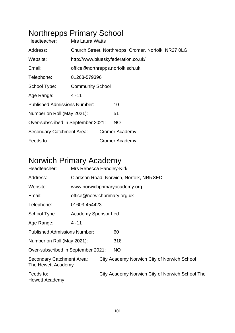# Northrepps Primary School

| Headteacher:                        | <b>Mrs Laura Watts</b>  |  |                                                      |  |  |
|-------------------------------------|-------------------------|--|------------------------------------------------------|--|--|
| Address:                            |                         |  | Church Street, Northrepps, Cromer, Norfolk, NR27 OLG |  |  |
| Website:                            |                         |  | http://www.blueskyfederation.co.uk/                  |  |  |
| Email:                              |                         |  | office@northrepps.norfolk.sch.uk                     |  |  |
| Telephone:                          | 01263-579396            |  |                                                      |  |  |
| School Type:                        | <b>Community School</b> |  |                                                      |  |  |
| Age Range:                          | $4 - 11$                |  |                                                      |  |  |
| <b>Published Admissions Number:</b> |                         |  | 10                                                   |  |  |
| Number on Roll (May 2021):          |                         |  | 51                                                   |  |  |
| Over-subscribed in September 2021:  |                         |  | <b>NO</b>                                            |  |  |
| Secondary Catchment Area:           |                         |  | <b>Cromer Academy</b>                                |  |  |
| Feeds to:                           |                         |  | <b>Cromer Academy</b>                                |  |  |

## Norwich Primary Academy

| Headteacher:                                    | Mrs Rebecca Handley-Kirk     |                                          |                                                 |  |  |  |  |
|-------------------------------------------------|------------------------------|------------------------------------------|-------------------------------------------------|--|--|--|--|
| Address:                                        |                              | Clarkson Road, Norwich, Norfolk, NR5 8ED |                                                 |  |  |  |  |
| Website:                                        |                              |                                          | www.norwichprimaryacademy.org                   |  |  |  |  |
| Email:                                          | office@norwichprimary.org.uk |                                          |                                                 |  |  |  |  |
| Telephone:                                      | 01603-454423                 |                                          |                                                 |  |  |  |  |
| School Type:                                    | <b>Academy Sponsor Led</b>   |                                          |                                                 |  |  |  |  |
| Age Range:                                      | $4 - 11$                     |                                          |                                                 |  |  |  |  |
| <b>Published Admissions Number:</b>             |                              |                                          | 60                                              |  |  |  |  |
| Number on Roll (May 2021):                      |                              |                                          | 318                                             |  |  |  |  |
| Over-subscribed in September 2021:              |                              |                                          | <b>NO</b>                                       |  |  |  |  |
| Secondary Catchment Area:<br>The Hewett Academy |                              |                                          | City Academy Norwich City of Norwich School     |  |  |  |  |
| Feeds to:<br>Hewett Academy                     |                              |                                          | City Academy Norwich City of Norwich School The |  |  |  |  |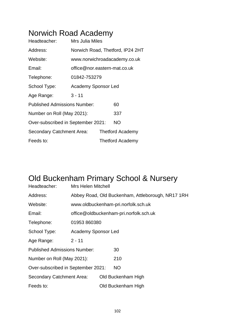### Norwich Road Academy

| Headteacher:                        | Mrs Julia Miles              |                                  |
|-------------------------------------|------------------------------|----------------------------------|
| Address:                            |                              | Norwich Road, Thetford, IP24 2HT |
| Website:                            |                              | www.norwichroadacademy.co.uk     |
| Email:                              | office@nor.eastern-mat.co.uk |                                  |
| Telephone:                          | 01842-753279                 |                                  |
| School Type:                        | <b>Academy Sponsor Led</b>   |                                  |
| Age Range:                          | $3 - 11$                     |                                  |
| <b>Published Admissions Number:</b> |                              | 60                               |
| Number on Roll (May 2021):          |                              | 337                              |
| Over-subscribed in September 2021:  |                              | <b>NO</b>                        |
| Secondary Catchment Area:           |                              | <b>Thetford Academy</b>          |
| Feeds to:                           |                              | <b>Thetford Academy</b>          |

### Old Buckenham Primary School & Nursery

| Headteacher:                        | <b>Mrs Helen Mitchell</b>  |  |                                                   |  |  |
|-------------------------------------|----------------------------|--|---------------------------------------------------|--|--|
| Address:                            |                            |  | Abbey Road, Old Buckenham, Attleborough, NR17 1RH |  |  |
| Website:                            |                            |  | www.oldbuckenham-pri.norfolk.sch.uk               |  |  |
| Email:                              |                            |  | office@oldbuckenham-pri.norfolk.sch.uk            |  |  |
| Telephone:                          | 01953 860380               |  |                                                   |  |  |
| School Type:                        | <b>Academy Sponsor Led</b> |  |                                                   |  |  |
| Age Range:                          | $2 - 11$                   |  |                                                   |  |  |
| <b>Published Admissions Number:</b> |                            |  | 30                                                |  |  |
| Number on Roll (May 2021):          |                            |  | 210                                               |  |  |
| Over-subscribed in September 2021:  |                            |  | NO                                                |  |  |
| Secondary Catchment Area:           |                            |  | Old Buckenham High                                |  |  |
| Feeds to:                           |                            |  | Old Buckenham High                                |  |  |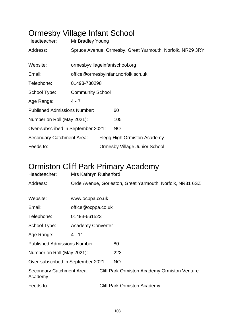## Ormesby Village Infant School

| Headteacher:                        | Mr Bradley Young                                          |  |                                      |  |  |
|-------------------------------------|-----------------------------------------------------------|--|--------------------------------------|--|--|
| Address:                            | Spruce Avenue, Ormesby, Great Yarmouth, Norfolk, NR29 3RY |  |                                      |  |  |
|                                     |                                                           |  |                                      |  |  |
| Website:                            | ormesbyvillageinfantschool.org                            |  |                                      |  |  |
| Email:                              | office@ormesbyinfant.norfolk.sch.uk                       |  |                                      |  |  |
| Telephone:                          | 01493-730298                                              |  |                                      |  |  |
| School Type:                        | <b>Community School</b>                                   |  |                                      |  |  |
| Age Range:                          | $4 - 7$                                                   |  |                                      |  |  |
| <b>Published Admissions Number:</b> |                                                           |  | 60                                   |  |  |
| Number on Roll (May 2021):          |                                                           |  | 105                                  |  |  |
| Over-subscribed in September 2021:  |                                                           |  | <b>NO</b>                            |  |  |
| Secondary Catchment Area:           |                                                           |  | Flegg High Ormiston Academy          |  |  |
| Feeds to:                           |                                                           |  | <b>Ormesby Village Junior School</b> |  |  |

### Ormiston Cliff Park Primary Academy

| Headteacher:                         | Mrs Kathryn Rutherford                                    |  |                                                     |  |
|--------------------------------------|-----------------------------------------------------------|--|-----------------------------------------------------|--|
| Address:                             | Orde Avenue, Gorleston, Great Yarmouth, Norfolk, NR31 6SZ |  |                                                     |  |
|                                      |                                                           |  |                                                     |  |
| Website:                             | www.ocppa.co.uk                                           |  |                                                     |  |
| Email:                               | office@ocppa.co.uk                                        |  |                                                     |  |
| Telephone:                           | 01493-661523                                              |  |                                                     |  |
| School Type:                         | <b>Academy Converter</b>                                  |  |                                                     |  |
| Age Range:                           | $4 - 11$                                                  |  |                                                     |  |
| <b>Published Admissions Number:</b>  |                                                           |  | 80                                                  |  |
| Number on Roll (May 2021):           |                                                           |  | 223                                                 |  |
| Over-subscribed in September 2021:   |                                                           |  | <b>NO</b>                                           |  |
| Secondary Catchment Area:<br>Academy |                                                           |  | <b>Cliff Park Ormiston Academy Ormiston Venture</b> |  |
| Feeds to:                            |                                                           |  | <b>Cliff Park Ormiston Academy</b>                  |  |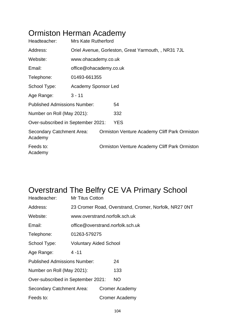### Ormiston Herman Academy

| Headteacher:                         | <b>Mrs Kate Rutherford</b>                          |                        |                                                     |  |  |  |
|--------------------------------------|-----------------------------------------------------|------------------------|-----------------------------------------------------|--|--|--|
| Address:                             | Oriel Avenue, Gorleston, Great Yarmouth, , NR31 7JL |                        |                                                     |  |  |  |
| Website:                             |                                                     | www.ohacademy.co.uk    |                                                     |  |  |  |
| Email:                               |                                                     | office@ohacademy.co.uk |                                                     |  |  |  |
| Telephone:                           | 01493-661355                                        |                        |                                                     |  |  |  |
| School Type:                         | Academy Sponsor Led                                 |                        |                                                     |  |  |  |
| Age Range:                           | $3 - 11$                                            |                        |                                                     |  |  |  |
| <b>Published Admissions Number:</b>  |                                                     |                        | 54                                                  |  |  |  |
| Number on Roll (May 2021):           |                                                     |                        | 332                                                 |  |  |  |
| Over-subscribed in September 2021:   |                                                     |                        | <b>YES</b>                                          |  |  |  |
| Secondary Catchment Area:<br>Academy |                                                     |                        | <b>Ormiston Venture Academy Cliff Park Ormiston</b> |  |  |  |
| Feeds to:<br>Academy                 |                                                     |                        | Ormiston Venture Academy Cliff Park Ormiston        |  |  |  |

## Overstrand The Belfry CE VA Primary School

| Headteacher:                        | <b>Mr Titus Cotton</b>        |                                                       |                       |  |  |
|-------------------------------------|-------------------------------|-------------------------------------------------------|-----------------------|--|--|
| Address:                            |                               | 23 Cromer Road, Overstrand, Cromer, Norfolk, NR27 0NT |                       |  |  |
| Website:                            |                               | www.overstrand.norfolk.sch.uk                         |                       |  |  |
| Email:                              |                               | office@overstrand.norfolk.sch.uk                      |                       |  |  |
| Telephone:                          | 01263-579275                  |                                                       |                       |  |  |
| School Type:                        | <b>Voluntary Aided School</b> |                                                       |                       |  |  |
| Age Range:                          | $4 - 11$                      |                                                       |                       |  |  |
| <b>Published Admissions Number:</b> |                               |                                                       | 24                    |  |  |
| Number on Roll (May 2021):          |                               |                                                       | 133                   |  |  |
| Over-subscribed in September 2021:  |                               |                                                       | <b>NO</b>             |  |  |
| Secondary Catchment Area:           |                               |                                                       | <b>Cromer Academy</b> |  |  |
| Feeds to:                           |                               |                                                       | <b>Cromer Academy</b> |  |  |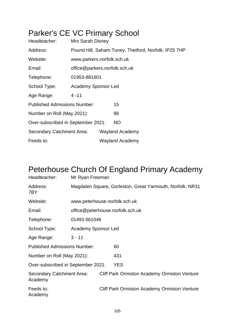# Parker's CE VC Primary School

| Headteacher:                        | Mrs Sarah Disney                                     |                               |                        |  |
|-------------------------------------|------------------------------------------------------|-------------------------------|------------------------|--|
| Address:                            | Pound Hill, Saham Toney, Thetford, Norfolk, IP25 7HP |                               |                        |  |
| Website:                            | www.parkers.norfolk.sch.uk                           |                               |                        |  |
| Email:                              |                                                      | office@parkers.norfolk.sch.uk |                        |  |
| Telephone:                          | 01953-881601                                         |                               |                        |  |
| School Type:                        | Academy Sponsor Led                                  |                               |                        |  |
| Age Range:                          | $4 - 11$                                             |                               |                        |  |
| <b>Published Admissions Number:</b> |                                                      |                               | 15                     |  |
| Number on Roll (May 2021):          |                                                      |                               | 86                     |  |
| Over-subscribed in September 2021:  |                                                      |                               | <b>NO</b>              |  |
| Secondary Catchment Area:           |                                                      |                               | <b>Wayland Academy</b> |  |
| Feeds to:                           |                                                      |                               | <b>Wayland Academy</b> |  |

## Peterhouse Church Of England Primary Academy

| Headteacher:                         | Mr Ryan Freeman                                           |                               |                                                     |  |  |
|--------------------------------------|-----------------------------------------------------------|-------------------------------|-----------------------------------------------------|--|--|
| Address:<br>7BY                      | Magdalen Square, Gorleston, Great Yarmouth, Norfolk, NR31 |                               |                                                     |  |  |
| Website:                             |                                                           | www.peterhouse.norfolk.sch.uk |                                                     |  |  |
| Email:                               | office@peterhouse.norfolk.sch.uk                          |                               |                                                     |  |  |
| Telephone:                           | 01493 661046                                              |                               |                                                     |  |  |
| School Type:                         | <b>Academy Sponsor Led</b>                                |                               |                                                     |  |  |
| Age Range:                           | $3 - 11$                                                  |                               |                                                     |  |  |
| <b>Published Admissions Number:</b>  |                                                           |                               | 60                                                  |  |  |
| Number on Roll (May 2021):           |                                                           |                               | 431                                                 |  |  |
| Over-subscribed in September 2021:   |                                                           |                               | <b>YES</b>                                          |  |  |
| Secondary Catchment Area:<br>Academy |                                                           |                               | <b>Cliff Park Ormiston Academy Ormiston Venture</b> |  |  |
| Feeds to:<br>Academy                 |                                                           |                               | <b>Cliff Park Ormiston Academy Ormiston Venture</b> |  |  |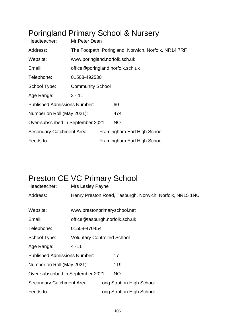### Poringland Primary School & Nursery

| Headteacher:                        | Mr Peter Dean                                        |                                  |                             |  |
|-------------------------------------|------------------------------------------------------|----------------------------------|-----------------------------|--|
| Address:                            | The Footpath, Poringland, Norwich, Norfolk, NR14 7RF |                                  |                             |  |
| Website:                            | www.poringland.norfolk.sch.uk                        |                                  |                             |  |
| Email:                              |                                                      | office@poringland.norfolk.sch.uk |                             |  |
| Telephone:                          | 01508-492530                                         |                                  |                             |  |
| School Type:                        | <b>Community School</b>                              |                                  |                             |  |
| Age Range:                          | $3 - 11$                                             |                                  |                             |  |
| <b>Published Admissions Number:</b> |                                                      |                                  | 60                          |  |
| Number on Roll (May 2021):          |                                                      |                                  | 474                         |  |
| Over-subscribed in September 2021:  |                                                      |                                  | <b>NO</b>                   |  |
| Secondary Catchment Area:           |                                                      |                                  | Framingham Earl High School |  |
| Feeds to:                           |                                                      |                                  | Framingham Earl High School |  |

### Preston CE VC Primary School

| Headteacher:                        | Mrs Lesley Payne |                                                          |  |  |  |  |
|-------------------------------------|------------------|----------------------------------------------------------|--|--|--|--|
| Address:                            |                  | Henry Preston Road, Tasburgh, Norwich, Norfolk, NR15 1NU |  |  |  |  |
|                                     |                  |                                                          |  |  |  |  |
| Website:                            |                  | www.prestonprimaryschool.net                             |  |  |  |  |
| Email:                              |                  | office@tasburgh.norfolk.sch.uk                           |  |  |  |  |
| Telephone:                          | 01508-470454     |                                                          |  |  |  |  |
| School Type:                        |                  | <b>Voluntary Controlled School</b>                       |  |  |  |  |
| Age Range:                          | $4 - 11$         |                                                          |  |  |  |  |
| <b>Published Admissions Number:</b> |                  | 17                                                       |  |  |  |  |
| Number on Roll (May 2021):          |                  | 119                                                      |  |  |  |  |
| Over-subscribed in September 2021:  |                  | <b>NO</b>                                                |  |  |  |  |
| Secondary Catchment Area:           |                  | Long Stratton High School                                |  |  |  |  |
| Feeds to:                           |                  | Long Stratton High School                                |  |  |  |  |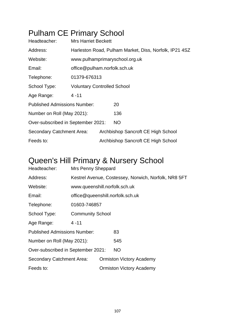# Pulham CE Primary School

| Headteacher:                        | <b>Mrs Harriet Beckett</b>                             |                              |                                    |  |
|-------------------------------------|--------------------------------------------------------|------------------------------|------------------------------------|--|
| Address:                            | Harleston Road, Pulham Market, Diss, Norfolk, IP21 4SZ |                              |                                    |  |
| Website:                            | www.pulhamprimaryschool.org.uk                         |                              |                                    |  |
| Email:                              |                                                        | office@pulham.norfolk.sch.uk |                                    |  |
| Telephone:                          | 01379-676313                                           |                              |                                    |  |
| School Type:                        | <b>Voluntary Controlled School</b>                     |                              |                                    |  |
| Age Range:                          | $4 - 11$                                               |                              |                                    |  |
| <b>Published Admissions Number:</b> |                                                        |                              | 20                                 |  |
| Number on Roll (May 2021):          |                                                        |                              | 136                                |  |
| Over-subscribed in September 2021:  |                                                        |                              | NO.                                |  |
| Secondary Catchment Area:           |                                                        |                              | Archbishop Sancroft CE High School |  |
| Feeds to:                           |                                                        |                              | Archbishop Sancroft CE High School |  |

### Queen's Hill Primary & Nursery School

| Headteacher:                        | Mrs Penny Sheppard                                   |                               |                                 |  |  |
|-------------------------------------|------------------------------------------------------|-------------------------------|---------------------------------|--|--|
| Address:                            | Kestrel Avenue, Costessey, Norwich, Norfolk, NR8 5FT |                               |                                 |  |  |
| Website:                            |                                                      | www.queenshill.norfolk.sch.uk |                                 |  |  |
| Email:                              | office@queenshill.norfolk.sch.uk                     |                               |                                 |  |  |
| Telephone:                          | 01603-746857                                         |                               |                                 |  |  |
| School Type:                        | <b>Community School</b>                              |                               |                                 |  |  |
| Age Range:                          | $4 - 11$                                             |                               |                                 |  |  |
| <b>Published Admissions Number:</b> |                                                      |                               | 83                              |  |  |
| Number on Roll (May 2021):          |                                                      |                               | 545                             |  |  |
| Over-subscribed in September 2021:  |                                                      |                               | <b>NO</b>                       |  |  |
| <b>Secondary Catchment Area:</b>    |                                                      |                               | <b>Ormiston Victory Academy</b> |  |  |
| Feeds to:                           |                                                      |                               | <b>Ormiston Victory Academy</b> |  |  |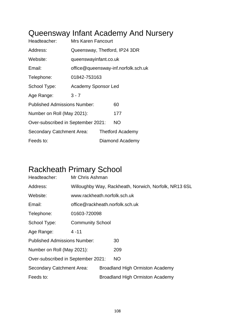### Queensway Infant Academy And Nursery

| Headteacher:                        | Mrs Karen Fancourt            |                                     |                  |
|-------------------------------------|-------------------------------|-------------------------------------|------------------|
| Address:                            | Queensway, Thetford, IP24 3DR |                                     |                  |
| Website:                            | queenswayinfant.co.uk         |                                     |                  |
| Email:                              |                               | office@queensway-inf.norfolk.sch.uk |                  |
| Telephone:                          | 01842-753163                  |                                     |                  |
| School Type:                        | <b>Academy Sponsor Led</b>    |                                     |                  |
| Age Range:                          | $3 - 7$                       |                                     |                  |
| <b>Published Admissions Number:</b> |                               |                                     | 60               |
| Number on Roll (May 2021):          |                               |                                     | 177              |
| Over-subscribed in September 2021:  |                               |                                     | <b>NO</b>        |
| Secondary Catchment Area:           |                               |                                     | Thetford Academy |
| Feeds to:                           |                               |                                     | Diamond Academy  |

#### Rackheath Primary School

| Headteacher:                        | Mr Chris Ashman                                       |                                 |                                        |  |
|-------------------------------------|-------------------------------------------------------|---------------------------------|----------------------------------------|--|
| Address:                            | Willoughby Way, Rackheath, Norwich, Norfolk, NR13 6SL |                                 |                                        |  |
| Website:                            | www.rackheath.norfolk.sch.uk                          |                                 |                                        |  |
| Email:                              |                                                       | office@rackheath.norfolk.sch.uk |                                        |  |
| Telephone:                          | 01603-720098                                          |                                 |                                        |  |
| School Type:                        | <b>Community School</b>                               |                                 |                                        |  |
| Age Range:                          | 4 - 11                                                |                                 |                                        |  |
| <b>Published Admissions Number:</b> |                                                       |                                 | 30                                     |  |
| Number on Roll (May 2021):          |                                                       |                                 | 209                                    |  |
| Over-subscribed in September 2021:  |                                                       |                                 | <b>NO</b>                              |  |
| Secondary Catchment Area:           |                                                       |                                 | <b>Broadland High Ormiston Academy</b> |  |
| Feeds to:                           |                                                       |                                 | <b>Broadland High Ormiston Academy</b> |  |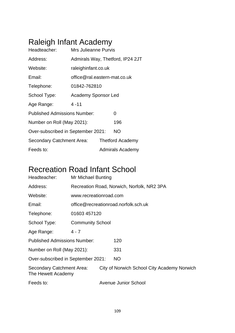# Raleigh Infant Academy

| Headteacher:                        | <b>Mrs Julieanne Purvis</b>  |                                  |
|-------------------------------------|------------------------------|----------------------------------|
| Address:                            |                              | Admirals Way, Thetford, IP24 2JT |
| Website:                            | raleighinfant.co.uk          |                                  |
| Email:                              | office@ral.eastern-mat.co.uk |                                  |
| Telephone:                          | 01842-762810                 |                                  |
| School Type:                        | <b>Academy Sponsor Led</b>   |                                  |
| Age Range:                          | $4 - 11$                     |                                  |
| <b>Published Admissions Number:</b> |                              | 0                                |
| Number on Roll (May 2021):          |                              | 196                              |
| Over-subscribed in September 2021:  |                              | <b>NO</b>                        |
| Secondary Catchment Area:           |                              | <b>Thetford Academy</b>          |
| Feeds to:                           |                              | Admirals Academy                 |

### Recreation Road Infant School

| Headteacher:                                    | Mr Michael Bunting                         |                        |                                             |  |  |  |
|-------------------------------------------------|--------------------------------------------|------------------------|---------------------------------------------|--|--|--|
| Address:                                        | Recreation Road, Norwich, Norfolk, NR2 3PA |                        |                                             |  |  |  |
| Website:                                        |                                            | www.recreationroad.com |                                             |  |  |  |
| Email:                                          | office@recreationroad.norfolk.sch.uk       |                        |                                             |  |  |  |
| Telephone:                                      | 01603 457120                               |                        |                                             |  |  |  |
| School Type:                                    | <b>Community School</b>                    |                        |                                             |  |  |  |
| Age Range:                                      | $4 - 7$                                    |                        |                                             |  |  |  |
| <b>Published Admissions Number:</b>             |                                            |                        | 120                                         |  |  |  |
| Number on Roll (May 2021):                      |                                            |                        | 331                                         |  |  |  |
| Over-subscribed in September 2021:              |                                            |                        | <b>NO</b>                                   |  |  |  |
| Secondary Catchment Area:<br>The Hewett Academy |                                            |                        | City of Norwich School City Academy Norwich |  |  |  |
| Feeds to:                                       |                                            |                        | <b>Avenue Junior School</b>                 |  |  |  |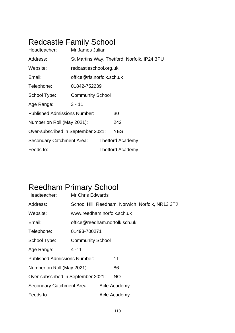## Redcastle Family School

| Headteacher:                        | Mr James Julian           |                                             |  |  |  |  |
|-------------------------------------|---------------------------|---------------------------------------------|--|--|--|--|
| Address:                            |                           | St Martins Way, Thetford, Norfolk, IP24 3PU |  |  |  |  |
| Website:                            | redcastleschool.org.uk    |                                             |  |  |  |  |
| Email:                              | office@rfs.norfolk.sch.uk |                                             |  |  |  |  |
| Telephone:                          | 01842-752239              |                                             |  |  |  |  |
| School Type:                        | <b>Community School</b>   |                                             |  |  |  |  |
| Age Range:                          | $3 - 11$                  |                                             |  |  |  |  |
| <b>Published Admissions Number:</b> |                           | 30                                          |  |  |  |  |
| Number on Roll (May 2021):          |                           | 242                                         |  |  |  |  |
| Over-subscribed in September 2021:  |                           | <b>YES</b>                                  |  |  |  |  |
| Secondary Catchment Area:           |                           | <b>Thetford Academy</b>                     |  |  |  |  |
| Feeds to:                           |                           | <b>Thetford Academy</b>                     |  |  |  |  |

## Reedham Primary School

| Headteacher:                        | <b>Mr Chris Edwards</b>                          |  |              |  |  |
|-------------------------------------|--------------------------------------------------|--|--------------|--|--|
| Address:                            | School Hill, Reedham, Norwich, Norfolk, NR13 3TJ |  |              |  |  |
| Website:                            | www.reedham.norfolk.sch.uk                       |  |              |  |  |
| Email:                              | office@reedham.norfolk.sch.uk                    |  |              |  |  |
| Telephone:                          | 01493-700271                                     |  |              |  |  |
| School Type:                        | <b>Community School</b>                          |  |              |  |  |
| Age Range:                          | $4 - 11$                                         |  |              |  |  |
| <b>Published Admissions Number:</b> |                                                  |  | 11           |  |  |
| Number on Roll (May 2021):          |                                                  |  | 86           |  |  |
| Over-subscribed in September 2021:  |                                                  |  | NO.          |  |  |
| Secondary Catchment Area:           |                                                  |  | Acle Academy |  |  |
| Feeds to:                           |                                                  |  | Acle Academy |  |  |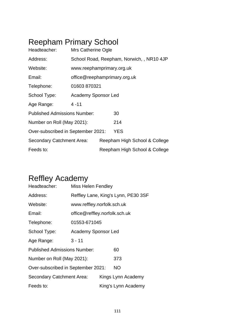# Reepham Primary School

| Headteacher:                        | Mrs Catherine Ogle           |  |                                           |  |
|-------------------------------------|------------------------------|--|-------------------------------------------|--|
| Address:                            |                              |  | School Road, Reepham, Norwich, , NR10 4JP |  |
| Website:                            | www.reephamprimary.org.uk    |  |                                           |  |
| Email:                              | office@reephamprimary.org.uk |  |                                           |  |
| Telephone:                          | 01603 870321                 |  |                                           |  |
| School Type:                        | <b>Academy Sponsor Led</b>   |  |                                           |  |
| Age Range:                          | $4 - 11$                     |  |                                           |  |
| <b>Published Admissions Number:</b> |                              |  | 30                                        |  |
| Number on Roll (May 2021):          |                              |  | 214                                       |  |
| Over-subscribed in September 2021:  |                              |  | <b>YES</b>                                |  |
| Secondary Catchment Area:           |                              |  | Reepham High School & College             |  |
| Feeds to:                           |                              |  | Reepham High School & College             |  |

## Reffley Academy

| Headteacher:                        | <b>Miss Helen Fendley</b>           |                     |     |  |  |
|-------------------------------------|-------------------------------------|---------------------|-----|--|--|
| Address:                            | Reffley Lane, King's Lynn, PE30 3SF |                     |     |  |  |
| Website:                            | www.reffley.norfolk.sch.uk          |                     |     |  |  |
| Email:                              | office@reffley.norfolk.sch.uk       |                     |     |  |  |
| Telephone:                          | 01553-671045                        |                     |     |  |  |
| School Type:                        | <b>Academy Sponsor Led</b>          |                     |     |  |  |
| Age Range:                          | $3 - 11$                            |                     |     |  |  |
| <b>Published Admissions Number:</b> |                                     | 60                  |     |  |  |
| Number on Roll (May 2021):          |                                     |                     | 373 |  |  |
| Over-subscribed in September 2021:  |                                     | <b>NO</b>           |     |  |  |
| Secondary Catchment Area:           |                                     | Kings Lynn Academy  |     |  |  |
| Feeds to:                           |                                     | King's Lynn Academy |     |  |  |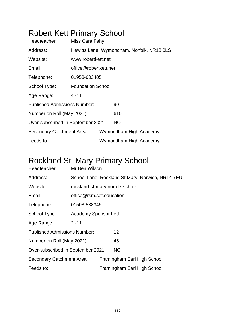## Robert Kett Primary School

| Headteacher:                        | Miss Cara Fahy                             |  |                        |  |  |
|-------------------------------------|--------------------------------------------|--|------------------------|--|--|
| Address:                            | Hewitts Lane, Wymondham, Norfolk, NR18 OLS |  |                        |  |  |
| Website:                            | www.robertkett.net                         |  |                        |  |  |
| Email:                              | office@robertkett.net                      |  |                        |  |  |
| Telephone:                          | 01953-603405                               |  |                        |  |  |
| School Type:                        | <b>Foundation School</b>                   |  |                        |  |  |
| Age Range:                          | 4 - 11                                     |  |                        |  |  |
| <b>Published Admissions Number:</b> |                                            |  | 90                     |  |  |
| Number on Roll (May 2021):          |                                            |  | 610                    |  |  |
| Over-subscribed in September 2021:  |                                            |  | <b>NO</b>              |  |  |
| Secondary Catchment Area:           |                                            |  | Wymondham High Academy |  |  |
| Feeds to:                           |                                            |  | Wymondham High Academy |  |  |
|                                     |                                            |  |                        |  |  |

#### Rockland St. Mary Primary School

| Headteacher:                        | Mr Ben Wilson                                    |  |                             |  |  |
|-------------------------------------|--------------------------------------------------|--|-----------------------------|--|--|
| Address:                            | School Lane, Rockland St Mary, Norwich, NR14 7EU |  |                             |  |  |
| Website:                            | rockland-st-mary.norfolk.sch.uk                  |  |                             |  |  |
| Email:                              | office@rsm.set.education                         |  |                             |  |  |
| Telephone:                          | 01508-538345                                     |  |                             |  |  |
| School Type:                        | Academy Sponsor Led                              |  |                             |  |  |
| Age Range:                          | $2 - 11$                                         |  |                             |  |  |
| <b>Published Admissions Number:</b> |                                                  |  | 12 <sup>2</sup>             |  |  |
| Number on Roll (May 2021):          |                                                  |  | 45                          |  |  |
| Over-subscribed in September 2021:  |                                                  |  | <b>NO</b>                   |  |  |
| Secondary Catchment Area:           |                                                  |  | Framingham Earl High School |  |  |
| Feeds to:                           |                                                  |  | Framingham Earl High School |  |  |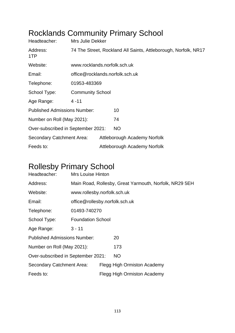| Headteacher:                        | Mrs Julie Dekker                |  | <b>INVONIGHUS COMMITTURING I THIRGLY CONCOL</b>                 |  |  |  |
|-------------------------------------|---------------------------------|--|-----------------------------------------------------------------|--|--|--|
| Address:<br>1TP                     |                                 |  | 74 The Street, Rockland All Saints, Attleborough, Norfolk, NR17 |  |  |  |
| Website:                            | www.rocklands.norfolk.sch.uk    |  |                                                                 |  |  |  |
| Email:                              | office@rocklands.norfolk.sch.uk |  |                                                                 |  |  |  |
| Telephone:                          | 01953-483369                    |  |                                                                 |  |  |  |
| School Type:                        | <b>Community School</b>         |  |                                                                 |  |  |  |
| Age Range:                          | 4 - 11                          |  |                                                                 |  |  |  |
| <b>Published Admissions Number:</b> |                                 |  | 10                                                              |  |  |  |
| Number on Roll (May 2021):          |                                 |  | 74                                                              |  |  |  |
| Over-subscribed in September 2021:  |                                 |  | <b>NO</b>                                                       |  |  |  |
| Secondary Catchment Area:           |                                 |  | Attleborough Academy Norfolk                                    |  |  |  |
| Feeds to:                           |                                 |  | Attleborough Academy Norfolk                                    |  |  |  |

#### Rocklands Community Primary School

### Rollesby Primary School

| Headteacher:                        | <b>Mrs Louise Hinton</b>                               |                                |                             |  |  |
|-------------------------------------|--------------------------------------------------------|--------------------------------|-----------------------------|--|--|
| Address:                            | Main Road, Rollesby, Great Yarmouth, Norfolk, NR29 5EH |                                |                             |  |  |
| Website:                            | www.rollesby.norfolk.sch.uk                            |                                |                             |  |  |
| Email:                              |                                                        | office@rollesby.norfolk.sch.uk |                             |  |  |
| Telephone:                          | 01493-740270                                           |                                |                             |  |  |
| School Type:                        | <b>Foundation School</b>                               |                                |                             |  |  |
| Age Range:                          | $3 - 11$                                               |                                |                             |  |  |
| <b>Published Admissions Number:</b> |                                                        |                                | 20                          |  |  |
| Number on Roll (May 2021):          |                                                        |                                | 173                         |  |  |
| Over-subscribed in September 2021:  |                                                        |                                | <b>NO</b>                   |  |  |
| Secondary Catchment Area:           |                                                        |                                | Flegg High Ormiston Academy |  |  |
| Feeds to:                           |                                                        |                                | Flegg High Ormiston Academy |  |  |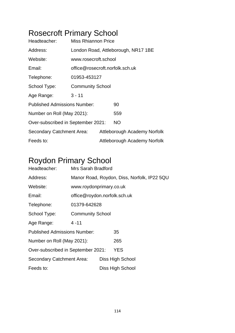## Rosecroft Primary School

| Headteacher:                        | Miss Rhiannon Price             |  |                                     |  |  |
|-------------------------------------|---------------------------------|--|-------------------------------------|--|--|
| Address:                            |                                 |  | London Road, Attleborough, NR17 1BE |  |  |
| Website:                            | www.rosecroft.school            |  |                                     |  |  |
| Email:                              | office@rosecroft.norfolk.sch.uk |  |                                     |  |  |
| Telephone:                          | 01953-453127                    |  |                                     |  |  |
| School Type:                        | <b>Community School</b>         |  |                                     |  |  |
| Age Range:                          | $3 - 11$                        |  |                                     |  |  |
| <b>Published Admissions Number:</b> |                                 |  | 90                                  |  |  |
| Number on Roll (May 2021):          |                                 |  | 559                                 |  |  |
| Over-subscribed in September 2021:  |                                 |  | <b>NO</b>                           |  |  |
| Secondary Catchment Area:           |                                 |  | Attleborough Academy Norfolk        |  |  |
| Feeds to:                           |                                 |  | Attleborough Academy Norfolk        |  |  |

### Roydon Primary School

| Headteacher:                        | Mrs Sarah Bradford                          |                         |                  |  |  |  |
|-------------------------------------|---------------------------------------------|-------------------------|------------------|--|--|--|
| Address:                            | Manor Road, Roydon, Diss, Norfolk, IP22 5QU |                         |                  |  |  |  |
| Website:                            |                                             | www.roydonprimary.co.uk |                  |  |  |  |
| Email:                              | office@roydon.norfolk.sch.uk                |                         |                  |  |  |  |
| Telephone:                          | 01379-642628                                |                         |                  |  |  |  |
| School Type:                        | <b>Community School</b>                     |                         |                  |  |  |  |
| Age Range:                          | $4 - 11$                                    |                         |                  |  |  |  |
| <b>Published Admissions Number:</b> |                                             |                         | 35               |  |  |  |
| Number on Roll (May 2021):          |                                             |                         | 265              |  |  |  |
| Over-subscribed in September 2021:  |                                             |                         | <b>YES</b>       |  |  |  |
| Secondary Catchment Area:           |                                             |                         | Diss High School |  |  |  |
| Feeds to:                           |                                             |                         | Diss High School |  |  |  |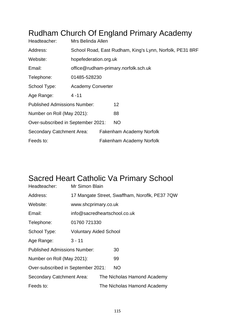### Rudham Church Of England Primary Academy

| Headteacher:                        | Mrs Belinda Allen        |  |                                                          |  |  |
|-------------------------------------|--------------------------|--|----------------------------------------------------------|--|--|
| Address:                            |                          |  | School Road, East Rudham, King's Lynn, Norfolk, PE31 8RF |  |  |
| Website:                            | hopefederation.org.uk    |  |                                                          |  |  |
| Email:                              |                          |  | office@rudham-primary.norfolk.sch.uk                     |  |  |
| Telephone:                          | 01485-528230             |  |                                                          |  |  |
| School Type:                        | <b>Academy Converter</b> |  |                                                          |  |  |
| Age Range:                          | $4 - 11$                 |  |                                                          |  |  |
| <b>Published Admissions Number:</b> |                          |  | 12 <sub>2</sub>                                          |  |  |
| Number on Roll (May 2021):          |                          |  | 88                                                       |  |  |
| Over-subscribed in September 2021:  |                          |  | NO                                                       |  |  |
| Secondary Catchment Area:           |                          |  | Fakenham Academy Norfolk                                 |  |  |
| Feeds to:                           |                          |  | Fakenham Academy Norfolk                                 |  |  |

### Sacred Heart Catholic Va Primary School

| Headteacher:                        | Mr Simon Blain                                 |  |                             |  |  |
|-------------------------------------|------------------------------------------------|--|-----------------------------|--|--|
| Address:                            | 17 Mangate Street, Swaffham, Noroflk, PE37 7QW |  |                             |  |  |
| Website:                            | www.shcprimary.co.uk                           |  |                             |  |  |
| Email:                              | info@sacredheartschool.co.uk                   |  |                             |  |  |
| Telephone:                          | 01760 721330                                   |  |                             |  |  |
| School Type:                        | <b>Voluntary Aided School</b>                  |  |                             |  |  |
| Age Range:                          | $3 - 11$                                       |  |                             |  |  |
| <b>Published Admissions Number:</b> |                                                |  | 30                          |  |  |
| Number on Roll (May 2021):          |                                                |  | 99                          |  |  |
| Over-subscribed in September 2021:  |                                                |  | <b>NO</b>                   |  |  |
| Secondary Catchment Area:           |                                                |  | The Nicholas Hamond Academy |  |  |
| Feeds to:                           |                                                |  | The Nicholas Hamond Academy |  |  |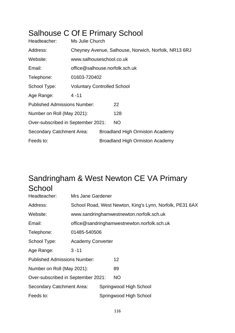### Salhouse C Of E Primary School

| Headteacher:                        | Ms Julie Church                    |  |                                                      |  |
|-------------------------------------|------------------------------------|--|------------------------------------------------------|--|
| Address:                            |                                    |  | Cheyney Avenue, Salhouse, Norwich, Norfolk, NR13 6RJ |  |
| Website:                            | www.salhouseschool.co.uk           |  |                                                      |  |
| Email:                              | office@salhouse.norfolk.sch.uk     |  |                                                      |  |
| Telephone:                          | 01603-720402                       |  |                                                      |  |
| School Type:                        | <b>Voluntary Controlled School</b> |  |                                                      |  |
| Age Range:                          | $4 - 11$                           |  |                                                      |  |
| <b>Published Admissions Number:</b> |                                    |  | 22                                                   |  |
| Number on Roll (May 2021):          |                                    |  | 128                                                  |  |
| Over-subscribed in September 2021:  |                                    |  | NO                                                   |  |
| Secondary Catchment Area:           |                                    |  | <b>Broadland High Ormiston Academy</b>               |  |
| Feeds to:                           |                                    |  | <b>Broadland High Ormiston Academy</b>               |  |

### Sandringham & West Newton CE VA Primary **School**

| Headteacher:                        | Mrs Jane Gardener        |  |                                                          |  |
|-------------------------------------|--------------------------|--|----------------------------------------------------------|--|
| Address:                            |                          |  | School Road, West Newton, King's Lynn, Norfolk, PE31 6AX |  |
| Website:                            |                          |  | www.sandringhamwestnewton.norfolk.sch.uk                 |  |
| Email:                              |                          |  | office@sandringhamwestnewton.norfolk.sch.uk              |  |
| Telephone:                          | 01485-540506             |  |                                                          |  |
| School Type:                        | <b>Academy Converter</b> |  |                                                          |  |
| Age Range:                          | $3 - 11$                 |  |                                                          |  |
| <b>Published Admissions Number:</b> |                          |  | 12 <sup>2</sup>                                          |  |
| Number on Roll (May 2021):          |                          |  | 89                                                       |  |
| Over-subscribed in September 2021:  |                          |  | <b>NO</b>                                                |  |
| Secondary Catchment Area:           |                          |  | Springwood High School                                   |  |
| Feeds to:                           |                          |  | Springwood High School                                   |  |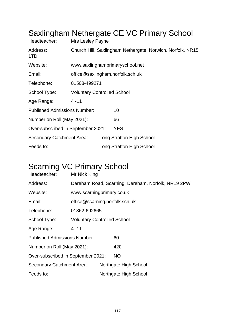| Headteacher:                        | Mrs Lesley Payne                                           |                                  |                                 |  |  |  |  |
|-------------------------------------|------------------------------------------------------------|----------------------------------|---------------------------------|--|--|--|--|
| Address:<br>1TD                     | Church Hill, Saxlingham Nethergate, Norwich, Norfolk, NR15 |                                  |                                 |  |  |  |  |
| Website:                            |                                                            |                                  | www.saxlinghamprimaryschool.net |  |  |  |  |
| Email:                              |                                                            | office@saxlingham.norfolk.sch.uk |                                 |  |  |  |  |
| Telephone:                          | 01508-499271                                               |                                  |                                 |  |  |  |  |
| School Type:                        | <b>Voluntary Controlled School</b>                         |                                  |                                 |  |  |  |  |
| Age Range:                          | $4 - 11$                                                   |                                  |                                 |  |  |  |  |
| <b>Published Admissions Number:</b> |                                                            |                                  | 10                              |  |  |  |  |
| Number on Roll (May 2021):          |                                                            |                                  | 66                              |  |  |  |  |
| Over-subscribed in September 2021:  |                                                            |                                  | <b>YES</b>                      |  |  |  |  |
| Secondary Catchment Area:           |                                                            |                                  | Long Stratton High School       |  |  |  |  |
| Feeds to:                           |                                                            |                                  | Long Stratton High School       |  |  |  |  |

### Saxlingham Nethergate CF VC Primary School

## Scarning VC Primary School

| Headteacher:                        | Mr Nick King                       |                                |                                                    |  |  |
|-------------------------------------|------------------------------------|--------------------------------|----------------------------------------------------|--|--|
| Address:                            |                                    |                                | Dereham Road, Scarning, Dereham, Norfolk, NR19 2PW |  |  |
| Website:                            | www.scarningprimary.co.uk          |                                |                                                    |  |  |
| Email:                              |                                    | office@scarning.norfolk.sch.uk |                                                    |  |  |
| Telephone:                          | 01362-692665                       |                                |                                                    |  |  |
| School Type:                        | <b>Voluntary Controlled School</b> |                                |                                                    |  |  |
| Age Range:                          | $4 - 11$                           |                                |                                                    |  |  |
| <b>Published Admissions Number:</b> |                                    |                                | 60                                                 |  |  |
| Number on Roll (May 2021):          |                                    |                                | 420                                                |  |  |
| Over-subscribed in September 2021:  |                                    |                                | NO                                                 |  |  |
| <b>Secondary Catchment Area:</b>    |                                    |                                | Northgate High School                              |  |  |
| Feeds to:                           |                                    |                                | Northgate High School                              |  |  |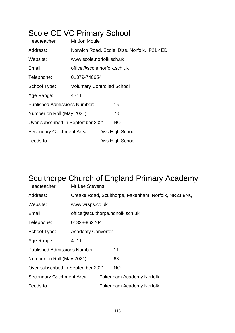## Scole CE VC Primary School

| Headteacher:                        | Mr Jon Moule                       |                  |                                              |  |  |
|-------------------------------------|------------------------------------|------------------|----------------------------------------------|--|--|
| Address:                            |                                    |                  | Norwich Road, Scole, Diss, Norfolk, IP21 4ED |  |  |
| Website:                            | www.scole.norfolk.sch.uk           |                  |                                              |  |  |
| Email:                              | office@scole.norfolk.sch.uk        |                  |                                              |  |  |
| Telephone:                          | 01379-740654                       |                  |                                              |  |  |
| School Type:                        | <b>Voluntary Controlled School</b> |                  |                                              |  |  |
| Age Range:                          | $4 - 11$                           |                  |                                              |  |  |
| <b>Published Admissions Number:</b> |                                    |                  | 15                                           |  |  |
| Number on Roll (May 2021):          |                                    |                  | 78                                           |  |  |
| Over-subscribed in September 2021:  |                                    |                  | <b>NO</b>                                    |  |  |
| <b>Secondary Catchment Area:</b>    |                                    |                  | Diss High School                             |  |  |
| Feeds to:                           |                                    | Diss High School |                                              |  |  |

### Sculthorpe Church of England Primary Academy

| Headteacher:                        | Mr Lee Stevens                   |  |                                                      |  |  |
|-------------------------------------|----------------------------------|--|------------------------------------------------------|--|--|
| Address:                            |                                  |  | Creake Road, Sculthorpe, Fakenham, Norfolk, NR21 9NQ |  |  |
| Website:                            | www.wrsps.co.uk                  |  |                                                      |  |  |
| Email:                              | office@sculthorpe.norfolk.sch.uk |  |                                                      |  |  |
| Telephone:                          | 01328-862704                     |  |                                                      |  |  |
| School Type:                        | <b>Academy Converter</b>         |  |                                                      |  |  |
| Age Range:                          | $4 - 11$                         |  |                                                      |  |  |
| <b>Published Admissions Number:</b> |                                  |  | 11                                                   |  |  |
| Number on Roll (May 2021):          |                                  |  | 68                                                   |  |  |
| Over-subscribed in September 2021:  |                                  |  | <b>NO</b>                                            |  |  |
| Secondary Catchment Area:           |                                  |  | Fakenham Academy Norfolk                             |  |  |
| Feeds to:                           |                                  |  | Fakenham Academy Norfolk                             |  |  |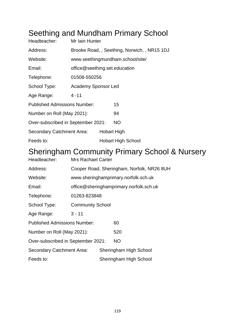### Seething and Mundham Primary School

| Headteacher:                        | Mr Iain Hunter                |                                  |                                              |  |  |  |
|-------------------------------------|-------------------------------|----------------------------------|----------------------------------------------|--|--|--|
| Address:                            |                               |                                  | Brooke Road, , Seething, Norwich, , NR15 1DJ |  |  |  |
| Website:                            |                               | www.seethingmundham.school/site/ |                                              |  |  |  |
| Email:                              | office@seething.set.education |                                  |                                              |  |  |  |
| Telephone:                          | 01508-550256                  |                                  |                                              |  |  |  |
| School Type:                        | <b>Academy Sponsor Led</b>    |                                  |                                              |  |  |  |
| Age Range:                          | $4 - 11$                      |                                  |                                              |  |  |  |
| <b>Published Admissions Number:</b> |                               |                                  | 15                                           |  |  |  |
| Number on Roll (May 2021):          |                               |                                  | 94                                           |  |  |  |
| Over-subscribed in September 2021:  |                               |                                  | <b>NO</b>                                    |  |  |  |
| Secondary Catchment Area:           |                               | <b>Hobart High</b>               |                                              |  |  |  |
| Feeds to:                           |                               |                                  | <b>Hobart High School</b>                    |  |  |  |

#### Sheringham Community Primary School & Nursery

| Headteacher:                        | Mrs Rachael Carter      |                                         |                                            |  |  |  |
|-------------------------------------|-------------------------|-----------------------------------------|--------------------------------------------|--|--|--|
| Address:                            |                         |                                         | Cooper Road, Sheringham, Norfolk, NR26 8UH |  |  |  |
| Website:                            |                         |                                         | www.sheringhamprimary.norfolk.sch.uk       |  |  |  |
| Email:                              |                         | office@sheringhamprimary.norfolk.sch.uk |                                            |  |  |  |
| Telephone:                          | 01263-823848            |                                         |                                            |  |  |  |
| School Type:                        | <b>Community School</b> |                                         |                                            |  |  |  |
| Age Range:                          | $3 - 11$                |                                         |                                            |  |  |  |
| <b>Published Admissions Number:</b> |                         |                                         | 60                                         |  |  |  |
| Number on Roll (May 2021):          |                         |                                         | 520                                        |  |  |  |
| Over-subscribed in September 2021:  |                         |                                         | NO.                                        |  |  |  |
| <b>Secondary Catchment Area:</b>    |                         |                                         | Sheringham High School                     |  |  |  |
| Feeds to:                           |                         |                                         | Sheringham High School                     |  |  |  |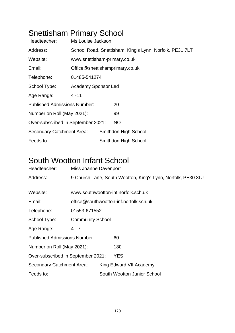# Snettisham Primary School

| Headteacher:                        | Ms Louise Jackson              |  |                                                         |  |  |
|-------------------------------------|--------------------------------|--|---------------------------------------------------------|--|--|
| Address:                            |                                |  | School Road, Snettisham, King's Lynn, Norfolk, PE31 7LT |  |  |
| Website:                            | www.snettisham-primary.co.uk   |  |                                                         |  |  |
| Email:                              | Office@snettishamprimary.co.uk |  |                                                         |  |  |
| Telephone:                          | 01485-541274                   |  |                                                         |  |  |
| School Type:                        | Academy Sponsor Led            |  |                                                         |  |  |
| Age Range:                          | $4 - 11$                       |  |                                                         |  |  |
| <b>Published Admissions Number:</b> |                                |  | 20                                                      |  |  |
| Number on Roll (May 2021):          |                                |  | 99                                                      |  |  |
| Over-subscribed in September 2021:  |                                |  | NO.                                                     |  |  |
| <b>Secondary Catchment Area:</b>    |                                |  | Smithdon High School                                    |  |  |
| Feeds to:                           |                                |  | Smithdon High School                                    |  |  |

#### South Wootton Infant School

| Headteacher:                        | Miss Joanne Davenport                  |  |                                                              |  |  |
|-------------------------------------|----------------------------------------|--|--------------------------------------------------------------|--|--|
| Address:                            |                                        |  | 9 Church Lane, South Wootton, King's Lynn, Norfolk, PE30 3LJ |  |  |
|                                     |                                        |  |                                                              |  |  |
| Website:                            |                                        |  | www.southwootton-inf.norfolk.sch.uk                          |  |  |
| Email:                              | office@southwootton-inf.norfolk.sch.uk |  |                                                              |  |  |
| Telephone:                          | 01553-671552                           |  |                                                              |  |  |
| School Type:                        | <b>Community School</b>                |  |                                                              |  |  |
| Age Range:                          | $4 - 7$                                |  |                                                              |  |  |
| <b>Published Admissions Number:</b> |                                        |  | 60                                                           |  |  |
| Number on Roll (May 2021):          |                                        |  | 180                                                          |  |  |
| Over-subscribed in September 2021:  |                                        |  | YES                                                          |  |  |
| Secondary Catchment Area:           |                                        |  | King Edward VII Academy                                      |  |  |
| Feeds to:                           |                                        |  | South Wootton Junior School                                  |  |  |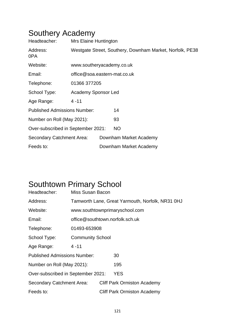#### Southery Academy

| Headteacher:                        | Mrs Elaine Huntington        |                                                          |
|-------------------------------------|------------------------------|----------------------------------------------------------|
| Address:<br>0PA                     |                              | Westgate Street, Southery, Downham Market, Norfolk, PE38 |
| Website:                            | www.southeryacademy.co.uk    |                                                          |
| Email:                              | office@soa.eastern-mat.co.uk |                                                          |
| Telephone:                          | 01366 377205                 |                                                          |
| School Type:                        | <b>Academy Sponsor Led</b>   |                                                          |
| Age Range:                          | $4 - 11$                     |                                                          |
| <b>Published Admissions Number:</b> |                              | 14                                                       |
| Number on Roll (May 2021):          |                              | 93                                                       |
| Over-subscribed in September 2021:  |                              | <b>NO</b>                                                |
| Secondary Catchment Area:           |                              | Downham Market Academy                                   |
| Feeds to:                           |                              | Downham Market Academy                                   |

### Southtown Primary School

| Headteacher:                        | Miss Susan Bacon                                 |                                 |                                    |  |
|-------------------------------------|--------------------------------------------------|---------------------------------|------------------------------------|--|
| Address:                            | Tamworth Lane, Great Yarmouth, Norfolk, NR31 0HJ |                                 |                                    |  |
| Website:                            |                                                  |                                 | www.southtownprimaryschool.com     |  |
| Email:                              |                                                  | office@southtown.norfolk.sch.uk |                                    |  |
| Telephone:                          | 01493-653908                                     |                                 |                                    |  |
| School Type:                        | <b>Community School</b>                          |                                 |                                    |  |
| Age Range:                          | $4 - 11$                                         |                                 |                                    |  |
| <b>Published Admissions Number:</b> |                                                  |                                 | 30                                 |  |
| Number on Roll (May 2021):          |                                                  |                                 | 195                                |  |
| Over-subscribed in September 2021:  |                                                  |                                 | <b>YES</b>                         |  |
| <b>Secondary Catchment Area:</b>    |                                                  |                                 | <b>Cliff Park Ormiston Academy</b> |  |
| Feeds to:                           |                                                  |                                 | <b>Cliff Park Ormiston Academy</b> |  |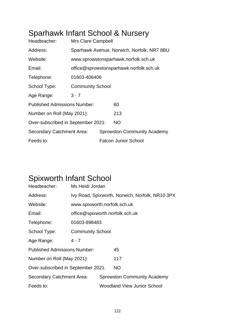## Sparhawk Infant School & Nursery

| Headteacher:                        | <b>Mrs Clare Campbell</b>               |  |                                            |
|-------------------------------------|-----------------------------------------|--|--------------------------------------------|
| Address:                            |                                         |  | Sparhawk Avenue, Norwich, Norfolk, NR7 8BU |
| Website:                            |                                         |  | www.sprowstonsparhawk.norfolk.sch.uk       |
| Email:                              | office@sprowstonsparhawk.norfolk.sch.uk |  |                                            |
| Telephone:                          | 01603-406406                            |  |                                            |
| School Type:                        | <b>Community School</b>                 |  |                                            |
| Age Range:                          | $3 - 7$                                 |  |                                            |
| <b>Published Admissions Number:</b> |                                         |  | 60                                         |
| Number on Roll (May 2021):          |                                         |  | 213                                        |
| Over-subscribed in September 2021:  |                                         |  | <b>NO</b>                                  |
| Secondary Catchment Area:           |                                         |  | <b>Sprowston Community Academy</b>         |
| Feeds to:                           |                                         |  | <b>Falcon Junior School</b>                |

### Spixworth Infant School

| Headteacher:                        | Ms Heidi Jordan                                 |  |                                    |
|-------------------------------------|-------------------------------------------------|--|------------------------------------|
| Address:                            | Ivy Road, Spixworth, Norwich, Norfolk, NR10 3PX |  |                                    |
| Website:                            | www.spixworth.norfolk.sch.uk                    |  |                                    |
| Email:                              | office@spixworth.norfolk.sch.uk                 |  |                                    |
| Telephone:                          | 01603-898483                                    |  |                                    |
| School Type:                        | <b>Community School</b>                         |  |                                    |
| Age Range:                          | $4 - 7$                                         |  |                                    |
| <b>Published Admissions Number:</b> |                                                 |  | 45                                 |
| Number on Roll (May 2021):          |                                                 |  | 117                                |
| Over-subscribed in September 2021:  |                                                 |  | NO                                 |
| Secondary Catchment Area:           |                                                 |  | <b>Sprowston Community Academy</b> |
| Feeds to:                           |                                                 |  | <b>Woodland View Junior School</b> |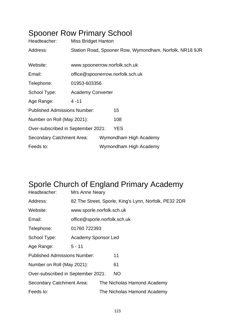| <b>Spooner Row Primary School</b><br>Headteacher: | <b>Miss Bridget Hanton</b>       |  |                                                         |
|---------------------------------------------------|----------------------------------|--|---------------------------------------------------------|
| Address:                                          |                                  |  | Station Road, Spooner Row, Wymondham, Norfolk, NR18 9JR |
| Website:                                          | www.spoonerrow.norfolk.sch.uk    |  |                                                         |
| Email:                                            | office@spoonerrow.norfolk.sch.uk |  |                                                         |
| Telephone:                                        | 01953-603356                     |  |                                                         |
| School Type:                                      | <b>Academy Converter</b>         |  |                                                         |
| Age Range:                                        | $4 - 11$                         |  |                                                         |
| <b>Published Admissions Number:</b>               |                                  |  | 15                                                      |
| Number on Roll (May 2021):                        |                                  |  | 108                                                     |
| Over-subscribed in September 2021:                |                                  |  | <b>YES</b>                                              |
| <b>Secondary Catchment Area:</b>                  |                                  |  | Wymondham High Academy                                  |
| Feeds to:                                         |                                  |  | Wymondham High Academy                                  |
|                                                   |                                  |  |                                                         |

# Sporle Church of England Primary Academy

| Headteacher:                        | Mrs Anne Neary                                        |  |                             |
|-------------------------------------|-------------------------------------------------------|--|-----------------------------|
| Address:                            | 82 The Street, Sporle, King's Lynn, Norfolk, PE32 2DR |  |                             |
| Website:                            | www.sporle.norfolk.sch.uk                             |  |                             |
| Email:                              | office@sporle.norfolk.sch.uk                          |  |                             |
| Telephone:                          | 01760 722393                                          |  |                             |
| School Type:                        | <b>Academy Sponsor Led</b>                            |  |                             |
| Age Range:                          | $5 - 11$                                              |  |                             |
| <b>Published Admissions Number:</b> |                                                       |  | 11                          |
| Number on Roll (May 2021):          |                                                       |  | 61                          |
| Over-subscribed in September 2021:  |                                                       |  | <b>NO</b>                   |
| Secondary Catchment Area:           |                                                       |  | The Nicholas Hamond Academy |
| Feeds to:                           |                                                       |  | The Nicholas Hamond Academy |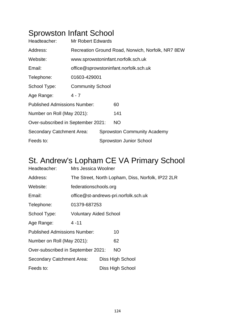## Sprowston Infant School

| Headteacher:                        | <b>Mr Robert Edwards</b>                          |                                       |                                    |  |
|-------------------------------------|---------------------------------------------------|---------------------------------------|------------------------------------|--|
| Address:                            | Recreation Ground Road, Norwich, Norfolk, NR7 8EW |                                       |                                    |  |
| Website:                            |                                                   | www.sprowstoninfant.norfolk.sch.uk    |                                    |  |
| Email:                              |                                                   | office@sprowstoninfant.norfolk.sch.uk |                                    |  |
| Telephone:                          | 01603-429001                                      |                                       |                                    |  |
| School Type:                        | <b>Community School</b>                           |                                       |                                    |  |
| Age Range:                          | 4 - 7                                             |                                       |                                    |  |
| <b>Published Admissions Number:</b> |                                                   |                                       | 60                                 |  |
| Number on Roll (May 2021):          |                                                   |                                       | 141                                |  |
| Over-subscribed in September 2021:  |                                                   |                                       | NO.                                |  |
| Secondary Catchment Area:           |                                                   |                                       | <b>Sprowston Community Academy</b> |  |
| Feeds to:                           |                                                   |                                       | <b>Sprowston Junior School</b>     |  |

### St. Andrew's Lopham CE VA Primary School

| Headteacher:                        | Mrs Jessica Woolner                             |  |                                                   |
|-------------------------------------|-------------------------------------------------|--|---------------------------------------------------|
| Address:                            |                                                 |  | The Street, North Lopham, Diss, Norfolk, IP22 2LR |
| Website:                            | federationschools.org                           |  |                                                   |
| Email:                              |                                                 |  | office@st-andrews-pri.norfolk.sch.uk              |
| Telephone:                          | 01379-687253                                    |  |                                                   |
| School Type:                        | <b>Voluntary Aided School</b>                   |  |                                                   |
| Age Range:                          | $4 - 11$                                        |  |                                                   |
| <b>Published Admissions Number:</b> |                                                 |  | 10                                                |
| Number on Roll (May 2021):          |                                                 |  | 62                                                |
|                                     | <b>NO</b><br>Over-subscribed in September 2021: |  |                                                   |
| Secondary Catchment Area:           | Diss High School                                |  |                                                   |
| Feeds to:                           |                                                 |  | Diss High School                                  |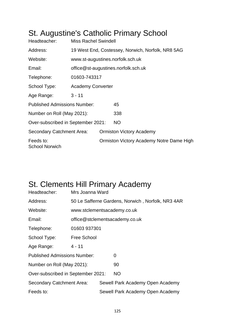### St. Augustine's Catholic Primary School

| Headteacher:                        | <b>Miss Rachel Swindell</b>                       |                                     |                                          |  |
|-------------------------------------|---------------------------------------------------|-------------------------------------|------------------------------------------|--|
| Address:                            | 19 West End, Costessey, Norwich, Norfolk, NR8 5AG |                                     |                                          |  |
| Website:                            |                                                   |                                     | www.st-augustines.norfolk.sch.uk         |  |
| Email:                              |                                                   | office@st-augustines.norfolk.sch.uk |                                          |  |
| Telephone:                          | 01603-743317                                      |                                     |                                          |  |
| School Type:                        | <b>Academy Converter</b>                          |                                     |                                          |  |
| Age Range:                          | $3 - 11$                                          |                                     |                                          |  |
| <b>Published Admissions Number:</b> |                                                   |                                     | 45                                       |  |
| Number on Roll (May 2021):          |                                                   |                                     | 338                                      |  |
| Over-subscribed in September 2021:  |                                                   |                                     | <b>NO</b>                                |  |
| <b>Secondary Catchment Area:</b>    |                                                   |                                     | <b>Ormiston Victory Academy</b>          |  |
| Feeds to:<br><b>School Norwich</b>  |                                                   |                                     | Ormiston Victory Academy Notre Dame High |  |

### St. Clements Hill Primary Academy

| Headteacher:                        | Mrs Joanna Ward                                   |  |                                  |
|-------------------------------------|---------------------------------------------------|--|----------------------------------|
| Address:                            | 50 Le Safferne Gardens, Norwich, Norfolk, NR3 4AR |  |                                  |
| Website:                            | www.stclementsacademy.co.uk                       |  |                                  |
| Email:                              |                                                   |  | office@stclementsacademy.co.uk   |
| Telephone:                          | 01603 937301                                      |  |                                  |
| School Type:                        | Free School                                       |  |                                  |
| Age Range:                          | $4 - 11$                                          |  |                                  |
| <b>Published Admissions Number:</b> |                                                   |  | 0                                |
| Number on Roll (May 2021):          |                                                   |  | 90                               |
| Over-subscribed in September 2021:  |                                                   |  | <b>NO</b>                        |
| Secondary Catchment Area:           |                                                   |  | Sewell Park Academy Open Academy |
| Feeds to:                           |                                                   |  | Sewell Park Academy Open Academy |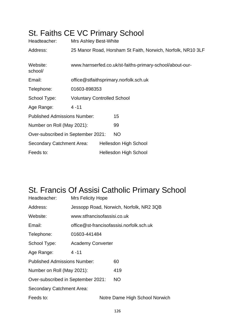## St. Faiths CE VC Primary School

| Headteacher:                        | Mrs Ashley Best-White                                    |  |                                                             |
|-------------------------------------|----------------------------------------------------------|--|-------------------------------------------------------------|
| Address:                            |                                                          |  | 25 Manor Road, Horsham St Faith, Norwich, Norfolk, NR10 3LF |
| Website:<br>school/                 | www.harnserfed.co.uk/st-faiths-primary-school/about-our- |  |                                                             |
| Email:                              | office@stfaithsprimary.norfolk.sch.uk                    |  |                                                             |
| Telephone:                          | 01603-898353                                             |  |                                                             |
| School Type:                        | <b>Voluntary Controlled School</b>                       |  |                                                             |
| Age Range:                          | $4 - 11$                                                 |  |                                                             |
| <b>Published Admissions Number:</b> |                                                          |  | 15                                                          |
| Number on Roll (May 2021):          |                                                          |  | 99                                                          |
| Over-subscribed in September 2021:  |                                                          |  | <b>NO</b>                                                   |
| <b>Secondary Catchment Area:</b>    |                                                          |  | <b>Hellesdon High School</b>                                |
| Feeds to:                           |                                                          |  | <b>Hellesdon High School</b>                                |

### St. Francis Of Assisi Catholic Primary School

| Headteacher:                        | Mrs Felicity Hope                        |                                         |
|-------------------------------------|------------------------------------------|-----------------------------------------|
| Address:                            |                                          | Jessopp Road, Norwich, Norfolk, NR2 3QB |
| Website:                            | www.stfrancisofassisi.co.uk              |                                         |
| Email:                              | office@st-francisofassisi.norfolk.sch.uk |                                         |
| Telephone:                          | 01603-441484                             |                                         |
| School Type:                        | <b>Academy Converter</b>                 |                                         |
| Age Range:                          | $4 - 11$                                 |                                         |
| <b>Published Admissions Number:</b> |                                          | 60                                      |
| Number on Roll (May 2021):          |                                          | 419                                     |
| Over-subscribed in September 2021:  |                                          | <b>NO</b>                               |
| Secondary Catchment Area:           |                                          |                                         |
| Feeds to:                           |                                          | Notre Dame High School Norwich          |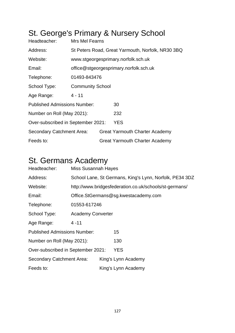## St. George's Primary & Nursery School

| Headteacher:                        | Mrs Mel Fearns                                    |                                        |                                       |  |  |
|-------------------------------------|---------------------------------------------------|----------------------------------------|---------------------------------------|--|--|
| Address:                            | St Peters Road, Great Yarmouth, Norfolk, NR30 3BQ |                                        |                                       |  |  |
| Website:                            |                                                   |                                        | www.stgeorgesprimary.norfolk.sch.uk   |  |  |
| Email:                              |                                                   | office@stgeorgesprimary.norfolk.sch.uk |                                       |  |  |
| Telephone:                          | 01493-843476                                      |                                        |                                       |  |  |
| School Type:                        | <b>Community School</b>                           |                                        |                                       |  |  |
| Age Range:                          | $4 - 11$                                          |                                        |                                       |  |  |
| <b>Published Admissions Number:</b> |                                                   |                                        | 30                                    |  |  |
| Number on Roll (May 2021):          |                                                   |                                        | 232                                   |  |  |
| Over-subscribed in September 2021:  |                                                   |                                        | <b>YES</b>                            |  |  |
| Secondary Catchment Area:           |                                                   |                                        | <b>Great Yarmouth Charter Academy</b> |  |  |
| Feeds to:                           |                                                   |                                        | <b>Great Yarmouth Charter Academy</b> |  |  |

#### St. Germans Academy

| Headteacher:                        | <b>Miss Susannah Hayes</b> |                                                         |                                                        |  |  |
|-------------------------------------|----------------------------|---------------------------------------------------------|--------------------------------------------------------|--|--|
| Address:                            |                            | School Lane, St Germans, King's Lynn, Norfolk, PE34 3DZ |                                                        |  |  |
| Website:                            |                            |                                                         | http://www.bridgesfederation.co.uk/schools/st-germans/ |  |  |
| Email:                              |                            |                                                         | Office.StGermans@sg.kwestacademy.com                   |  |  |
| Telephone:                          | 01553-617246               |                                                         |                                                        |  |  |
| School Type:                        | <b>Academy Converter</b>   |                                                         |                                                        |  |  |
| Age Range:                          | $4 - 11$                   |                                                         |                                                        |  |  |
| <b>Published Admissions Number:</b> |                            |                                                         | 15                                                     |  |  |
| Number on Roll (May 2021):          |                            |                                                         | 130                                                    |  |  |
| Over-subscribed in September 2021:  |                            | YES                                                     |                                                        |  |  |
| <b>Secondary Catchment Area:</b>    |                            |                                                         | King's Lynn Academy                                    |  |  |
| Feeds to:                           |                            |                                                         | King's Lynn Academy                                    |  |  |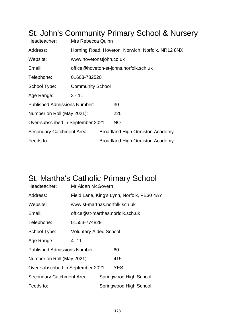#### St. John's Community Primary School & Nursery Headteacher: Mrs Rebecca Quinn Address: Horning Road, Hoveton, Norwich, Norfolk, NR12 8NX Website: www.hovetonstjohn.co.uk Email: office@hoveton-st-johns.norfolk.sch.uk Telephone: 01603-782520 School Type: Community School Age Range: 3 - 11 Published Admissions Number: 30 Number on Roll (May 2021): 220 Over-subscribed in September 2021: NO Secondary Catchment Area: Broadland High Ormiston Academy Feeds to: **Broadland High Ormiston Academy**

### St. Martha's Catholic Primary School

| Headteacher:                              | Mr Aidan McGovern                          |  |                        |  |  |
|-------------------------------------------|--------------------------------------------|--|------------------------|--|--|
| Address:                                  | Field Lane, King's Lynn, Norfolk, PE30 4AY |  |                        |  |  |
| Website:                                  | www.st-marthas.norfolk.sch.uk              |  |                        |  |  |
| Email:                                    | office@st-marthas.norfolk.sch.uk           |  |                        |  |  |
| Telephone:                                | 01553-774829                               |  |                        |  |  |
| School Type:                              | <b>Voluntary Aided School</b>              |  |                        |  |  |
| Age Range:                                | $4 - 11$                                   |  |                        |  |  |
| <b>Published Admissions Number:</b>       |                                            |  | 60                     |  |  |
| Number on Roll (May 2021):                |                                            |  | 415                    |  |  |
| YES<br>Over-subscribed in September 2021: |                                            |  |                        |  |  |
| Secondary Catchment Area:                 |                                            |  | Springwood High School |  |  |
| Feeds to:                                 |                                            |  | Springwood High School |  |  |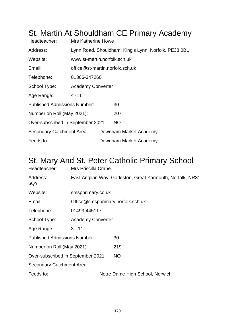# St. Martin At Shouldham CE Primary Academy

| Headteacher:                        | <b>Mrs Katherine Howe</b>                            |  |                        |  |  |
|-------------------------------------|------------------------------------------------------|--|------------------------|--|--|
| Address:                            | Lynn Road, Shouldham, King's Lynn, Norfolk, PE33 0BU |  |                        |  |  |
| Website:                            | www.st-martin.norfolk.sch.uk                         |  |                        |  |  |
| Email:                              | office@st-martin.norfolk.sch.uk                      |  |                        |  |  |
| Telephone:                          | 01366-347260                                         |  |                        |  |  |
| School Type:                        | <b>Academy Converter</b>                             |  |                        |  |  |
| Age Range:                          | $4 - 11$                                             |  |                        |  |  |
| <b>Published Admissions Number:</b> |                                                      |  | 30                     |  |  |
| Number on Roll (May 2021):          |                                                      |  | 207                    |  |  |
| Over-subscribed in September 2021:  |                                                      |  | <b>NO</b>              |  |  |
| Secondary Catchment Area:           |                                                      |  | Downham Market Academy |  |  |
| Feeds to:                           |                                                      |  | Downham Market Academy |  |  |

#### St. Mary And St. Peter Catholic Primary School

| Headteacher:                        | Mrs Priscilla Crane                                        |                                 |  |  |
|-------------------------------------|------------------------------------------------------------|---------------------------------|--|--|
| Address:<br>6QY                     | East Anglian Way, Gorleston, Great Yarmouth, Norfolk, NR31 |                                 |  |  |
| Website:                            | smspprimary.co.uk                                          |                                 |  |  |
| Email:                              | Office@smspprimary.norfolk.sch.uk                          |                                 |  |  |
| Telephone:                          | 01493-445117                                               |                                 |  |  |
| School Type:                        | <b>Academy Converter</b>                                   |                                 |  |  |
| Age Range:                          | $3 - 11$                                                   |                                 |  |  |
| <b>Published Admissions Number:</b> |                                                            | 30                              |  |  |
| Number on Roll (May 2021):          |                                                            | 219                             |  |  |
| Over-subscribed in September 2021:  |                                                            | NO.                             |  |  |
| Secondary Catchment Area:           |                                                            |                                 |  |  |
| Feeds to:                           |                                                            | Notre Dame High School, Norwich |  |  |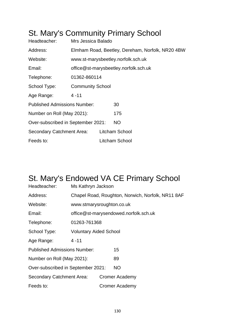### St. Mary's Community Primary School

| Headteacher:                        | Mrs Jessica Balado                               |  |                                    |  |
|-------------------------------------|--------------------------------------------------|--|------------------------------------|--|
| Address:                            | Elmham Road, Beetley, Dereham, Norfolk, NR20 4BW |  |                                    |  |
| Website:                            |                                                  |  | www.st-marysbeetley.norfolk.sch.uk |  |
| Email:                              | office@st-marysbeetley.norfolk.sch.uk            |  |                                    |  |
| Telephone:                          | 01362-860114                                     |  |                                    |  |
| School Type:                        | <b>Community School</b>                          |  |                                    |  |
| Age Range:                          | $4 - 11$                                         |  |                                    |  |
| <b>Published Admissions Number:</b> |                                                  |  | 30                                 |  |
| Number on Roll (May 2021):          |                                                  |  | 175                                |  |
| Over-subscribed in September 2021:  |                                                  |  | <b>NO</b>                          |  |
| Secondary Catchment Area:           |                                                  |  | Litcham School                     |  |
| Feeds to:                           |                                                  |  | Litcham School                     |  |

## St. Mary's Endowed VA CE Primary School

| Headteacher:                        | Ms Kathryn Jackson                                |  |                                       |  |
|-------------------------------------|---------------------------------------------------|--|---------------------------------------|--|
| Address:                            | Chapel Road, Roughton, Norwich, Norfolk, NR11 8AF |  |                                       |  |
| Website:                            | www.stmarysroughton.co.uk                         |  |                                       |  |
| Email:                              |                                                   |  | office@st-marysendowed.norfolk.sch.uk |  |
| Telephone:                          | 01263-761368                                      |  |                                       |  |
| School Type:                        | <b>Voluntary Aided School</b>                     |  |                                       |  |
| Age Range:                          | $4 - 11$                                          |  |                                       |  |
| <b>Published Admissions Number:</b> |                                                   |  | 15                                    |  |
| Number on Roll (May 2021):          |                                                   |  | 89                                    |  |
| Over-subscribed in September 2021:  |                                                   |  | NO.                                   |  |
| Secondary Catchment Area:           |                                                   |  | <b>Cromer Academy</b>                 |  |
| Feeds to:                           |                                                   |  | <b>Cromer Academy</b>                 |  |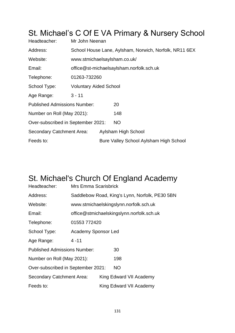## St. Michael's C Of E VA Primary & Nursery School

| Headteacher:                        | Mr John Neenan                                         |  |                                          |  |
|-------------------------------------|--------------------------------------------------------|--|------------------------------------------|--|
| Address:                            | School House Lane, Aylsham, Norwich, Norfolk, NR11 6EX |  |                                          |  |
| Website:                            | www.stmichaelsaylsham.co.uk/                           |  |                                          |  |
| Email:                              |                                                        |  | office@st-michaelsaylsham.norfolk.sch.uk |  |
| Telephone:                          | 01263-732260                                           |  |                                          |  |
| School Type:                        | <b>Voluntary Aided School</b>                          |  |                                          |  |
| Age Range:                          | $3 - 11$                                               |  |                                          |  |
| <b>Published Admissions Number:</b> |                                                        |  | 20                                       |  |
| Number on Roll (May 2021):          |                                                        |  | 148                                      |  |
| Over-subscribed in September 2021:  |                                                        |  | NO.                                      |  |
| <b>Secondary Catchment Area:</b>    |                                                        |  | Aylsham High School                      |  |
| Feeds to:                           |                                                        |  | Bure Valley School Aylsham High School   |  |

#### St. Michael's Church Of England Academy

| Headteacher:                        | <b>Mrs Emma Scarisbrick</b>                    |  |                         |  |  |
|-------------------------------------|------------------------------------------------|--|-------------------------|--|--|
| Address:                            | Saddlebow Road, King's Lynn, Norfolk, PE30 5BN |  |                         |  |  |
| Website:                            | www.stmichaelskingslynn.norfolk.sch.uk         |  |                         |  |  |
| Email:                              | office@stmichaelskingslynn.norfolk.sch.uk      |  |                         |  |  |
| Telephone:                          | 01553 772420                                   |  |                         |  |  |
| School Type:                        | <b>Academy Sponsor Led</b>                     |  |                         |  |  |
| Age Range:                          | $4 - 11$                                       |  |                         |  |  |
| <b>Published Admissions Number:</b> |                                                |  | 30                      |  |  |
| Number on Roll (May 2021):          |                                                |  | 198                     |  |  |
| Over-subscribed in September 2021:  |                                                |  | NO.                     |  |  |
| Secondary Catchment Area:           |                                                |  | King Edward VII Academy |  |  |
| Feeds to:                           |                                                |  | King Edward VII Academy |  |  |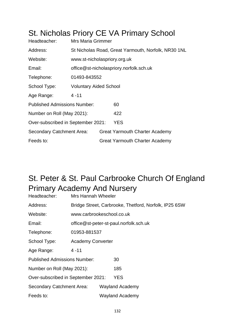|                                     |                                                     |  | <b>UL INICHOIDS I HULY UL VAT HIHAIY UCHOU</b> |  |
|-------------------------------------|-----------------------------------------------------|--|------------------------------------------------|--|
| Headteacher:                        | <b>Mrs Maria Grimmer</b>                            |  |                                                |  |
| Address:                            | St Nicholas Road, Great Yarmouth, Norfolk, NR30 1NL |  |                                                |  |
| Website:                            | www.st-nicholaspriory.org.uk                        |  |                                                |  |
| Email:                              | office@st-nicholaspriory.norfolk.sch.uk             |  |                                                |  |
| Telephone:                          | 01493-843552                                        |  |                                                |  |
| School Type:                        | <b>Voluntary Aided School</b>                       |  |                                                |  |
| Age Range:                          | $4 - 11$                                            |  |                                                |  |
| <b>Published Admissions Number:</b> |                                                     |  | 60                                             |  |
| Number on Roll (May 2021):          |                                                     |  | 422                                            |  |
| Over-subscribed in September 2021:  |                                                     |  | <b>YES</b>                                     |  |
| Secondary Catchment Area:           |                                                     |  | <b>Great Yarmouth Charter Academy</b>          |  |
| Feeds to:                           |                                                     |  | <b>Great Yarmouth Charter Academy</b>          |  |

#### St. Nicholas Priory CE VA Primary School

### St. Peter & St. Paul Carbrooke Church Of England Primary Academy And Nursery

| Headteacher:                        | Mrs Hannah Wheeler                                    |  |                                        |  |
|-------------------------------------|-------------------------------------------------------|--|----------------------------------------|--|
| Address:                            | Bridge Street, Carbrooke, Thetford, Norfolk, IP25 6SW |  |                                        |  |
| Website:                            | www.carbrookeschool.co.uk                             |  |                                        |  |
| Email:                              |                                                       |  | office@st-peter-st-paul.norfolk.sch.uk |  |
| Telephone:                          | 01953-881537                                          |  |                                        |  |
| School Type:                        | <b>Academy Converter</b>                              |  |                                        |  |
| Age Range:                          | $4 - 11$                                              |  |                                        |  |
| <b>Published Admissions Number:</b> |                                                       |  | 30                                     |  |
| Number on Roll (May 2021):          |                                                       |  | 185                                    |  |
| Over-subscribed in September 2021:  |                                                       |  | <b>YES</b>                             |  |
| Secondary Catchment Area:           |                                                       |  | <b>Wayland Academy</b>                 |  |
| Feeds to:                           |                                                       |  | <b>Wayland Academy</b>                 |  |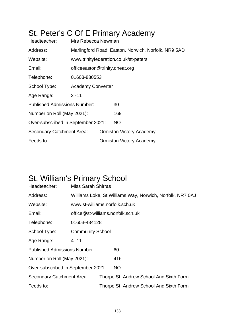# St. Peter's C Of E Primary Academy

| Headteacher:                        | Mrs Rebecca Newman                                  |                                 |                                 |  |  |
|-------------------------------------|-----------------------------------------------------|---------------------------------|---------------------------------|--|--|
| Address:                            | Marlingford Road, Easton, Norwich, Norfolk, NR9 5AD |                                 |                                 |  |  |
| Website:                            | www.trinityfederation.co.uk/st-peters               |                                 |                                 |  |  |
| Email:                              |                                                     | officeeaston@trinity.dneat.org  |                                 |  |  |
| Telephone:                          | 01603-880553                                        |                                 |                                 |  |  |
| School Type:                        | <b>Academy Converter</b>                            |                                 |                                 |  |  |
| Age Range:                          | $2 - 11$                                            |                                 |                                 |  |  |
| <b>Published Admissions Number:</b> |                                                     |                                 | 30                              |  |  |
| Number on Roll (May 2021):          |                                                     |                                 | 169                             |  |  |
| Over-subscribed in September 2021:  |                                                     |                                 | <b>NO</b>                       |  |  |
| Secondary Catchment Area:           |                                                     | <b>Ormiston Victory Academy</b> |                                 |  |  |
| Feeds to:                           |                                                     |                                 | <b>Ormiston Victory Academy</b> |  |  |

#### St. William's Primary School

| Headteacher:                        | <b>Miss Sarah Shirras</b>      |  |                                                           |  |
|-------------------------------------|--------------------------------|--|-----------------------------------------------------------|--|
| Address:                            |                                |  | Williams Loke, St Williams Way, Norwich, Norfolk, NR7 0AJ |  |
| Website:                            | www.st-williams.norfolk.sch.uk |  |                                                           |  |
| Email:                              |                                |  | office@st-williams.norfolk.sch.uk                         |  |
| Telephone:                          | 01603-434128                   |  |                                                           |  |
| School Type:                        | <b>Community School</b>        |  |                                                           |  |
| Age Range:                          | $4 - 11$                       |  |                                                           |  |
| <b>Published Admissions Number:</b> |                                |  | 60                                                        |  |
| Number on Roll (May 2021):          |                                |  | 416                                                       |  |
| Over-subscribed in September 2021:  |                                |  | NO.                                                       |  |
| <b>Secondary Catchment Area:</b>    |                                |  | Thorpe St. Andrew School And Sixth Form                   |  |
| Feeds to:                           |                                |  | Thorpe St. Andrew School And Sixth Form                   |  |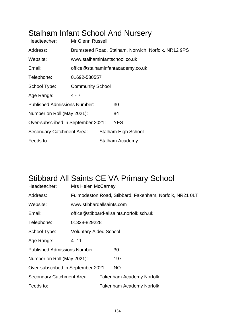### Stalham Infant School And Nursery

| Headteacher:                        | Mr Glenn Russell                                    |  |                            |  |  |
|-------------------------------------|-----------------------------------------------------|--|----------------------------|--|--|
| Address:                            | Brumstead Road, Stalham, Norwich, Norfolk, NR12 9PS |  |                            |  |  |
| Website:                            | www.stalhaminfantschool.co.uk                       |  |                            |  |  |
| Email:                              | office@stalhaminfantacademy.co.uk                   |  |                            |  |  |
| Telephone:                          | 01692-580557                                        |  |                            |  |  |
| School Type:                        | <b>Community School</b>                             |  |                            |  |  |
| Age Range:                          | $4 - 7$                                             |  |                            |  |  |
| <b>Published Admissions Number:</b> |                                                     |  | 30                         |  |  |
| Number on Roll (May 2021):          |                                                     |  | 84                         |  |  |
| Over-subscribed in September 2021:  |                                                     |  | <b>YES</b>                 |  |  |
| Secondary Catchment Area:           |                                                     |  | <b>Stalham High School</b> |  |  |
| Feeds to:                           |                                                     |  | <b>Stalham Academy</b>     |  |  |

## Stibbard All Saints CE VA Primary School

| Headteacher:                        | <b>Mrs Helen McCarney</b>                               |  |                                          |  |  |
|-------------------------------------|---------------------------------------------------------|--|------------------------------------------|--|--|
| Address:                            | Fulmodeston Road, Stibbard, Fakenham, Norfolk, NR21 OLT |  |                                          |  |  |
| Website:                            | www.stibbardallsaints.com                               |  |                                          |  |  |
| Email:                              |                                                         |  | office@stibbard-allsaints.norfolk.sch.uk |  |  |
| Telephone:                          | 01328-829228                                            |  |                                          |  |  |
| School Type:                        | <b>Voluntary Aided School</b>                           |  |                                          |  |  |
| Age Range:                          | $4 - 11$                                                |  |                                          |  |  |
| <b>Published Admissions Number:</b> |                                                         |  | 30                                       |  |  |
| Number on Roll (May 2021):          |                                                         |  | 197                                      |  |  |
| Over-subscribed in September 2021:  |                                                         |  | NO.                                      |  |  |
| <b>Secondary Catchment Area:</b>    |                                                         |  | <b>Fakenham Academy Norfolk</b>          |  |  |
| Feeds to:                           |                                                         |  | Fakenham Academy Norfolk                 |  |  |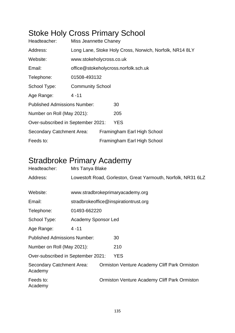## Stoke Holy Cross Primary School

| Headteacher:                        | <b>Miss Jeannette Chaney</b>                            |  |                             |  |  |
|-------------------------------------|---------------------------------------------------------|--|-----------------------------|--|--|
| Address:                            | Long Lane, Stoke Holy Cross, Norwich, Norfolk, NR14 8LY |  |                             |  |  |
| Website:                            | www.stokeholycross.co.uk                                |  |                             |  |  |
| Email:                              | office@stokeholycross.norfolk.sch.uk                    |  |                             |  |  |
| Telephone:                          | 01508-493132                                            |  |                             |  |  |
| School Type:                        | <b>Community School</b>                                 |  |                             |  |  |
| Age Range:                          | $4 - 11$                                                |  |                             |  |  |
| <b>Published Admissions Number:</b> |                                                         |  | 30                          |  |  |
| Number on Roll (May 2021):          |                                                         |  | 205                         |  |  |
| Over-subscribed in September 2021:  |                                                         |  | YES                         |  |  |
| <b>Secondary Catchment Area:</b>    |                                                         |  | Framingham Earl High School |  |  |
| Feeds to:                           |                                                         |  | Framingham Earl High School |  |  |

#### Stradbroke Primary Academy

| Headteacher:                         | Mrs Tanya Blake                                              |                                  |                                                     |  |  |  |  |
|--------------------------------------|--------------------------------------------------------------|----------------------------------|-----------------------------------------------------|--|--|--|--|
| Address:                             | Lowestoft Road, Gorleston, Great Yarmouth, Norfolk, NR31 6LZ |                                  |                                                     |  |  |  |  |
|                                      |                                                              |                                  |                                                     |  |  |  |  |
| Website:                             |                                                              | www.stradbrokeprimaryacademy.org |                                                     |  |  |  |  |
| Email:                               | stradbrokeoffice@inspirationtrust.org                        |                                  |                                                     |  |  |  |  |
| Telephone:                           | 01493-662220                                                 |                                  |                                                     |  |  |  |  |
| School Type:                         | Academy Sponsor Led                                          |                                  |                                                     |  |  |  |  |
| Age Range:                           | $4 - 11$                                                     |                                  |                                                     |  |  |  |  |
| <b>Published Admissions Number:</b>  |                                                              |                                  | 30                                                  |  |  |  |  |
| Number on Roll (May 2021):           |                                                              |                                  | 210                                                 |  |  |  |  |
| Over-subscribed in September 2021:   |                                                              |                                  | <b>YES</b>                                          |  |  |  |  |
| Secondary Catchment Area:<br>Academy |                                                              |                                  | <b>Ormiston Venture Academy Cliff Park Ormiston</b> |  |  |  |  |
| Feeds to:<br>Academy                 |                                                              |                                  | <b>Ormiston Venture Academy Cliff Park Ormiston</b> |  |  |  |  |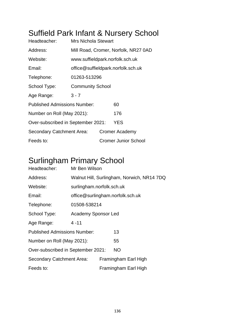## Suffield Park Infant & Nursery School

| Headteacher:                        | <b>Mrs Nichola Stewart</b>      |                                    |                                      |  |
|-------------------------------------|---------------------------------|------------------------------------|--------------------------------------|--|
| Address:                            |                                 |                                    | Mill Road, Cromer, Norfolk, NR27 0AD |  |
| Website:                            | www.suffieldpark.norfolk.sch.uk |                                    |                                      |  |
| Email:                              |                                 | office@suffieldpark.norfolk.sch.uk |                                      |  |
| Telephone:                          | 01263-513296                    |                                    |                                      |  |
| School Type:                        | <b>Community School</b>         |                                    |                                      |  |
| Age Range:                          | $3 - 7$                         |                                    |                                      |  |
| <b>Published Admissions Number:</b> |                                 |                                    | 60                                   |  |
| Number on Roll (May 2021):          |                                 |                                    | 176                                  |  |
| Over-subscribed in September 2021:  |                                 |                                    | <b>YES</b>                           |  |
| Secondary Catchment Area:           |                                 |                                    | Cromer Academy                       |  |
| Feeds to:                           |                                 |                                    | <b>Cromer Junior School</b>          |  |

### Surlingham Primary School

| Headteacher:                        | Mr Ben Wilson                              |  |                                  |  |  |  |
|-------------------------------------|--------------------------------------------|--|----------------------------------|--|--|--|
| Address:                            | Walnut Hill, Surlingham, Norwich, NR14 7DQ |  |                                  |  |  |  |
| Website:                            | surlingham.norfolk.sch.uk                  |  |                                  |  |  |  |
| Email:                              |                                            |  | office@surlingham.norfolk.sch.uk |  |  |  |
| Telephone:                          | 01508-538214                               |  |                                  |  |  |  |
| School Type:                        | <b>Academy Sponsor Led</b>                 |  |                                  |  |  |  |
| Age Range:                          | $4 - 11$                                   |  |                                  |  |  |  |
| <b>Published Admissions Number:</b> |                                            |  | 13                               |  |  |  |
| Number on Roll (May 2021):          |                                            |  | 55                               |  |  |  |
| Over-subscribed in September 2021:  |                                            |  | NO.                              |  |  |  |
| Secondary Catchment Area:           |                                            |  | Framingham Earl High             |  |  |  |
| Feeds to:                           |                                            |  | Framingham Earl High             |  |  |  |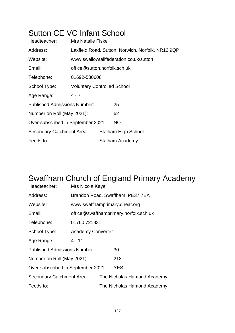#### Sutton CE VC Infant School

| Headteacher:                        | <b>Mrs Natalie Fiske</b>                          |  |                                        |  |  |  |
|-------------------------------------|---------------------------------------------------|--|----------------------------------------|--|--|--|
| Address:                            | Laxfield Road, Sutton, Norwich, Norfolk, NR12 9QP |  |                                        |  |  |  |
| Website:                            |                                                   |  | www.swallowtailfederation.co.uk/sutton |  |  |  |
| Email:                              | office@sutton.norfolk.sch.uk                      |  |                                        |  |  |  |
| Telephone:                          | 01692-580608                                      |  |                                        |  |  |  |
| School Type:                        | <b>Voluntary Controlled School</b>                |  |                                        |  |  |  |
| Age Range:                          | 4 - 7                                             |  |                                        |  |  |  |
| <b>Published Admissions Number:</b> |                                                   |  | 25                                     |  |  |  |
| Number on Roll (May 2021):          |                                                   |  | 62                                     |  |  |  |
| Over-subscribed in September 2021:  |                                                   |  | <b>NO</b>                              |  |  |  |
| Secondary Catchment Area:           |                                                   |  | Stalham High School                    |  |  |  |
| Feeds to:                           |                                                   |  | Stalham Academy                        |  |  |  |

## Swaffham Church of England Primary Academy

| Headteacher:                        | Mrs Nicola Kaye                       |  |                                  |  |
|-------------------------------------|---------------------------------------|--|----------------------------------|--|
| Address:                            |                                       |  | Brandon Road, Swaffham, PE37 7EA |  |
| Website:                            |                                       |  | www.swaffhamprimary.dneat.org    |  |
| Email:                              | office@swaffhamprimary.norfolk.sch.uk |  |                                  |  |
| Telephone:                          | 01760 721831                          |  |                                  |  |
| School Type:                        | <b>Academy Converter</b>              |  |                                  |  |
| Age Range:                          | $4 - 11$                              |  |                                  |  |
| <b>Published Admissions Number:</b> |                                       |  | 30                               |  |
| Number on Roll (May 2021):          |                                       |  | 218                              |  |
| Over-subscribed in September 2021:  |                                       |  | <b>YES</b>                       |  |
| <b>Secondary Catchment Area:</b>    |                                       |  | The Nicholas Hamond Academy      |  |
| Feeds to:                           |                                       |  | The Nicholas Hamond Academy      |  |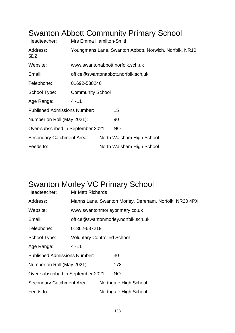#### Swanton Abbott Community Primary School

| Headteacher:                        | Mrs Emma Hamilton-Smith                                |                                     |                                  |  |  |  |
|-------------------------------------|--------------------------------------------------------|-------------------------------------|----------------------------------|--|--|--|
| Address:<br>5DZ                     | Youngmans Lane, Swanton Abbott, Norwich, Norfolk, NR10 |                                     |                                  |  |  |  |
| Website:                            |                                                        |                                     | www.swantonabbott.norfolk.sch.uk |  |  |  |
| Email:                              |                                                        | office@swantonabbott.norfolk.sch.uk |                                  |  |  |  |
| Telephone:                          | 01692-538246                                           |                                     |                                  |  |  |  |
| School Type:                        | <b>Community School</b>                                |                                     |                                  |  |  |  |
| Age Range:                          | $4 - 11$                                               |                                     |                                  |  |  |  |
| <b>Published Admissions Number:</b> |                                                        |                                     | 15                               |  |  |  |
| Number on Roll (May 2021):          |                                                        |                                     | 90                               |  |  |  |
| Over-subscribed in September 2021:  |                                                        |                                     | <b>NO</b>                        |  |  |  |
| Secondary Catchment Area:           |                                                        |                                     | North Walsham High School        |  |  |  |
| Feeds to:                           |                                                        |                                     | North Walsham High School        |  |  |  |

### Swanton Morley VC Primary School

| Headteacher:                        | <b>Mr Matt Richards</b>            |  |                                                        |  |
|-------------------------------------|------------------------------------|--|--------------------------------------------------------|--|
| Address:                            |                                    |  | Manns Lane, Swanton Morley, Dereham, Norfolk, NR20 4PX |  |
| Website:                            |                                    |  | www.swantonmorleyprimary.co.uk                         |  |
| Email:                              |                                    |  | office@swantonmorley.norfolk.sch.uk                    |  |
| Telephone:                          | 01362-637219                       |  |                                                        |  |
| School Type:                        | <b>Voluntary Controlled School</b> |  |                                                        |  |
| Age Range:                          | $4 - 11$                           |  |                                                        |  |
| <b>Published Admissions Number:</b> |                                    |  | 30                                                     |  |
| Number on Roll (May 2021):          |                                    |  | 178                                                    |  |
| Over-subscribed in September 2021:  |                                    |  | NO                                                     |  |
| <b>Secondary Catchment Area:</b>    |                                    |  | Northgate High School                                  |  |
| Feeds to:                           |                                    |  | Northgate High School                                  |  |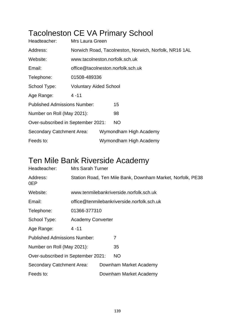## Tacolneston CE VA Primary School

| Headteacher:                        | Mrs Laura Green                                       |  |                        |  |  |  |
|-------------------------------------|-------------------------------------------------------|--|------------------------|--|--|--|
| Address:                            | Norwich Road, Tacolneston, Norwich, Norfolk, NR16 1AL |  |                        |  |  |  |
| Website:                            | www.tacolneston.norfolk.sch.uk                        |  |                        |  |  |  |
| Email:                              | office@tacolneston.norfolk.sch.uk                     |  |                        |  |  |  |
| Telephone:                          | 01508-489336                                          |  |                        |  |  |  |
| School Type:                        | <b>Voluntary Aided School</b>                         |  |                        |  |  |  |
| Age Range:                          | $4 - 11$                                              |  |                        |  |  |  |
| <b>Published Admissions Number:</b> |                                                       |  | 15                     |  |  |  |
| Number on Roll (May 2021):          |                                                       |  | 98                     |  |  |  |
| Over-subscribed in September 2021:  |                                                       |  | NO.                    |  |  |  |
| <b>Secondary Catchment Area:</b>    |                                                       |  | Wymondham High Academy |  |  |  |
| Feeds to:                           |                                                       |  | Wymondham High Academy |  |  |  |

### Ten Mile Bank Riverside Academy

| Headteacher:                        | <b>Mrs Sarah Turner</b>                                    |  |                                         |  |  |
|-------------------------------------|------------------------------------------------------------|--|-----------------------------------------|--|--|
| Address:<br>0EP                     | Station Road, Ten Mile Bank, Downham Market, Norfolk, PE38 |  |                                         |  |  |
| Website:                            |                                                            |  | www.tenmilebankriverside.norfolk.sch.uk |  |  |
| Email:                              | office@tenmilebankriverside.norfolk.sch.uk                 |  |                                         |  |  |
| Telephone:                          | 01366-377310                                               |  |                                         |  |  |
| School Type:                        | <b>Academy Converter</b>                                   |  |                                         |  |  |
| Age Range:                          | $4 - 11$                                                   |  |                                         |  |  |
| <b>Published Admissions Number:</b> |                                                            |  | 7                                       |  |  |
| Number on Roll (May 2021):          |                                                            |  | 35                                      |  |  |
| Over-subscribed in September 2021:  |                                                            |  | <b>NO</b>                               |  |  |
| Secondary Catchment Area:           |                                                            |  | Downham Market Academy                  |  |  |
| Feeds to:                           |                                                            |  | Downham Market Academy                  |  |  |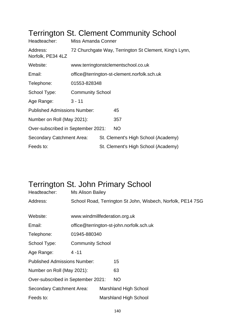| Headteacher:                        | Miss Amanda Conner                          |  |                                                        |  |  |
|-------------------------------------|---------------------------------------------|--|--------------------------------------------------------|--|--|
| Address:<br>Norfolk, PE34 4LZ       |                                             |  | 72 Churchgate Way, Terrington St Clement, King's Lynn, |  |  |
| Website:                            | www.terringtonstclementschool.co.uk         |  |                                                        |  |  |
| Email:                              | office@terrington-st-clement.norfolk.sch.uk |  |                                                        |  |  |
| Telephone:                          | 01553-828348                                |  |                                                        |  |  |
| School Type:                        | <b>Community School</b>                     |  |                                                        |  |  |
| Age Range:                          | $3 - 11$                                    |  |                                                        |  |  |
| <b>Published Admissions Number:</b> |                                             |  | 45                                                     |  |  |
| Number on Roll (May 2021):          |                                             |  | 357                                                    |  |  |
| Over-subscribed in September 2021:  |                                             |  | <b>NO</b>                                              |  |  |
| Secondary Catchment Area:           |                                             |  | St. Clement's High School (Academy)                    |  |  |
| Feeds to:                           |                                             |  | St. Clement's High School (Academy)                    |  |  |

#### Terrington St. Clement Community School

#### Terrington St. John Primary School

| Headteacher:                        | Ms Alison Bailey                                            |  |                                          |  |
|-------------------------------------|-------------------------------------------------------------|--|------------------------------------------|--|
| Address:                            | School Road, Terrington St John, Wisbech, Norfolk, PE14 7SG |  |                                          |  |
|                                     |                                                             |  |                                          |  |
| Website:                            | www.windmillfederation.org.uk                               |  |                                          |  |
| Email:                              |                                                             |  | office@terrington-st-john.norfolk.sch.uk |  |
| Telephone:                          | 01945-880340                                                |  |                                          |  |
| School Type:                        | <b>Community School</b>                                     |  |                                          |  |
| Age Range:                          | $4 - 11$                                                    |  |                                          |  |
| <b>Published Admissions Number:</b> |                                                             |  | 15                                       |  |
| Number on Roll (May 2021):          |                                                             |  | 63                                       |  |
| Over-subscribed in September 2021:  |                                                             |  | <b>NO</b>                                |  |
| Secondary Catchment Area:           |                                                             |  | <b>Marshland High School</b>             |  |
| Feeds to:                           |                                                             |  | <b>Marshland High School</b>             |  |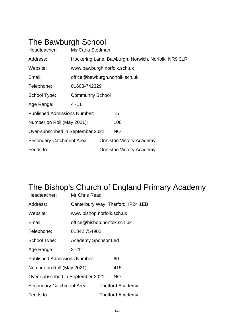## The Bawburgh School

| Headteacher:                        | Ms Carla Stedman                                    |                                |                                 |  |  |  |
|-------------------------------------|-----------------------------------------------------|--------------------------------|---------------------------------|--|--|--|
| Address:                            | Hockering Lane, Bawburgh, Norwich, Norfolk, NR9 3LR |                                |                                 |  |  |  |
| Website:                            | www.bawburgh.norfolk.sch.uk                         |                                |                                 |  |  |  |
| Email:                              |                                                     | office@bawburgh.norfolk.sch.uk |                                 |  |  |  |
| Telephone:                          | 01603-742329                                        |                                |                                 |  |  |  |
| School Type:                        | <b>Community School</b>                             |                                |                                 |  |  |  |
| Age Range:                          | $4 - 11$                                            |                                |                                 |  |  |  |
| <b>Published Admissions Number:</b> |                                                     |                                | 15                              |  |  |  |
| Number on Roll (May 2021):          |                                                     |                                | 100                             |  |  |  |
| Over-subscribed in September 2021:  |                                                     |                                | <b>NO</b>                       |  |  |  |
| <b>Secondary Catchment Area:</b>    |                                                     |                                | <b>Ormiston Victory Academy</b> |  |  |  |
| Feeds to:                           |                                                     |                                | <b>Ormiston Victory Academy</b> |  |  |  |

## The Bishop's Church of England Primary Academy

| Headteacher:                        | Mr Chris Read       |                              |                                    |  |
|-------------------------------------|---------------------|------------------------------|------------------------------------|--|
| Address:                            |                     |                              | Canterbury Way, Thetford, IP24 1EB |  |
| Website:                            |                     | www.bishop.norfolk.sch.uk    |                                    |  |
| Email:                              |                     | office@bishop.norfolk.sch.uk |                                    |  |
| Telephone:                          | 01842 754902        |                              |                                    |  |
| School Type:                        | Academy Sponsor Led |                              |                                    |  |
| Age Range:                          | $3 - 11$            |                              |                                    |  |
| <b>Published Admissions Number:</b> |                     |                              | 60                                 |  |
| Number on Roll (May 2021):          |                     |                              | 415                                |  |
| Over-subscribed in September 2021:  |                     | <b>NO</b>                    |                                    |  |
| Secondary Catchment Area:           |                     | <b>Thetford Academy</b>      |                                    |  |
| Feeds to:                           |                     |                              | <b>Thetford Academy</b>            |  |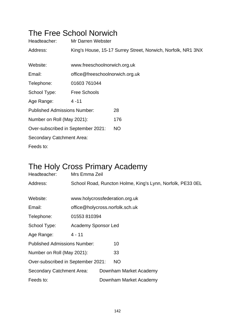#### The Free School Norwich

| Headteacher:                        | Mr Darren Webster               |                                                              |
|-------------------------------------|---------------------------------|--------------------------------------------------------------|
| Address:                            |                                 | King's House, 15-17 Surrey Street, Norwich, Norfolk, NR1 3NX |
|                                     |                                 |                                                              |
| Website:                            | www.freeschoolnorwich.org.uk    |                                                              |
| Email:                              | office@freeschoolnorwich.org.uk |                                                              |
| Telephone:                          | 01603 761044                    |                                                              |
| School Type:                        | Free Schools                    |                                                              |
| Age Range:                          | $4 - 11$                        |                                                              |
| <b>Published Admissions Number:</b> |                                 | 28                                                           |
| Number on Roll (May 2021):          |                                 | 176                                                          |
| Over-subscribed in September 2021:  |                                 | <b>NO</b>                                                    |
| Secondary Catchment Area:           |                                 |                                                              |
| Feeds to:                           |                                 |                                                              |

## The Holy Cross Primary Academy

| Headteacher:                        | Mrs Emma Zeil                                              |  |  |  |
|-------------------------------------|------------------------------------------------------------|--|--|--|
| Address:                            | School Road, Runcton Holme, King's Lynn, Norfolk, PE33 OEL |  |  |  |
|                                     |                                                            |  |  |  |
| Website:                            | www.holycrossfederation.org.uk                             |  |  |  |
| Email:                              | office@holycross.norfolk.sch.uk                            |  |  |  |
| Telephone:                          | 01553810394                                                |  |  |  |
| School Type:                        | <b>Academy Sponsor Led</b>                                 |  |  |  |
| Age Range:                          | $4 - 11$                                                   |  |  |  |
| <b>Published Admissions Number:</b> | 10                                                         |  |  |  |
| Number on Roll (May 2021):          | 33                                                         |  |  |  |
| Over-subscribed in September 2021:  | <b>NO</b>                                                  |  |  |  |
| <b>Secondary Catchment Area:</b>    | Downham Market Academy                                     |  |  |  |
| Feeds to:                           | Downham Market Academy                                     |  |  |  |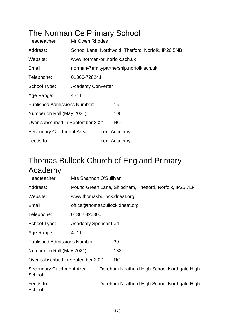### The Norman Ce Primary School

| Headteacher:                        | Mr Owen Rhodes                                      |  |               |  |  |
|-------------------------------------|-----------------------------------------------------|--|---------------|--|--|
| Address:                            | School Lane, Northwold, Thetford, Norfolk, IP26 5NB |  |               |  |  |
| Website:                            | www.norman-pri.norfolk.sch.uk                       |  |               |  |  |
| Email:                              | norman@trinitypartnership.norfolk.sch.uk            |  |               |  |  |
| Telephone:                          | 01366-728241                                        |  |               |  |  |
| School Type:                        | <b>Academy Converter</b>                            |  |               |  |  |
| Age Range:                          | $4 - 11$                                            |  |               |  |  |
| <b>Published Admissions Number:</b> |                                                     |  | 15            |  |  |
| Number on Roll (May 2021):          |                                                     |  | 100           |  |  |
| Over-subscribed in September 2021:  |                                                     |  | NO.           |  |  |
| <b>Secondary Catchment Area:</b>    |                                                     |  | Iceni Academy |  |  |
| Feeds to:                           |                                                     |  | Iceni Academy |  |  |

## Thomas Bullock Church of England Primary Academy

| Headteacher:                        | Mrs Shannon O'Sullivan                                  |                                |                                             |  |  |  |
|-------------------------------------|---------------------------------------------------------|--------------------------------|---------------------------------------------|--|--|--|
| Address:                            | Pound Green Lane, Shipdham, Thetford, Norfolk, IP25 7LF |                                |                                             |  |  |  |
| Website:                            |                                                         | www.thomasbullock.dneat.org    |                                             |  |  |  |
| Email:                              |                                                         | office@thomasbullock.dneat.org |                                             |  |  |  |
| Telephone:                          | 01362 820300                                            |                                |                                             |  |  |  |
| School Type:                        | <b>Academy Sponsor Led</b>                              |                                |                                             |  |  |  |
| Age Range:                          | $4 - 11$                                                |                                |                                             |  |  |  |
| <b>Published Admissions Number:</b> |                                                         |                                | 30                                          |  |  |  |
| Number on Roll (May 2021):          |                                                         |                                | 183                                         |  |  |  |
| Over-subscribed in September 2021:  |                                                         |                                | NO                                          |  |  |  |
| Secondary Catchment Area:<br>School |                                                         |                                | Dereham Neatherd High School Northgate High |  |  |  |
| Feeds to:<br>School                 |                                                         |                                | Dereham Neatherd High School Northgate High |  |  |  |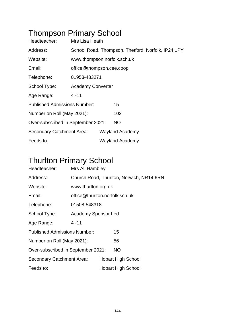# Thompson Primary School

| Headteacher:                        | Mrs Lisa Heath                                     |  |                        |  |  |
|-------------------------------------|----------------------------------------------------|--|------------------------|--|--|
| Address:                            | School Road, Thompson, Thetford, Norfolk, IP24 1PY |  |                        |  |  |
| Website:                            | www.thompson.norfolk.sch.uk                        |  |                        |  |  |
| Email:                              | office@thompson.cee.coop                           |  |                        |  |  |
| Telephone:                          | 01953-483271                                       |  |                        |  |  |
| School Type:                        | <b>Academy Converter</b>                           |  |                        |  |  |
| Age Range:                          | $4 - 11$                                           |  |                        |  |  |
| <b>Published Admissions Number:</b> |                                                    |  | 15                     |  |  |
| Number on Roll (May 2021):          |                                                    |  | 102                    |  |  |
| Over-subscribed in September 2021:  |                                                    |  | <b>NO</b>              |  |  |
| Secondary Catchment Area:           |                                                    |  | <b>Wayland Academy</b> |  |  |
| Feeds to:                           |                                                    |  | <b>Wayland Academy</b> |  |  |

### Thurlton Primary School

| Headteacher:                        | Mrs Ali Hambley                          |  |                           |  |  |  |
|-------------------------------------|------------------------------------------|--|---------------------------|--|--|--|
| Address:                            | Church Road, Thurlton, Norwich, NR14 6RN |  |                           |  |  |  |
| Website:                            | www.thurlton.org.uk                      |  |                           |  |  |  |
| Email:                              | office@thurlton.norfolk.sch.uk           |  |                           |  |  |  |
| Telephone:                          | 01508-548318                             |  |                           |  |  |  |
| School Type:                        | Academy Sponsor Led                      |  |                           |  |  |  |
| Age Range:                          | $4 - 11$                                 |  |                           |  |  |  |
| <b>Published Admissions Number:</b> |                                          |  | 15                        |  |  |  |
| Number on Roll (May 2021):          |                                          |  | 56                        |  |  |  |
| Over-subscribed in September 2021:  |                                          |  | NO.                       |  |  |  |
| Secondary Catchment Area:           |                                          |  | <b>Hobart High School</b> |  |  |  |
| Feeds to:                           |                                          |  | <b>Hobart High School</b> |  |  |  |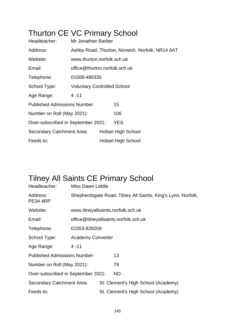# Thurton CE VC Primary School

| Headteacher:                        | Mr Jonathan Barber                              |  |                           |  |  |  |
|-------------------------------------|-------------------------------------------------|--|---------------------------|--|--|--|
| Address:                            | Ashby Road, Thurton, Norwich, Norfolk, NR14 6AT |  |                           |  |  |  |
| Website:                            | www.thurton.norfolk.sch.uk                      |  |                           |  |  |  |
| Email:                              | office@thurton.norfolk.sch.uk                   |  |                           |  |  |  |
| Telephone:                          | 01508-480335                                    |  |                           |  |  |  |
| School Type:                        | <b>Voluntary Controlled School</b>              |  |                           |  |  |  |
| Age Range:                          | $4 - 11$                                        |  |                           |  |  |  |
| <b>Published Admissions Number:</b> |                                                 |  | 15                        |  |  |  |
| Number on Roll (May 2021):          |                                                 |  | 106                       |  |  |  |
| Over-subscribed in September 2021:  |                                                 |  | <b>YES</b>                |  |  |  |
| Secondary Catchment Area:           |                                                 |  | <b>Hobart High School</b> |  |  |  |
| Feeds to:                           |                                                 |  | <b>Hobart High School</b> |  |  |  |

#### Tilney All Saints CE Primary School

| Headteacher:                        | Miss Dawn Liddle                                             |                                       |                                     |  |  |  |
|-------------------------------------|--------------------------------------------------------------|---------------------------------------|-------------------------------------|--|--|--|
| Address:<br><b>PE34 4RP</b>         | Shepherdsgate Road, Tilney All Saints, King's Lynn, Norfolk, |                                       |                                     |  |  |  |
| Website:                            |                                                              |                                       | www.tilneyallsaints.norfolk.sch.uk  |  |  |  |
| Email:                              |                                                              | office@tilneyallsaints.norfolk.sch.uk |                                     |  |  |  |
| Telephone:                          | 01553-828209                                                 |                                       |                                     |  |  |  |
| School Type:                        | <b>Academy Converter</b>                                     |                                       |                                     |  |  |  |
| Age Range:                          | $4 - 11$                                                     |                                       |                                     |  |  |  |
| <b>Published Admissions Number:</b> |                                                              |                                       | 13                                  |  |  |  |
| Number on Roll (May 2021):          |                                                              |                                       | 79                                  |  |  |  |
| Over-subscribed in September 2021:  |                                                              |                                       | <b>NO</b>                           |  |  |  |
| <b>Secondary Catchment Area:</b>    |                                                              |                                       | St. Clement's High School (Academy) |  |  |  |
| Feeds to:                           |                                                              |                                       | St. Clement's High School (Academy) |  |  |  |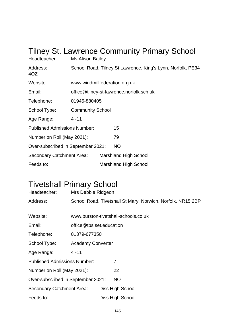| Headteacher:                        | <b>Ms Alison Bailey</b>                                     |  | <b>Tilney St. Lawrence Community Primary School</b> |  |  |
|-------------------------------------|-------------------------------------------------------------|--|-----------------------------------------------------|--|--|
| Address:<br>4QZ                     | School Road, Tilney St Lawrence, King's Lynn, Norfolk, PE34 |  |                                                     |  |  |
| Website:                            | www.windmillfederation.org.uk                               |  |                                                     |  |  |
| Email:                              | office@tilney-st-lawrence.norfolk.sch.uk                    |  |                                                     |  |  |
| Telephone:                          | 01945-880405                                                |  |                                                     |  |  |
| School Type:                        | <b>Community School</b>                                     |  |                                                     |  |  |
| Age Range:                          | 4 - 11                                                      |  |                                                     |  |  |
| <b>Published Admissions Number:</b> |                                                             |  | 15                                                  |  |  |
| Number on Roll (May 2021):          |                                                             |  | 79                                                  |  |  |
| Over-subscribed in September 2021:  |                                                             |  | <b>NO</b>                                           |  |  |
| Secondary Catchment Area:           |                                                             |  | Marshland High School                               |  |  |
| Feeds to:                           |                                                             |  | Marshland High School                               |  |  |

#### Tivetshall Primary School

| Headteacher:                        | Mrs Debbie Ridgeon       |                                                             |
|-------------------------------------|--------------------------|-------------------------------------------------------------|
| Address:                            |                          | School Road, Tivetshall St Mary, Norwich, Norfolk, NR15 2BP |
|                                     |                          |                                                             |
| Website:                            |                          | www.burston-tivetshall-schools.co.uk                        |
| Email:                              | office@tps.set.education |                                                             |
| Telephone:                          | 01379-677350             |                                                             |
| School Type:                        | <b>Academy Converter</b> |                                                             |
| Age Range:                          | $4 - 11$                 |                                                             |
| <b>Published Admissions Number:</b> |                          | 7                                                           |
| Number on Roll (May 2021):          |                          | 22                                                          |
| Over-subscribed in September 2021:  |                          | <b>NO</b>                                                   |
| Secondary Catchment Area:           |                          | Diss High School                                            |
| Feeds to:                           |                          | Diss High School                                            |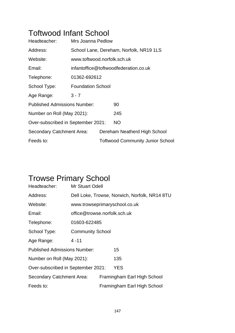#### Toftwood Infant School

| Headteacher:                        | Mrs Joanna Pedlow                       |  |                                         |  |  |  |
|-------------------------------------|-----------------------------------------|--|-----------------------------------------|--|--|--|
| Address:                            | School Lane, Dereham, Norfolk, NR19 1LS |  |                                         |  |  |  |
| Website:                            | www.toftwood.norfolk.sch.uk             |  |                                         |  |  |  |
| Email:                              | infantoffice@toftwoodfederation.co.uk   |  |                                         |  |  |  |
| Telephone:                          | 01362-692612                            |  |                                         |  |  |  |
| School Type:                        | <b>Foundation School</b>                |  |                                         |  |  |  |
| Age Range:                          | $3 - 7$                                 |  |                                         |  |  |  |
| <b>Published Admissions Number:</b> |                                         |  | 90                                      |  |  |  |
| Number on Roll (May 2021):          |                                         |  | 245                                     |  |  |  |
| Over-subscribed in September 2021:  |                                         |  | <b>NO</b>                               |  |  |  |
| Secondary Catchment Area:           |                                         |  | Dereham Neatherd High School            |  |  |  |
| Feeds to:                           |                                         |  | <b>Toftwood Community Junior School</b> |  |  |  |

# Trowse Primary School

| Headteacher:                        | <b>Mr Stuart Odell</b>                        |  |                             |  |  |
|-------------------------------------|-----------------------------------------------|--|-----------------------------|--|--|
| Address:                            | Dell Loke, Trowse, Norwich, Norfolk, NR14 8TU |  |                             |  |  |
| Website:                            | www.trowseprimaryschool.co.uk                 |  |                             |  |  |
| Email:                              | office@trowse.norfolk.sch.uk                  |  |                             |  |  |
| Telephone:                          | 01603-622485                                  |  |                             |  |  |
| School Type:                        | <b>Community School</b>                       |  |                             |  |  |
| Age Range:                          | $4 - 11$                                      |  |                             |  |  |
| <b>Published Admissions Number:</b> |                                               |  | 15                          |  |  |
| Number on Roll (May 2021):          |                                               |  | 135                         |  |  |
| Over-subscribed in September 2021:  |                                               |  | <b>YES</b>                  |  |  |
| <b>Secondary Catchment Area:</b>    |                                               |  | Framingham Earl High School |  |  |
| Feeds to:                           |                                               |  | Framingham Earl High School |  |  |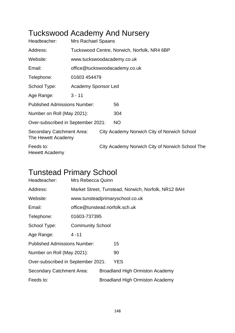# Tuckswood Academy And Nursery

| Headteacher:                                    | <b>Mrs Rachael Spaans</b>     |                            |                                                 |  |  |  |  |
|-------------------------------------------------|-------------------------------|----------------------------|-------------------------------------------------|--|--|--|--|
| Address:                                        |                               |                            | Tuckswood Centre, Norwich, Norfolk, NR4 6BP     |  |  |  |  |
| Website:                                        |                               | www.tuckswoodacademy.co.uk |                                                 |  |  |  |  |
| Email:                                          | office@tuckswoodacademy.co.uk |                            |                                                 |  |  |  |  |
| Telephone:                                      | 01603 454479                  |                            |                                                 |  |  |  |  |
| School Type:                                    | <b>Academy Sponsor Led</b>    |                            |                                                 |  |  |  |  |
| Age Range:                                      | $3 - 11$                      |                            |                                                 |  |  |  |  |
| <b>Published Admissions Number:</b>             |                               |                            | 56                                              |  |  |  |  |
| Number on Roll (May 2021):                      |                               |                            | 304                                             |  |  |  |  |
| Over-subscribed in September 2021:              |                               |                            | <b>NO</b>                                       |  |  |  |  |
| Secondary Catchment Area:<br>The Hewett Academy |                               |                            | City Academy Norwich City of Norwich School     |  |  |  |  |
| Feeds to:<br><b>Hewett Academy</b>              |                               |                            | City Academy Norwich City of Norwich School The |  |  |  |  |

#### Tunstead Primary School

| Headteacher:                        | Mrs Rebecca Quinn                                   |  |                                        |  |  |
|-------------------------------------|-----------------------------------------------------|--|----------------------------------------|--|--|
| Address:                            | Market Street, Tunstead, Norwich, Norfolk, NR12 8AH |  |                                        |  |  |
| Website:                            | www.tunsteadprimaryschool.co.uk                     |  |                                        |  |  |
| Email:                              | office@tunstead.norfolk.sch.uk                      |  |                                        |  |  |
| Telephone:                          | 01603-737395                                        |  |                                        |  |  |
| School Type:                        | <b>Community School</b>                             |  |                                        |  |  |
| Age Range:                          | $4 - 11$                                            |  |                                        |  |  |
| <b>Published Admissions Number:</b> |                                                     |  | 15                                     |  |  |
| Number on Roll (May 2021):          |                                                     |  | 90                                     |  |  |
| Over-subscribed in September 2021:  |                                                     |  | <b>YES</b>                             |  |  |
| <b>Secondary Catchment Area:</b>    |                                                     |  | <b>Broadland High Ormiston Academy</b> |  |  |
| Feeds to:                           |                                                     |  | <b>Broadland High Ormiston Academy</b> |  |  |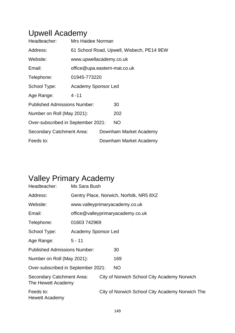#### Upwell Academy

| Headteacher:                        | Mrs Haidee Norman            |  |                                           |  |  |
|-------------------------------------|------------------------------|--|-------------------------------------------|--|--|
| Address:                            |                              |  | 61 School Road, Upwell, Wisbech, PE14 9EW |  |  |
| Website:                            | www.upwellacademy.co.uk      |  |                                           |  |  |
| Email:                              | office@upa.eastern-mat.co.uk |  |                                           |  |  |
| Telephone:                          | 01945-773220                 |  |                                           |  |  |
| School Type:                        | Academy Sponsor Led          |  |                                           |  |  |
| Age Range:                          | $4 - 11$                     |  |                                           |  |  |
| <b>Published Admissions Number:</b> |                              |  | 30                                        |  |  |
| Number on Roll (May 2021):          |                              |  | 202                                       |  |  |
| Over-subscribed in September 2021:  |                              |  | <b>NO</b>                                 |  |  |
| Secondary Catchment Area:           |                              |  | Downham Market Academy                    |  |  |
| Feeds to:                           |                              |  | Downham Market Academy                    |  |  |

# Valley Primary Academy

| Headteacher:                                    | Ms Sara Bush                            |                                |                                                 |  |  |  |
|-------------------------------------------------|-----------------------------------------|--------------------------------|-------------------------------------------------|--|--|--|
| Address:                                        | Gentry Place, Norwich, Norfolk, NR5 8XZ |                                |                                                 |  |  |  |
| Website:                                        |                                         | www.valleyprimaryacademy.co.uk |                                                 |  |  |  |
| Email:                                          |                                         |                                | office@valleyprimaryacademy.co.uk               |  |  |  |
| Telephone:                                      | 01603742969                             |                                |                                                 |  |  |  |
| School Type:                                    | Academy Sponsor Led                     |                                |                                                 |  |  |  |
| Age Range:                                      | $5 - 11$                                |                                |                                                 |  |  |  |
| <b>Published Admissions Number:</b>             |                                         |                                | 30                                              |  |  |  |
| Number on Roll (May 2021):                      |                                         |                                | 169                                             |  |  |  |
| Over-subscribed in September 2021:              |                                         |                                | <b>NO</b>                                       |  |  |  |
| Secondary Catchment Area:<br>The Hewett Academy |                                         |                                | City of Norwich School City Academy Norwich     |  |  |  |
| Feeds to:<br><b>Hewett Academy</b>              |                                         |                                | City of Norwich School City Academy Norwich The |  |  |  |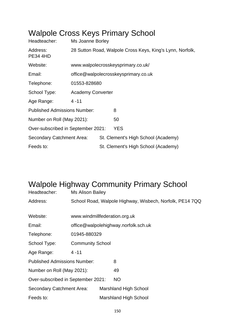#### Walpole Cross Keys Primary School

| Headteacher:                        | Ms Joanne Borley                                          |  |                                     |  |  |  |
|-------------------------------------|-----------------------------------------------------------|--|-------------------------------------|--|--|--|
| Address:<br><b>PE34 4HD</b>         | 28 Sutton Road, Walpole Cross Keys, King's Lynn, Norfolk, |  |                                     |  |  |  |
| Website:                            | www.walpolecrosskeysprimary.co.uk/                        |  |                                     |  |  |  |
| Email:                              | office@walpolecrosskeysprimary.co.uk                      |  |                                     |  |  |  |
| Telephone:                          | 01553-828680                                              |  |                                     |  |  |  |
| School Type:                        | <b>Academy Converter</b>                                  |  |                                     |  |  |  |
| Age Range:                          | $4 - 11$                                                  |  |                                     |  |  |  |
| <b>Published Admissions Number:</b> |                                                           |  | 8                                   |  |  |  |
| Number on Roll (May 2021):          |                                                           |  | 50                                  |  |  |  |
| Over-subscribed in September 2021:  |                                                           |  | YES                                 |  |  |  |
| Secondary Catchment Area:           |                                                           |  | St. Clement's High School (Academy) |  |  |  |
| Feeds to:                           |                                                           |  | St. Clement's High School (Academy) |  |  |  |

#### Walpole Highway Community Primary School

| Headteacher:                        | <b>Ms Alison Bailey</b>              |  |                                                          |  |
|-------------------------------------|--------------------------------------|--|----------------------------------------------------------|--|
| Address:                            |                                      |  | School Road, Walpole Highway, Wisbech, Norfolk, PE14 7QQ |  |
|                                     |                                      |  |                                                          |  |
| Website:                            | www.windmillfederation.org.uk        |  |                                                          |  |
| Email:                              | office@walpolehighway.norfolk.sch.uk |  |                                                          |  |
| Telephone:                          | 01945-880329                         |  |                                                          |  |
| School Type:                        | <b>Community School</b>              |  |                                                          |  |
| Age Range:                          | $4 - 11$                             |  |                                                          |  |
| <b>Published Admissions Number:</b> |                                      |  | 8                                                        |  |
| Number on Roll (May 2021):          |                                      |  | 49                                                       |  |
| Over-subscribed in September 2021:  |                                      |  | <b>NO</b>                                                |  |
| Secondary Catchment Area:           |                                      |  | <b>Marshland High School</b>                             |  |
| Feeds to:                           |                                      |  | Marshland High School                                    |  |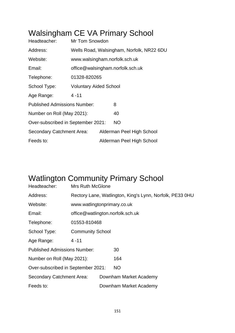# Walsingham CE VA Primary School

| Headteacher:                        | <b>Mr Tom Snowdon</b>                     |  |                                  |  |  |
|-------------------------------------|-------------------------------------------|--|----------------------------------|--|--|
| Address:                            | Wells Road, Walsingham, Norfolk, NR22 6DU |  |                                  |  |  |
| Website:                            | www.walsingham.norfolk.sch.uk             |  |                                  |  |  |
| Email:                              |                                           |  | office@walsingham.norfolk.sch.uk |  |  |
| Telephone:                          | 01328-820265                              |  |                                  |  |  |
| School Type:                        | <b>Voluntary Aided School</b>             |  |                                  |  |  |
| Age Range:                          | $4 - 11$                                  |  |                                  |  |  |
| <b>Published Admissions Number:</b> |                                           |  | 8                                |  |  |
| Number on Roll (May 2021):          |                                           |  | 40                               |  |  |
| Over-subscribed in September 2021:  |                                           |  | <b>NO</b>                        |  |  |
| Secondary Catchment Area:           |                                           |  | Alderman Peel High School        |  |  |
| Feeds to:                           |                                           |  | Alderman Peel High School        |  |  |

# Watlington Community Primary School

| Headteacher:                        | <b>Mrs Ruth McGlone</b>                                  |  |                        |  |
|-------------------------------------|----------------------------------------------------------|--|------------------------|--|
| Address:                            | Rectory Lane, Watlington, King's Lynn, Norfolk, PE33 0HU |  |                        |  |
| Website:                            | www.watlingtonprimary.co.uk                              |  |                        |  |
| Email:                              | office@watlington.norfolk.sch.uk                         |  |                        |  |
| Telephone:                          | 01553-810468                                             |  |                        |  |
| School Type:                        | <b>Community School</b>                                  |  |                        |  |
| Age Range:                          | $4 - 11$                                                 |  |                        |  |
| <b>Published Admissions Number:</b> |                                                          |  | 30                     |  |
| Number on Roll (May 2021):          |                                                          |  | 164                    |  |
| Over-subscribed in September 2021:  |                                                          |  | <b>NO</b>              |  |
| <b>Secondary Catchment Area:</b>    |                                                          |  | Downham Market Academy |  |
| Feeds to:                           |                                                          |  | Downham Market Academy |  |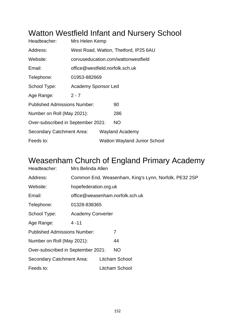#### Watton Westfield Infant and Nursery School

| Headteacher:                        | Mrs Helen Kemp                  |  |                                       |  |  |
|-------------------------------------|---------------------------------|--|---------------------------------------|--|--|
| Address:                            |                                 |  | West Road, Watton, Thetford, IP25 6AU |  |  |
| Website:                            |                                 |  | corvuseducation.com/wattonwestfield   |  |  |
| Email:                              | office@westfield.norfolk.sch.uk |  |                                       |  |  |
| Telephone:                          | 01953-882669                    |  |                                       |  |  |
| School Type:                        | <b>Academy Sponsor Led</b>      |  |                                       |  |  |
| Age Range:                          | $2 - 7$                         |  |                                       |  |  |
| <b>Published Admissions Number:</b> |                                 |  | 90                                    |  |  |
| Number on Roll (May 2021):          |                                 |  | 286                                   |  |  |
| Over-subscribed in September 2021:  |                                 |  | <b>NO</b>                             |  |  |
| Secondary Catchment Area:           |                                 |  | Wayland Academy                       |  |  |
| Feeds to:                           |                                 |  | <b>Watton Wayland Junior School</b>   |  |  |

#### Weasenham Church of England Primary Academy

| Headteacher:                        | Mrs Belinda Allen        |  |                                                       |  |  |
|-------------------------------------|--------------------------|--|-------------------------------------------------------|--|--|
| Address:                            |                          |  | Common End, Weasenham, King's Lynn, Norfolk, PE32 2SP |  |  |
| Website:                            | hopefederation.org.uk    |  |                                                       |  |  |
| Email:                              |                          |  | office@weasenham.norfolk.sch.uk                       |  |  |
| Telephone:                          | 01328-838365             |  |                                                       |  |  |
| School Type:                        | <b>Academy Converter</b> |  |                                                       |  |  |
| Age Range:                          | $4 - 11$                 |  |                                                       |  |  |
| <b>Published Admissions Number:</b> |                          |  | 7                                                     |  |  |
| Number on Roll (May 2021):          |                          |  | 44                                                    |  |  |
| Over-subscribed in September 2021:  |                          |  | <b>NO</b>                                             |  |  |
| Secondary Catchment Area:           |                          |  | Litcham School                                        |  |  |
| Feeds to:                           |                          |  | Litcham School                                        |  |  |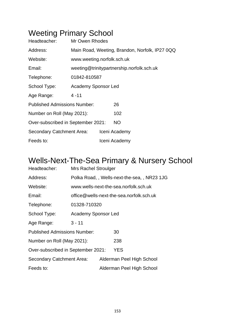# Weeting Primary School

| Headteacher:                        | Mr Owen Rhodes             |  |                                                |  |  |
|-------------------------------------|----------------------------|--|------------------------------------------------|--|--|
| Address:                            |                            |  | Main Road, Weeting, Brandon, Norfolk, IP27 0QQ |  |  |
| Website:                            | www.weeting.norfolk.sch.uk |  |                                                |  |  |
| Email:                              |                            |  | weeting@trinitypartnership.norfolk.sch.uk      |  |  |
| Telephone:                          | 01842-810587               |  |                                                |  |  |
| School Type:                        | Academy Sponsor Led        |  |                                                |  |  |
| Age Range:                          | 4 - 11                     |  |                                                |  |  |
| <b>Published Admissions Number:</b> |                            |  | 26                                             |  |  |
| Number on Roll (May 2021):          |                            |  | 102                                            |  |  |
| Over-subscribed in September 2021:  |                            |  | <b>NO</b>                                      |  |  |
| Secondary Catchment Area:           |                            |  | Iceni Academy                                  |  |  |
| Feeds to:                           |                            |  | Iceni Academy                                  |  |  |

#### Wells-Next-The-Sea Primary & Nursery School

| Headteacher:                        | <b>Mrs Rachel Stroulger</b> |                           |                                            |  |  |  |
|-------------------------------------|-----------------------------|---------------------------|--------------------------------------------|--|--|--|
| Address:                            |                             |                           | Polka Road,, Wells-next-the-sea,, NR23 1JG |  |  |  |
| Website:                            |                             |                           | www.wells-next-the-sea.norfolk.sch.uk      |  |  |  |
| Email:                              |                             |                           | office@wells-next-the-sea.norfolk.sch.uk   |  |  |  |
| Telephone:                          | 01328-710320                |                           |                                            |  |  |  |
| School Type:                        | <b>Academy Sponsor Led</b>  |                           |                                            |  |  |  |
| Age Range:                          | $3 - 11$                    |                           |                                            |  |  |  |
| <b>Published Admissions Number:</b> |                             |                           | 30                                         |  |  |  |
| Number on Roll (May 2021):          |                             | 238                       |                                            |  |  |  |
| Over-subscribed in September 2021:  |                             |                           | <b>YES</b>                                 |  |  |  |
| Secondary Catchment Area:           |                             | Alderman Peel High School |                                            |  |  |  |
| Feeds to:                           |                             |                           | Alderman Peel High School                  |  |  |  |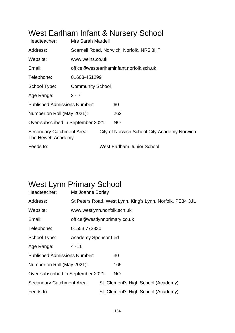# West Earlham Infant & Nursery School

| Headteacher:                                    | Mrs Sarah Mardell       |                                          |                                             |  |  |
|-------------------------------------------------|-------------------------|------------------------------------------|---------------------------------------------|--|--|
| Address:                                        |                         | Scarnell Road, Norwich, Norfolk, NR5 8HT |                                             |  |  |
| Website:                                        | www.weins.co.uk         |                                          |                                             |  |  |
| Email:                                          |                         |                                          | office@westearlhaminfant.norfolk.sch.uk     |  |  |
| Telephone:                                      | 01603-451299            |                                          |                                             |  |  |
| School Type:                                    | <b>Community School</b> |                                          |                                             |  |  |
| Age Range:                                      | $2 - 7$                 |                                          |                                             |  |  |
| <b>Published Admissions Number:</b>             |                         |                                          | 60                                          |  |  |
| Number on Roll (May 2021):                      |                         |                                          | 262                                         |  |  |
| Over-subscribed in September 2021:              |                         |                                          | <b>NO</b>                                   |  |  |
| Secondary Catchment Area:<br>The Hewett Academy |                         |                                          | City of Norwich School City Academy Norwich |  |  |
| Feeds to:                                       |                         |                                          | <b>West Earlham Junior School</b>           |  |  |

#### West Lynn Primary School

| Headteacher:                        | Ms Joanne Borley             |  |                                                           |  |
|-------------------------------------|------------------------------|--|-----------------------------------------------------------|--|
| Address:                            |                              |  | St Peters Road, West Lynn, King's Lynn, Norfolk, PE34 3JL |  |
| Website:                            | www.westlynn.norfolk.sch.uk  |  |                                                           |  |
| Email:                              | office@westlynnprimary.co.uk |  |                                                           |  |
| Telephone:                          | 01553 772330                 |  |                                                           |  |
| School Type:                        | Academy Sponsor Led          |  |                                                           |  |
| Age Range:                          | $4 - 11$                     |  |                                                           |  |
| <b>Published Admissions Number:</b> |                              |  | 30                                                        |  |
| Number on Roll (May 2021):          |                              |  | 165                                                       |  |
| Over-subscribed in September 2021:  |                              |  | <b>NO</b>                                                 |  |
| Secondary Catchment Area:           |                              |  | St. Clement's High School (Academy)                       |  |
| Feeds to:                           |                              |  | St. Clement's High School (Academy)                       |  |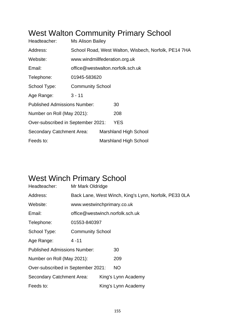#### West Walton Community Primary School

| Headteacher:                        | <b>Ms Alison Bailey</b>                              |                               |                                  |  |  |
|-------------------------------------|------------------------------------------------------|-------------------------------|----------------------------------|--|--|
| Address:                            | School Road, West Walton, Wisbech, Norfolk, PE14 7HA |                               |                                  |  |  |
| Website:                            |                                                      | www.windmillfederation.org.uk |                                  |  |  |
| Email:                              |                                                      |                               | office@westwalton.norfolk.sch.uk |  |  |
| Telephone:                          | 01945-583620                                         |                               |                                  |  |  |
| School Type:                        | <b>Community School</b>                              |                               |                                  |  |  |
| Age Range:                          | $3 - 11$                                             |                               |                                  |  |  |
| <b>Published Admissions Number:</b> |                                                      |                               | 30                               |  |  |
| Number on Roll (May 2021):          |                                                      |                               | 208                              |  |  |
| Over-subscribed in September 2021:  |                                                      |                               | <b>YES</b>                       |  |  |
| Secondary Catchment Area:           |                                                      |                               | <b>Marshland High School</b>     |  |  |
| Feeds to:                           |                                                      |                               | <b>Marshland High School</b>     |  |  |

# West Winch Primary School

| Headteacher:                        | Mr Mark Oldridge           |                                                       |                                 |  |  |
|-------------------------------------|----------------------------|-------------------------------------------------------|---------------------------------|--|--|
| Address:                            |                            | Back Lane, West Winch, King's Lynn, Norfolk, PE33 0LA |                                 |  |  |
| Website:                            | www.westwinchprimary.co.uk |                                                       |                                 |  |  |
| Email:                              |                            |                                                       | office@westwinch.norfolk.sch.uk |  |  |
| Telephone:                          | 01553-840397               |                                                       |                                 |  |  |
| School Type:                        | <b>Community School</b>    |                                                       |                                 |  |  |
| Age Range:                          | $4 - 11$                   |                                                       |                                 |  |  |
| <b>Published Admissions Number:</b> |                            |                                                       | 30                              |  |  |
| Number on Roll (May 2021):          |                            |                                                       | 209                             |  |  |
| Over-subscribed in September 2021:  |                            |                                                       | NO.                             |  |  |
| Secondary Catchment Area:           |                            |                                                       | King's Lynn Academy             |  |  |
| Feeds to:                           |                            |                                                       | King's Lynn Academy             |  |  |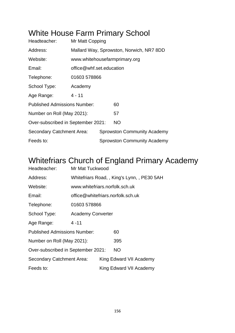#### White House Farm Primary School

| Headteacher:                        | Mr Matt Copping          |                                          |                                    |  |  |  |  |
|-------------------------------------|--------------------------|------------------------------------------|------------------------------------|--|--|--|--|
| Address:                            |                          | Mallard Way, Sprowston, Norwich, NR7 8DD |                                    |  |  |  |  |
| Website:                            |                          |                                          | www.whitehousefarmprimary.org      |  |  |  |  |
| Email:                              | office@whf.set.education |                                          |                                    |  |  |  |  |
| Telephone:                          | 01603 578866             |                                          |                                    |  |  |  |  |
| School Type:                        | Academy                  |                                          |                                    |  |  |  |  |
| Age Range:                          | 4 - 11                   |                                          |                                    |  |  |  |  |
| <b>Published Admissions Number:</b> |                          |                                          | 60                                 |  |  |  |  |
| Number on Roll (May 2021):          |                          |                                          | 57                                 |  |  |  |  |
| Over-subscribed in September 2021:  |                          |                                          | <b>NO</b>                          |  |  |  |  |
| Secondary Catchment Area:           |                          | <b>Sprowston Community Academy</b>       |                                    |  |  |  |  |
| Feeds to:                           |                          |                                          | <b>Sprowston Community Academy</b> |  |  |  |  |
|                                     |                          |                                          |                                    |  |  |  |  |

#### Whitefriars Church of England Primary Academy

| Headteacher:                        | Mr Mat Tuckwood                   |  |                                             |  |  |
|-------------------------------------|-----------------------------------|--|---------------------------------------------|--|--|
| Address:                            |                                   |  | Whitefriars Road, , King's Lynn, , PE30 5AH |  |  |
| Website:                            | www.whitefriars.norfolk.sch.uk    |  |                                             |  |  |
| Email:                              | office@whitefriars.norfolk.sch.uk |  |                                             |  |  |
| Telephone:                          | 01603 578866                      |  |                                             |  |  |
| School Type:                        | <b>Academy Converter</b>          |  |                                             |  |  |
| Age Range:                          | $4 - 11$                          |  |                                             |  |  |
| <b>Published Admissions Number:</b> |                                   |  | 60                                          |  |  |
| Number on Roll (May 2021):          |                                   |  | 395                                         |  |  |
| Over-subscribed in September 2021:  |                                   |  | <b>NO</b>                                   |  |  |
| Secondary Catchment Area:           |                                   |  | King Edward VII Academy                     |  |  |
| Feeds to:                           |                                   |  | King Edward VII Academy                     |  |  |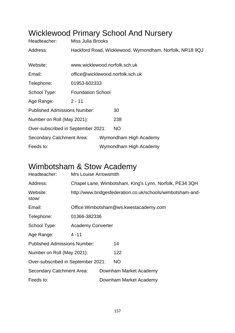# Wicklewood Primary School And Nursery

| Headteacher:                        | Miss Julia Brooks                                       |  |                        |  |  |
|-------------------------------------|---------------------------------------------------------|--|------------------------|--|--|
| Address:                            | Hackford Road, Wicklewood, Wymondham, Norfolk, NR18 9QJ |  |                        |  |  |
| Website:                            | www.wicklewood.norfolk.sch.uk                           |  |                        |  |  |
|                                     |                                                         |  |                        |  |  |
| Email:                              | office@wicklewood.norfolk.sch.uk                        |  |                        |  |  |
| Telephone:                          | 01953-602333                                            |  |                        |  |  |
| School Type:                        | <b>Foundation School</b>                                |  |                        |  |  |
| Age Range:                          | $2 - 11$                                                |  |                        |  |  |
| <b>Published Admissions Number:</b> |                                                         |  | 30                     |  |  |
| Number on Roll (May 2021):          |                                                         |  | 238                    |  |  |
| Over-subscribed in September 2021:  |                                                         |  | NO.                    |  |  |
| Secondary Catchment Area:           |                                                         |  | Wymondham High Academy |  |  |
| Feeds to:                           |                                                         |  | Wymondham High Academy |  |  |

#### Wimbotsham & Stow Academy

| Headteacher:                        | Mrs Louise Arrowsmith                                      |  |                                        |  |
|-------------------------------------|------------------------------------------------------------|--|----------------------------------------|--|
| Address:                            | Chapel Lane, Wimbotsham, King's Lynn, Norfolk, PE34 3QH    |  |                                        |  |
| Website:<br>stow/                   | http://www.bridgesfederation.co.uk/schools/wimbotsham-and- |  |                                        |  |
| Email:                              |                                                            |  | Office. Wimbotsham@ws.kwestacademy.com |  |
| Telephone:                          | 01366-382336                                               |  |                                        |  |
| School Type:                        | <b>Academy Converter</b>                                   |  |                                        |  |
| Age Range:                          | $4 - 11$                                                   |  |                                        |  |
| <b>Published Admissions Number:</b> |                                                            |  | 14                                     |  |
| Number on Roll (May 2021):          |                                                            |  | 122                                    |  |
| Over-subscribed in September 2021:  |                                                            |  | <b>NO</b>                              |  |
| Secondary Catchment Area:           |                                                            |  | Downham Market Academy                 |  |
| Feeds to:                           |                                                            |  | Downham Market Academy                 |  |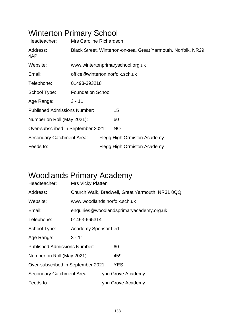# Winterton Primary School

| Headteacher:                        | <b>Mrs Caroline Richardson</b>                                |  |                             |  |  |
|-------------------------------------|---------------------------------------------------------------|--|-----------------------------|--|--|
| Address:<br>4AP                     | Black Street, Winterton-on-sea, Great Yarmouth, Norfolk, NR29 |  |                             |  |  |
| Website:                            | www.wintertonprimaryschool.org.uk                             |  |                             |  |  |
| Email:                              | office@winterton.norfolk.sch.uk                               |  |                             |  |  |
| Telephone:                          | 01493-393218                                                  |  |                             |  |  |
| School Type:                        | <b>Foundation School</b>                                      |  |                             |  |  |
| Age Range:                          | $3 - 11$                                                      |  |                             |  |  |
| <b>Published Admissions Number:</b> |                                                               |  | 15                          |  |  |
| Number on Roll (May 2021):          |                                                               |  | 60                          |  |  |
| Over-subscribed in September 2021:  |                                                               |  | <b>NO</b>                   |  |  |
| Secondary Catchment Area:           |                                                               |  | Flegg High Ormiston Academy |  |  |
| Feeds to:                           |                                                               |  | Flegg High Ormiston Academy |  |  |

# Woodlands Primary Academy

| Headteacher:                        | <b>Mrs Vicky Platten</b>                        |  |                                          |  |  |
|-------------------------------------|-------------------------------------------------|--|------------------------------------------|--|--|
| Address:                            | Church Walk, Bradwell, Great Yarmouth, NR31 8QQ |  |                                          |  |  |
| Website:                            | www.woodlands.norfolk.sch.uk                    |  |                                          |  |  |
| Email:                              |                                                 |  | enquiries@woodlandsprimaryacademy.org.uk |  |  |
| Telephone:                          | 01493-665314                                    |  |                                          |  |  |
| School Type:                        | <b>Academy Sponsor Led</b>                      |  |                                          |  |  |
| Age Range:                          | $3 - 11$                                        |  |                                          |  |  |
| <b>Published Admissions Number:</b> |                                                 |  | 60                                       |  |  |
| Number on Roll (May 2021):          |                                                 |  | 459                                      |  |  |
| Over-subscribed in September 2021:  |                                                 |  | <b>YES</b>                               |  |  |
| Secondary Catchment Area:           |                                                 |  | Lynn Grove Academy                       |  |  |
| Feeds to:                           |                                                 |  | Lynn Grove Academy                       |  |  |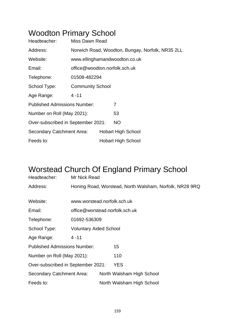#### Woodton Primary School

| Headteacher:                        | Miss Dawn Read                                   |  |                           |  |  |
|-------------------------------------|--------------------------------------------------|--|---------------------------|--|--|
| Address:                            | Norwich Road, Woodton, Bungay, Norfolk, NR35 2LL |  |                           |  |  |
| Website:                            | www.ellinghamandwoodton.co.uk                    |  |                           |  |  |
| Email:                              | office@woodton.norfolk.sch.uk                    |  |                           |  |  |
| Telephone:                          | 01508-482294                                     |  |                           |  |  |
| School Type:                        | <b>Community School</b>                          |  |                           |  |  |
| Age Range:                          | $4 - 11$                                         |  |                           |  |  |
| <b>Published Admissions Number:</b> |                                                  |  | 7                         |  |  |
| Number on Roll (May 2021):          |                                                  |  | 53                        |  |  |
| Over-subscribed in September 2021:  |                                                  |  | <b>NO</b>                 |  |  |
| <b>Secondary Catchment Area:</b>    |                                                  |  | <b>Hobart High School</b> |  |  |
| Feeds to:                           |                                                  |  | <b>Hobart High School</b> |  |  |

#### Worstead Church Of England Primary School

| Headteacher:                        | Mr Nick Read                   |                                                         |
|-------------------------------------|--------------------------------|---------------------------------------------------------|
| Address:                            |                                | Honing Road, Worstead, North Walsham, Norfolk, NR28 9RQ |
|                                     |                                |                                                         |
| Website:                            | www.worstead.norfolk.sch.uk    |                                                         |
| Email:                              | office@worstead.norfolk.sch.uk |                                                         |
| Telephone:                          | 01692-536309                   |                                                         |
| School Type:                        | <b>Voluntary Aided School</b>  |                                                         |
| Age Range:                          | $4 - 11$                       |                                                         |
| <b>Published Admissions Number:</b> |                                | 15                                                      |
| Number on Roll (May 2021):          |                                | 110                                                     |
| Over-subscribed in September 2021:  |                                | <b>YES</b>                                              |
| Secondary Catchment Area:           |                                | North Walsham High School                               |
| Feeds to:                           |                                | North Walsham High School                               |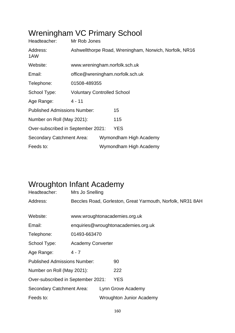# Wreningham VC Primary School

| Headteacher:                        | Mr Rob Jones                                           |  |                        |  |  |  |
|-------------------------------------|--------------------------------------------------------|--|------------------------|--|--|--|
| Address:<br>1AW                     | Ashwellthorpe Road, Wreningham, Norwich, Norfolk, NR16 |  |                        |  |  |  |
| Website:                            | www.wreningham.norfolk.sch.uk                          |  |                        |  |  |  |
| Email:                              | office@wreningham.norfolk.sch.uk                       |  |                        |  |  |  |
| Telephone:                          | 01508-489355                                           |  |                        |  |  |  |
| School Type:                        | <b>Voluntary Controlled School</b>                     |  |                        |  |  |  |
| Age Range:                          | $4 - 11$                                               |  |                        |  |  |  |
| <b>Published Admissions Number:</b> |                                                        |  | 15                     |  |  |  |
| Number on Roll (May 2021):          |                                                        |  | 115                    |  |  |  |
| Over-subscribed in September 2021:  |                                                        |  | <b>YES</b>             |  |  |  |
| Secondary Catchment Area:           |                                                        |  | Wymondham High Academy |  |  |  |
| Feeds to:                           |                                                        |  | Wymondham High Academy |  |  |  |

#### Wroughton Infant Academy

| Headteacher:                        | Mrs Jo Snelling                                            |  |                                 |  |  |
|-------------------------------------|------------------------------------------------------------|--|---------------------------------|--|--|
| Address:                            | Beccles Road, Gorleston, Great Yarmouth, Norfolk, NR31 8AH |  |                                 |  |  |
|                                     |                                                            |  |                                 |  |  |
| Website:                            |                                                            |  | www.wroughtonacademies.org.uk   |  |  |
| Email:                              | enquiries@wroughtonacademies.org.uk                        |  |                                 |  |  |
| Telephone:                          | 01493-663470                                               |  |                                 |  |  |
| School Type:                        | <b>Academy Converter</b>                                   |  |                                 |  |  |
| Age Range:                          | $4 - 7$                                                    |  |                                 |  |  |
| <b>Published Admissions Number:</b> |                                                            |  | 90                              |  |  |
| Number on Roll (May 2021):          |                                                            |  | 222                             |  |  |
| Over-subscribed in September 2021:  |                                                            |  | <b>YES</b>                      |  |  |
| Secondary Catchment Area:           |                                                            |  | Lynn Grove Academy              |  |  |
| Feeds to:                           |                                                            |  | <b>Wroughton Junior Academy</b> |  |  |